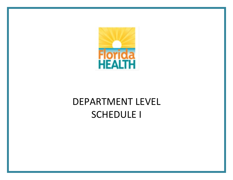

# DEPARTMENT LEVEL SCHEDULE I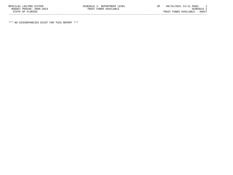\*\*\* NO DISCREPANCIES EXIST FOR THIS REPORT \*\*\*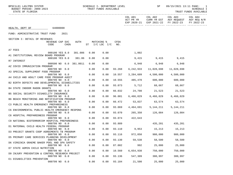| BPSC1L01 LAS/PBS SYSTEM<br>BUDGET PERIOD: 2009-2023<br>STATE OF FLORIDA |                                | SCHEDULE I- DEPARTMENT LEVEL<br>TRUST FUNDS AVAILABLE |        |                                | SP                                  | 09/15/2021 13:11 PAGE:                                                               | $\overline{\phantom{1}}$<br>SCHEDULE I<br>TRUST FUNDS AVAILABLE |
|-------------------------------------------------------------------------|--------------------------------|-------------------------------------------------------|--------|--------------------------------|-------------------------------------|--------------------------------------------------------------------------------------|-----------------------------------------------------------------|
|                                                                         |                                |                                                       |        | COL A01<br>ACT PR YR           | COL A02                             | COL A03<br>CURR YR EST AGY REQUEST AGY REQ N/R<br>EXP 2020-21 EXP 2021-22 FY 2022-23 | COL A04<br>FY 2022-23                                           |
| HEALTH, DEPT OF 64000000                                                |                                |                                                       |        |                                |                                     |                                                                                      |                                                                 |
| FUND: ADMINISTRATIVE TRUST FUND<br>2021                                 |                                |                                                       |        |                                |                                     |                                                                                      |                                                                 |
| SECTION I: DETAIL OF REVENUES                                           |                                |                                                       |        |                                |                                     |                                                                                      |                                                                 |
| REVENUE CAP SVC<br>CODE<br>CHG <sup>8</sup>                             | AUTH<br>ST $I/C$ LOC $I/C$ NO. | MATCHING %                                            | CFDA   |                                |                                     |                                                                                      |                                                                 |
| A7 FEES                                                                 |                                |                                                       |        |                                |                                     |                                                                                      |                                                                 |
| 000100 YES 8.0<br>A1 INSTITUTIONAL REVIEW BOARD PROGRAM                 | 381.086<br>0.00                | 0.00                                                  |        | 1,002                          |                                     |                                                                                      |                                                                 |
| 000100 YES 8.0 381.86                                                   | 0.00                           | 0.00                                                  |        |                                | 9,415 9,415 9,415                   |                                                                                      |                                                                 |
| R7 INTEREST<br>000500 NO 0.0 381.0011                                   | 0.00                           | 0.00                                                  |        | 6,948 6,948                    |                                     | 6,948                                                                                |                                                                 |
| AZ COVID IMMUNIZATION PROGRAM<br>000799 NO 0.0                          | 0.00                           | 0.00                                                  | 93.268 | 6,242,933                      | 11,028,698                          | 11,028,698                                                                           |                                                                 |
| A3 SPECIAL SUPPLEMENT FOOD PROGRAM                                      |                                |                                                       |        |                                |                                     |                                                                                      |                                                                 |
| 000799 NO 0.0<br>A4 CHILD AND ADULT CARE FOOD PROGRAM AUDIT             | 0.00                           | 0.00                                                  | 10.557 |                                | 3,284,609 4,500,000 4,500,000       |                                                                                      |                                                                 |
| 000799 NO 0.0                                                           | 0.00                           | 0.00                                                  |        | 10.555 485,470 600,000 600,000 |                                     |                                                                                      |                                                                 |
| B2 BIRTH DEFECTS AND DEVELOPMENTAL DISABILITIES<br>000799 NO 0.0        | 0.00                           | 0.00                                                  | 93.073 |                                | 5,712 68,667 68,667                 |                                                                                      |                                                                 |
| B4 STATE INDOOR RADON GRANTS                                            |                                |                                                       |        |                                |                                     |                                                                                      |                                                                 |
| 000799 NO 0.0<br>B5 SOCIAL SECURITY DISABILITY INSURANCE                | 0.00                           | 0.00                                                  |        | 66.032 24,708 21,523 21,523    |                                     |                                                                                      |                                                                 |
| 000799 NO 0.0<br>B6 BEACH MONITORING AND NOTIFICATION PROGRAM           | 0.00                           | 0.00                                                  | 96.001 |                                | 6,466,029 6,466,029 6,466,029       |                                                                                      |                                                                 |
| 000799 NO 0.0                                                           | 0.00                           | 0.00                                                  | 66.472 |                                | 53,837 63,574 63,574                |                                                                                      |                                                                 |
| C3 PUBLIC HEALTH EMERGENCY PREPAREDNESS<br>000799 NO 0.0                | 0.00                           | 0.00                                                  | 93.069 |                                | 4, 464, 691 5, 144, 211 5, 144, 211 |                                                                                      |                                                                 |
| C6 ENVIRONMENTAL PUBLIC HEALTH EMERGENCY RESPONS                        |                                |                                                       |        |                                |                                     |                                                                                      |                                                                 |
| 000799 NO 0.0<br>C8 HOSPITAL PREPAREDNESS PROGRAM                       | 0.00                           | 0.00                                                  | 93.070 |                                | 265,350 126,084 126,084             |                                                                                      |                                                                 |
| 000799 NO 0.0                                                           | 0.00                           | 0.00                                                  |        | 93.074 422,643                 |                                     |                                                                                      |                                                                 |
| C9 NATIONAL BIOTERRORISM HOSPITAL PREPAREDNESS<br>000799 NO 0.0         | 0.00                           | 0.00                                                  | 93.889 |                                |                                     | 435,201 435,201                                                                      |                                                                 |
| D1 MATERNAL CHILD HEALTH FEDERAL PROGRAM                                |                                |                                                       |        |                                | 9,953 15,213                        |                                                                                      |                                                                 |
| 000799 NO 0.0<br>D3 PROJECT GRANTS COOP AGREEMENTS TB PROGRAM           | 0.00                           | 0.00                                                  | 93.110 |                                |                                     | 15,213                                                                               |                                                                 |
| 000799 NO 0.0<br>D5 PRIMARY CARE SERVICES PLANNING DEVELOPMENT          | 0.00                           | 0.00                                                  | 93.116 | 972,050                        | 980,000                             | 980,000                                                                              |                                                                 |
| 000799 NO 0.0                                                           | 0.00                           | 0.00                                                  | 93.130 | 59,538                         | 58,500                              | 58,500                                                                               |                                                                 |
| D6 VIRGINIA GRAEME BAKER POOL AND SPA SAFETY<br>000799 NO 0.0           | 0.00                           | 0.00                                                  | 87.002 | 992                            | 25,000                              | 25,000                                                                               |                                                                 |
| D7 STATE ADMIN CHILD NUTRITION                                          |                                |                                                       |        |                                |                                     |                                                                                      |                                                                 |
| 000799 NO 0.0<br>D9 INJURY PREVENTION & CONTROL RESEARCH PROJECT        | 0.00                           | 0.00                                                  | 10.560 | 6,654,938                      | 750,000                             | 750,000                                                                              |                                                                 |
| 000799 NO 0.0<br>E1 DISABILITIES PREVENTION                             | 0.00                           | 0.00                                                  | 93.136 | 547,309                        | 380,997                             | 380,997                                                                              |                                                                 |
| 000799 NO 0.0                                                           | 0.00                           | 0.00                                                  | 93.184 | 21,500                         | 25,000                              | 25,000                                                                               |                                                                 |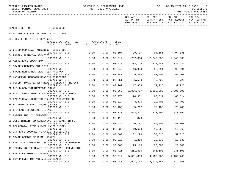BPSC1L01 LAS/PBS SYSTEM SCHEDULE I- DEPARTMENT LEVEL SP 09/15/2021 13:11 PAGE: 2 BPSC1L01 LAS/PBS SYSTEM<br>BUDGET PERIOD: 2009-2023<br>STATE OF FLORIDA ----------------------------------------------------------------------------------------------------------------------------------- COL A01 COL A02 COL A03 COL A04

| 64000000<br>HEALTH, DEPT OF<br>2021<br>FUND: ADMINISTRATIVE TRUST FUND<br>SECTION I: DETAIL OF REVENUES<br>REVENUE CAP SVC<br>AUTH<br>MATCHING %<br>CFDA<br>ST I/C LOC I/C<br>CODE<br><b>CHG&amp;</b><br>NO.<br>E2 CHILDHOOD LEAD POISONING PREVENTION<br>93.197 39,707 94,185 94,185<br>000799 NO 0.0<br>0.00<br>0.00<br>E4 FAMILY PLANNING SERVICES<br>1,767,364 2,046,530 2,046,530<br>000799 NO 0.0<br>0.00<br>0.00<br>93.217<br>E6 ABSTINENCE EDUCATION<br>000799 NO 0.0<br>0.00<br>0.00<br>93.235<br>302,726 327,487 327,487<br>F1 STATE CAPACITY BUILDING<br>000799 NO 0.0<br>0.00<br>0.00<br>93.240<br>16,904 95,691 95,691<br>F3 STATE RURAL HOSPITAL FLEX PROGRAM<br>6,384 52,500 52,500<br>0.00<br>0.00<br>93.241<br>000799 NO 0.0<br>F7 UNIVERSAL NEWBORN HEARING SCREENING<br>0.00<br>0.00<br>93.251<br>5,588 3,720<br>3,720<br>000799 NO 0.0<br>F9 OCCUPATIONAL SAFETY HEALTH RESEARCH PROJECT<br>000799 NO 0.0<br>0.00<br>0.00<br>93.262<br>17,884 39,925<br>39,925<br>G2 CHILDHOOD IMMUNIZATION GRANT<br>1,876,787  2,200,000  2,200,000<br>0.00<br>0.00<br>93.268<br>000799 NO 0.0<br>G4 ADULT VIRAL HEPATITIS PREVENTION & CONTROL<br>000799 NO 0.0<br>0.00<br>0.00<br>93.270<br>74,951 63,814 63,814<br>G8 EARLY HEARING DETECTION AND INTERVENTION<br>000799 NO 0.0<br>0.00<br>0.00<br>93.314<br>8,875 19,403 19,403<br>H6 FL INNOV STRAT DIAB, HRT, STOKE<br>0.00<br>93.435<br>85,217 76,483<br>000799 NO 0.0<br>0.00<br>76,483<br>H8 EPI LAB INFECTIOUS DISEASE<br>000799 NO 0.0<br>0.00<br>0.00<br>93.323<br>518,421 513,094<br>513,094<br>I2 ENDING THE HIV EPIDEMIC<br>0.00<br>93.118<br>379<br>000799 NO 0.0<br>0.00<br>16 WELL-INTEGRATED SCREENING FOR WOMEN IN FL<br>60,781 80,000<br>000799 NO 0.0<br>0.00<br>0.00<br>93.436<br>80,000<br>19 BEHAVIORAL RISK SURVEILLANCE SYSTEM<br>000799 NO 0.0<br>0.00<br>0.00<br>93.336<br>10,668 10,668<br>10,668<br>JO INCREASE COLORECTAL CANCER SCREENINGS<br>93.800<br>000799 NO 0.0<br>0.00<br>0.00<br>32,296 57,525<br>57,525<br>J1 STATE OFFICE OF RURAL HEALTH<br>0.00<br>0.00<br>93.913<br>1,250 19,633<br>19,633<br>000799 NO 0.0<br>J2 EVAL & EXPAND FLORIDAS PUBLIC DENTAL PROGRAM<br>0.00<br>0.00<br>93.366<br>25,115 20,000<br>20,000<br>000799 NO 0.0<br>J5 IMPROVING THE HEALTH OF AMERICANS PREVENTION<br>261,406 245,608 245,608<br>000799 NO 0.0<br>0.00<br>0.00<br>93.426<br>J7 HIV CARE FORMULA GRANTS<br>0.00<br>0.00<br>93.917<br>5, 361, 806 4, 106, 763 4, 106, 763<br>000799 NO 0.0<br>J9 HIV PREVENTION ACTIVITIES HEALTH<br>0.00<br>93.940<br>000799 NO 0.0<br>3,997,163<br>4,010,562<br>19,719,658 |  |  |      | ACT PR YR<br>EXP 2020-21 | EXP 2021-22 | CURR YR EST AGY REQUEST AGY REQ N/R<br>FY 2022-23 | FY 2022-23 |
|----------------------------------------------------------------------------------------------------------------------------------------------------------------------------------------------------------------------------------------------------------------------------------------------------------------------------------------------------------------------------------------------------------------------------------------------------------------------------------------------------------------------------------------------------------------------------------------------------------------------------------------------------------------------------------------------------------------------------------------------------------------------------------------------------------------------------------------------------------------------------------------------------------------------------------------------------------------------------------------------------------------------------------------------------------------------------------------------------------------------------------------------------------------------------------------------------------------------------------------------------------------------------------------------------------------------------------------------------------------------------------------------------------------------------------------------------------------------------------------------------------------------------------------------------------------------------------------------------------------------------------------------------------------------------------------------------------------------------------------------------------------------------------------------------------------------------------------------------------------------------------------------------------------------------------------------------------------------------------------------------------------------------------------------------------------------------------------------------------------------------------------------------------------------------------------------------------------------------------------------------------------------------------------------------------------------------------------------------------------------------------------------------------------------------------------------------------------------------------------------------------------------------------------------------------------------------------------------------|--|--|------|--------------------------|-------------|---------------------------------------------------|------------|
|                                                                                                                                                                                                                                                                                                                                                                                                                                                                                                                                                                                                                                                                                                                                                                                                                                                                                                                                                                                                                                                                                                                                                                                                                                                                                                                                                                                                                                                                                                                                                                                                                                                                                                                                                                                                                                                                                                                                                                                                                                                                                                                                                                                                                                                                                                                                                                                                                                                                                                                                                                                                    |  |  |      |                          |             |                                                   |            |
|                                                                                                                                                                                                                                                                                                                                                                                                                                                                                                                                                                                                                                                                                                                                                                                                                                                                                                                                                                                                                                                                                                                                                                                                                                                                                                                                                                                                                                                                                                                                                                                                                                                                                                                                                                                                                                                                                                                                                                                                                                                                                                                                                                                                                                                                                                                                                                                                                                                                                                                                                                                                    |  |  |      |                          |             |                                                   |            |
|                                                                                                                                                                                                                                                                                                                                                                                                                                                                                                                                                                                                                                                                                                                                                                                                                                                                                                                                                                                                                                                                                                                                                                                                                                                                                                                                                                                                                                                                                                                                                                                                                                                                                                                                                                                                                                                                                                                                                                                                                                                                                                                                                                                                                                                                                                                                                                                                                                                                                                                                                                                                    |  |  |      |                          |             |                                                   |            |
|                                                                                                                                                                                                                                                                                                                                                                                                                                                                                                                                                                                                                                                                                                                                                                                                                                                                                                                                                                                                                                                                                                                                                                                                                                                                                                                                                                                                                                                                                                                                                                                                                                                                                                                                                                                                                                                                                                                                                                                                                                                                                                                                                                                                                                                                                                                                                                                                                                                                                                                                                                                                    |  |  |      |                          |             |                                                   |            |
|                                                                                                                                                                                                                                                                                                                                                                                                                                                                                                                                                                                                                                                                                                                                                                                                                                                                                                                                                                                                                                                                                                                                                                                                                                                                                                                                                                                                                                                                                                                                                                                                                                                                                                                                                                                                                                                                                                                                                                                                                                                                                                                                                                                                                                                                                                                                                                                                                                                                                                                                                                                                    |  |  |      |                          |             |                                                   |            |
|                                                                                                                                                                                                                                                                                                                                                                                                                                                                                                                                                                                                                                                                                                                                                                                                                                                                                                                                                                                                                                                                                                                                                                                                                                                                                                                                                                                                                                                                                                                                                                                                                                                                                                                                                                                                                                                                                                                                                                                                                                                                                                                                                                                                                                                                                                                                                                                                                                                                                                                                                                                                    |  |  |      |                          |             |                                                   |            |
|                                                                                                                                                                                                                                                                                                                                                                                                                                                                                                                                                                                                                                                                                                                                                                                                                                                                                                                                                                                                                                                                                                                                                                                                                                                                                                                                                                                                                                                                                                                                                                                                                                                                                                                                                                                                                                                                                                                                                                                                                                                                                                                                                                                                                                                                                                                                                                                                                                                                                                                                                                                                    |  |  |      |                          |             |                                                   |            |
|                                                                                                                                                                                                                                                                                                                                                                                                                                                                                                                                                                                                                                                                                                                                                                                                                                                                                                                                                                                                                                                                                                                                                                                                                                                                                                                                                                                                                                                                                                                                                                                                                                                                                                                                                                                                                                                                                                                                                                                                                                                                                                                                                                                                                                                                                                                                                                                                                                                                                                                                                                                                    |  |  |      |                          |             |                                                   |            |
|                                                                                                                                                                                                                                                                                                                                                                                                                                                                                                                                                                                                                                                                                                                                                                                                                                                                                                                                                                                                                                                                                                                                                                                                                                                                                                                                                                                                                                                                                                                                                                                                                                                                                                                                                                                                                                                                                                                                                                                                                                                                                                                                                                                                                                                                                                                                                                                                                                                                                                                                                                                                    |  |  |      |                          |             |                                                   |            |
|                                                                                                                                                                                                                                                                                                                                                                                                                                                                                                                                                                                                                                                                                                                                                                                                                                                                                                                                                                                                                                                                                                                                                                                                                                                                                                                                                                                                                                                                                                                                                                                                                                                                                                                                                                                                                                                                                                                                                                                                                                                                                                                                                                                                                                                                                                                                                                                                                                                                                                                                                                                                    |  |  |      |                          |             |                                                   |            |
|                                                                                                                                                                                                                                                                                                                                                                                                                                                                                                                                                                                                                                                                                                                                                                                                                                                                                                                                                                                                                                                                                                                                                                                                                                                                                                                                                                                                                                                                                                                                                                                                                                                                                                                                                                                                                                                                                                                                                                                                                                                                                                                                                                                                                                                                                                                                                                                                                                                                                                                                                                                                    |  |  |      |                          |             |                                                   |            |
|                                                                                                                                                                                                                                                                                                                                                                                                                                                                                                                                                                                                                                                                                                                                                                                                                                                                                                                                                                                                                                                                                                                                                                                                                                                                                                                                                                                                                                                                                                                                                                                                                                                                                                                                                                                                                                                                                                                                                                                                                                                                                                                                                                                                                                                                                                                                                                                                                                                                                                                                                                                                    |  |  |      |                          |             |                                                   |            |
|                                                                                                                                                                                                                                                                                                                                                                                                                                                                                                                                                                                                                                                                                                                                                                                                                                                                                                                                                                                                                                                                                                                                                                                                                                                                                                                                                                                                                                                                                                                                                                                                                                                                                                                                                                                                                                                                                                                                                                                                                                                                                                                                                                                                                                                                                                                                                                                                                                                                                                                                                                                                    |  |  |      |                          |             |                                                   |            |
|                                                                                                                                                                                                                                                                                                                                                                                                                                                                                                                                                                                                                                                                                                                                                                                                                                                                                                                                                                                                                                                                                                                                                                                                                                                                                                                                                                                                                                                                                                                                                                                                                                                                                                                                                                                                                                                                                                                                                                                                                                                                                                                                                                                                                                                                                                                                                                                                                                                                                                                                                                                                    |  |  |      |                          |             |                                                   |            |
|                                                                                                                                                                                                                                                                                                                                                                                                                                                                                                                                                                                                                                                                                                                                                                                                                                                                                                                                                                                                                                                                                                                                                                                                                                                                                                                                                                                                                                                                                                                                                                                                                                                                                                                                                                                                                                                                                                                                                                                                                                                                                                                                                                                                                                                                                                                                                                                                                                                                                                                                                                                                    |  |  |      |                          |             |                                                   |            |
|                                                                                                                                                                                                                                                                                                                                                                                                                                                                                                                                                                                                                                                                                                                                                                                                                                                                                                                                                                                                                                                                                                                                                                                                                                                                                                                                                                                                                                                                                                                                                                                                                                                                                                                                                                                                                                                                                                                                                                                                                                                                                                                                                                                                                                                                                                                                                                                                                                                                                                                                                                                                    |  |  |      |                          |             |                                                   |            |
|                                                                                                                                                                                                                                                                                                                                                                                                                                                                                                                                                                                                                                                                                                                                                                                                                                                                                                                                                                                                                                                                                                                                                                                                                                                                                                                                                                                                                                                                                                                                                                                                                                                                                                                                                                                                                                                                                                                                                                                                                                                                                                                                                                                                                                                                                                                                                                                                                                                                                                                                                                                                    |  |  |      |                          |             |                                                   |            |
|                                                                                                                                                                                                                                                                                                                                                                                                                                                                                                                                                                                                                                                                                                                                                                                                                                                                                                                                                                                                                                                                                                                                                                                                                                                                                                                                                                                                                                                                                                                                                                                                                                                                                                                                                                                                                                                                                                                                                                                                                                                                                                                                                                                                                                                                                                                                                                                                                                                                                                                                                                                                    |  |  |      |                          |             |                                                   |            |
|                                                                                                                                                                                                                                                                                                                                                                                                                                                                                                                                                                                                                                                                                                                                                                                                                                                                                                                                                                                                                                                                                                                                                                                                                                                                                                                                                                                                                                                                                                                                                                                                                                                                                                                                                                                                                                                                                                                                                                                                                                                                                                                                                                                                                                                                                                                                                                                                                                                                                                                                                                                                    |  |  |      |                          |             |                                                   |            |
|                                                                                                                                                                                                                                                                                                                                                                                                                                                                                                                                                                                                                                                                                                                                                                                                                                                                                                                                                                                                                                                                                                                                                                                                                                                                                                                                                                                                                                                                                                                                                                                                                                                                                                                                                                                                                                                                                                                                                                                                                                                                                                                                                                                                                                                                                                                                                                                                                                                                                                                                                                                                    |  |  |      |                          |             |                                                   |            |
|                                                                                                                                                                                                                                                                                                                                                                                                                                                                                                                                                                                                                                                                                                                                                                                                                                                                                                                                                                                                                                                                                                                                                                                                                                                                                                                                                                                                                                                                                                                                                                                                                                                                                                                                                                                                                                                                                                                                                                                                                                                                                                                                                                                                                                                                                                                                                                                                                                                                                                                                                                                                    |  |  |      |                          |             |                                                   |            |
|                                                                                                                                                                                                                                                                                                                                                                                                                                                                                                                                                                                                                                                                                                                                                                                                                                                                                                                                                                                                                                                                                                                                                                                                                                                                                                                                                                                                                                                                                                                                                                                                                                                                                                                                                                                                                                                                                                                                                                                                                                                                                                                                                                                                                                                                                                                                                                                                                                                                                                                                                                                                    |  |  |      |                          |             |                                                   |            |
|                                                                                                                                                                                                                                                                                                                                                                                                                                                                                                                                                                                                                                                                                                                                                                                                                                                                                                                                                                                                                                                                                                                                                                                                                                                                                                                                                                                                                                                                                                                                                                                                                                                                                                                                                                                                                                                                                                                                                                                                                                                                                                                                                                                                                                                                                                                                                                                                                                                                                                                                                                                                    |  |  |      |                          |             |                                                   |            |
|                                                                                                                                                                                                                                                                                                                                                                                                                                                                                                                                                                                                                                                                                                                                                                                                                                                                                                                                                                                                                                                                                                                                                                                                                                                                                                                                                                                                                                                                                                                                                                                                                                                                                                                                                                                                                                                                                                                                                                                                                                                                                                                                                                                                                                                                                                                                                                                                                                                                                                                                                                                                    |  |  |      |                          |             |                                                   |            |
|                                                                                                                                                                                                                                                                                                                                                                                                                                                                                                                                                                                                                                                                                                                                                                                                                                                                                                                                                                                                                                                                                                                                                                                                                                                                                                                                                                                                                                                                                                                                                                                                                                                                                                                                                                                                                                                                                                                                                                                                                                                                                                                                                                                                                                                                                                                                                                                                                                                                                                                                                                                                    |  |  |      |                          |             |                                                   |            |
|                                                                                                                                                                                                                                                                                                                                                                                                                                                                                                                                                                                                                                                                                                                                                                                                                                                                                                                                                                                                                                                                                                                                                                                                                                                                                                                                                                                                                                                                                                                                                                                                                                                                                                                                                                                                                                                                                                                                                                                                                                                                                                                                                                                                                                                                                                                                                                                                                                                                                                                                                                                                    |  |  |      |                          |             |                                                   |            |
|                                                                                                                                                                                                                                                                                                                                                                                                                                                                                                                                                                                                                                                                                                                                                                                                                                                                                                                                                                                                                                                                                                                                                                                                                                                                                                                                                                                                                                                                                                                                                                                                                                                                                                                                                                                                                                                                                                                                                                                                                                                                                                                                                                                                                                                                                                                                                                                                                                                                                                                                                                                                    |  |  |      |                          |             |                                                   |            |
|                                                                                                                                                                                                                                                                                                                                                                                                                                                                                                                                                                                                                                                                                                                                                                                                                                                                                                                                                                                                                                                                                                                                                                                                                                                                                                                                                                                                                                                                                                                                                                                                                                                                                                                                                                                                                                                                                                                                                                                                                                                                                                                                                                                                                                                                                                                                                                                                                                                                                                                                                                                                    |  |  |      |                          |             |                                                   |            |
|                                                                                                                                                                                                                                                                                                                                                                                                                                                                                                                                                                                                                                                                                                                                                                                                                                                                                                                                                                                                                                                                                                                                                                                                                                                                                                                                                                                                                                                                                                                                                                                                                                                                                                                                                                                                                                                                                                                                                                                                                                                                                                                                                                                                                                                                                                                                                                                                                                                                                                                                                                                                    |  |  |      |                          |             |                                                   |            |
|                                                                                                                                                                                                                                                                                                                                                                                                                                                                                                                                                                                                                                                                                                                                                                                                                                                                                                                                                                                                                                                                                                                                                                                                                                                                                                                                                                                                                                                                                                                                                                                                                                                                                                                                                                                                                                                                                                                                                                                                                                                                                                                                                                                                                                                                                                                                                                                                                                                                                                                                                                                                    |  |  |      |                          |             |                                                   |            |
|                                                                                                                                                                                                                                                                                                                                                                                                                                                                                                                                                                                                                                                                                                                                                                                                                                                                                                                                                                                                                                                                                                                                                                                                                                                                                                                                                                                                                                                                                                                                                                                                                                                                                                                                                                                                                                                                                                                                                                                                                                                                                                                                                                                                                                                                                                                                                                                                                                                                                                                                                                                                    |  |  |      |                          |             |                                                   |            |
|                                                                                                                                                                                                                                                                                                                                                                                                                                                                                                                                                                                                                                                                                                                                                                                                                                                                                                                                                                                                                                                                                                                                                                                                                                                                                                                                                                                                                                                                                                                                                                                                                                                                                                                                                                                                                                                                                                                                                                                                                                                                                                                                                                                                                                                                                                                                                                                                                                                                                                                                                                                                    |  |  |      |                          |             |                                                   |            |
|                                                                                                                                                                                                                                                                                                                                                                                                                                                                                                                                                                                                                                                                                                                                                                                                                                                                                                                                                                                                                                                                                                                                                                                                                                                                                                                                                                                                                                                                                                                                                                                                                                                                                                                                                                                                                                                                                                                                                                                                                                                                                                                                                                                                                                                                                                                                                                                                                                                                                                                                                                                                    |  |  |      |                          |             |                                                   |            |
|                                                                                                                                                                                                                                                                                                                                                                                                                                                                                                                                                                                                                                                                                                                                                                                                                                                                                                                                                                                                                                                                                                                                                                                                                                                                                                                                                                                                                                                                                                                                                                                                                                                                                                                                                                                                                                                                                                                                                                                                                                                                                                                                                                                                                                                                                                                                                                                                                                                                                                                                                                                                    |  |  |      |                          |             |                                                   |            |
|                                                                                                                                                                                                                                                                                                                                                                                                                                                                                                                                                                                                                                                                                                                                                                                                                                                                                                                                                                                                                                                                                                                                                                                                                                                                                                                                                                                                                                                                                                                                                                                                                                                                                                                                                                                                                                                                                                                                                                                                                                                                                                                                                                                                                                                                                                                                                                                                                                                                                                                                                                                                    |  |  |      |                          |             |                                                   |            |
|                                                                                                                                                                                                                                                                                                                                                                                                                                                                                                                                                                                                                                                                                                                                                                                                                                                                                                                                                                                                                                                                                                                                                                                                                                                                                                                                                                                                                                                                                                                                                                                                                                                                                                                                                                                                                                                                                                                                                                                                                                                                                                                                                                                                                                                                                                                                                                                                                                                                                                                                                                                                    |  |  |      |                          |             |                                                   |            |
|                                                                                                                                                                                                                                                                                                                                                                                                                                                                                                                                                                                                                                                                                                                                                                                                                                                                                                                                                                                                                                                                                                                                                                                                                                                                                                                                                                                                                                                                                                                                                                                                                                                                                                                                                                                                                                                                                                                                                                                                                                                                                                                                                                                                                                                                                                                                                                                                                                                                                                                                                                                                    |  |  |      |                          |             |                                                   |            |
|                                                                                                                                                                                                                                                                                                                                                                                                                                                                                                                                                                                                                                                                                                                                                                                                                                                                                                                                                                                                                                                                                                                                                                                                                                                                                                                                                                                                                                                                                                                                                                                                                                                                                                                                                                                                                                                                                                                                                                                                                                                                                                                                                                                                                                                                                                                                                                                                                                                                                                                                                                                                    |  |  |      |                          |             |                                                   |            |
|                                                                                                                                                                                                                                                                                                                                                                                                                                                                                                                                                                                                                                                                                                                                                                                                                                                                                                                                                                                                                                                                                                                                                                                                                                                                                                                                                                                                                                                                                                                                                                                                                                                                                                                                                                                                                                                                                                                                                                                                                                                                                                                                                                                                                                                                                                                                                                                                                                                                                                                                                                                                    |  |  |      |                          |             |                                                   |            |
|                                                                                                                                                                                                                                                                                                                                                                                                                                                                                                                                                                                                                                                                                                                                                                                                                                                                                                                                                                                                                                                                                                                                                                                                                                                                                                                                                                                                                                                                                                                                                                                                                                                                                                                                                                                                                                                                                                                                                                                                                                                                                                                                                                                                                                                                                                                                                                                                                                                                                                                                                                                                    |  |  |      |                          |             |                                                   |            |
|                                                                                                                                                                                                                                                                                                                                                                                                                                                                                                                                                                                                                                                                                                                                                                                                                                                                                                                                                                                                                                                                                                                                                                                                                                                                                                                                                                                                                                                                                                                                                                                                                                                                                                                                                                                                                                                                                                                                                                                                                                                                                                                                                                                                                                                                                                                                                                                                                                                                                                                                                                                                    |  |  |      |                          |             |                                                   |            |
|                                                                                                                                                                                                                                                                                                                                                                                                                                                                                                                                                                                                                                                                                                                                                                                                                                                                                                                                                                                                                                                                                                                                                                                                                                                                                                                                                                                                                                                                                                                                                                                                                                                                                                                                                                                                                                                                                                                                                                                                                                                                                                                                                                                                                                                                                                                                                                                                                                                                                                                                                                                                    |  |  |      |                          |             |                                                   |            |
|                                                                                                                                                                                                                                                                                                                                                                                                                                                                                                                                                                                                                                                                                                                                                                                                                                                                                                                                                                                                                                                                                                                                                                                                                                                                                                                                                                                                                                                                                                                                                                                                                                                                                                                                                                                                                                                                                                                                                                                                                                                                                                                                                                                                                                                                                                                                                                                                                                                                                                                                                                                                    |  |  | 0.00 |                          |             |                                                   |            |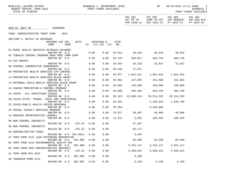| BPSC1L01 LAS/PBS SYSTEM<br>BUDGET PERIOD: 2009-2023<br>STATE OF FLORIDA | SCHEDULE I- DEPARTMENT LEVEL | TRUST FUNDS AVAILABLE |        |                      | SP                             | 09/15/2021 13:11 PAGE:                                                                       | 3<br>SCHEDULE I<br>TRUST FUNDS AVAILABLE |
|-------------------------------------------------------------------------|------------------------------|-----------------------|--------|----------------------|--------------------------------|----------------------------------------------------------------------------------------------|------------------------------------------|
|                                                                         |                              |                       |        | COL A01<br>ACT PR YR |                                | COL A02 COL A03<br>CURR YR EST AGY REQUEST AGY REQ N/R<br>EXP 2020-21 EXP 2021-22 FY 2022-23 | COL A04<br>FY 2022-23                    |
| HEALTH, DEPT OF 64000000                                                |                              |                       |        |                      |                                |                                                                                              |                                          |
| FUND: ADMINISTRATIVE TRUST FUND<br>2021                                 |                              |                       |        |                      |                                |                                                                                              |                                          |
| SECTION I: DETAIL OF REVENUES                                           |                              |                       |        |                      |                                |                                                                                              |                                          |
| REVENUE CAP SVC<br>AUTH<br>CODE<br>CHG <sup>8</sup>                     | ST I/C LOC I/C NO.           | MATCHING %            | CFDA   |                      |                                |                                                                                              |                                          |
| K1 RURAL HEALTH SERVICES OUTREACH NETWORK<br>000799 NO 0.0              | 0.00                         | 0.00                  |        |                      | 93.912 30,918 30,918 30,918    |                                                                                              |                                          |
| K3 TOBACCO CONTROL PROGRAM DRUG FREE COMM SUPP<br>000799 NO 0.0         | 0.00                         | 0.00                  |        |                      | 93.276 359,027 404,749         | 404,749                                                                                      |                                          |
| K4 HIV GRANTS                                                           |                              |                       |        |                      |                                |                                                                                              |                                          |
| 000799 NO 0.0<br>K6 FEDERAL COOPERATIVE AGREEMENTS                      | 0.00                         | 0.00                  |        |                      | 93.944 63,318 32,637 32,637    |                                                                                              |                                          |
| 000799 NO 0.0<br>K8 PREVENTIVE HEALTH SERVICES STD CONTROL              | 0.00                         | 0.00                  | 93.946 | 17,071               |                                |                                                                                              |                                          |
| 000799 NO 0.0<br>L3 PREVENTIVE HEALTH SERVICES BLOCK GRANT              | 0.00                         | 0.00                  | 93.977 |                      |                                |                                                                                              |                                          |
| 000799 NO 0.0<br>L5 MATERNAL CHILD HEALTH SERVICES BLOCK GRANT          | 0.00                         | 0.00                  |        |                      | 93.991 427,855 415,660 415,661 |                                                                                              |                                          |
| 000799 NO 0.0                                                           | 0.00                         | 0.00                  | 93.994 |                      | 142,500 190,000 190,000        |                                                                                              |                                          |
| L9 CANCER PREVENTION & CONTROL PROGRAM<br>000799 NO 0.0                 | 0.00                         | 0.00                  | 93.898 |                      | 546,362 403,240 403,240        |                                                                                              |                                          |
| ZA COVID - ELC INFECTIOUS DISEAS<br>000799 NO 0.0                       | 0.00                         | 0.00                  | 93.323 | 23,990,514           | 29,514,292                     | 29,514,292                                                                                   |                                          |
| ZB COVID-STATE, TRIBAL, LOCAL AND TERRITORIAL<br>000799 NO 0.0          | 0.00                         | 0.00                  | 93.391 |                      | 2,106,945                      | 1,930,789                                                                                    |                                          |
| ZC COVID-PUBLIC HEALTH CRISIS RESPONSE                                  |                              |                       |        |                      |                                |                                                                                              |                                          |
| 000799 NO 0.0<br>16 SEXUAL ASSAULT SERVICES PROGRAM                     | 0.00                         | 0.00                  | 93.354 |                      | 8,548,868                      |                                                                                              |                                          |
| 000799 NO 0.0<br>15 HOUSING OPPORTUNITIES (HOPWA)                       | 0.00                         | 0.00                  |        |                      | 16.017 38,507 40,000 40,000    |                                                                                              |                                          |
| 000799 NO 0.0                                                           | 0.00                         | 0.00                  |        |                      | 14.241 5,053 108,394 108,394   |                                                                                              |                                          |
| M9 NON FEDERAL INDIRECTS<br>215.32<br>001100 NO 8.0                     | 0.00                         | 0.00                  |        | 37,467               |                                |                                                                                              |                                          |
| N2 NON FEDERAL INDIRECTS<br>001110 NO 0.0<br>215.32                     | 0.00                         | 0.00                  |        | 85,171               |                                |                                                                                              |                                          |
| N3 ADMINSITRATIVE FINES<br>001200 NO 8.0 381.0011                       | 0.00                         | 0.00                  |        | 2,942                |                                |                                                                                              |                                          |
| A7 TNFR FROM 2141 LEAD POISONING PREVENTION                             |                              |                       |        |                      |                                |                                                                                              |                                          |
| 001500 NO 0.0<br>381.006<br>B1 TNFR FROM 2141 ENVIRONMENTAL HEALTH FEE  | 0.00                         | 0.00                  |        | 65,500               | 65,500                         | 65,500                                                                                       |                                          |
| 001500 NO 0.0<br>381.006<br>B1 TNFR FROM 2352 ADMINISTRATIVE INDIRECT   | 0.00                         | 0.00                  |        | 3,315,117            | 3, 315, 117                    | 3, 315, 117                                                                                  |                                          |
| 001500 NO 0.0<br>215.32                                                 | 0.00                         | 0.00                  |        | 5,488,624            | 5,488,624                      | 5,488,624                                                                                    |                                          |
| C4 TNFR FROM DFS 2078<br>381.006<br>001500 NO 0.0                       | 0.00                         | 0.00                  |        | 4,380                |                                |                                                                                              |                                          |
| 88 TRANSFER FROM 2141<br>001500 NO 0.0<br>381.001                       | 0.00                         | 0.00                  |        | 3,239                | 3,239                          | 3,239                                                                                        |                                          |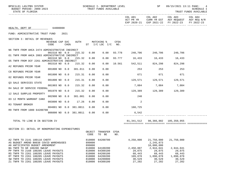| BPSC1L01 LAS/PBS SYSTEM<br>BUDGET PERIOD: 2009-2023<br>STATE OF FLORIDA                                   |             | SCHEDULE I- DEPARTMENT LEVEL<br>TRUST FUNDS AVAILABLE |                                      |             |                        | SP                                      | 09/15/2021 13:11 PAGE:<br>4<br>SCHEDULE I<br>TRUST FUNDS AVAILABLE                           |                       |
|-----------------------------------------------------------------------------------------------------------|-------------|-------------------------------------------------------|--------------------------------------|-------------|------------------------|-----------------------------------------|----------------------------------------------------------------------------------------------|-----------------------|
|                                                                                                           |             |                                                       |                                      |             | COL A01<br>ACT PR YR   |                                         | COL A02 COL A03<br>CURR YR EST AGY REQUEST AGY REQ N/R<br>EXP 2020-21 EXP 2021-22 FY 2022-23 | COL A04<br>FY 2022-23 |
| HEALTH, DEPT OF 64000000                                                                                  |             |                                                       |                                      |             |                        |                                         |                                                                                              |                       |
| FUND: ADMINISTRATIVE TRUST FUND<br>2021                                                                   |             |                                                       |                                      |             |                        |                                         |                                                                                              |                       |
| SECTION I: DETAIL OF REVENUES                                                                             |             |                                                       |                                      |             |                        |                                         |                                                                                              |                       |
| REVENUE CAP SVC<br>CODE<br>CHG%                                                                           | <b>AUTH</b> |                                                       | MATCHING %<br>ST $I/C$ LOC $I/C$ NO. | <b>CFDA</b> |                        |                                         |                                                                                              |                       |
| N6 TNFR FROM AHCA 2474 ADMINISTRATIVE INDIRECT                                                            |             |                                                       |                                      | 93.778      |                        |                                         |                                                                                              |                       |
| 001510 NO 0.0<br>O1 TNFR FROM AHCA 2003 ADMINISTRATIVE INDIRECT                                           | 215.32      | 0.00                                                  | 0.00                                 |             |                        | 240,706 240,706                         | 240,706                                                                                      |                       |
| 001510 NO 0.0<br>05 TNFR FROM DCF 2261 ADMINISTRATIVE INDIRECT                                            | 215.32      | 0.00                                                  | 0.00                                 |             | 93.777 16,433 16,433   |                                         | 16,433                                                                                       |                       |
| 001510 NO 0.0                                                                                             | 215.32      | 0.00                                                  | 0.00                                 |             | 10.561 542,511 824,298 |                                         | 824,298                                                                                      |                       |
| A2 REFUNDS PRIOR YEAR<br>001800 NO 0.0                                                                    | 381.011     | 0.00                                                  | 0.00                                 |             | 253                    | 253                                     | 253                                                                                          |                       |
| C8 REFUNDS PRIOR YEAR<br>001800 NO 0.0                                                                    | 215.31      | 0.00                                                  | 0.00                                 |             | 671                    | 671                                     | 671                                                                                          |                       |
| 02 REFUNDS PRIOR YEAR                                                                                     |             |                                                       |                                      |             |                        |                                         |                                                                                              |                       |
| 001800 NO 0.0<br>03 SALE SERVICES STATE                                                                   | 215.31      | 0.00                                                  | 0.00                                 |             |                        | 129,571 129,571 129,571                 |                                                                                              |                       |
| 001903 NO 0.0                                                                                             | 215.32      | 0.00                                                  | 0.00                                 |             |                        | 7,084 7,084 7,084                       |                                                                                              |                       |
| R4 SALE OF SERVICE FEDERAL<br>001970 NO 0.0                                                               | 215.32      | 0.00                                                  | 0.00                                 |             |                        | 129,389 129,389 129,389                 |                                                                                              |                       |
| 12 SALE SURPLUS PROPERTY<br>002900 NO 8.0                                                                 | 381.001     | 0.00                                                  | 0.00                                 |             | 240                    |                                         |                                                                                              |                       |
| 03 12 MONTH WARRANT CANX                                                                                  |             |                                                       |                                      |             |                        |                                         |                                                                                              |                       |
| 003800 NO 0.0<br>R3 TENANT BROKER                                                                         | 17.26       | 0.00                                                  | 0.00                                 |             | 2                      |                                         |                                                                                              |                       |
| 004001 NO 0.0 381.0011                                                                                    |             | 0.00                                                  | 0.00                                 |             | 160,725                |                                         |                                                                                              |                       |
| R9 TNFR FROM 1000 64200700<br>006000 NO 0.0 381.0011                                                      |             | 0.00                                                  | 0.00                                 |             | 6,542                  |                                         |                                                                                              |                       |
| TOTAL TO LINE B IN SECTION IV                                                                             |             |                                                       |                                      |             | 81,341,512             |                                         |                                                                                              |                       |
|                                                                                                           |             |                                                       |                                      |             |                        |                                         |                                                                                              |                       |
| SECTION II: DETAIL OF NONOPERATING EXPENDITURES                                                           |             | OBJECT<br>CODE                                        | TRANSFER<br>TO BE                    | CFDA<br>NO. |                        |                                         |                                                                                              |                       |
| A2 TNFR TO 2141 180110 CHDTF<br>A5 BUDGET AMEND B0038 COVID WAREHOUSES<br>A6 ANTICIPATED BUDGET AMENDMENT |             | 810000<br>899000<br>899000                            | 64200700                             |             | 4,250,000              | 21,750,000<br>2, 245, 873<br>10,000,000 | 21,750,000                                                                                   |                       |
| BA TNFR TO GR 180200 SWCAP<br>PP TNFR TO 2168 180205 LEAVE PAYOUTS                                        |             | 810000<br>810000                                      | 64100200<br>64300100                 |             | 2,450,887<br>29,075    | 2,944,041<br>29,075                     | 2,944,041<br>29,075                                                                          |                       |
| RS TNFR TO 2261 180205 LEAVE PAYOUTS                                                                      |             | 810000                                                | 64200100                             |             | 68,443                 | 68,443                                  | 68,443                                                                                       |                       |
| RT TNFR TO 2261 180205 LEAVE PAYOUTS<br>SW TNFR TO 2261 180205 LEAVE PAYOUTS                              |             | 810000<br>810000                                      | 64200200<br>64200800                 |             | 109,078<br>30,529      | 1,090,078<br>30,529                     | 1,090,078<br>30,529                                                                          |                       |
| Z1 TNFR TO 2261 180205 LEAVE PAYOUTS                                                                      |             | 810000                                                | 64300100                             |             | 27,202                 | 27,202                                  | 27,202                                                                                       |                       |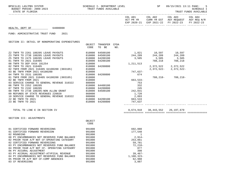BPSC1L01 LAS/PBS SYSTEM SCHEDULE I- DEPARTMENT LEVEL SENE SP 09/15/2021 13:11 PAGE: 5<br>BUDGET PERIOD: 2009-2023 TRUST FUNDS AVAILABLE

STATE OF FLORIDA AND INTERNATIONAL STATE OF FUNDS AVAILABLE

| COL A01     | COL A02 | COL A03                             | COL A04 |
|-------------|---------|-------------------------------------|---------|
| ACT PR YR   |         | CURR YR EST AGY REOUEST AGY REO N/R |         |
| EXP 2020-21 |         | EXP 2021-22 FY 2022-23 FY 2022-23   |         |
|             |         |                                     |         |

#### HEALTH, DEPT OF 64000000

FUND: ADMINISTRATIVE TRUST FUND 2021

SECTION II: DETAIL OF NONOPERATING EXPENDITURES

|                                             | OBJECT | TRANSFER | CFDA |             |                         |            |  |
|---------------------------------------------|--------|----------|------|-------------|-------------------------|------------|--|
|                                             | CODE   | TO BE    | NO.  |             |                         |            |  |
| Z2 TNFR TO 2261 180205 LEAVE PAYOUTS        | 810000 | 64500100 |      |             | 1,821 10,597            | 10,597     |  |
| Z3 TNFR TO 2738 180205 LEAVE PAYOUTS        | 810000 | 64500100 |      | 244,209     | 244,209                 | 244,209    |  |
| Z5 TNFR TO 2475 180205 LEAVE PAYOUTS        | 810000 | 64200100 |      | 3,505       | 3,505                   | 3,505      |  |
| 01 TNFR TO 2021 310405                      | 810000 | 64200100 |      |             | 788,218                 | 788,218    |  |
| 08 TNFR TO DEP XXXX 181254                  | 810000 |          |      | 1, 211, 513 |                         |            |  |
| 02 TNFR TO 2021 310405                      | 810000 | 64200800 |      |             | 2, 372, 522 2, 372, 522 |            |  |
| 02 TNFR FROM 2021 310405 64100200 (003105)  | 810000 |          |      |             | 2,372,522-              | 2,372,522- |  |
| 03 BE TNFR FROM 2021 64100200               | 810000 |          |      | 747,637-    |                         |            |  |
| 04 TNFR TO 2531 180205                      | 810000 | 64200800 |      | 674         |                         |            |  |
| 01 TNFR FROM 2021 310405 64100200 (003105)  | 810000 |          |      |             | 788,218-                | 788,218-   |  |
| 02 BE TNFR FROM 2021                        | 810000 |          |      | 663,533-    |                         |            |  |
| 03 SERVICE CHARGE TO GENERAL REVENUE 310322 | 880800 |          |      | 753         |                         |            |  |
| 06 TNFR TO 2352 180205                      | 810000 | 64400100 |      | 332         |                         |            |  |
| 07 TNFR TO 2192 180205                      | 810000 | 64200800 |      | 245         |                         |            |  |
| 08 TNFR TO 2738 180205-NON ALLOW GRANT      | 810000 | 64500100 |      | 242,031     |                         |            |  |
| 09 REFUNDS OF STATE REVENUES 220020         | 860000 |          |      | 1,720       |                         |            |  |
| 10 SERVICE CHARGE TO GENERAL REVENUE 310322 | 880800 |          |      | 2,893       |                         |            |  |
| 22 BE TNFR TO 2021                          | 810000 | 64200100 |      | 663,533     |                         |            |  |
| 23 BE TNFR TO 2021                          | 810000 | 64200800 |      | 747,637     |                         |            |  |
|                                             |        |          |      |             |                         |            |  |

TOTAL TO LINE E IN SECTION IV 8,674,910 38,443,552 26,197,679

============= ============= ============= =============

SECTION III: ADJUSTMENTS

|                                              | OBJECT |            |
|----------------------------------------------|--------|------------|
|                                              | CODE   |            |
| CERTIFIED FORWARD REVERSIONS<br>01           | 991000 | 692,080    |
| CERTIFIED FORWARD REVERSION<br>01            | 991000 | 177,548    |
| 02 ROUNDING                                  | 991000 |            |
| 08 PY ENCUMBRANCES NOT RESERVED FUND BALANCE | 991000 | $2,914-$   |
| 02 PRIOR YEAR A/P NOT CF-OPERATING CATEGORY  | 991000 | 253,061    |
| 02 CERTIFIED FORWARD REVERSIONS              | 991000 | 59,781     |
| 03 PY ENCUMBRANCES NOT RESERVED FUND BALANCE | 991000 | $72,218-$  |
| 04 PRIOR YEAR A/P NOT CF- OPERATING CATEGORY | 991000 | 877        |
| 06 PY ACCURAL ADJUSTMENT                     | 991000 | 398        |
| 03 PY ACCRUAL ADJUSTMENT-ATYPICAL REVENUE    | 991000 | $39.467-$  |
| 04 PY ENCUMBRANCES NOT RESERVED FUND BALANCE | 991000 | 1,108,323- |
| 05 PRIOR YR A/P NOT CF-COMP ABSENCES         | 991000 | 62,988     |
| 03 CF REVERSIONS                             | 991000 | 3,887      |
|                                              |        |            |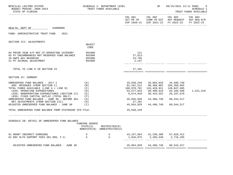| BPSC1L01 LAS/PBS SYSTEM<br>BUDGET PERIOD: 2009-2023<br>STATE OF FLORIDA                                                                                                                                                                                                                                                          |                                                        | SCHEDULE I- DEPARTMENT LEVEL<br>TRUST FUNDS AVAILABLE |                                                                                            | SP                                                                                | 09/15/2021 13:11 PAGE:                                                                                                          | 6<br><b>SCHEDULE I</b><br>TRUST FUNDS AVAILABLE |
|----------------------------------------------------------------------------------------------------------------------------------------------------------------------------------------------------------------------------------------------------------------------------------------------------------------------------------|--------------------------------------------------------|-------------------------------------------------------|--------------------------------------------------------------------------------------------|-----------------------------------------------------------------------------------|---------------------------------------------------------------------------------------------------------------------------------|-------------------------------------------------|
|                                                                                                                                                                                                                                                                                                                                  |                                                        |                                                       | COL A01 COL A02                                                                            |                                                                                   | COL A03 COL A04<br>ACT PR YR $\,$ CURR YR EST $\,$ AGY REQUEST $\,$ AGY REQ $\,$ N/R $\,$<br>EXP 2020-21 EXP 2021-22 FY 2022-23 | FY 2022-23                                      |
| 64000000<br>HEALTH, DEPT OF                                                                                                                                                                                                                                                                                                      |                                                        |                                                       |                                                                                            |                                                                                   |                                                                                                                                 |                                                 |
| FUND: ADMINISTRATIVE TRUST FUND<br>2021                                                                                                                                                                                                                                                                                          |                                                        |                                                       |                                                                                            |                                                                                   |                                                                                                                                 |                                                 |
| SECTION III: ADJUSTMENTS                                                                                                                                                                                                                                                                                                         |                                                        |                                                       |                                                                                            |                                                                                   |                                                                                                                                 |                                                 |
|                                                                                                                                                                                                                                                                                                                                  | OBJECT<br>CODE                                         |                                                       |                                                                                            |                                                                                   |                                                                                                                                 |                                                 |
| 04 PRIOR YEAR A/P NOT CF-OPERATING CATEGORY<br>05 PY ENCUMBRANCES NOT RESERVED FUND BALANCE<br>10 SWFS ADJ B6400346<br>21 PY ACCRUAL ADJUSTMENT                                                                                                                                                                                  | 991000<br>991000<br>991000<br>991000                   |                                                       | 111<br>$27,612-$<br>24,756<br>2,147                                                        |                                                                                   |                                                                                                                                 |                                                 |
| TOTAL TO LINE H IN SECTION IV                                                                                                                                                                                                                                                                                                    |                                                        |                                                       | 27,101                                                                                     |                                                                                   |                                                                                                                                 |                                                 |
| SECTION IV: SUMMARY                                                                                                                                                                                                                                                                                                              |                                                        |                                                       |                                                                                            |                                                                                   |                                                                                                                                 |                                                 |
| UNRESERVED FUND BALANCE - JULY 1<br>ADD: REVENUES (FROM SECTION I)<br>TOTAL FUNDS AVAILABLE (LINE A + LINE B)<br>LESS: OPERATING EXPENDITURES<br>LESS: NONOPERATING EXPENDITURES (SECTION II)<br>LESS: FIXED CAPITAL OUTLAY (TOTAL ONLY)<br>UNRESERVED FUND BALANCE - JUNE 30 - BEFORE ADJ<br>NET ADJUSTMENTS (FROM SECTION III) | (A)<br>(B)<br>(C)<br>(D)<br>( E )<br>(F)<br>(G)<br>(H) |                                                       | 25,638,249<br>81,341,512<br>106,979,761<br>53,277,923<br>8,674,910<br>45,026,928<br>27,101 | 45,054,029<br>98,366,882<br>143,420,911<br>60,480,619<br>38,443,552<br>44,496,740 | 44,496,740<br>105,350,955<br>149,847,695<br>63,105,499<br>26,197,679<br>60,544,517                                              | 1,521,519                                       |
| ADJUSTED UNRESERVED FUND BALANCE - JUNE 30<br>TOTAL UNRESERVED FUND BALANCE FROM STATEWIDE CFO FILE:                                                                                                                                                                                                                             | (T)                                                    |                                                       | 45,054,029<br>25,638,249                                                                   | 44,496,740                                                                        | 60,544,517                                                                                                                      |                                                 |
|                                                                                                                                                                                                                                                                                                                                  |                                                        |                                                       |                                                                                            |                                                                                   |                                                                                                                                 |                                                 |
| SCHEDULE IB: DETAIL OF UNRESERVED FUND BALANCE                                                                                                                                                                                                                                                                                   | FUNDING SOURCE<br>STATE(S)                             | RESTRICTED(R)<br>NONSTATE(N) UNRESTRICTED(U)          |                                                                                            |                                                                                   |                                                                                                                                 |                                                 |
| 01 GRANT INDIRECT EARNINGS<br>$\frac{S}{S}$<br>01 ENV HLTH SUPPORT FEES 381.006, F.S.                                                                                                                                                                                                                                            |                                                        | $\mathbf U$<br>$\overline{U}$                         | 43,237,054 42,230,200 57,828,412                                                           | 1,816,975 2,266,540 2,716,105<br>________ ______________ _.                       |                                                                                                                                 |                                                 |
| ADJUSTED UNRESERVED FUND BALANCE - JUNE 30                                                                                                                                                                                                                                                                                       |                                                        |                                                       |                                                                                            | 45,054,029 44,496,740 60,544,517                                                  |                                                                                                                                 |                                                 |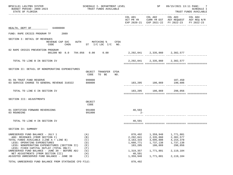| BPSC1L01 LAS/PBS SYSTEM<br>BUDGET PERIOD: 2009-2023<br>STATE OF FLORIDA                                                                                                                                                                                                                                                          | SCHEDULE I- DEPARTMENT LEVEL<br>TRUST FUNDS AVAILABLE |                                                                                    | SP                                                                       | 09/15/2021 13:11 PAGE: 7<br>SCHEDULE I<br>TRUST FUNDS AVAILABLE                                                                   |  |
|----------------------------------------------------------------------------------------------------------------------------------------------------------------------------------------------------------------------------------------------------------------------------------------------------------------------------------|-------------------------------------------------------|------------------------------------------------------------------------------------|--------------------------------------------------------------------------|-----------------------------------------------------------------------------------------------------------------------------------|--|
|                                                                                                                                                                                                                                                                                                                                  |                                                       |                                                                                    |                                                                          | COL A01 COL A02 COL A03 COL A04<br>ACT PR YR CURR YR EST AGY REQUEST AGY REQ N/R<br>EXP 2020-21 EXP 2021-22 FY 2022-23 FY 2022-23 |  |
| HEALTH, DEPT OF 64000000                                                                                                                                                                                                                                                                                                         |                                                       |                                                                                    |                                                                          |                                                                                                                                   |  |
| FUND: RAPE CRISIS PROGRAM TF 2089                                                                                                                                                                                                                                                                                                |                                                       |                                                                                    |                                                                          |                                                                                                                                   |  |
| SECTION I: DETAIL OF REVENUES<br>REVENUE CAP SVC<br>CODE                                                                                                                                                                                                                                                                         | AUTH MATCHING % CFDA<br>CHG% ST I/C LOC I/C NO.       |                                                                                    |                                                                          |                                                                                                                                   |  |
| 02 RAPE CRISIS PREVENTION PROGRAM<br>001200 NO 8.0 794.056 0.00 0.00                                                                                                                                                                                                                                                             |                                                       | 2, 292, 841 2, 335, 860 2, 382, 577                                                |                                                                          |                                                                                                                                   |  |
| TOTAL TO LINE B IN SECTION IV                                                                                                                                                                                                                                                                                                    |                                                       |                                                                                    |                                                                          | 2, 292, 841 2, 335, 860 2, 382, 577                                                                                               |  |
| SECTION II: DETAIL OF NONOPERATING EXPENDITURES                                                                                                                                                                                                                                                                                  | OBJECT TRANSFER CFDA<br>TO BE NO.<br>CODE             |                                                                                    |                                                                          |                                                                                                                                   |  |
| 01 5% TRUST FUND RESERVE<br>03 SERVICE CHARGE TO GENERAL REVENUE 310322                                                                                                                                                                                                                                                          | 999000<br>880800                                      |                                                                                    |                                                                          | 107,450<br>183,205 186,869 190,606                                                                                                |  |
| TOTAL TO LINE E IN SECTION IV                                                                                                                                                                                                                                                                                                    |                                                       |                                                                                    |                                                                          | 183,205 186,869 298,056                                                                                                           |  |
| SECTION III: ADJUSTMENTS                                                                                                                                                                                                                                                                                                         | OBJECT<br>CODE                                        |                                                                                    |                                                                          |                                                                                                                                   |  |
| 01 CERTIFIED FORWARD REVERSIONS<br>03 ROUNDING                                                                                                                                                                                                                                                                                   | 991000<br>991000                                      | 40,593<br>$2 -$                                                                    |                                                                          |                                                                                                                                   |  |
| TOTAL TO LINE H IN SECTION IV                                                                                                                                                                                                                                                                                                    |                                                       | 40,591                                                                             |                                                                          |                                                                                                                                   |  |
| SECTION IV: SUMMARY                                                                                                                                                                                                                                                                                                              |                                                       |                                                                                    |                                                                          |                                                                                                                                   |  |
| UNRESERVED FUND BALANCE - JULY 1<br>ADD: REVENUES (FROM SECTION I)<br>TOTAL FUNDS AVAILABLE (LINE A + LINE B)<br>LESS: OPERATING EXPENDITURES<br>LESS: NONOPERATING EXPENDITURES (SECTION II)<br>LESS: FIXED CAPITAL OUTLAY (TOTAL ONLY)<br>UNRESERVED FUND BALANCE - JUNE 30 - BEFORE ADJ<br>NET ADJUSTMENTS (FROM SECTION III) | (A)<br>(B)<br>(C)<br>(D)<br>(E)<br>(F)<br>(G)<br>(H)  | 870,492<br>2,292,841<br>3, 163, 333<br>1,660,771<br>183,205<br>1,319,357<br>40,591 | 1,359,948<br>2,335,860<br>3,695,808<br>1,737,138<br>186,869<br>1,771,801 | 1,771,801<br>2,382,577<br>4, 154, 378<br>1,737,138<br>298,056<br>2,119,184                                                        |  |
| ADJUSTED UNRESERVED FUND BALANCE - JUNE 30                                                                                                                                                                                                                                                                                       | (I)                                                   | 1,359,948                                                                          | 1,771,801                                                                | 2,119,184                                                                                                                         |  |
| TOTAL UNRESERVED FUND BALANCE FROM STATEWIDE CFO FILE:                                                                                                                                                                                                                                                                           |                                                       | 870,492                                                                            |                                                                          |                                                                                                                                   |  |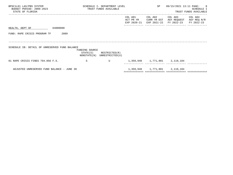| BPSC1L01 LAS/PBS SYSTEM<br>BUDGET PERIOD: 2009-2023<br>STATE OF FLORIDA | SCHEDULE I- DEPARTMENT LEVEL<br>TRUST FUNDS AVAILABLE |                                              |                                     | SP                                    | 09/15/2021 13:11 PAGE:               | 8 <sup>8</sup><br>SCHEDULE I<br>TRUST FUNDS AVAILABLE |
|-------------------------------------------------------------------------|-------------------------------------------------------|----------------------------------------------|-------------------------------------|---------------------------------------|--------------------------------------|-------------------------------------------------------|
|                                                                         |                                                       |                                              | COL A01<br>ACT PR YR<br>EXP 2020-21 | COL A02<br>CURR YR EST<br>EXP 2021-22 | COL A03<br>AGY REQUEST<br>FY 2022-23 | COL A04<br>AGY REQ N/R<br>FY 2022-23                  |
| 64000000<br>HEALTH, DEPT OF                                             |                                                       |                                              |                                     |                                       |                                      |                                                       |
| FUND: RAPE CRISIS PROGRAM TF<br>2089                                    |                                                       |                                              |                                     |                                       |                                      |                                                       |
|                                                                         |                                                       |                                              |                                     |                                       |                                      |                                                       |
| SCHEDULE IB: DETAIL OF UNRESERVED FUND BALANCE                          | FUNDING SOURCE<br>STATE(S)                            | RESTRICTED(R)<br>NONSTATE(N) UNRESTRICTED(U) |                                     |                                       |                                      |                                                       |
| 01 RAPE CRISIS FINES 794.056 F.S.                                       | -S                                                    | U                                            |                                     | 1,359,948 1,771,801 2,119,184         |                                      |                                                       |
| ADJUSTED UNRESERVED FUND BALANCE - JUNE 30                              |                                                       |                                              |                                     | 1,359,948 1,771,801 2,119,184         |                                      |                                                       |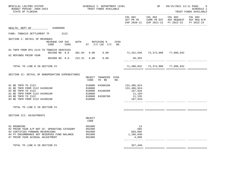| BPSC1L01 LAS/PBS SYSTEM<br>BUDGET PERIOD: 2009-2023<br>STATE OF FLORIDA                                                                                                           | SCHEDULE I- DEPARTMENT LEVEL<br>TRUST FUNDS AVAILABLE                                        |                                                                         | SP      | 09/15/2021 13:11 PAGE:                                                                         | 9<br>SCHEDULE I<br>TRUST FUNDS AVAILABLE<br>---------- |
|-----------------------------------------------------------------------------------------------------------------------------------------------------------------------------------|----------------------------------------------------------------------------------------------|-------------------------------------------------------------------------|---------|------------------------------------------------------------------------------------------------|--------------------------------------------------------|
|                                                                                                                                                                                   |                                                                                              | COL A01                                                                 | COL A02 | COL A03<br>ACT PR YR CURR YR EST AGY REQUEST AGY REQ N/R<br>EXP 2020-21 EXP 2021-22 FY 2022-23 | COL A04<br>FY 2022-23                                  |
| 64000000<br>HEALTH, DEPT OF                                                                                                                                                       |                                                                                              |                                                                         |         |                                                                                                |                                                        |
| FUND: TOBACCO SETTLEMENT TF<br>2122                                                                                                                                               |                                                                                              |                                                                         |         |                                                                                                |                                                        |
| SECTION I: DETAIL OF REVENUES<br>REVENUE CAP SVC<br>CODE<br>CHG <sup>8</sup>                                                                                                      | <b>AUTH</b><br>CFDA<br>MATCHING %<br>ST I/C LOC I/C NO.                                      |                                                                         |         |                                                                                                |                                                        |
| 01 TNFR FROM DFS 2123 TO TOBACCO SERVICES<br>001500 NO 0.0<br>381.84                                                                                                              | 0.00<br>0.00                                                                                 | 71,431,639 73,373,808 77,096,032                                        |         |                                                                                                |                                                        |
| 02 REFUNDS PRIOR YEAR<br>001800 NO 0.0<br>215.31                                                                                                                                  | 0.00<br>0.00                                                                                 | 48,393                                                                  |         |                                                                                                |                                                        |
| TOTAL TO LINE B IN SECTION IV                                                                                                                                                     |                                                                                              |                                                                         |         | 71,480,032 73,373,808 77,096,032                                                               |                                                        |
| SECTION II: DETAIL OF NONOPERATING EXPENDITURES                                                                                                                                   | OBJECT TRANSFER CFDA<br>CODE<br>TO BE<br>NO.                                                 |                                                                         |         |                                                                                                |                                                        |
| 01 BE TNFR TO 2122<br>01 BE TNFR FROM 2122 64200100<br>02 BE TNFR TO 2122<br>01 BE TNFR FROM 2122 64200100<br>03 BE TNFR TO 2122<br>04 BE TNFR FROM 2122 64200100                 | 810000<br>64300100<br>810000<br>64100200<br>810000<br>810000<br>64200700<br>810000<br>810000 | 131,486,924<br>131,486,924-<br>167,918<br>11,155–<br>11,155<br>167,918- |         |                                                                                                |                                                        |
| TOTAL TO LINE E IN SECTION IV                                                                                                                                                     |                                                                                              |                                                                         |         |                                                                                                |                                                        |
| SECTION III: ADJUSTMENTS                                                                                                                                                          | OBJECT<br>CODE                                                                               |                                                                         |         |                                                                                                |                                                        |
| 01 ROUNDING<br>02 PRIOR YEAR A/P NOT CF- OPERATING CATEGORY<br>03 CERTIFIED FORWARD REVERSIONS<br>04 PY ENCUMBRANCE NOT RESERVED FUND BALANCE<br>07 PRIOR YEAR ACCRUAL ADJUSTMENT | 991000<br>991000<br>991000<br>991000<br>991000                                               | 13<br>585<br>803,095<br>$1,166,040-$<br>4,899                           |         |                                                                                                |                                                        |
| TOTAL TO LINE H IN SECTION IV                                                                                                                                                     |                                                                                              | $357,448-$                                                              |         |                                                                                                |                                                        |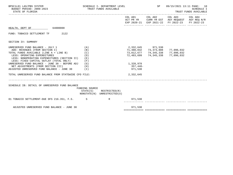| TRUST FUNDS AVAILABLE |                                                                                                                                                                                                                                         |                                                                                                                               | SP                           | 09/15/2021 13:11 PAGE: 10<br><b>SCHEDULE I</b><br>TRUST FUNDS AVAILABLE |                                                                                                                                                                |  |
|-----------------------|-----------------------------------------------------------------------------------------------------------------------------------------------------------------------------------------------------------------------------------------|-------------------------------------------------------------------------------------------------------------------------------|------------------------------|-------------------------------------------------------------------------|----------------------------------------------------------------------------------------------------------------------------------------------------------------|--|
|                       |                                                                                                                                                                                                                                         |                                                                                                                               |                              |                                                                         |                                                                                                                                                                |  |
|                       |                                                                                                                                                                                                                                         |                                                                                                                               |                              |                                                                         |                                                                                                                                                                |  |
|                       |                                                                                                                                                                                                                                         |                                                                                                                               |                              |                                                                         |                                                                                                                                                                |  |
|                       |                                                                                                                                                                                                                                         |                                                                                                                               |                              |                                                                         |                                                                                                                                                                |  |
| (B)<br>(C)<br>(D)     |                                                                                                                                                                                                                                         | 72,483,699<br>1,328,978                                                                                                       |                              | 77,096,032<br>77,096,032<br>77,096,032                                  |                                                                                                                                                                |  |
|                       |                                                                                                                                                                                                                                         | 357,448-<br>971,530                                                                                                           |                              |                                                                         |                                                                                                                                                                |  |
|                       |                                                                                                                                                                                                                                         | 2,332,645                                                                                                                     |                              |                                                                         |                                                                                                                                                                |  |
|                       |                                                                                                                                                                                                                                         |                                                                                                                               |                              |                                                                         |                                                                                                                                                                |  |
|                       |                                                                                                                                                                                                                                         | 971,530                                                                                                                       |                              |                                                                         |                                                                                                                                                                |  |
|                       |                                                                                                                                                                                                                                         | 971,530                                                                                                                       |                              |                                                                         |                                                                                                                                                                |  |
|                       | (A)<br>LESS: NONOPERATING EXPENDITURES (SECTION II) (E)<br>(F)<br>UNRESERVED FUND BALANCE - JUNE 30 - BEFORE ADJ (G)<br>(H)<br>ADJUSTED UNRESERVED FUND BALANCE - JUNE 30 (I)<br>TOTAL UNRESERVED FUND BALANCE FROM STATEWIDE CFO FILE: | FUNDING SOURCE<br>$STATE(S)$ RESTRICTED $(R)$<br>NONSTATE(N) UNRESTRICTED(U)<br>01 TOBACCO SETTLEMENT-DUE DFS 216.351, F.S. S | SCHEDULE I- DEPARTMENT LEVEL | 2,332,645 971,530                                                       | ACT PR YR CURR YR EST AGY REQUEST AGY REQ N/R<br>EXP 2020-21 EXP 2021-22 FY 2022-23 FY 2022-23<br>71,480,032 73,373,808<br>73,812,677 74,345,338<br>74,345,338 |  |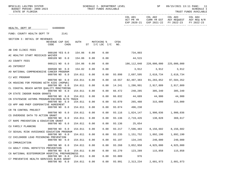| BPSC1L01 LAS/PBS SYSTEM<br>BUDGET PERIOD: 2009-2023<br>STATE OF FLORIDA |                         |                  |         |      | TRUST FUNDS AVAILABLE              |      | SCHEDULE I- DEPARTMENT LEVEL |                      | SP                            |                                                                                      | 09/15/2021 13:11 PAGE: 11<br>SCHEDULE I<br>TRUST FUNDS AVAILABLE |
|-------------------------------------------------------------------------|-------------------------|------------------|---------|------|------------------------------------|------|------------------------------|----------------------|-------------------------------|--------------------------------------------------------------------------------------|------------------------------------------------------------------|
|                                                                         |                         |                  |         |      |                                    |      |                              | COL A01<br>ACT PR YR | COL A02                       | COL A03<br>CURR YR EST AGY REQUEST AGY REQ N/R<br>EXP 2020-21 EXP 2021-22 FY 2022-23 | COL A04<br>FY 2022-23                                            |
| HEALTH, DEPT OF 64000000                                                |                         |                  |         |      |                                    |      |                              |                      |                               |                                                                                      |                                                                  |
| FUND: COUNTY HEALTH DEPT TF                                             |                         | 2141             |         |      |                                    |      |                              |                      |                               |                                                                                      |                                                                  |
| SECTION I: DETAIL OF REVENUES                                           |                         |                  |         |      |                                    |      |                              |                      |                               |                                                                                      |                                                                  |
|                                                                         | REVENUE CAP SVC<br>CODE | CHG <sup>8</sup> | AUTH    |      | MATCHING %<br>$ST$ $I/C$ LOC $I/C$ |      | CFDA<br>NO.                  |                      |                               |                                                                                      |                                                                  |
| AB CHD CLINIC FEES                                                      |                         |                  |         |      |                                    |      |                              |                      |                               |                                                                                      |                                                                  |
| AC HEALTHY START MEDICAID WAIVER                                        | 000100 YES 0.0          |                  | 154.06  | 0.00 |                                    | 0.00 |                              | 734,803              |                               |                                                                                      |                                                                  |
| A3 COUNTY FEES                                                          | 000109 NO 0.0           |                  | 154.06  | 0.00 |                                    | 0.00 |                              | 44,515               |                               |                                                                                      |                                                                  |
|                                                                         | 000121 NO 0.0           |                  | 154.06  | 0.00 |                                    | 0.00 |                              | 186,112,040          | 220,000,000                   | 225,000,000                                                                          |                                                                  |
| A5 INTEREST                                                             | 000500 NO 0.0           |                  | 154.02  | 0.00 |                                    | 0.00 |                              |                      | 3,912 3,912                   | 3,912                                                                                |                                                                  |
| A9 NATIONAL COMPREHENSIVE CANCER PROGRAM                                |                         |                  |         |      |                                    |      |                              |                      |                               |                                                                                      |                                                                  |
| CJ WIC PROGRAM                                                          | 000700 NO 0.0           |                  | 154.011 | 0.00 |                                    | 0.00 | 93.898                       |                      | 2,697,595 2,618,734 2,618,734 |                                                                                      |                                                                  |
|                                                                         | 000700 NO 0.0           |                  | 154.011 | 0.00 |                                    | 0.00 | 10.557                       | 82,497,383           | 91,283,852                    | 97,584,352                                                                           |                                                                  |
| CK HOUSING FOR PERSONS WITH AIDS (HOPWA)                                | 000700 NO 0.0           |                  | 154.011 | 0.00 |                                    | 0.00 | 14.241                       |                      | 1,286,991 2,917,809           | 2,917,809                                                                            |                                                                  |
| CL COASTAL BEACH WATER QUALITY MONITORING                               |                         |                  |         |      |                                    |      |                              |                      |                               |                                                                                      |                                                                  |
| CM STATE INDOOR RADON GRANTS                                            | 000700 NO 0.0           |                  | 154.011 | 0.00 |                                    | 0.00 | 66.472                       |                      | 248,285 305,340 305,340       |                                                                                      |                                                                  |
|                                                                         | 000700 NO 0.0           |                  | 154.011 | 0.00 |                                    | 0.00 | 66.032                       |                      | 44,689 44,900 44,900          |                                                                                      |                                                                  |
| CN STATEWIDE ASTHMA PROGRAM/ENVIRON HLTH TRACK                          |                         |                  |         |      |                                    |      |                              |                      |                               |                                                                                      |                                                                  |
| CO HPP AND PHEP COOPERATIVE AGREEMENT                                   | 000700 NO 0.0           |                  | 154.011 | 0.00 |                                    | 0.00 | 93.070                       |                      | 265,488 315,000               | 315,000                                                                              |                                                                  |
|                                                                         | 000700 NO 0.0           |                  | 154.011 | 0.00 |                                    | 0.00 | 93.074                       | 496,238              |                               |                                                                                      |                                                                  |
| CR TB CONTROL PROJECT                                                   |                         |                  |         |      |                                    |      |                              |                      |                               |                                                                                      |                                                                  |
| CS OVERDOSE DATA TO ACTION GRANT                                        | 000700 NO 0.0           |                  | 154.011 | 0.00 |                                    | 0.00 | 93.116                       |                      | 1,824,147 1,900,036 1,900,036 |                                                                                      |                                                                  |
|                                                                         | 000700 NO 0.0           |                  | 154.011 | 0.00 |                                    | 0.00 | 93.136                       |                      | 2,719,426 138,828 369,617     |                                                                                      |                                                                  |
| CT RAPE PREVENTION & EDUCATION GRANT                                    | 000700 NO 0.0           |                  | 154.011 | 0.00 |                                    | 0.00 | 93.136                       | 25,654               |                               |                                                                                      |                                                                  |
| CU FAMILY PLANNING                                                      |                         |                  |         |      |                                    |      |                              |                      |                               |                                                                                      |                                                                  |
|                                                                         | 000700 NO 0.0           |                  | 154.011 | 0.00 |                                    | 0.00 | 93.217                       | 7,596,483            |                               | 8,156,602 8,156,602                                                                  |                                                                  |
| CV SEXUAL RISK AVOIDANCE EDUCATION PROGRAM                              | 000700 NO 0.0           |                  | 154.011 | 0.00 |                                    | 0.00 | 93.235                       | 1,151,752            | 1,892,190                     | 1,892,190                                                                            |                                                                  |
| C2 CHILDHOOD LEAD POISONING PREVENTION                                  |                         |                  |         |      |                                    |      |                              |                      |                               |                                                                                      |                                                                  |
|                                                                         | 000700 NO 0.0           |                  | 154.011 | 0.00 |                                    | 0.00 | 93.197                       | 134,245              | 240,000                       | 240,000                                                                              |                                                                  |
| C3 IMMUNIZATION                                                         | 000700 NO               | 0.0              | 154.011 | 0.00 |                                    | 0.00 | 93.268                       | 3,852,958            | 4,925,000                     | 4,925,000                                                                            |                                                                  |
| C4 ADULT VIRAL HEPATITIS PREVENTION                                     |                         |                  |         |      |                                    |      |                              |                      |                               |                                                                                      |                                                                  |
|                                                                         | 000700 NO 0.0           |                  | 154.011 | 0.00 |                                    | 0.00 | 93.270                       | 123,289              | 115,858                       | 115,858                                                                              |                                                                  |
| C6 NATIONAL BIOTERRORISM HOSPITAL PREPAREDNESS                          | 000700 NO               | 0.0              | 154.011 | 0.00 |                                    | 0.00 | 93.889                       | 976                  |                               |                                                                                      |                                                                  |
| C7 PREVENTIVE HEALTH SERVICES BLOCK GRANT                               |                         |                  |         |      |                                    |      |                              |                      |                               |                                                                                      |                                                                  |
|                                                                         | 000700 NO               | 0.0              | 154.011 | 0.00 |                                    | 0.00 | 93.991                       | 2,313,234            | 2,601,973                     | 2,601,973                                                                            |                                                                  |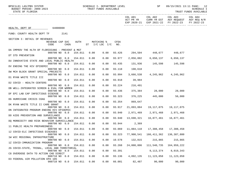BPSC1L01 LAS/PBS SYSTEM SOHEDULE I- DEPARTMENT LEVEL SENE SP 09/15/2021 13:11 PAGE: 12<br>BUDGET PERIOD: 2009-2023 TRUST FUNDS AVAILABLE

STATE OF FLORIDA TRUST FUNDS AVAILABLE

|                                                  |                            |      |         |      |                                  |        |            |                                                                | EXP 2020-21 EXP 2021-22 FY 2022-23 | FY 2022-23 |
|--------------------------------------------------|----------------------------|------|---------|------|----------------------------------|--------|------------|----------------------------------------------------------------|------------------------------------|------------|
| HEALTH, DEPT OF                                  | 64000000                   |      |         |      |                                  |        |            |                                                                |                                    |            |
| FUND: COUNTY HEALTH DEPT TF 2141                 |                            |      |         |      |                                  |        |            |                                                                |                                    |            |
| SECTION I: DETAIL OF REVENUES                    |                            |      |         |      |                                  |        |            |                                                                |                                    |            |
|                                                  | REVENUE CAP SVC<br>CODE    | CHG% | AUTH    |      | MATCHING %<br>ST I/C LOC I/C NO. | CFDA   |            |                                                                |                                    |            |
| DA IMPROV THE HLTH OF FLORIDIANS - PREVENT & MGT | 000700 NO 0.0              |      | 154.011 | 0.00 | 0.00                             |        |            | 93.426 294,504 448,677 448,677                                 |                                    |            |
| DT STD PREVENTION                                |                            |      |         |      |                                  |        |            |                                                                |                                    |            |
|                                                  | 000700 NO 0.0              |      | 154.011 | 0.00 | 0.00                             | 93.977 | 2,856,882  | 6,650,137                                                      | 6,650,137                          |            |
| DU INNOVATIVE STATE AND LOCAL PUBLIC HEALTH      |                            |      |         |      |                                  |        |            |                                                                |                                    |            |
| DV ENDING THE HIV EPIDEMIC                       | 000700 NO 0.0              |      | 154.011 | 0.00 | 0.00                             | 93.435 |            | 131,936 145,598 145,598                                        |                                    |            |
|                                                  | 000700 NO 0.0 154.011      |      |         | 0.00 | 0.00                             | 93.118 | 198,618    |                                                                |                                    |            |
| DW MCH BLOCK GRANT SPECIAL PROJECTS              |                            |      |         |      |                                  |        |            |                                                                |                                    |            |
|                                                  | 000700 NO 0.0              |      | 154.011 | 0.00 | 0.00                             | 93.994 | 3,666,538  |                                                                | 4, 245, 962 4, 245, 962            |            |
| D1 RYAN WHITE TITLE III                          |                            |      |         |      |                                  |        |            |                                                                |                                    |            |
|                                                  | 000700 NO 0.0              |      | 154.011 | 0.00 | 0.00                             | 93.918 | 39,984     |                                                                |                                    |            |
| D2 COVID - HEALTH CENTERS                        | 000700 NO 0.0              |      | 154.011 | 0.00 | 0.00                             | 93.224 | 216,491    |                                                                |                                    |            |
| DB WELL-INTEGRATED SCREEN & EVAL FOR WOMEN       |                            |      |         |      |                                  |        |            |                                                                |                                    |            |
|                                                  | 000700 NO 0.0 154.011      |      |         | 0.00 | 0.00                             | 93.436 |            | 375,384 28,000                                                 | 28,000                             |            |
| DF EPI LAB CAP INFECTIOUS DISEASE                |                            |      |         |      |                                  |        |            |                                                                |                                    |            |
|                                                  | 000700 NO 0.0 154.011      |      |         | 0.00 | 0.00                             | 93.323 |            | 376,225 445,000                                                | 56,000                             |            |
| DG HURRICANE CRISIS COAG                         |                            |      |         |      |                                  |        |            |                                                                |                                    |            |
|                                                  | 000700 NO 0.0              |      | 154.011 | 0.00 | 0.00                             | 93.354 | 869,647    |                                                                |                                    |            |
| DK RYAN WHITE TITLE II CARE GRANT                | 000700 NO 0.0              |      | 154.011 | 0.00 | 0.00                             | 93.917 |            | 21,093,884   19,117,075   19,117,075                           |                                    |            |
| DN INTEGRATED PROGRAM ENDING HIV EPIDEMIC        |                            |      |         |      |                                  |        |            |                                                                |                                    |            |
|                                                  | 000700 NO 0.0              |      | 154.011 | 0.00 | 0.00                             | 93.940 |            | 2,971,469 2,971,468 2,971,468                                  |                                    |            |
| DO AIDS PREVENTION AND SURVEILANCE               |                            |      |         |      |                                  |        |            |                                                                |                                    |            |
|                                                  | 000700 NO 0.0              |      | 154.011 | 0.00 | 0.00                             | 93.940 |            | 13,698,321   16,877,461   16,877,461                           |                                    |            |
| DQ MORBIDITY AND RISK BEHAVIOR SURVEILLANCE      |                            |      |         |      |                                  |        |            |                                                                |                                    |            |
|                                                  | 000700 NO 0.0              |      | 154.011 | 0.00 | 0.00                             | 93.944 | 2,369      |                                                                |                                    |            |
| 11 PUBLIC HEALTH PREPAREDNESS                    | 000700 NO 0.0              |      | 154.011 | 0.00 | 0.00                             | 93.069 |            | 11,884,110 17,308,458 17,308,458                               |                                    |            |
| 12 COVID-ELC INFECTIOUS DISEASES                 |                            |      |         |      |                                  |        |            |                                                                |                                    |            |
|                                                  | 000700 NO 0.0 154.011 0.00 |      |         |      |                                  |        |            | $0.00$ 93.323 77,900,541 166,411,362 136,387,880               |                                    |            |
| 1W WIC REGIONAL INFRASTRUCTURE                   |                            |      |         |      |                                  |        |            |                                                                |                                    |            |
|                                                  |                            |      |         |      |                                  |        |            | 000700 NO 0.0 154.011 0.00 0.00 10.578 132,815 215,865 215,865 |                                    |            |
| 1Z COVID-IMMUNIZATION PROGRAM                    |                            |      |         |      |                                  |        |            |                                                                |                                    |            |
| 2G COVID-STATE, TRIBAL, LOCAL AND TERRITORIAL    | 000700 NO 0.0              |      | 154.011 | 0.00 | 0.00                             | 93.268 | 24,008,806 | 111,540,735                                                    | 164,959,222                        |            |
|                                                  | 000700 NO 0.0              |      | 154.011 | 0.00 | 0.00                             | 93.391 |            | 9,113,374                                                      | 8,019,343                          |            |
| C8 OVERDOSE DATA TO ACTION CHD DIRECT            |                            |      |         |      |                                  |        |            |                                                                |                                    |            |
|                                                  | 000710 NO 0.0              |      | 154.011 | 0.00 | 0.00                             | 93.136 | 4,892,135  | 11,123,058                                                     | 11,123,058                         |            |
| D3 FEDERAL AIR POLLUTION EPA 105                 |                            |      |         |      |                                  |        |            |                                                                |                                    |            |
|                                                  | 000710 NO 0.0              |      | 154.011 | 0.00 | 0.00                             | 66.001 | 82,487     | 90,000                                                         | 90,000                             |            |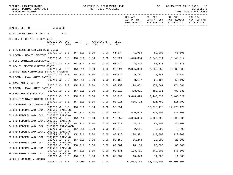BPSC1L01 LAS/PBS SYSTEM STERN SCHEDULE I- DEPARTMENT LEVEL SP 09/15/2021 13:11 PAGE: 13

STATE OF FLORIDA TRUST FUNDS AVAILABLE

|                                             |               |                                     |         |                                       |      |        |            | EXP 2020-21 EXP 2021-22 FY 2022-23 FY 2022-23 |                     |  |
|---------------------------------------------|---------------|-------------------------------------|---------|---------------------------------------|------|--------|------------|-----------------------------------------------|---------------------|--|
| HEALTH, DEPT OF 64000000                    |               |                                     |         |                                       |      |        |            |                                               |                     |  |
| FUND: COUNTY HEALTH DEPT TF 2141            |               |                                     |         |                                       |      |        |            |                                               |                     |  |
| SECTION I: DETAIL OF REVENUES               |               |                                     |         |                                       |      |        |            |                                               |                     |  |
|                                             | CODE          | REVENUE CAP SVC<br>CHG <sup>8</sup> |         | AUTH MATCHING %<br>ST I/C LOC I/C NO. |      | CFDA   |            |                                               |                     |  |
| D4 EPA SECTION 103 AIR MONITORING           |               | 000710 NO 0.0                       | 154.011 | 0.00                                  | 0.00 |        |            | 66.034 41,984 50,000 50,000                   |                     |  |
| D6 COVID - HEALTH CENTERS                   |               |                                     |         |                                       |      |        |            |                                               |                     |  |
|                                             |               | 000710 NO 0.0                       | 154.011 | 0.00                                  | 0.00 | 93.224 |            | 1,420,354 3,848,014 3,848,014                 |                     |  |
| D7 FQHC OUTREACH ASSISTANCE                 | 000710 NO 0.0 |                                     | 154.011 | 0.00                                  |      |        |            | 0.00 93.224 42,813 42,813 42,813              |                     |  |
| D8 HEALTH CENTER CLUSTER GRANT              |               |                                     |         |                                       |      |        |            |                                               |                     |  |
|                                             | 000710 NO 0.0 |                                     | 154.011 | 0.00                                  | 0.00 | 93.224 |            | 2,385,338 2,385,338 2,385,338                 |                     |  |
| D9 DRUG FREE COMMUNIIES SUPPORT PROGRAM     | 000710 NO 0.0 |                                     | 154.011 | 0.00                                  | 0.00 | 93.276 |            | 9,781 9,781 9,781                             |                     |  |
| EB COVID - RYAN WHITE PART D                |               |                                     |         |                                       |      |        |            |                                               |                     |  |
|                                             |               | 000710 NO 0.0                       | 154.011 | 0.00                                  | 0.00 |        |            | 93.153 58,197 58,197 58,197                   |                     |  |
| EC RYAN WHITE PART D                        |               |                                     |         |                                       |      |        |            | 93.153 174,661 174,661 174,661                |                     |  |
| ED COVID - RYAN WHITE PART C                |               | 000710 NO 0.0                       | 154.011 | 0.00                                  | 0.00 |        |            |                                               |                     |  |
|                                             | 000710 NO 0.0 |                                     | 154.011 | 0.00                                  | 0.00 | 93.918 |            | 488,031 488,031 488,031                       |                     |  |
| EE RYAN WHITE TITLE III                     |               |                                     |         |                                       |      |        |            |                                               |                     |  |
|                                             | 000710 NO 0.0 |                                     | 154.011 | 0.00                                  | 0.00 | 93.918 |            | 3,448,829 3,448,829 3,448,829                 |                     |  |
| EF HEALTHY START DIRECT TO CHD              |               | 000710 NO 0.0                       | 154.011 | 0.00                                  | 0.00 |        |            | 93.926 516,792 516,792                        | 516,792             |  |
| 10 COVID-HEALTH DISPARITIES                 |               |                                     |         |                                       |      |        |            |                                               |                     |  |
|                                             |               | 000710 NO 0.0                       | 154.011 | 0.00                                  | 0.00 | 93.391 |            |                                               |                     |  |
| EK CHD FEDERAL AND LOCAL INDIRECT EARNINGS  |               |                                     |         |                                       |      |        |            |                                               |                     |  |
| E2 CHD FEDERAL AND LOCAL INDIRECT EARNING   |               | 000799 NO 0.0 154.011               |         | 0.00                                  |      |        |            | $0.00$ 93.224 520,525 521,000 521,000         |                     |  |
|                                             |               | 000799 NO 0.0                       | 154.011 | 0.00                                  | 0.00 | 10.557 | 4,856,856  |                                               | 5,000,000 5,000,000 |  |
| E3 CHD FEDERAL AND LOCAL INDIRECT EARNING   |               |                                     |         |                                       |      |        |            |                                               |                     |  |
|                                             | 000799 NO 0.0 |                                     | 154.011 | 0.00                                  | 0.00 | 93.918 |            | 44,197 45,000                                 | 45,000              |  |
| E4 CHD FEDERAL AND LOCAL INDIRECT EARNINGED |               |                                     |         |                                       |      |        |            |                                               |                     |  |
| E5 CHD FEDERAL AND LOCAL INDIRECT EARNING   |               | 000799 NO 0.0                       | 154.011 | 0.00                                  |      |        |            | $0.00$ 93.276 2,111 3,000 3,000               |                     |  |
|                                             |               |                                     |         | 000799 NO 0.0 154.011 0.00            |      |        |            | $0.00$ 93.926 104,371 110,000 110,000         |                     |  |
| E6 CHD FEDERAL AND LOCAL INDIRECT EARNING   |               |                                     |         |                                       |      |        |            |                                               |                     |  |
|                                             |               |                                     |         |                                       |      |        |            |                                               | 20,000              |  |
| E7 CHD FEDERAL AND LOCAL INDIRECT EARNINGV  | 000799 NO 0.0 |                                     | 154.011 | 0.00                                  | 0.00 | 66.001 | 76,188     | 80,000                                        | 80,000              |  |
| E8 CHD FEDERAL AND LOCAL INDIRECT EARNING   |               |                                     |         |                                       |      |        |            |                                               |                     |  |
|                                             | 000799 NO 0.0 |                                     | 154.011 | 0.00                                  | 0.00 | 93.136 | 138,701    | 140,000                                       | 140,000             |  |
| E9 CHD FEDERAL AND LOCAL INDIRECT EARNING   |               |                                     |         |                                       |      |        |            |                                               |                     |  |
| EO CITY OR COUNTY GRANTS                    | 000799 NO 0.0 |                                     | 154.011 | 0.00                                  | 0.00 | 66.034 | 10,643     | 11,000                                        | 11,000              |  |
|                                             | 000810 NO 0.0 |                                     | 154.05  | 0.00                                  | 0.00 |        | 81,653,708 | 95,000,000                                    | 98,000,000          |  |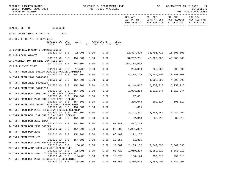| BPSC1L01 LAS/PBS SYSTEM<br>BUDGET PERIOD: 2009-2023<br>STATE OF FLORIDA     |      | SCHEDULE I- DEPARTMENT LEVEL<br>TRUST FUNDS AVAILABLE |                    |                      | SP                      |                                                                                      | 09/15/2021 13:11 PAGE: 14<br>SCHEDULE I<br>TRUST FUNDS AVAILABLE |
|-----------------------------------------------------------------------------|------|-------------------------------------------------------|--------------------|----------------------|-------------------------|--------------------------------------------------------------------------------------|------------------------------------------------------------------|
|                                                                             |      |                                                       |                    | COL A01<br>ACT PR YR | COL A02                 | COL A03<br>CURR YR EST AGY REQUEST AGY REQ N/R<br>EXP 2020-21 EXP 2021-22 FY 2022-23 | COL A04<br>FY 2022-23                                            |
| 64000000<br>HEALTH, DEPT OF                                                 |      |                                                       |                    |                      |                         |                                                                                      |                                                                  |
| FUND: COUNTY HEALTH DEPT TF<br>2141                                         |      |                                                       |                    |                      |                         |                                                                                      |                                                                  |
| SECTION I: DETAIL OF REVENUES                                               |      |                                                       |                    |                      |                         |                                                                                      |                                                                  |
| AUTH<br>REVENUE CAP SVC<br>CODE<br>CHG <sup>8</sup>                         |      | MATCHING %<br>$ST$ $I/C$ LOC $I/C$                    | <b>CFDA</b><br>NO. |                      |                         |                                                                                      |                                                                  |
| E1 COVID-BOARD COUNTY COMMISSIONERS<br>000810 NO 0.0<br>154.05              | 0.00 | 0.00                                                  |                    | 32,897,823           | 35,796,728              | 15,000,000                                                                           |                                                                  |
| GN CHD LOCAL GRANTS                                                         |      |                                                       |                    |                      |                         |                                                                                      |                                                                  |
| 001110 NO 0.0<br>154.001<br>GO IMMUNIZATION IN KIND CONTRIBUTION            | 0.00 | 0.00                                                  |                    | 38,232,731           | 42,000,000              | 45,000,000                                                                           |                                                                  |
| 001110 NO 0.0<br>154.001                                                    | 0.00 | 0.00                                                  |                    | 284,104,645          |                         |                                                                                      |                                                                  |
| HM CHD CLINIC FINES<br>001200 NO 0.0<br>154.06                              | 0.00 | 0.00                                                  |                    | 204,369              | 205,000                 | 205,000                                                                              |                                                                  |
| H1 TNFR FROM 2021 180110 ADMINISTRATIVE INDIRECT                            |      |                                                       |                    |                      |                         |                                                                                      |                                                                  |
| 001500 NO 0.0<br>154.001                                                    | 0.00 | 0.00                                                  |                    | 4,188,145            | 21,750,000              | 21,750,000                                                                           |                                                                  |
| H4 TNFR FROM 2261 64200800<br>001500 NO 0.0<br>154.001                      | 0.00 | 0.00                                                  |                    |                      | 4,000,000               | 4,000,000                                                                            |                                                                  |
| H6 TNFR FROM 2122 64200100                                                  |      |                                                       |                    |                      |                         |                                                                                      |                                                                  |
| 001500 NO 0.0<br>154.001<br>H7 TNFR FROM 2339 64200200                      | 0.00 | 0.00                                                  |                    | 8,144,617            | 6,253,718               | 6,253,718                                                                            |                                                                  |
| 001500 NO 0.0<br>154.001                                                    | 0.00 | 0.00                                                  |                    | 1,096,264            | 1,018,374               | 1,018,374                                                                            |                                                                  |
| J9 TNFR FROM DCF 1000 CHILD DAY CARE LICENSE                                |      |                                                       |                    |                      |                         |                                                                                      |                                                                  |
| 001500 NO<br>0.0<br>154.001<br>KW TNFR FROM DCF 2261 CHILD DAY CARE LICENSE | 0.00 | 0.00                                                  |                    | 17,851               |                         |                                                                                      |                                                                  |
| 001500 NO 0.0<br>154.001                                                    | 0.00 | 0.00                                                  |                    |                      | 216,044 190,817 190,817 |                                                                                      |                                                                  |
| K3 TNFR FROM 2141 COUNTY HLTH DEPT CLINIC FEES<br>001500 NO 0.0<br>154.001  | 0.00 | 0.00                                                  |                    |                      |                         |                                                                                      |                                                                  |
| KX TNFR FROM DEP 2212 PETROLEUM STORAGE CLEANUP                             |      |                                                       |                    | 1,815                |                         |                                                                                      |                                                                  |
| 001500 NO 0.0<br>154.001                                                    | 0.00 | 0.00                                                  |                    | 2,121,297            | 2,242,464 2,242,464     |                                                                                      |                                                                  |
| KY TNFR FROM DCF 2639 CHILD DAY CARE LICENSE<br>001500 NO 0.0 154.001       | 0.00 | 0.00                                                  |                    |                      | 32,018 32,018 32,018    |                                                                                      |                                                                  |
| J1 TNFR FROM DEM 2750 IRMA                                                  |      |                                                       |                    |                      |                         |                                                                                      |                                                                  |
| 154.001<br>001510 NO 0.0                                                    | 0.00 | 0.00                                                  | 93.283             | 487,765              |                         |                                                                                      |                                                                  |
| J4 TNFR FROM DEM 2750 DORIAN<br>001510 NO 0.0<br>154.001                    | 0.00 | 0.00                                                  | 93.283             | 1,991,897            |                         |                                                                                      |                                                                  |
| J5 TNFR FROM DEP 2261                                                       |      |                                                       |                    |                      |                         |                                                                                      |                                                                  |
| 001510 NO 0.0<br>154.001                                                    | 0.00 | 0.00                                                  | 66.460             | 121,167              |                         |                                                                                      |                                                                  |
| K8 TNFR FROM 2021 WIC<br>154.001<br>001510 NO 0.0                           | 0.00 | 0.00                                                  | 10.555             | 61,855               |                         |                                                                                      |                                                                  |
| M5 TNFR FROM DCF 2261 SNAP-ED AGREEMENT                                     |      |                                                       |                    |                      |                         |                                                                                      |                                                                  |
| 001510 NO 0.0<br>154.05<br>MR TNFR FROM ACHA 2003 ARR ACT HEALTH INFO       | 0.00 | 0.00                                                  | 10.561             | 2,103,132            | 3,549,895               | 3,549,895                                                                            |                                                                  |
| 001510 NO 0.0<br>154.05                                                     | 0.00 | 0.00                                                  | 93.729             | 1,050,219            | 1,050,219               | 1,050,219                                                                            |                                                                  |
| MS TNFR FROM DLA 2261 VICTIMS OF CRIME ACT FL                               |      |                                                       |                    |                      |                         |                                                                                      |                                                                  |
| 001510 NO 0.0<br>154.05<br>MT TNFR FROM DCF 2261 REFUGEE HLTH SCREENING     | 0.00 | 0.00                                                  | 16.575             | 160,174              | 259,618                 | 259,618                                                                              |                                                                  |
| 001510 NO 0.0<br>154.05                                                     | 0.00 | 0.00                                                  | 93.566             | 3,805,514            | 7,782,900               | 7,782,900                                                                            |                                                                  |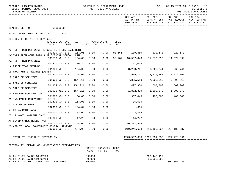| BPSC1L01 LAS/PBS SYSTEM<br>BUDGET PERIOD: 2009-2023<br>STATE OF FLORIDA |                         |                  |         |        | SCHEDULE I- DEPARTMENT LEVEL<br>TRUST FUNDS AVAILABLE |             |                                     | SP                                           |                                                              | 09/15/2021 13:11 PAGE: 15<br>SCHEDULE I<br>TRUST FUNDS AVAILABLE |
|-------------------------------------------------------------------------|-------------------------|------------------|---------|--------|-------------------------------------------------------|-------------|-------------------------------------|----------------------------------------------|--------------------------------------------------------------|------------------------------------------------------------------|
|                                                                         |                         |                  |         |        |                                                       |             | COL A01<br>ACT PR YR<br>EXP 2020-21 | COL A02<br>EXP 2021-22                       | COL A03<br>CURR YR EST AGY REQUEST AGY REQ N/R<br>FY 2022-23 | COL A04<br>FY 2022-23                                            |
| HEALTH, DEPT OF 64000000                                                |                         |                  |         |        |                                                       |             |                                     |                                              |                                                              |                                                                  |
| FUND: COUNTY HEALTH DEPT TF                                             |                         | 2141             |         |        |                                                       |             |                                     |                                              |                                                              |                                                                  |
| SECTION I: DETAIL OF REVENUES                                           |                         |                  |         |        |                                                       |             |                                     |                                              |                                                              |                                                                  |
|                                                                         | REVENUE CAP SVC<br>CODE | CHG <sup>8</sup> | AUTH    |        | MATCHING %<br>ST I/C LOC I/C                          | CFDA<br>NO. |                                     |                                              |                                                              |                                                                  |
| MU TNFR FROM DCF 2261 REFUGEE HLTH CHD CASE MGMT                        | 001510 NO 0.0           |                  | 154.05  | 0.00   | 0.00                                                  | 93.566      |                                     | 119,450 222,673 222,673                      |                                                              |                                                                  |
| MV TNFR FROM ACHA 2474 SUPPLEMENTAL SCHOOL HLTH                         | 001510 NO 0.0           |                  | 154.05  | 0.00   | 0.00                                                  | 93.767      | 10,567,043                          | 11,579,899                                   | 11,579,899                                                   |                                                                  |
| MZ TNFR FROM DMS 2510                                                   |                         |                  |         |        |                                                       |             |                                     |                                              |                                                              |                                                                  |
| LA PRIOR YEAR REFUNDS                                                   | 001520 NO 0.0           |                  | 215.32  | 0.00   | 0.00                                                  |             | 117,012                             |                                              |                                                              |                                                                  |
| LB RYAN WHITE REBATES (AIDS)                                            | 001800 NO 0.0           |                  | 154.02  | 0.00   | 0.00                                                  |             | 3,260,741                           | 3,260,741                                    | 3,260,741                                                    |                                                                  |
| LR SALE OF SERVICES                                                     | 001800 NO 0.0           |                  | 154.01  | 0.00   | 0.00                                                  |             | 2,975,767                           | 2,975,767                                    | 2,975,767                                                    |                                                                  |
| L3 SALE OF SERVICES                                                     | 001903 NO 0.0           |                  | 154.011 | 0.00   | 0.00                                                  |             | 7,305,510                           | 7,305,510                                    | 7,305,510                                                    |                                                                  |
|                                                                         | 001904 NO 0.0           |                  | 154.011 | 0.00   | 0.00                                                  |             | 427,380                             | 500,000                                      | 500,000                                                      |                                                                  |
| MA SALE OF SERVICES                                                     | 001905 YES 0.0          |                  | 154.011 | 0.00   | 0.00                                                  |             | 1,802,379                           | 1,802,379                                    | 1,802,379                                                    |                                                                  |
| TP FED FEE FOR SERVICE                                                  | 001970 NO 0.0           |                  | 154.03  | 0.00   | 0.00                                                  |             | 367,845                             | 400,000                                      | 400,000                                                      |                                                                  |
| MN INSURANCE RECOVERIES - OTHER                                         |                         |                  |         |        |                                                       |             |                                     |                                              |                                                              |                                                                  |
| 02 SUPLUS PROPERTY                                                      | 002801 NO 0.0           |                  | 154.01  | 0.00   | 0.00                                                  |             | 35,516                              |                                              |                                                              |                                                                  |
| 04 PY WARRANT CANX                                                      | 002900 NO 0.0           |                  | 154.02  | 0.00   | 0.00                                                  |             | 1,615                               |                                              |                                                              |                                                                  |
| 05 12 MONTH WARRANT CANX                                                | 003700 NO 0.0           |                  | 154.02  | 0.00   | 0.00                                                  |             | 2,356                               |                                              |                                                              |                                                                  |
|                                                                         | 003800 NO 0.0           |                  | 17.26   | 0.00   | 0.00                                                  |             | 44,222                              |                                              |                                                              |                                                                  |
| AH COVID-CARES RELIEF ACT                                               | 006000 NO 0.0           |                  | 154.06  | 0.00   | 0.00                                                  |             | 90,371,965                          |                                              |                                                              |                                                                  |
| MO AID TO LOCAL GOVERNMENT GENERAL REVENUE                              | 006000 NO 0.0           |                  | 154.05  | 0.00   | 0.00                                                  |             |                                     | 219, 241, 664 218, 180, 237 218, 180, 237    |                                                              |                                                                  |
| TOTAL TO LINE B IN SECTION IV                                           |                         |                  |         |        |                                                       |             |                                     | 1273, 557, 380 1205, 781, 855 1224, 428, 391 |                                                              |                                                                  |
| SECTION II: DETAIL OF NONOPERATING EXPENDITURES                         |                         |                  |         | CODE   | OBJECT TRANSFER CFDA<br>TO BE                         | NO.         |                                     |                                              |                                                              |                                                                  |
| AA FY 21-22 BA B0118 COVID                                              |                         |                  |         | 899000 |                                                       |             |                                     | 263, 446, 197                                |                                                              |                                                                  |

AB FY 21-22 BA B0119 COVID<br>
AC FY 21-22 ANTICIPATED COVID AMENDMENT 899000 AC FY 21-22 ANTICIPATED COVID AMENDMENT 899000 8000 8000 8000 309,366,445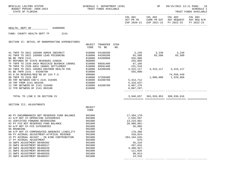STATE OF FLORIDA AND INTERNATIONAL STATE OF FUNDS AVAILABLE

| COL A01   | COL A02                                       | COL A03                 | COL A04     |
|-----------|-----------------------------------------------|-------------------------|-------------|
| ACT PR YR |                                               | CURR YR EST AGY REQUEST | AGY REQ N/R |
|           | EXP 2020-21 EXP 2021-22 FY 2022-23 FY 2022-23 |                         |             |
|           |                                               |                         |             |

#### HEALTH, DEPT OF 64000000

#### FUND: COUNTY HEALTH DEPT TF 2141

SECTION II: DETAIL OF NONOPERATING EXPENDITURES

|                                              | OBJECT | TRANSFER | CFDA |              |           |            |  |
|----------------------------------------------|--------|----------|------|--------------|-----------|------------|--|
|                                              | CODE   | TO BE    | NO.  |              |           |            |  |
| A1 TNFR TO 2021 185080 ADMIN INDIRECT        | 810000 | 64100200 |      | 3,239        | 3,239     | 3,239      |  |
| A2 TNFR TO 2021 185080 LEAD POISONING        | 810000 | 64200200 |      | 65,500       | 65,500    | 65,500     |  |
| BA BE TNFR 2141                              | 810000 | 64200800 |      | 555,000      |           |            |  |
| RT REFUNDS OF STATE REVENUES 220020          | 860000 |          |      | 255,069      |           |            |  |
| TF TNFR TO 2339 AHCA MEDICAID BUYBACK 180001 | 810000 | 68501400 |      | 67,166       |           |            |  |
| TR TNFR TO 2339 AHCA 180001 SETTLEMENT       | 810000 | 68501400 |      | 231,518      |           |            |  |
| 02 TNFR TO 2021 185084 ENVIRON HEALTH FEE    | 810000 | 64200200 |      | 3,315,117    | 3,315,117 | 3,315,117  |  |
| 01 BE TNFR 2141 - 64200700                   | 810000 |          |      | $555,000-$   |           |            |  |
| 03 8.5% RESERVE/REO'RD BY 154 F.S.           | 999000 |          |      |              |           | 74,556,449 |  |
| 08 TNFR TO 2526 DEP                          | 810000 | 37350400 |      |              | 1,000,000 | 1,529,866  |  |
| 09 TRF BETWEEN CHD'S 2141 310405             | 810000 | 64200700 |      | 5,313,712    |           |            |  |
| 10 TRF FROM 2141 003105                      | 810000 |          |      | $5,310,637-$ |           |            |  |
| 11 TRF BETWEEN GF 2141 310400                | 810000 | 64200700 |      | 6,007,270    |           |            |  |
| 12 TFR BETWEEN GF 2141 003100                | 810000 |          |      | $6,007,297-$ |           |            |  |
|                                              |        |          |      |              |           |            |  |

### TOTAL TO LINE E IN SECTION IV 3,940,657 363,926,053 388,836,616

============= ============= ============= =============

| SECTION III: ADJUSTMENTS                     |        |                   |  |
|----------------------------------------------|--------|-------------------|--|
|                                              | OBJECT |                   |  |
|                                              | CODE   |                   |  |
| AD PY ENCUMBRANCES NOT RESERVED FUND BALANCE | 991000 | 17,494,170-       |  |
| AJ A/P NOT CF-OPERATING CATEGORIES           | 991000 | 2,555,507         |  |
| 01 CERTIFIED FORWARD REVERSIONS              | 991000 | 13,233,862        |  |
| 02 PY FCO NOT RESERVED FUND BALANCE          | 991000 | 20,980,881-       |  |
| 04 A/P NOT CF-FCO CATEGORIES                 | 991000 | 56,886            |  |
| 05 ROUNDING                                  | 991000 |                   |  |
| 08 A/P NOT CF-COMPENSATED ABSENCES LIABILITY | 991000 | 178,308           |  |
| 09 PY ACCRUAL ADJUSTMENT-ATYPICAL REVENUE    | 991000 | $428,824-$        |  |
| 15 PY ACCRUAL ADJUST - IN KIND CONTRIBUTION  | 991000 | $284, 104, 645 -$ |  |
| 17 PY ACCRUAL ADJUSTMENT                     | 991000 | $676-$            |  |
| 18 SWFS ADJUSTMENT B6400302                  | 991000 | 55,310            |  |
| 19 SWFS ADJUSTMENT B6400317                  | 991000 | 497,016           |  |
| 20 SWFS ADJUSTMENT B6400326                  | 991000 | $3,398,947-$      |  |
| 21 SWFS ADJUSTMENT B6400340                  | 991000 | 111,026           |  |
| 22 SWFS ADJUSTMENT B6400356                  | 991000 | 90,012-           |  |
| 23 SWFS ADJUSTMENT B6400357                  | 991000 | 23,510            |  |
|                                              |        |                   |  |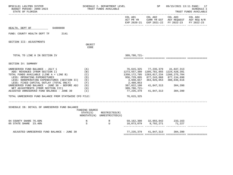| BPSC1L01 LAS/PBS SYSTEM<br>BUDGET PERIOD: 2009-2023<br>STATE OF FLORIDA                                                                                                                                                                                                                                                                                                                                                                                                                          |                                                                          | SCHEDULE I- DEPARTMENT LEVEL<br>TRUST FUNDS AVAILABLE |                                                                                                                                                                                                                    | SP                                                                | 09/15/2021 13:11 PAGE: 17<br><b>SCHEDULE I</b><br>TRUST FUNDS AVAILABLE                                        |                       |
|--------------------------------------------------------------------------------------------------------------------------------------------------------------------------------------------------------------------------------------------------------------------------------------------------------------------------------------------------------------------------------------------------------------------------------------------------------------------------------------------------|--------------------------------------------------------------------------|-------------------------------------------------------|--------------------------------------------------------------------------------------------------------------------------------------------------------------------------------------------------------------------|-------------------------------------------------------------------|----------------------------------------------------------------------------------------------------------------|-----------------------|
|                                                                                                                                                                                                                                                                                                                                                                                                                                                                                                  |                                                                          |                                                       |                                                                                                                                                                                                                    |                                                                   | COL A01 COL A02 COL A03<br>ACT PR YR CURR YR EST AGY REQUEST AGY REQ N/R<br>EXP 2020-21 EXP 2021-22 FY 2022-23 | COL A04<br>FY 2022-23 |
| HEALTH, DEPT OF 64000000                                                                                                                                                                                                                                                                                                                                                                                                                                                                         |                                                                          |                                                       |                                                                                                                                                                                                                    |                                                                   |                                                                                                                |                       |
| FUND: COUNTY HEALTH DEPT TF 2141                                                                                                                                                                                                                                                                                                                                                                                                                                                                 |                                                                          |                                                       |                                                                                                                                                                                                                    |                                                                   |                                                                                                                |                       |
| SECTION III: ADJUSTMENTS                                                                                                                                                                                                                                                                                                                                                                                                                                                                         | OBJECT                                                                   |                                                       |                                                                                                                                                                                                                    |                                                                   |                                                                                                                |                       |
|                                                                                                                                                                                                                                                                                                                                                                                                                                                                                                  | CODE                                                                     |                                                       |                                                                                                                                                                                                                    |                                                                   |                                                                                                                |                       |
| TOTAL TO LINE H IN SECTION IV                                                                                                                                                                                                                                                                                                                                                                                                                                                                    |                                                                          |                                                       | 309,786,721-                                                                                                                                                                                                       |                                                                   |                                                                                                                |                       |
| SECTION IV: SUMMARY                                                                                                                                                                                                                                                                                                                                                                                                                                                                              |                                                                          |                                                       |                                                                                                                                                                                                                    |                                                                   |                                                                                                                |                       |
| UNRESERVED FUND BALANCE - JULY 1<br>ADD: REVENUES (FROM SECTION I)<br>TOTAL FUNDS AVAILABLE (LINE A + LINE B)<br>LESS: OPERATING EXPENDITURES<br>LESS: NONOPERATING EXPENDITURES (SECTION II)<br>LESS: FIXED CAPITAL OUTLAY (TOTAL ONLY)<br>UNRESERVED FUND BALANCE - JUNE 30 - BEFORE ADJ $(G)$<br>NET ADJUSTMENTS (FROM SECTION III)<br>ADJUSTED UNRESERVED FUND BALANCE - JUNE 30<br>TOTAL UNRESERVED FUND BALANCE FROM STATEWIDE CFO FILE:<br>SCHEDULE IB: DETAIL OF UNRESERVED FUND BALANCE | (A)<br>(B)<br>(C)<br>(D)<br>( E )<br>(F)<br>(H)<br>(I)<br>FUNDING SOURCE |                                                       | 1273, 557, 380 1205, 781, 855 1224, 428, 391<br>1350,172,705 1283,017,234 1266,275,704<br>956,729,895 877,243,868 877,134,698<br>3,940,657<br>2,480,053<br>387,022,100<br>309,786,721-<br>77,235,379<br>76,615,325 | 76,615,325 77,235,379 41,847,313<br>41,847,313                    | 363,926,053 388,836,616<br>41,847,313 304,390<br>304,390                                                       |                       |
|                                                                                                                                                                                                                                                                                                                                                                                                                                                                                                  | STATE(S)                                                                 | RESTRICTED(R)<br>NONSTATE(N) UNRESTRICTED(U)          |                                                                                                                                                                                                                    |                                                                   |                                                                                                                |                       |
| 04 COUNTY SHARE 76.60%<br>05 STATE SHARE 23.40%                                                                                                                                                                                                                                                                                                                                                                                                                                                  | $\mathbb N$<br>S                                                         | R<br>U                                                |                                                                                                                                                                                                                    | 59, 162, 300 32, 055, 042 233, 163<br>18,073,079 9,792,271 71,227 |                                                                                                                |                       |
| ADJUSTED UNRESERVED FUND BALANCE - JUNE 30                                                                                                                                                                                                                                                                                                                                                                                                                                                       |                                                                          |                                                       |                                                                                                                                                                                                                    | 77, 235, 379 41, 847, 313 304, 390                                |                                                                                                                |                       |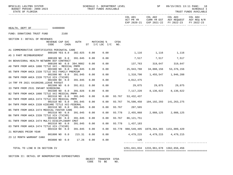| SCHEDULE I- DEPARTMENT LEVEL<br>BPSC1L01 LAS/PBS SYSTEM<br>BUDGET PERIOD: 2009-2023<br>STATE OF FLORIDA |              | TRUST FUNDS AVAILABLE |        |                  | <b>SP</b>                                    |                                                                                                           | 09/15/2021 13:11 PAGE: 18<br><b>SCHEDULE I</b><br>TRUST FUNDS AVAILABLE |
|---------------------------------------------------------------------------------------------------------|--------------|-----------------------|--------|------------------|----------------------------------------------|-----------------------------------------------------------------------------------------------------------|-------------------------------------------------------------------------|
|                                                                                                         |              |                       |        |                  | COL A01 COL A02                              | COL A03<br>ACT PR YR CURR YR EST AGY REQUEST AGY REQ N/R<br>EXP 2020-21 EXP 2021-22 FY 2022-23 FY 2022-23 | COL A04                                                                 |
| HEALTH, DEPT OF 64000000                                                                                |              |                       |        |                  |                                              |                                                                                                           |                                                                         |
| FUND: DONATIONS TRUST FUND 2168                                                                         |              |                       |        |                  |                                              |                                                                                                           |                                                                         |
| SECTION I: DETAIL OF REVENUES                                                                           |              |                       |        |                  |                                              |                                                                                                           |                                                                         |
| REVENUE CAP SVC AUTH MATCHING %<br>CHG <sup>8</sup><br>CODE                                             |              | ST I/C LOC I/C NO.    | CFDA   |                  |                                              |                                                                                                           |                                                                         |
| A1 COMMEMORATIVE CERTIFICATES PERINATAL CARE<br>000100 YES 8.0                                          | 382.025 0.00 | 0.00                  |        |                  | 1,116 1,116 1,116                            |                                                                                                           |                                                                         |
| A5 3 PART REIMBURSEMENT<br>000109 NO 0.0<br>391.045                                                     | 0.00         | 0.00                  |        |                  | 7,517 7,517 7,517                            |                                                                                                           |                                                                         |
| 04 BEHAVIORAL HEALTH NETWORK DCF CONTRACT                                                               |              |                       |        |                  |                                              |                                                                                                           |                                                                         |
| 000109 NO 0.0 394.9082<br>A8 TNFR FROM AHCA 1000 TITLE XXI - MEDICAL PMPM                               | 0.00         | 0.00                  |        |                  | 137,763 319,647 319,647                      |                                                                                                           |                                                                         |
| 001500 NO 0.0<br>391.045                                                                                | 0.00         | 0.00                  |        | 25,943,788       | 34,888,156                                   | 53,376,156                                                                                                |                                                                         |
| 05 TNFR FROM AHCA 2339 TITLE XXI FAMILY PREMIUM<br>001500 NO 0.0<br>391.045                             | 0.00         | 0.00                  |        |                  |                                              |                                                                                                           |                                                                         |
| 06 TNFR FROM AHCA 2339 TITLE XIX (TXIXM)                                                                |              |                       |        |                  |                                              |                                                                                                           |                                                                         |
| 001500 NO 0.0 391.045<br>14 TRF FR 2021 64100200 LEAVE PAYOUT                                           | 0.00         | 0.00                  |        | 4,012,475        |                                              |                                                                                                           |                                                                         |
| 001500 NO 0.0<br>391.011                                                                                | 0.00         | 0.00                  |        |                  | $29,075$ $29,075$ $29,075$ $29,075$          |                                                                                                           |                                                                         |
| 33 TNFR FROM 2531 INFANT SCREENING<br>001500 NO 0.0<br>391.026                                          | 0.00         | 0.00                  |        |                  | 7,117,220 8,136,622 8,136,622                |                                                                                                           |                                                                         |
| B2 TNFR FROM AHCA 1000 TITLE XXI MEDICAL PMPM                                                           |              |                       |        |                  |                                              |                                                                                                           |                                                                         |
| 001510 NO 0.0<br>391.045                                                                                | 0.00         | 0.00                  | 93.767 | 53, 432, 437     |                                              |                                                                                                           |                                                                         |
| B3 TNFR FROM AHCA 2474 TITLE XXI MEDICAL PMPM<br>391.045<br>001510 NO 0.0                               | 0.00         | 0.00                  | 93.767 |                  | 76,590,450 104,192,293 141,263,275           |                                                                                                           |                                                                         |
| B4 TNFR FROM AHCA 2339 KIDCARE TITLE XXI-FEDERAL                                                        |              |                       |        |                  |                                              |                                                                                                           |                                                                         |
| 001510 NO 0.0<br>391.045<br>B5 TNFR FROM AHCA 2474 MEDICAL FOSTER CARE                                  | 0.00         | 0.00                  | 93.767 | 207,565          |                                              |                                                                                                           |                                                                         |
| 001510 NO 0.0<br>391.045                                                                                | 0.00         | 0.00                  | 93.778 |                  | 2,455,068 2,088,125 2,088,125                |                                                                                                           |                                                                         |
| B6 TNFR FROM AHCA 2339 TITLE XIX (TXIXM)<br>001510 NO 0.0<br>391.045                                    | 0.00         | 0.00                  | 93.767 | 86, 121, 751     |                                              |                                                                                                           |                                                                         |
| 01 TNFR FROM AHCA 2474 MULTI-DISCIPLINARY CMAT                                                          |              |                       |        |                  |                                              |                                                                                                           |                                                                         |
| 001510 NO 0.0<br>391.045                                                                                | 0.00         | 0.00                  |        | 93.778 1,437,183 |                                              |                                                                                                           |                                                                         |
| 03 TNFR FROM AHCA 2474 TITLE XIX (TXIXM)<br>001510 NO 0.0<br>391.045                                    | 0.00         | 0.00                  |        |                  | 93.778 988,549,495 1078,364,365 1151,009,420 |                                                                                                           |                                                                         |
| 21 REFUNDS PRIOR YEAR                                                                                   |              |                       |        |                  |                                              |                                                                                                           |                                                                         |
| 001800 NO 0.0<br>215.31<br>23 12 MONTH WARRANT CANX                                                     | 0.00         | 0.00                  |        |                  | 4,479,215 4,479,215 4,479,215                |                                                                                                           |                                                                         |
| 003800 NO 0.0<br>17.26                                                                                  | 0.00         | 0.00                  |        | 126              |                                              |                                                                                                           |                                                                         |
| TOTAL TO LINE B IN SECTION IV                                                                           |              |                       |        |                  | 1251,841,034  1233,961,678  1362,656,456     |                                                                                                           |                                                                         |

============= ============= ============= =============

SECTION II: DETAIL OF NONOPERATING EXPENDITURES

 OBJECT TRANSFER CFDA CODE TO BE NO.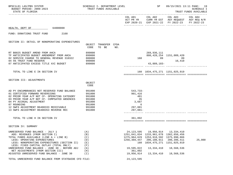| BPSC1L01 LAS/PBS SYSTEM<br>BUDGET PERIOD: 2009-2023<br>STATE OF FLORIDA                                                                                                                                                                                                                                                          |                                                                              | SCHEDULE I- DEPARTMENT LEVEL<br>TRUST FUNDS AVAILABLE |     |                                                                       | SP                                                                                                                                                                       |                                                                                                                | 09/15/2021 13:11 PAGE: 19<br>SCHEDULE I<br>TRUST FUNDS AVAILABLE |
|----------------------------------------------------------------------------------------------------------------------------------------------------------------------------------------------------------------------------------------------------------------------------------------------------------------------------------|------------------------------------------------------------------------------|-------------------------------------------------------|-----|-----------------------------------------------------------------------|--------------------------------------------------------------------------------------------------------------------------------------------------------------------------|----------------------------------------------------------------------------------------------------------------|------------------------------------------------------------------|
|                                                                                                                                                                                                                                                                                                                                  |                                                                              |                                                       |     |                                                                       |                                                                                                                                                                          | COL A01 COL A02 COL A03<br>ACT PR YR CURR YR EST AGY REQUEST AGY REQ N/R<br>EXP 2020-21 EXP 2021-22 FY 2022-23 | COL A04<br>FY 2022-23                                            |
| 64000000<br>HEALTH, DEPT OF                                                                                                                                                                                                                                                                                                      |                                                                              |                                                       |     |                                                                       |                                                                                                                                                                          |                                                                                                                |                                                                  |
| 2168<br>FUND: DONATIONS TRUST FUND                                                                                                                                                                                                                                                                                               |                                                                              |                                                       |     |                                                                       |                                                                                                                                                                          |                                                                                                                |                                                                  |
| SECTION II: DETAIL OF NONOPERATING EXPENDITURES                                                                                                                                                                                                                                                                                  | CODE                                                                         | OBJECT TRANSFER CFDA<br>TO BE                         | NO. |                                                                       |                                                                                                                                                                          |                                                                                                                |                                                                  |
| RT B0025 BUDGET AMEND FROM AHCA<br>TF ANTICIPATED BUDGET AMENDMENT FROM AHCA 699000<br>02 SERVICE CHARGE TO GENERAL REVENUE 310322<br>04 5% TRUST FUND RESERVE<br>07 ANTICIPATED EXCESS TITLE XXI BUDGET                                                                                                                         | 899000<br>880800<br>999000<br>899000                                         |                                                       |     |                                                                       | 269,936,111<br>$160$ $89$ $16,410$<br>43,889,183-<br>________ ______________ _________                                                                                   | 808, 428, 254 1151, 009, 420                                                                                   |                                                                  |
| TOTAL TO LINE E IN SECTION IV                                                                                                                                                                                                                                                                                                    |                                                                              |                                                       |     |                                                                       | 160 1034, 475, 271 1151, 025, 919                                                                                                                                        |                                                                                                                |                                                                  |
| SECTION III: ADJUSTMENTS                                                                                                                                                                                                                                                                                                         | OBJECT<br>CODE                                                               |                                                       |     |                                                                       |                                                                                                                                                                          |                                                                                                                |                                                                  |
| AD PY ENCUMBRANCES NOT RESERVED FUND BALANCE<br>01 CERTIFIED FORWARD REVERSIONS<br>02 PRIOR YEAR A/P NOT CF- OPERATING CATEGORY<br>03 PRIOR YEAR A/P NOT CF- COMPSATED ABSENCES<br>04 PY ACCRUAL ADJUSTMENT<br>07 ROUNDING<br>12 SWFS ADJUSTMENT B6400333 RECEIVABLE<br>13 SWFS ADJUSTMENT B6400353 REVERSE REC                  | 991000<br>991000<br>991000<br>991000<br>991000<br>991000<br>991000<br>991000 |                                                       |     | 543,733-<br>901,416<br>481<br>35<br>3,687<br>6<br>297,081<br>297,081- |                                                                                                                                                                          |                                                                                                                |                                                                  |
| TOTAL TO LINE H IN SECTION IV                                                                                                                                                                                                                                                                                                    |                                                                              |                                                       |     | 361,892                                                               |                                                                                                                                                                          |                                                                                                                |                                                                  |
| SECTION IV: SUMMARY                                                                                                                                                                                                                                                                                                              |                                                                              |                                                       |     |                                                                       |                                                                                                                                                                          |                                                                                                                |                                                                  |
| UNRESERVED FUND BALANCE - JULY 1<br>ADD: REVENUES (FROM SECTION I)<br>TOTAL FUNDS AVAILABLE (LINE A + LINE B)<br>LESS: OPERATING EXPENDITURES<br>LESS: NONOPERATING EXPENDITURES (SECTION II)<br>LESS: FIXED CAPITAL OUTLAY (TOTAL ONLY)<br>UNRESERVED FUND BALANCE - JUNE 30 - BEFORE ADJ<br>NET ADJUSTMENTS (FROM SECTION III) | (A)<br>(B)<br>(C)<br>(D)<br>(E)<br>(F)<br>(G)<br>(H)                         |                                                       |     | 24, 123, 595<br>1256,369,447<br>19,595,022<br>361,892                 | 19,956,914<br>1251,841,034 1233,961,678 1362,656,456<br>1275, 964, 629 1253, 918, 592 1375, 990, 866<br>206,108,911<br>160 1034, 475, 271 1151, 025, 919<br>13, 334, 410 | 13,334,410<br>206,396,411<br>18,568,536                                                                        | 25,000                                                           |
| ADJUSTED UNRESERVED FUND BALANCE - JUNE 30                                                                                                                                                                                                                                                                                       | (I)                                                                          |                                                       |     | 19,956,914                                                            | 13,334,410                                                                                                                                                               | 18,568,536                                                                                                     |                                                                  |
| TOTAL UNRESERVED FUND BALANCE FROM STATEWIDE CFO FILE:                                                                                                                                                                                                                                                                           |                                                                              |                                                       |     | 24, 123, 595                                                          |                                                                                                                                                                          |                                                                                                                |                                                                  |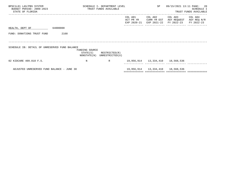| BPSC1L01 LAS/PBS SYSTEM<br>BUDGET PERIOD: 2009-2023<br>STATE OF FLORIDA |          |                                           | SCHEDULE I- DEPARTMENT LEVEL<br>TRUST FUNDS AVAILABLE |                                      | SP                                    | 09/15/2021 13:11 PAGE:               | 20<br>SCHEDULE I<br>TRUST FUNDS AVAILABLE |
|-------------------------------------------------------------------------|----------|-------------------------------------------|-------------------------------------------------------|--------------------------------------|---------------------------------------|--------------------------------------|-------------------------------------------|
|                                                                         |          |                                           |                                                       | COL A01<br>ACT PR YR<br>EXP 2020-21  | COL A02<br>CURR YR EST<br>EXP 2021-22 | COL A03<br>AGY REQUEST<br>FY 2022-23 | COL A04<br>AGY REQ N/R<br>FY 2022-23      |
| HEALTH, DEPT OF                                                         | 64000000 |                                           |                                                       |                                      |                                       |                                      |                                           |
| FUND: DONATIONS TRUST FUND                                              | 2168     |                                           |                                                       |                                      |                                       |                                      |                                           |
| SCHEDULE IB: DETAIL OF UNRESERVED FUND BALANCE                          |          | FUNDING SOURCE<br>STATE(S)<br>NONSTATE(N) | RESTRICTED(R)<br>UNRESTRICTED(U)                      |                                      |                                       |                                      |                                           |
| 02 KIDCARE 409.818 F.S.                                                 |          | N                                         | R                                                     | 19,956,914   13,334,410   18,568,536 |                                       |                                      |                                           |
| ADJUSTED UNRESERVED FUND BALANCE - JUNE 30                              |          |                                           |                                                       | ============================         | 19,956,914   13,334,410   18,568,536  |                                      |                                           |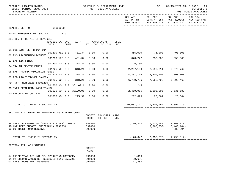| BPSC1L01 LAS/PBS SYSTEM<br>BUDGET PERIOD: 2009-2023<br>STATE OF FLORIDA                                                     |                         |  |             |                        | SCHEDULE I- DEPARTMENT LEVEL<br>TRUST FUNDS AVAILABLE |                                      |             | SP                            | 09/15/2021 13:11 PAGE: 21<br><b>SCHEDULE I</b><br>TRUST FUNDS AVAILABLE |                                                                      |                                     |
|-----------------------------------------------------------------------------------------------------------------------------|-------------------------|--|-------------|------------------------|-------------------------------------------------------|--------------------------------------|-------------|-------------------------------|-------------------------------------------------------------------------|----------------------------------------------------------------------|-------------------------------------|
|                                                                                                                             |                         |  |             |                        |                                                       |                                      |             | COL A01<br>ACT PR YR          | EXP 2020-21 EXP 2021-22                                                 | COL A02 COL A03<br>CURR YR EST AGY REQUEST AGY REQ N/R<br>FY 2022-23 | ----------<br>COL A04<br>FY 2022-23 |
| HEALTH, DEPT OF                                                                                                             | 64000000                |  |             |                        |                                                       |                                      |             |                               |                                                                         |                                                                      |                                     |
| FUND: EMERGENCY MED SVC TF                                                                                                  | 2192                    |  |             |                        |                                                       |                                      |             |                               |                                                                         |                                                                      |                                     |
| SECTION I: DETAIL OF REVENUES                                                                                               |                         |  |             |                        |                                                       |                                      |             |                               |                                                                         |                                                                      |                                     |
|                                                                                                                             | REVENUE CAP SVC<br>CODE |  | <b>CHG%</b> | AUTH                   |                                                       | MATCHING %<br>ST $I/C$ LOC $I/C$ NO. | CFDA        |                               |                                                                         |                                                                      |                                     |
| 01 DISPATCH CERTIFICATION                                                                                                   |                         |  |             |                        |                                                       |                                      |             |                               |                                                                         |                                                                      |                                     |
| 02 EMS LICENSURE-LICENSES                                                                                                   | 000200 YES 8.0          |  |             | 401.34                 | 0.00                                                  | 0.00                                 |             |                               | 365,030 75,000                                                          | 400,000                                                              |                                     |
| 13 EMS LIC-FINES                                                                                                            | 000200 YES 8.0          |  |             | 401.34                 | 0.00                                                  | 0.00                                 |             | 378,777                       | 350,000                                                                 | 350,000                                                              |                                     |
| 04 TRAUMA CENTER FINES                                                                                                      | 001200 NO 8.0           |  |             | 318.21                 | 0.00                                                  | 0.00                                 |             | 5,750                         |                                                                         |                                                                      |                                     |
|                                                                                                                             | 001225 NO 8.0           |  |             | 318.21                 | 0.00                                                  | 0.00                                 |             | 2,267,189                     | 2,593,211                                                               | 2,879,762                                                            |                                     |
| 05 EMS TRAFFIC VIOLATION FINES                                                                                              | 001225 NO 8.0           |  |             | 318.21                 | 0.00                                                  | 0.00                                 |             | 4,231,776                     | 4,200,000                                                               | 4,300,000                                                            |                                     |
| 07 RED LIGHT TICKET CAMERA                                                                                                  | 001225 NO 8.0           |  |             | 318.21                 | 0.00                                                  | 0.00                                 |             | 6,759,786                     | 7,552,793                                                               | 7,302,462                                                            |                                     |
| RD TNFR FROM 2021 64100200                                                                                                  |                         |  |             | 001500 NO 0.0 381.0011 | 0.00                                                  | 0.00                                 |             | 245                           |                                                                         |                                                                      |                                     |
| 08 TNFR FROM HSMV 2488 TRAUMA                                                                                               |                         |  |             | 001520 NO 0.0 381.0205 | 0.00                                                  | 0.00                                 |             |                               | 2,419,915 2,605,096 2,631,687                                           |                                                                      |                                     |
| 10 REFUNDS PRIOR YEAR                                                                                                       |                         |  |             |                        |                                                       |                                      |             |                               |                                                                         |                                                                      |                                     |
|                                                                                                                             | 001800 NO 0.0           |  |             | 215.31                 | 0.00                                                  | 0.00                                 |             |                               | 202,673 28,564 28,564                                                   |                                                                      |                                     |
| TOTAL TO LINE B IN SECTION IV                                                                                               |                         |  |             |                        |                                                       |                                      |             |                               | 16,631,141   17,404,664   17,892,475                                    |                                                                      |                                     |
| SECTION II: DETAIL OF NONOPERATING EXPENDITURES                                                                             |                         |  |             |                        |                                                       |                                      |             |                               |                                                                         |                                                                      |                                     |
|                                                                                                                             |                         |  |             |                        | OBJECT<br>CODE                                        | TRANSFER<br>TO BE                    | CFDA<br>NO. |                               |                                                                         |                                                                      |                                     |
| PP SERVICE CHARGE GR (<45% FOR FINES) 310322<br>RD UNFUNDED BUDGET (EMS/TRAUMA GRANTS)<br>02 5% TRUST FUND RESERVE          |                         |  |             |                        |                                                       | 880800<br>899000<br>999000           |             |                               | 1,170,342 1,030,480 1,063,778<br>$3,968,353-$                           | $6,443,184-$<br>586,394                                              |                                     |
| TOTAL TO LINE E IN SECTION IV                                                                                               |                         |  |             |                        |                                                       |                                      |             | 1,170,342                     | 2,937,873-                                                              | 4,793,012-                                                           |                                     |
| SECTION III: ADJUSTMENTS                                                                                                    |                         |  |             |                        | OBJECT<br>CODE                                        |                                      |             |                               |                                                                         |                                                                      |                                     |
| AJ PRIOR YEAR A/P NOT CF- OPERATING CATEGORY<br>01 PY ENCUMBRANCES NOT RESERVED FUND BALANCE<br>03 SWFS ADJUSTMENT B6400303 |                         |  |             |                        | 991000<br>991000<br>991000                            |                                      |             | 1,019<br>$39,681-$<br>111,483 |                                                                         |                                                                      |                                     |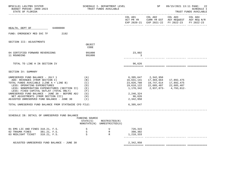| BPSC1L01 LAS/PBS SYSTEM<br>BUDGET PERIOD: 2009-2023<br>STATE OF FLORIDA                                                                                                                                                                                                                                                                                                                                                                  |                                                                  | SCHEDULE I- DEPARTMENT LEVEL<br>TRUST FUNDS AVAILABLE                 |                                                                                                                   | SP                                                                           | 09/15/2021 13:11 PAGE: 22<br><b>SCHEDULE I</b><br>TRUST FUNDS AVAILABLE                        |                       |  |
|------------------------------------------------------------------------------------------------------------------------------------------------------------------------------------------------------------------------------------------------------------------------------------------------------------------------------------------------------------------------------------------------------------------------------------------|------------------------------------------------------------------|-----------------------------------------------------------------------|-------------------------------------------------------------------------------------------------------------------|------------------------------------------------------------------------------|------------------------------------------------------------------------------------------------|-----------------------|--|
|                                                                                                                                                                                                                                                                                                                                                                                                                                          |                                                                  |                                                                       | COL A01 COL A02                                                                                                   |                                                                              | COL A03<br>ACT PR YR CURR YR EST AGY REQUEST AGY REQ N/R<br>EXP 2020-21 EXP 2021-22 FY 2022-23 | COL A04<br>FY 2022-23 |  |
| HEALTH, DEPT OF 64000000                                                                                                                                                                                                                                                                                                                                                                                                                 |                                                                  |                                                                       |                                                                                                                   |                                                                              |                                                                                                |                       |  |
| 2192<br>FUND: EMERGENCY MED SVC TF                                                                                                                                                                                                                                                                                                                                                                                                       |                                                                  |                                                                       |                                                                                                                   |                                                                              |                                                                                                |                       |  |
| SECTION III: ADJUSTMENTS                                                                                                                                                                                                                                                                                                                                                                                                                 |                                                                  |                                                                       |                                                                                                                   |                                                                              |                                                                                                |                       |  |
|                                                                                                                                                                                                                                                                                                                                                                                                                                          | OBJECT<br>CODE                                                   |                                                                       |                                                                                                                   |                                                                              |                                                                                                |                       |  |
| 04 CERTIFIED FORWARD REVERSIONS<br>11 ROUNDING                                                                                                                                                                                                                                                                                                                                                                                           | 991000<br>991000                                                 |                                                                       | 23,802<br>3                                                                                                       |                                                                              |                                                                                                |                       |  |
| TOTAL TO LINE H IN SECTION IV                                                                                                                                                                                                                                                                                                                                                                                                            |                                                                  |                                                                       | 96,626                                                                                                            |                                                                              |                                                                                                |                       |  |
| SECTION IV: SUMMARY                                                                                                                                                                                                                                                                                                                                                                                                                      |                                                                  |                                                                       |                                                                                                                   |                                                                              |                                                                                                |                       |  |
| UNRESERVED FUND BALANCE - JULY 1<br>ADD: REVENUES (FROM SECTION I)<br>TOTAL FUNDS AVAILABLE (LINE A + LINE B)<br>LESS: OPERATING EXPENDITURES<br>LESS: NONOPERATING EXPENDITURES (SECTION II)<br>LESS: FIXED CAPITAL OUTLAY (TOTAL ONLY)<br>UNRESERVED FUND BALANCE - JUNE 30 - BEFORE ADJ<br>NET ADJUSTMENTS (FROM SECTION III)<br>ADJUSTED UNRESERVED FUND BALANCE - JUNE 30<br>TOTAL UNRESERVED FUND BALANCE FROM STATEWIDE CFO FILE: | (A)<br>(B)<br>(C)<br>(D)<br>(E)<br>(F)<br>(G)<br>(H)<br>$(\top)$ |                                                                       | 6,395,647<br>16,631,141<br>23,026,788<br>19,610,122<br>1,170,342<br>2,246,324<br>96,626<br>2,342,950<br>6,395,647 | 2,342,950<br>17,404,664<br>19,747,614<br>22,685,487 22,685,487<br>2,937,873- | 17,892,475<br>17,892,475<br>4,793,012-                                                         |                       |  |
| SCHEDULE IB: DETAIL OF UNRESERVED FUND BALANCE                                                                                                                                                                                                                                                                                                                                                                                           | FUNDING SOURCE<br>STATE(S)                                       | RESTRICTED(R)<br>NONSTATE(N) UNRESTRICTED(U)                          |                                                                                                                   |                                                                              |                                                                                                |                       |  |
| 01 EMS LIC AND FINES 318.21, F.S.<br>$\begin{array}{c}\nS \\ S \\ S\n\end{array}$<br>02 TRAUMA FINES<br>381.21, F.S.<br>03 REDLIGHT TICKET 318.21, F.S.                                                                                                                                                                                                                                                                                  |                                                                  | $\begin{array}{c} \mathtt{U} \\ \mathtt{R} \\ \mathtt{R} \end{array}$ | 726,315<br>398,302<br>1,218,333                                                                                   |                                                                              |                                                                                                |                       |  |
| ADJUSTED UNRESERVED FUND BALANCE - JUNE 30                                                                                                                                                                                                                                                                                                                                                                                               |                                                                  |                                                                       | 2,342,950                                                                                                         |                                                                              |                                                                                                |                       |  |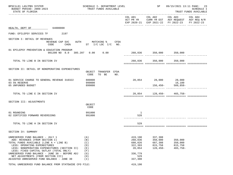| BPSC1L01 LAS/PBS SYSTEM<br>BUDGET PERIOD: 2009-2023<br>STATE OF FLORIDA                                                                                                                                                                                                                                                                                                        | SCHEDULE I- DEPARTMENT LEVEL<br>TRUST FUNDS AVAILABLE                       |                                                                                 | SP                                                     | 09/15/2021 13:11 PAGE: 23<br><b>SCHEDULE I</b><br>TRUST FUNDS AVAILABLE                                                           |  |  |
|--------------------------------------------------------------------------------------------------------------------------------------------------------------------------------------------------------------------------------------------------------------------------------------------------------------------------------------------------------------------------------|-----------------------------------------------------------------------------|---------------------------------------------------------------------------------|--------------------------------------------------------|-----------------------------------------------------------------------------------------------------------------------------------|--|--|
|                                                                                                                                                                                                                                                                                                                                                                                |                                                                             |                                                                                 |                                                        | COL A01 COL A02 COL A03 COL A04<br>ACT PR YR CURR YR EST AGY REQUEST AGY REQ N/R<br>EXP 2020-21 EXP 2021-22 FY 2022-23 FY 2022-23 |  |  |
| HEALTH, DEPT OF 64000000                                                                                                                                                                                                                                                                                                                                                       |                                                                             |                                                                                 |                                                        |                                                                                                                                   |  |  |
| FUND: EPILEPSY SERVICES TF 2197                                                                                                                                                                                                                                                                                                                                                |                                                                             |                                                                                 |                                                        |                                                                                                                                   |  |  |
| SECTION I: DETAIL OF REVENUES<br>CODE                                                                                                                                                                                                                                                                                                                                          | REVENUE CAP SVC AUTH MATCHING % CFDA<br>CHG <sup>2</sup> ST I/C LOC I/C NO. |                                                                                 |                                                        |                                                                                                                                   |  |  |
| 01 EPILEPSY PREVENTION & EDUCATION PROGRAM<br>001200 NO 8.0 385.207 0.00 0.00                                                                                                                                                                                                                                                                                                  |                                                                             |                                                                                 | 260,836 350,000 350,000                                |                                                                                                                                   |  |  |
| TOTAL TO LINE B IN SECTION IV                                                                                                                                                                                                                                                                                                                                                  |                                                                             |                                                                                 | 260,836 350,000 350,000                                |                                                                                                                                   |  |  |
| SECTION II: DETAIL OF NONOPERATING EXPENDITURES                                                                                                                                                                                                                                                                                                                                | OBJECT TRANSFER CFDA<br>CODE<br>TO BE NO.                                   |                                                                                 |                                                        |                                                                                                                                   |  |  |
| 01 SERVICE CHARGE TO GENERAL REVENUE 310322<br>03 5% RESERVE<br>05 UNFUNDED BUDGET                                                                                                                                                                                                                                                                                             | 880800<br>999000<br>899000                                                  |                                                                                 | 20,854 28,000 28,000                                   | 16,100<br>$156,450-509,858-$                                                                                                      |  |  |
| TOTAL TO LINE E IN SECTION IV                                                                                                                                                                                                                                                                                                                                                  |                                                                             |                                                                                 |                                                        | 20,854    128,450    465,758    -                                                                                                 |  |  |
| SECTION III: ADJUSTMENTS                                                                                                                                                                                                                                                                                                                                                       | OBJECT<br>CODE                                                              |                                                                                 |                                                        |                                                                                                                                   |  |  |
| 01 ROUNDING<br>02 CERTIFIED FORWARD REVERSIONS                                                                                                                                                                                                                                                                                                                                 | 991000<br>991000                                                            | $\mathbf{1}$<br>528                                                             |                                                        |                                                                                                                                   |  |  |
| TOTAL TO LINE H IN SECTION IV                                                                                                                                                                                                                                                                                                                                                  |                                                                             | 529                                                                             |                                                        |                                                                                                                                   |  |  |
| SECTION IV: SUMMARY                                                                                                                                                                                                                                                                                                                                                            |                                                                             |                                                                                 |                                                        |                                                                                                                                   |  |  |
| UNRESERVED FUND BALANCE - JULY 1<br>ADD: REVENUES (FROM SECTION I)<br>TOTAL FUNDS AVAILABLE (LINE A + LINE B)<br>LESS: OPERATING EXPENDITURES<br>LESS: NONOPERATING EXPENDITURES (SECTION II)<br>LESS: FIXED CAPITAL OUTLAY (TOTAL ONLY)<br>UNRESERVED FUND BALANCE - JUNE 30 - BEFORE ADJ<br>NET ADJUSTMENTS (FROM SECTION III)<br>ADJUSTED UNRESERVED FUND BALANCE - JUNE 30 | (A)<br>(B)<br>(C)<br>(D)<br>(E)<br>(F)<br>(G)<br>(H)<br>(I)                 | 419,190<br>260,836<br>680,026<br>322,393<br>20,854<br>336,779<br>529<br>337,308 | 337,308<br>350,000<br>687,308<br>815,758<br>$128,450-$ | 350,000<br>350,000<br>815,758<br>$465,758-$                                                                                       |  |  |
| TOTAL UNRESERVED FUND BALANCE FROM STATEWIDE CFO FILE:                                                                                                                                                                                                                                                                                                                         |                                                                             | 419,190                                                                         |                                                        |                                                                                                                                   |  |  |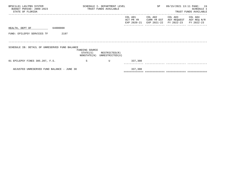| BPSC1L01 LAS/PBS SYSTEM<br>BUDGET PERIOD: 2009-2023<br>STATE OF FLORIDA |                                           | SCHEDULE I- DEPARTMENT LEVEL<br>TRUST FUNDS AVAILABLE |                                     | SP                                    |                                      | 09/15/2021 13:11 PAGE: 24<br>SCHEDULE I<br>TRUST FUNDS AVAILABLE |
|-------------------------------------------------------------------------|-------------------------------------------|-------------------------------------------------------|-------------------------------------|---------------------------------------|--------------------------------------|------------------------------------------------------------------|
|                                                                         |                                           |                                                       | COL A01<br>ACT PR YR<br>EXP 2020-21 | COL A02<br>CURR YR EST<br>EXP 2021-22 | COL A03<br>AGY REQUEST<br>FY 2022-23 | COL A04<br>AGY REQ N/R<br>FY 2022-23                             |
| 64000000<br>HEALTH, DEPT OF                                             |                                           |                                                       |                                     |                                       |                                      |                                                                  |
| FUND: EPILEPSY SERVICES TF<br>2197                                      |                                           |                                                       |                                     |                                       |                                      |                                                                  |
|                                                                         |                                           |                                                       |                                     |                                       |                                      |                                                                  |
| SCHEDULE IB: DETAIL OF UNRESERVED FUND BALANCE                          | FUNDING SOURCE<br>STATE(S)<br>NONSTATE(N) | RESTRICTED(R)<br>UNRESTRICTED(U)                      |                                     |                                       |                                      |                                                                  |
| 01 EPILEPSY FINES 385.207, F.S.                                         | S                                         | U                                                     | 337,308                             |                                       |                                      |                                                                  |
| ADJUSTED UNRESERVED FUND BALANCE - JUNE 30                              |                                           |                                                       | 337,308                             |                                       |                                      |                                                                  |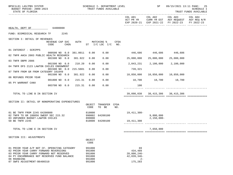| BPSC1L01 LAS/PBS SYSTEM<br>BUDGET PERIOD: 2009-2023<br>STATE OF FLORIDA                                                                                                                                                         |                                             | SCHEDULE I- DEPARTMENT LEVEL<br>TRUST FUNDS AVAILABLE    |                                  |             | SP                                                                 | 09/15/2021 13:11 PAGE: 25<br><b>SCHEDULE I</b><br>TRUST FUNDS AVAILABLE |                                                                                      |                       |
|---------------------------------------------------------------------------------------------------------------------------------------------------------------------------------------------------------------------------------|---------------------------------------------|----------------------------------------------------------|----------------------------------|-------------|--------------------------------------------------------------------|-------------------------------------------------------------------------|--------------------------------------------------------------------------------------|-----------------------|
|                                                                                                                                                                                                                                 |                                             |                                                          |                                  |             | COL A01<br>ACT PR YR                                               | COL A02                                                                 | COL A03<br>CURR YR EST AGY REQUEST AGY REQ N/R<br>EXP 2020-21 EXP 2021-22 FY 2022-23 | COL A04<br>FY 2022-23 |
| HEALTH, DEPT OF 64000000                                                                                                                                                                                                        |                                             |                                                          |                                  |             |                                                                    |                                                                         |                                                                                      |                       |
| FUND: BIOMEDICAL RESEARCH TF                                                                                                                                                                                                    | 2245                                        |                                                          |                                  |             |                                                                    |                                                                         |                                                                                      |                       |
| SECTION I: DETAIL OF REVENUES                                                                                                                                                                                                   |                                             |                                                          |                                  |             |                                                                    |                                                                         |                                                                                      |                       |
|                                                                                                                                                                                                                                 | REVENUE CAP SVC<br>CODE<br>CHG <sup>8</sup> | AUTH                                                     | MATCHING %<br>ST I/C LOC I/C NO. | CFDA        |                                                                    |                                                                         |                                                                                      |                       |
| 01 INTEREST - SCRIPPS                                                                                                                                                                                                           |                                             |                                                          |                                  |             |                                                                    |                                                                         |                                                                                      |                       |
| 02 TNFR AHCA 2003 PUBLIC HEALTH RESEARCH                                                                                                                                                                                        | 000500 NO 0.0<br>381.0011                   | 0.00                                                     | 0.00                             |             |                                                                    | 446,686 446,686 446,686                                                 |                                                                                      |                       |
| 03 TNFR DBPR 2086                                                                                                                                                                                                               | 001500 NO 0.0<br>381.922                    | 0.00                                                     | 0.00                             |             | 25,000,000                                                         | 25,000,000                                                              | 25,000,000                                                                           |                       |
|                                                                                                                                                                                                                                 | 001500 NO 0.0<br>210.20                     | 0.00                                                     | 0.00                             |             | 2,043,231                                                          | 2,100,000                                                               | 2,100,000                                                                            |                       |
| 04 TNFR DFS 2123 LAWTON CHILES ENDOWMENT                                                                                                                                                                                        | 001500 NO 0.0 215.5601                      | 0.00                                                     | 0.00                             |             | 739,321                                                            |                                                                         |                                                                                      |                       |
| 07 TNFR FROM GR FROM CATEGORY 101049                                                                                                                                                                                            | 381.922<br>001500 NO 0.0                    | 0.00                                                     | 0.00                             |             | 10,850,000                                                         | 10,850,000                                                              | 10,850,000                                                                           |                       |
| 06 REFUNDS PRIOR YEAR                                                                                                                                                                                                           | 001800 NO 0.0<br>215.31                     | 0.00                                                     | 0.00                             |             | 18,700 18,700 18,700                                               |                                                                         |                                                                                      |                       |
| 05 PY WARRANT CANX                                                                                                                                                                                                              |                                             |                                                          |                                  |             |                                                                    |                                                                         |                                                                                      |                       |
|                                                                                                                                                                                                                                 | 003700 NO 0.0<br>215.31                     | 0.00                                                     | 0.00                             |             | 100                                                                |                                                                         |                                                                                      |                       |
| TOTAL TO LINE B IN SECTION IV                                                                                                                                                                                                   |                                             |                                                          |                                  |             |                                                                    |                                                                         | 39,098,038 38,415,386 38,415,386                                                     |                       |
| SECTION II: DETAIL OF NONOPERATING EXPENDITURES                                                                                                                                                                                 |                                             |                                                          |                                  |             |                                                                    |                                                                         |                                                                                      |                       |
|                                                                                                                                                                                                                                 |                                             | CODE                                                     | OBJECT TRANSFER<br>TO BE         | CFDA<br>NO. |                                                                    |                                                                         |                                                                                      |                       |
| 01 BE TNFR FROM 2245 64200800                                                                                                                                                                                                   |                                             | 810000<br>990002                                         |                                  |             | 19,411,308–                                                        |                                                                         |                                                                                      |                       |
| 02 TNFR TO GR 180056 SWEEP SEC 215.32<br>03 UNFUNDED BUDGET-LAWTON CHILES                                                                                                                                                       |                                             | 899000                                                   | 64200100                         |             |                                                                    | 9,800,000<br>$2,150,000 -$                                              |                                                                                      |                       |
| 50 BE TNFR 2245                                                                                                                                                                                                                 |                                             | 810000                                                   | 64200100                         |             | 19,411,308                                                         |                                                                         | --------- ------------- -----------                                                  |                       |
| TOTAL TO LINE E IN SECTION IV                                                                                                                                                                                                   |                                             |                                                          |                                  |             | ===================================                                | 7,650,000                                                               |                                                                                      |                       |
|                                                                                                                                                                                                                                 |                                             |                                                          |                                  |             |                                                                    |                                                                         |                                                                                      |                       |
| SECTION III: ADJUSTMENTS                                                                                                                                                                                                        |                                             | OBJECT<br>CODE                                           |                                  |             |                                                                    |                                                                         |                                                                                      |                       |
| 01 PRIOR YEAR A/P NOT CF- OPERATING CATEGORY<br>02 PRIOR YEAR CARRY FORWARD REVERSIONS<br>03 PRIOR YEAR CARRY FORWARD NOT RESERVED<br>04 PY ENCUMBRANCE NOT RESERVED FUND BALANCE<br>06 ROUNDING<br>07 SWFS ADJUSTMENT-B6400310 |                                             | 991000<br>991000<br>991000<br>991000<br>991000<br>991000 |                                  |             | 69<br>434,489<br>$20,800,246$ -<br>42,039,346-<br>$2 -$<br>175,283 |                                                                         |                                                                                      |                       |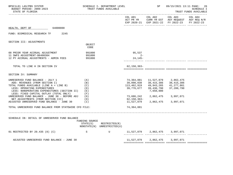| BPSC1L01 LAS/PBS SYSTEM<br>BUDGET PERIOD: 2009-2023<br>STATE OF FLORIDA                                                             |                   | SCHEDULE I- DEPARTMENT LEVEL<br>TRUST FUNDS AVAILABLE |                                    | SP                                    | 09/15/2021 13:11 PAGE: 26<br><b>SCHEDULE I</b><br>TRUST FUNDS AVAILABLE                                                        |         |  |
|-------------------------------------------------------------------------------------------------------------------------------------|-------------------|-------------------------------------------------------|------------------------------------|---------------------------------------|--------------------------------------------------------------------------------------------------------------------------------|---------|--|
|                                                                                                                                     |                   |                                                       |                                    | COL A01 COL A02                       | COL A03<br>ACT PR YR $\,$ CURR YR EST $\,$ AGY REQUEST $\,$ AGY REQ $\rm N/R$<br>EXP 2020-21 EXP 2021-22 FY 2022-23 FY 2022-23 | COL A04 |  |
| HEALTH, DEPT OF 64000000                                                                                                            |                   |                                                       |                                    |                                       |                                                                                                                                |         |  |
| FUND: BIOMEDICAL RESEARCH TF 2245                                                                                                   |                   |                                                       |                                    |                                       |                                                                                                                                |         |  |
| SECTION III: ADJUSTMENTS                                                                                                            |                   |                                                       |                                    |                                       |                                                                                                                                |         |  |
|                                                                                                                                     | OBJECT<br>CODE    |                                                       |                                    |                                       |                                                                                                                                |         |  |
| 08 PRIOR YEAR ACCRUAL ADJUSTMENT                                                                                                    | 991000            |                                                       | 95,537                             |                                       |                                                                                                                                |         |  |
| 11 SWFS ADJUSTMENT-B6400304<br>12 PY ACCRUAL ADJUSTMENTS - ADMIN FEES                                                               | 991000<br>991000  |                                                       | $2 -$<br>$24, 145 -$               |                                       | -------------- ------------- ------                                                                                            |         |  |
| TOTAL TO LINE H IN SECTION IV                                                                                                       |                   |                                                       | 62,158,363-                        |                                       |                                                                                                                                |         |  |
| SECTION IV: SUMMARY                                                                                                                 |                   |                                                       |                                    |                                       |                                                                                                                                |         |  |
|                                                                                                                                     |                   |                                                       |                                    |                                       |                                                                                                                                |         |  |
| UNRESERVED FUND BALANCE - JULY 1<br>ADD: REVENUES (FROM SECTION I)                                                                  | (A)<br>(B)        |                                                       | 74,364,881<br>39,098,038           | 38,415,386                            | 11,527,879 2,862,475<br>38,415,386                                                                                             |         |  |
| TOTAL FUNDS AVAILABLE (LINE A + LINE B)<br>LESS: OPERATING EXPENDITURES<br>LESS: NONOPERATING EXPENDITURES (SECTION II)             | (C)<br>(D)<br>(E) |                                                       | 113,462,919<br>39,776,677          | 49,943,265<br>39,430,790<br>7,650,000 | 41,277,861<br>37,280,790                                                                                                       |         |  |
| LESS: FIXED CAPITAL OUTLAY (TOTAL ONLY)<br>UNRESERVED FUND BALANCE - JUNE 30 - BEFORE ADJ (G)<br>NET ADJUSTMENTS (FROM SECTION III) | (F)<br>(H)        |                                                       | 62,158,363-                        | 73,686,242 2,862,475 3,997,071        |                                                                                                                                |         |  |
| ADJUSTED UNRESERVED FUND BALANCE - JUNE $30$ (I)                                                                                    |                   |                                                       |                                    |                                       | 11,527,879 2,862,475 3,997,071                                                                                                 |         |  |
| TOTAL UNRESERVED FUND BALANCE FROM STATEWIDE CFO FILE:                                                                              |                   |                                                       | 74,364,881                         |                                       |                                                                                                                                |         |  |
|                                                                                                                                     |                   | ________________________________                      |                                    |                                       |                                                                                                                                |         |  |
| SCHEDULE IB: DETAIL OF UNRESERVED FUND BALANCE                                                                                      | FUNDING SOURCE    | STATE(S) RESTRICTED(R)                                |                                    |                                       |                                                                                                                                |         |  |
|                                                                                                                                     |                   | NONSTATE(N) UNRESTRICTED(U)                           |                                    |                                       |                                                                                                                                |         |  |
| 01 RESTRICTED BY 20.435 (8) (C)                                                                                                     | S                 | $\mathbf U$                                           | 11,527,879   2,862,475   3,997,071 |                                       |                                                                                                                                |         |  |
| ADJUSTED UNRESERVED FUND BALANCE - JUNE 30                                                                                          |                   |                                                       |                                    |                                       | 11,527,879 2,862,475 3,997,071                                                                                                 |         |  |
|                                                                                                                                     |                   |                                                       |                                    |                                       |                                                                                                                                |         |  |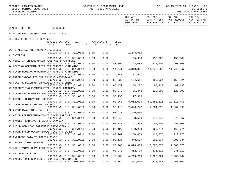|                                                |                             |                  |             |      |                              |             |                | COL A01 COL A02 COL A03 COL A04<br>ACT PR YR CURR YR EST AGY REQUEST AGY REQ N/R |                           |            |
|------------------------------------------------|-----------------------------|------------------|-------------|------|------------------------------|-------------|----------------|----------------------------------------------------------------------------------|---------------------------|------------|
|                                                |                             |                  |             |      |                              |             |                | EXP 2020-21 EXP 2021-22 FY 2022-23                                               |                           | FY 2022-23 |
| HEALTH, DEPT OF 64000000                       |                             |                  |             |      |                              |             |                |                                                                                  |                           |            |
| FUND: FEDERAL GRANTS TRUST FUND                |                             | 2261             |             |      |                              |             |                |                                                                                  |                           |            |
| SECTION I: DETAIL OF REVENUES                  |                             |                  |             |      |                              |             |                |                                                                                  |                           |            |
|                                                | REVENUE CAP SVC<br>CODE     | CHG <sup>8</sup> | <b>AUTH</b> |      | MATCHING %<br>ST I/C LOC I/C | CFDA<br>NO. |                |                                                                                  |                           |            |
| DA TB MEDICAL AND HOSPITAL SERVICES            | 000109 NO 0.0 381.0031      |                  |             | 0.00 | 0.00                         |             | 1,248,986      |                                                                                  |                           |            |
| A1 INTEREST                                    |                             |                  |             |      |                              |             |                |                                                                                  |                           |            |
|                                                | 000500 NO 0.0 381.0011      |                  |             | 0.00 | 0.00                         |             |                | 155,988 155,988 155,988                                                          |                           |            |
| A2 VIRGINIA GRAEME BAKER POOL AND SPA SAFELY   |                             |                  |             |      |                              |             |                |                                                                                  |                           |            |
| AA HOUSING OPPPRTUNITIES FOR PERSONS WITH AIDS | 000700 NO 0.0 381.0011      |                  |             | 0.00 | 0.00                         |             |                | 87.002 112,082 225,000                                                           | 200,000                   |            |
|                                                | 000700 NO 0.0 381.0011      |                  |             | 0.00 | 0.00                         | 14.241      | 4,840,021      |                                                                                  |                           |            |
| AB COVID-HOUSING OPPORTUNITY PERSONS WITH AIDS |                             |                  |             |      |                              |             |                |                                                                                  |                           |            |
|                                                | 000700 NO 0.0 381.0011      |                  |             | 0.00 | 0.00                         | 14.241      | 137,541        |                                                                                  |                           |            |
| AC RADON INDOOR AIR EPA FUNDING ASSISTANCE     |                             |                  |             |      |                              |             |                |                                                                                  |                           |            |
| AD COASTAL BEACH WATER QUAILITY MONITORING     | 000700 NO 0.0 381.0011      |                  |             | 0.00 | 0.00                         |             |                | 66.032 124,611 150,924 150,924                                                   |                           |            |
|                                                | 000700 NO 0.0 381.0011      |                  |             | 0.00 | 0.00                         |             |                | 66.472 84,207 87,133 87,133                                                      |                           |            |
| AE STRENGTHING ENVIRONMENTAL HEALTH CAPACITY   |                             |                  |             |      |                              |             |                |                                                                                  |                           |            |
|                                                | 000700 NO 0.0 381.0011      |                  |             | 0.00 | 0.00                         | 93.070      |                | 55,444 120,203 120,203                                                           |                           |            |
| AG COVID-ATSDR REDUCE ENVIRONMENTAL EXPOSURE   |                             |                  |             |      |                              |             |                |                                                                                  |                           |            |
| AI COVID-IMMUNIZATION PROGRAM                  | 000700 NO 0.0 381.0011      |                  |             | 0.00 | 0.00                         | 93.136      | 77,915         |                                                                                  |                           |            |
|                                                | 000700 NO 0.0 381.0011      |                  |             | 0.00 | 0.00                         | 93.268      | 8,062,016      |                                                                                  | 50, 458, 115 29, 110, 450 |            |
| AJ TUBERCULOSIS CONTROL PROJECT                |                             |                  |             |      |                              |             |                |                                                                                  |                           |            |
|                                                | 000700 NO 0.0 381.0011      |                  |             | 0.00 | 0.00                         | 93.116      |                | 2,096,247 1,864,396 1,864,396                                                    |                           |            |
| AL COVID-RYAN WHITE PART B                     |                             |                  |             |      |                              |             |                |                                                                                  |                           |            |
| AM ATSDR PARTNERSHIP-REDUCE ENVRN EXPOSURE     | 000700 NO 0.0 381.0011      |                  |             | 0.00 | 0.00                         | 93.917      | 1,370,000      |                                                                                  |                           |            |
|                                                | 000700 NO 0.0 381.0011      |                  |             | 0.00 | 0.00                         | 93.240      |                | 58,526 372,947 372,947                                                           |                           |            |
| AN FAMILY PLANNING TITLE X CHLAMYDIA           |                             |                  |             |      |                              |             |                |                                                                                  |                           |            |
|                                                | 000700 NO 0.0 381.0011      |                  |             | 0.00 | 0.00                         |             | 93.217 57,905  | 57,000                                                                           | 57,000                    |            |
| AO CHILDHOOD LEAD POISONING PREVENTION         |                             |                  |             |      |                              |             |                |                                                                                  |                           |            |
| AP STATE BASED OCCUPATIONAL HEALTH & SAFETY    | 000700 NO 0.0 381.0011      |                  |             | 0.00 | 0.00                         |             |                | 93.197 120,233 165,774 165,774                                                   |                           |            |
|                                                | 000700 NO 0.0 381.0011 0.00 |                  |             |      | 0.00                         |             | 93.262 150,463 | 120,075                                                                          | 120,075                   |            |
| AQ OVERDOSE DATA TO ACTION GRANT               |                             |                  |             |      |                              |             |                |                                                                                  |                           |            |
|                                                |                             |                  |             |      |                              |             |                | 000700 NO 0.0 381.0011  0.00  0.00  93.136  348,567  805,834                     | 805,834                   |            |
| AR IMMUNIZATION PROGRAM                        |                             |                  |             |      |                              |             |                |                                                                                  |                           |            |
| AS ADULT VIRAL HEPATITIS PREVENTION            | 000700 NO                   | 0.0              | 381.0011    | 0.00 | 0.00                         | 93.268      | 8,826,005      | 7,300,876                                                                        | 7,300,876                 |            |
|                                                | 000700 NO                   | 0.0              | 381.0011    | 0.00 | 0.00                         | 93.270      | 352,739        | 335,313                                                                          | 335,313                   |            |
| A3 CHILD NUTRITION                             |                             |                  |             |      |                              |             |                |                                                                                  |                           |            |
|                                                | 000700 NO                   | 0.0              | 381.0011    | 0.00 | 0.00                         | 10.560      | 4,216,716      | 6,905,984                                                                        | 6,905,984                 |            |
| AA HAROLD ROGERS PRESCRIPTION DRUG MONITORING  |                             |                  |             |      |                              |             |                |                                                                                  |                           |            |
|                                                | 000700 NO 0.0               |                  | 893.055     | 0.00 | 0.00                         | 16.754      | 267,040        | 321,241                                                                          | 268,807                   |            |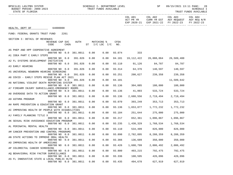BPSC1L01 LAS/PBS SYSTEM SOHEDULE I- DEPARTMENT LEVEL SENE SP 09/15/2021 13:11 PAGE: 28<br>BUDGET PERIOD: 2009-2023 TRUST FUNDS AVAILABLE

|                                                 |                                                                                                            |         |                    |            |        |           | EXP 2020-21 EXP 2021-22 FY 2022-23 FY 2022-23 |            |  |
|-------------------------------------------------|------------------------------------------------------------------------------------------------------------|---------|--------------------|------------|--------|-----------|-----------------------------------------------|------------|--|
| HEALTH, DEPT OF                                 | 64000000                                                                                                   |         |                    |            |        |           |                                               |            |  |
| FUND: FEDERAL GRANTS TRUST FUND                 | 2261                                                                                                       |         |                    |            |        |           |                                               |            |  |
| SECTION I: DETAIL OF REVENUES                   |                                                                                                            |         |                    |            |        |           |                                               |            |  |
|                                                 | REVENUE CAP SVC<br>CODE<br>CHG <sup>8</sup>                                                                | AUTH    | ST I/C LOC I/C NO. | MATCHING % | CFDA   |           |                                               |            |  |
| A5 PHEP AND HPP COOPERATIVE AGREEMENT           | 000700 NO 0.0 381.0011                                                                                     |         | 0.00               | 0.00       | 93.074 | 333       |                                               |            |  |
| A1 IDEA PART C EARLY STEPS                      |                                                                                                            |         |                    |            |        |           |                                               |            |  |
|                                                 | 000700 NO 0.0                                                                                              | 391.026 | 0.00               | 0.00       |        |           | 84.181  19,112,422  26,088,064  26,589,400    |            |  |
| A2 FL SYSTEMS DEVELOPMENT INITIATIVE            | 000700 NO 0.0 391.026                                                                                      |         | 0.00               | 0.00       |        |           | 93.110 91,126 84,787 84,787                   |            |  |
| A3 EARLY HEARING                                |                                                                                                            |         |                    |            |        |           |                                               |            |  |
|                                                 | 000700 NO 0.0                                                                                              | 391.026 | 0.00               | 0.00       |        |           | 93.314 64,376 140,597 140,597                 |            |  |
| A5 UNIVERSAL NEWBORN HEARING SCREENING          |                                                                                                            |         |                    |            |        |           |                                               |            |  |
| A6 COVID - EARLY STEPS RESCUE PLAN ACT 2021     | 000700 NO 0.0                                                                                              | 391.026 | 0.00               | 0.00       | 93.251 |           | 200,627 239,358 239,358                       |            |  |
|                                                 | 000700 NO 0.0                                                                                              | 391.026 | 0.00               | 0.00       | 84.181 |           |                                               | 11,509,642 |  |
| A6 NATIONAL VIOLENT DEATH REPORTING SYSTEM      |                                                                                                            |         |                    |            |        |           |                                               |            |  |
|                                                 | 000700 NO 0.0 381.0011                                                                                     |         | 0.00               | 0.00       | 93.136 |           | 304,085 180,000 180,000                       |            |  |
| A7 FIREARM INJURY SURVEILLANCE-EMERGENCY ROOMS  | 000700 NO 0.0 381.0011                                                                                     |         | 0.00               | 0.00       | 93.136 |           | 41,003 533,724 533,724                        |            |  |
| A8 OVERDOSE DATA TO ACTION GRANT                |                                                                                                            |         |                    |            |        |           |                                               |            |  |
|                                                 | 000700 NO 0.0 381.0011                                                                                     |         | 0.00               | 0.00       | 93.136 |           | 2,688,556 2,719,494 2,719,494                 |            |  |
| A9 ASTHMA PROGRAM                               |                                                                                                            |         |                    |            |        |           |                                               |            |  |
| AH RAPE PREVENTION & EDUCATION GRANT            | 000700 NO 0.0 381.0011                                                                                     |         | 0.00               | 0.00       | 93.070 |           | 393, 249 353, 713 353, 713                    |            |  |
|                                                 | 000700 NO 0.0 381.0011                                                                                     |         | 0.00               | 0.00       | 93.136 |           | 1,653,877 1,772,232 1,772,232                 |            |  |
| AI IMPROVING HEALTH OF PEOPLE WITH DISABILITIES |                                                                                                            |         |                    |            |        |           |                                               |            |  |
|                                                 | 000700 NO 0.0 381.0011                                                                                     |         | 0.00               | 0.00       | 93.184 |           | 251,644 275,000 275,000                       |            |  |
| AJ FAMILY PLANNING TITLE X                      | 000700 NO 0.0 381.0011                                                                                     |         | 0.00               | 0.00       | 93.217 |           | 652,361 1,096,867                             | 1,096,867  |  |
| AK SEXUAL RISK AVOIDANCE EDUCATION PROGRAM      |                                                                                                            |         |                    |            |        |           |                                               |            |  |
|                                                 | 000700 NO 0.0 381.0011                                                                                     |         | 0.00               | 0.00       | 93.235 |           | 1,430,329 1,768,534 1,768,534                 |            |  |
| AL PERINATAL MENTAL HEALTH                      |                                                                                                            |         |                    |            |        |           |                                               |            |  |
| AM CANCER PREVENTION AND CONTROL PROGRAMS       | 000700 NO 0.0 381.0011                                                                                     |         | 0.00               | 0.00       | 93.110 |           | 534,499 826,000 826,000                       |            |  |
|                                                 | 000700 NO 0.0 381.0011 0.00                                                                                |         |                    | 0.00       | 93.898 | 2,782,895 | 8,288,359                                     | 8,288,359  |  |
| AN STATE ACTIONS TO IMPROVE ORAL HEALTH         |                                                                                                            |         |                    |            |        |           |                                               |            |  |
|                                                 | 000700 NO        0.0        381.0011        0.00        0.00        93.366         136,689         350,000 |         |                    |            |        |           |                                               | 350,000    |  |
| AO IMPROVING HEALTH OF AMERICANS                |                                                                                                            |         |                    | 0.00       |        | 1,608,799 |                                               | 2,006,492  |  |
| AP COLORECTAL CANCER SCREENING                  | 000700 NO 0.0 381.0011                                                                                     |         | 0.00               |            | 93.426 |           | 2,006,492                                     |            |  |
|                                                 | 000700 NO 0.0 381.0011                                                                                     |         | 0.00               | 0.00       | 93.800 | 403,215   | 792,475                                       | 792,475    |  |
| AQ BEHAVIORAL RISK FACTOR SURVEILLANCE          |                                                                                                            |         |                    |            |        |           |                                               |            |  |
|                                                 | 000700 NO 0.0 381.0011                                                                                     |         | 0.00               | 0.00       | 93.336 | 100,595   | 426,096                                       | 426,096    |  |
| AS FL INNOVATIVE STATE & LOCAL PUBLIC HLTH      | 000700 NO 0.0 381.0011                                                                                     |         | 0.00               | 0.00       | 93.435 | 494,678   | 627,919                                       | 627,919    |  |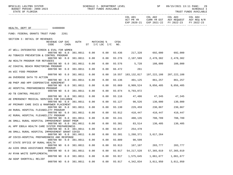BPSC1L01 LAS/PBS SYSTEM SOHEDULE I- DEPARTMENT LEVEL SENE SP 09/15/2021 13:11 PAGE: 29<br>BUDGET PERIOD: 2009-2023 TRUST FUNDS AVAILABLE

|                                                 |                                                    |      |      |                        |            |               |                           | COL A01 COL A02 COL A03                                                             |              | COL A04    |
|-------------------------------------------------|----------------------------------------------------|------|------|------------------------|------------|---------------|---------------------------|-------------------------------------------------------------------------------------|--------------|------------|
|                                                 |                                                    |      |      |                        |            |               |                           | ACT PR YR CURR YR EST AGY REQUEST AGY REQ N/R<br>EXP 2020-21 EXP 2021-22 FY 2022-23 |              | FY 2022-23 |
| HEALTH, DEPT OF 64000000                        |                                                    |      |      |                        |            |               |                           |                                                                                     |              |            |
| FUND: FEDERAL GRANTS TRUST FUND                 |                                                    | 2261 |      |                        |            |               |                           |                                                                                     |              |            |
| SECTION I: DETAIL OF REVENUES                   |                                                    |      |      |                        |            |               |                           |                                                                                     |              |            |
|                                                 | REVENUE CAP SVC                                    |      | AUTH |                        | MATCHING % | CFDA          |                           |                                                                                     |              |            |
|                                                 | CODE                                               | CHG% |      | ST $I/C$ LOC $I/C$ NO. |            |               |                           |                                                                                     |              |            |
| AT WELL-INTEGRATED SCREEN & EVAL FOR WOMEN      |                                                    |      |      |                        |            |               |                           |                                                                                     |              |            |
|                                                 | 000700 NO 0.0 381.0011 0.00                        |      |      |                        |            |               |                           | $0.00$ 93.436 217,328 692,000 692,000                                               |              |            |
| AU TOBACCO PREVENTION & CONTROL PROGRAM         |                                                    |      |      |                        |            |               |                           |                                                                                     |              |            |
|                                                 | 000700 NO 0.0 381.0011 0.00                        |      |      |                        |            | $0.00$ 93.276 |                           | 2,107,589 2,478,382                                                                 | 2,478,382    |            |
| AW HEALTH PROGRAM FOR REFUGEES                  |                                                    |      |      |                        |            |               |                           |                                                                                     |              |            |
|                                                 | 000700 NO 0.0 381.0011 0.00                        |      |      |                        |            |               |                           | $0.00$ 93.576 5,728 108,000 108,000                                                 |              |            |
| AZ COASTAL BEACH MONITORING PROGRAM             |                                                    |      |      |                        |            |               |                           |                                                                                     |              |            |
|                                                 | 000700 NO 0.0 381.0011                             |      |      | 0.00                   | 0.00       |               | 66.472 261                |                                                                                     |              |            |
| AA WIC FOOD PROGRAM                             |                                                    |      |      |                        |            |               |                           |                                                                                     |              |            |
|                                                 | 000700 NO 0.0 381.0011                             |      |      | 0.00                   |            |               |                           | $0.00$ 10.557 183,132,817 197,222,108 207,222,108                                   |              |            |
| AA OVERDOSE DATA TO ACTION                      |                                                    |      |      |                        |            |               |                           |                                                                                     |              |            |
|                                                 | 000700 NO 0.0 381.0011                             |      |      | 0.00                   |            |               |                           | 0.00 93.136 401,125 861,257 861,257                                                 |              |            |
| AB PHEP AND HPP COOPERATIVE AGREEMENT           | 000700 NO 0.0 381.0011                             |      |      | 0.00                   | 0.00       | 93.069        |                           | 8,909,524 9,056,405 9,056,405                                                       |              |            |
| AC HOSPITAL PREPAREDNESS PROGRAM                |                                                    |      |      |                        |            |               |                           |                                                                                     |              |            |
|                                                 | 000700 NO 0.0 381.0011                             |      |      | 0.00                   |            | $0.00$ 93.074 | 9,793,072                 |                                                                                     |              |            |
| AD TB CONTROL PROJECT                           |                                                    |      |      |                        |            |               |                           |                                                                                     |              |            |
|                                                 | 000700 NO 0.0 381.0011                             |      |      | 0.00                   | 0.00       |               |                           | 93.116 47,486 47,345 47,345                                                         |              |            |
| AE EMERGENCY MEDICAL SERVICES FOR CHILDREN      |                                                    |      |      |                        |            |               |                           |                                                                                     |              |            |
|                                                 | 000700 NO 0.0 381.0011                             |      |      | 0.00                   | 0.00       |               |                           | 93.127 90,526 130,000                                                               | 130,000      |            |
| AF PRIMARY CARE SVCS & MANPOWER PLACEMENT       |                                                    |      |      |                        |            |               |                           |                                                                                     |              |            |
|                                                 | 000700 NO 0.0 381.0011                             |      |      | 0.00                   |            |               | $0.00$ $93.130$ $229,459$ | 230,867                                                                             | 230,867      |            |
| AH RURAL HOSPITAL FLEXABILITY PROGRAM           |                                                    |      |      |                        |            |               |                           |                                                                                     |              |            |
|                                                 | 000700 NO 0.0 381.0011                             |      |      | 0.00                   | 0.00       | 93.912        |                           | 410,447 410,447 410,447                                                             |              |            |
| AI RURAL HOSPITAL FLEXABILITY PROGRAM           |                                                    |      |      |                        |            |               |                           |                                                                                     |              |            |
|                                                 | 000700 NO 0.0 381.0011                             |      |      | 0.00                   | 0.00       | 93.241        | 488,135                   | 708,789                                                                             | 708,789      |            |
| AK SMALL RURAL HOSPITAL IMPROVEMENT GRANT PRGM  |                                                    |      |      |                        |            | $0.00$ 93.301 |                           |                                                                                     |              |            |
| AL HPP EBOLA HEALTH CARE SYSTEM PREPAREDNESS    | 000700 NO 0.0 381.0011                             |      |      | 0.00                   |            |               |                           | 83,514 130,405 130,405                                                              |              |            |
|                                                 | 000700 NO 0.0 381.0011                             |      |      | 0.00                   |            |               | $0.00$ 93.817 254,478     |                                                                                     |              |            |
| AN SMALL RURAL HOSPITAL IMPROVEMENT GRANT COVID |                                                    |      |      |                        |            |               |                           |                                                                                     |              |            |
|                                                 | 000700 NO 0.0 381.0011 0.00                        |      |      |                        |            | $0.00$ 93.301 | 1,268,371                 | 3,617,264                                                                           |              |            |
| AP COVID-HOSPITAL PREPAREDNESS AND RESPONSE     |                                                    |      |      |                        |            |               |                           |                                                                                     |              |            |
|                                                 | 000700 NO 0.0 381.0011  0.00  0.00  93.889  90,599 |      |      |                        |            |               |                           |                                                                                     |              |            |
| AT STATE OFFICE OF RURAL HEALTH                 |                                                    |      |      |                        |            |               |                           |                                                                                     |              |            |
|                                                 | 000700 NO 0.0 381.0011                             |      |      | 0.00                   | 0.00       | 93.913        | 167,107                   | 203,777                                                                             | 203,777      |            |
| AU AIDS DRUG ASSISTANCE PROGRAM                 |                                                    |      |      |                        |            |               |                           |                                                                                     |              |            |
|                                                 | 000700 NO 0.0 381.0011                             |      |      | 0.00                   | 0.00       | 93.917        | 54, 217, 528              | 57, 365, 019                                                                        | 57, 365, 019 |            |
| AV RYAN WHITE SUPPLEMENTAL                      |                                                    |      |      |                        |            |               |                           |                                                                                     |              |            |
|                                                 | 000700 NO 0.0 381.0011                             |      |      | 0.00                   | 0.00       | 93.917        | 1,575,645                 | 1,061,677                                                                           | 1,061,677    |            |
| AW ADAP SHORTFALL RELIEF                        |                                                    |      |      |                        |            |               |                           |                                                                                     |              |            |
|                                                 | 000700 NO 0.0 381.0011                             |      |      | 0.00                   | 0.00       | 93.917        | 4,342,834                 | 3,011,950                                                                           | 3,011,950    |            |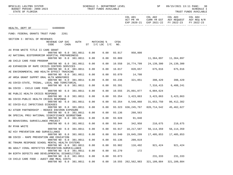|                                                  |                             |        |      |      |                        |               |                     | COL A01 COL A02<br>ACT PR YR CURR YR EST AGY REQUEST AGY REQ N/R<br>EXP 2020-21 EXP 2021-22 FY 2022-23 | COL A03      | COL A04<br>FY 2022-23 |
|--------------------------------------------------|-----------------------------|--------|------|------|------------------------|---------------|---------------------|--------------------------------------------------------------------------------------------------------|--------------|-----------------------|
| HEALTH, DEPT OF 64000000                         |                             |        |      |      |                        |               |                     |                                                                                                        |              |                       |
| FUND: FEDERAL GRANTS TRUST FUND                  | 2261                        |        |      |      |                        |               |                     |                                                                                                        |              |                       |
| SECTION I: DETAIL OF REVENUES                    |                             |        |      |      |                        |               |                     |                                                                                                        |              |                       |
|                                                  | REVENUE CAP SVC             |        | AUTH |      | MATCHING %             | CFDA          |                     |                                                                                                        |              |                       |
|                                                  | CODE                        | $CHG\$ |      |      | ST $I/C$ LOC $I/C$ NO. |               |                     |                                                                                                        |              |                       |
| AX RYAN WHITE TITLE II CARE GRANT                | 000700 NO 0.0 381.0011      |        |      | 0.00 |                        |               | 0.00 93.917 950,808 |                                                                                                        |              |                       |
| A2 NATIONAL BIOTERRORISM HOSPITAL PREPAREDNESS   |                             |        |      |      |                        |               |                     |                                                                                                        |              |                       |
|                                                  | 000700 NO 0.0 381.0011      |        |      | 0.00 | 0.00                   | 93.889        |                     |                                                                                                        |              |                       |
| AB CHILD CARE FOOD PROGRAM                       |                             |        |      |      |                        |               |                     |                                                                                                        |              |                       |
|                                                  | 000700 NO 0.0 381.0011      |        |      | 0.00 | 0.00                   |               |                     | 10.558  16,774,799  24,139,300                                                                         | 24,139,300   |                       |
| AD EXPANSION OF RAPE CRISIS CENTERS SERVICES     | 000700 NO 0.0 381.0011      |        |      | 0.00 | 0.00                   |               |                     | 16.017 820,657 675,016 675,016                                                                         |              |                       |
| AE ENVIRONMENTAL AND HEALTH EFFECT TRACKING      |                             |        |      |      |                        |               |                     |                                                                                                        |              |                       |
|                                                  | 000700 NO 0.0 381.0011      |        |      | 0.00 | 0.00                   | 93.070        | 14,708              |                                                                                                        |              |                       |
| AF HRSA GRANT SUPPRT ORAL HLTH WORKFORCE         |                             |        |      |      |                        |               |                     |                                                                                                        |              |                       |
|                                                  | 000700 NO 0.0 381.0011      |        |      | 0.00 | 0.00                   |               |                     | 93.236 321,051 398,429 398,429                                                                         |              |                       |
| AG COVID-STATE, TRIBAL, LOCAL AND TERRITORIAL    |                             |        |      |      |                        |               |                     |                                                                                                        |              |                       |
|                                                  | 000700 NO 0.0 381.0011      |        |      | 0.00 | 0.00                   | 93.391        |                     | 7,316,415                                                                                              | 6,488,241    |                       |
| BA COVID - CHILD CARE FOOD                       | 000700 NO 0.0 381.0011      |        |      | 0.00 | 0.00                   | 10.555        |                     | 25,891,077 6,004,624                                                                                   |              |                       |
| BE PUBLIC HEALTH CRISIS RESPONSE                 |                             |        |      |      |                        |               |                     |                                                                                                        |              |                       |
|                                                  | 000700 NO 0.0 381.0011      |        |      | 0.00 | 0.00                   | 93.354        |                     | 3,423,863 3,423,863 3,423,863                                                                          |              |                       |
| BG COVID-PUBLIC HEALTH CRISIS RESPONSE           |                             |        |      |      |                        |               |                     |                                                                                                        |              |                       |
|                                                  | 000700 NO 0.0 381.0011      |        |      | 0.00 | 0.00                   | 93.354        | 8,548,868           | 31,653,750                                                                                             | 86, 412, 382 |                       |
| BI COVID-ELC INFECTIOUS DISEASES                 |                             |        |      |      |                        |               |                     |                                                                                                        |              |                       |
|                                                  | 000700 NO 0.0 381.0011      |        |      | 0.00 | 0.00                   |               |                     | 93.323 636,245,767 820,714,542                                                                         | 45,462,627   |                       |
| BJ ATSDR PARTNERSHIP - REDUCE ENVIRON EXPOSURE   |                             |        |      |      |                        |               |                     |                                                                                                        |              |                       |
|                                                  | 000700 NO 0.0 381.0011      |        |      | 0.00 | 0.00                   |               | 93.136 260,563      |                                                                                                        |              |                       |
| BK SPECIAL PROJ NATIONAL SIGNIFICANCE GEORGETOWN | 000700 NO 0.0 381.0011      |        |      | 0.00 | 0.00                   | 93.928        | 91,840              |                                                                                                        |              |                       |
| BU BEHAVIORAL SURVEILLANCE PROJECT               |                             |        |      |      |                        |               |                     |                                                                                                        |              |                       |
|                                                  | 000700 NO 0.0 381.0011      |        |      | 0.00 | 0.00                   |               |                     | 93.944 342,958 210,675 210,675                                                                         |              |                       |
| BV RYAN WHITE                                    |                             |        |      |      |                        |               |                     |                                                                                                        |              |                       |
|                                                  | 000700 NO 0.0 381.0011      |        |      | 0.00 |                        |               |                     | $0.00$ $93.917$ $18,217,587$ $56,114,359$                                                              | 56, 114, 359 |                       |
| BZ HIV PREVENTION AND SURVEILLANCE               |                             |        |      |      |                        |               |                     |                                                                                                        |              |                       |
|                                                  | 000700 NO 0.0 381.0011 0.00 |        |      |      |                        |               |                     | $0.00$ 93.940 19,045,299 17,405,853                                                                    | 17,405,853   |                       |
| BB COVID - RAPE PREVENTION AND EDUCATION         |                             |        |      |      |                        |               |                     |                                                                                                        |              |                       |
|                                                  | 000700 NO 0.0 381.0011 0.00 |        |      |      |                        | $0.00$ 93.136 | 209,819             |                                                                                                        |              |                       |
| BC TRAUMA RESPONSE SCHOOL MENTAL HEALTH SYSTEMS  |                             |        |      |      |                        |               |                     |                                                                                                        |              |                       |
| BG ADULT VIRAL HEPATITIS PREVENTION-SURVEILLANCE | 000700 NO 0.0 381.0011      |        |      | 0.00 | 0.00                   | 93.982        | 116,492             | 921,424                                                                                                | 921,424      |                       |
|                                                  | 000700 NO 0.0 381.0011      |        |      | 0.00 | 0.00                   | 93.270        | 172                 |                                                                                                        |              |                       |
| BH BIRTH DEFECTS AND DEVELOPMENTAL DISABILITIES  |                             |        |      |      |                        |               |                     |                                                                                                        |              |                       |
|                                                  | 000700 NO 0.0 381.0011      |        |      | 0.00 | 0.00                   | 93.073        |                     | 231,333                                                                                                | 231,333      |                       |
| C8 CHILD CARE FOOD - AUDIT AND MEAL COSTS        |                             |        |      |      |                        |               |                     |                                                                                                        |              |                       |
|                                                  | 000700 NO 0.0 381.0011      |        |      | 0.00 |                        |               |                     | $0.00$ 10.555 262,562,983 321,109,884 321,109,884                                                      |              |                       |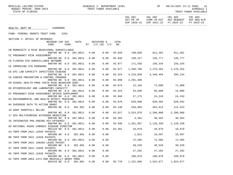|                                                 |                                  |      |          |                               |            |        |           | COL A01 COL A02 COL A03<br>ACT PR YR CURR YR EST AGY REQUEST AGY REQ N/R<br>EXP 2020-21 EXP 2021-22 FY 2022-23 |                      | COL A04<br>FY 2022-23 |
|-------------------------------------------------|----------------------------------|------|----------|-------------------------------|------------|--------|-----------|----------------------------------------------------------------------------------------------------------------|----------------------|-----------------------|
| HEALTH, DEPT OF                                 | 64000000                         |      |          |                               |            |        |           |                                                                                                                |                      |                       |
| FUND: FEDERAL GRANTS TRUST FUND                 |                                  | 2261 |          |                               |            |        |           |                                                                                                                |                      |                       |
| SECTION I: DETAIL OF REVENUES                   |                                  |      |          |                               |            |        |           |                                                                                                                |                      |                       |
|                                                 | REVENUE CAP SVC<br>CODE          | CHG% | AUTH     | $ST$ $I/C$ $LOC$ $I/C$ $NO$ . | MATCHING % | CFDA   |           |                                                                                                                |                      |                       |
| CB MORBIDITY & RISK BEHAVIORAL SURVEILLANCE     | 000700 NO 0.0 381.0011           |      |          | 0.00                          |            |        |           | $0.00$ 93.944 700,036 811,201 811,201                                                                          |                      |                       |
| CC PREGNANCY RISK ASSESSMENT                    | 000700 NO 0.0 381.0011           |      |          | 0.00                          | 0.00       | 93.946 |           | 130,417 135,777                                                                                                | 135,777              |                       |
| CD FLORIDA STD SURVEILLANCE NETWORK             |                                  |      |          |                               |            |        |           |                                                                                                                |                      |                       |
| CE IMPROVING STD PROGRAMS                       | 000700 NO 0.0 381.0011           |      |          | 0.00                          | 0.00       |        |           | 93.977 171,556 156,334 156,334                                                                                 |                      |                       |
| CG EPI LAB CAPACITY INFECTIOUS DISEASE          | 000700 NO 0.0 381.0011           |      |          | 0.00                          | 0.00       | 93.977 |           | 1,250,786 1,279,262 1,279,262                                                                                  |                      |                       |
|                                                 | 000700 NO 0.0 381.0011           |      |          | 0.00                          | 0.00       | 93.323 | 4,219,850 |                                                                                                                | 4, 346, 464 395, 134 |                       |
| CK CANCER PREVENTION & CONTROL PROGRAM          | 000700 NO 0.0 381.0011           |      |          | 0.00                          | 0.00       | 93.898 | 2,201,408 |                                                                                                                |                      |                       |
| CM SCHOOL HEALTH PROG YOUTH RISK BEHAVIOR SURV  |                                  |      |          |                               |            |        |           |                                                                                                                |                      |                       |
| D6 EPIDEMIOLOGY AND LABORATORY CAPACITY         | 000700 NO 0.0 381.0011           |      |          | 0.00                          | 0.00       | 93.079 |           | 12,165 72,000 72,000                                                                                           |                      |                       |
|                                                 | 000700 NO 0.0 381.0011           |      |          | 0.00                          | 0.00       | 93.323 | 33,699    | 85,000                                                                                                         | 15,000               |                       |
| D7 PREGNANCY RISK ASSESSMENT OPIOID SUPPLEMENT  | 000700 NO 0.0 381.0011           |      |          | 0.00                          | 0.00       | 93.946 | 17,175    | 24, 243 24, 243                                                                                                |                      |                       |
| 03 ENVIRONMENTAL AND HEALTH EFFECT TRACKING     |                                  |      |          |                               |            |        |           |                                                                                                                |                      |                       |
| 04 OVERDOSE DATA TO ACTION GRANT                | 000700 NO 0.0 381.0011           |      |          | 0.00                          | 0.00       | 93.070 |           | 629,990 820,482                                                                                                | 820,482              |                       |
|                                                 | 000700 NO 0.0 381.001            |      |          | 0.00                          | 0.00       |        |           | 93.136 549,993 562,613 112,523                                                                                 |                      |                       |
| 10 ADAP SHORTFALL RELIEF                        |                                  |      |          |                               |            |        |           |                                                                                                                |                      |                       |
|                                                 | 000700 NO 0.0 381.0011           |      |          | 0.00                          | 0.00       | 93.917 |           | 3,524,078 2,200,000                                                                                            | 2,200,000            |                       |
| 17 EPA MULTIPURPOSE NITROGEN REDUCTION          | 000700 NO 0.0 381.0011           |      |          | 0.00                          | 0.00       | 66.204 | 4,401     | 30,463                                                                                                         | 30,463               |                       |
| 26 INTEGRATED PRG ENDING HIV EPIDEMIC           |                                  |      |          |                               |            |        |           |                                                                                                                |                      |                       |
|                                                 | 000700 NO 0.0 381.0011           |      |          | 0.00                          | 0.00       | 93.940 |           | 1,351,997 2,128,330                                                                                            | 2,128,330            |                       |
| D3 NATIONAL ASSOC CHRONIC DISEASE DIRECTOR      |                                  |      |          |                               |            |        |           |                                                                                                                |                      |                       |
| A4 TNFR FROM 2021 LEAVE PAYOUTS                 | 001110 NO 0.0 381.0011           |      |          | 0.00                          |            |        |           | $0.00 \qquad 93.261 \qquad \qquad 10\, ,879 \qquad \qquad 10\, ,879 \qquad \qquad 10\, ,879$                   |                      |                       |
|                                                 | 001500 NO 0.0 381.001 0.00       |      |          |                               | 0.00       |        |           | 1,821 10,597 10,597                                                                                            |                      |                       |
| B6 TNFR FROM 2021 LEAVE PAYOUTS                 |                                  |      |          |                               |            |        |           |                                                                                                                |                      |                       |
|                                                 | 001500 NO 0.0 381.0011 0.00 0.00 |      |          |                               |            |        |           | 72,585 72,585                                                                                                  | 72,585               |                       |
| C5 TNFR FROM 2021 180205 LEAVE PAYOUT           | 001500 NO 0.0                    |      | 381.001  | 0.00                          | 0.00       |        | 30,529    | 30,529                                                                                                         | 30,529               |                       |
| 07 TNFR FROM 2021 LEAVE PAYOUTS                 |                                  |      |          |                               |            |        |           |                                                                                                                |                      |                       |
|                                                 | 001500 NO                        | 0.0  | 381.0011 | 0.00                          | 0.00       |        | 27,202    | 27,202                                                                                                         | 27,202               |                       |
| 65 TNFR FROM 2021 LEAVE PAYOUTS                 |                                  |      |          |                               |            |        |           |                                                                                                                |                      |                       |
| AC TNFR FROM AHCA 2474 DDD MEDICALLY NEEDY PROG | 001500 NO                        | 0.0  | 381.0011 | 0.00                          | 0.00       |        | 109,078   | 109,078                                                                                                        | 109,078              |                       |
|                                                 | 001510 NO 0.0                    |      | 381.001  | 0.00                          | 0.00       | 93.778 | 1,222,666 | 1,924,677                                                                                                      | 1,924,677            |                       |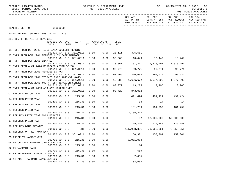|                                                  |                  |                             |      |                                      |      |                                          | ACT PR YR CURR YR EST AGY REQUEST AGY REQ N/R<br>EXP 2020-21 EXP 2021-22 FY 2022-23 |            | FY 2022-23 |
|--------------------------------------------------|------------------|-----------------------------|------|--------------------------------------|------|------------------------------------------|-------------------------------------------------------------------------------------|------------|------------|
| HEALTH, DEPT OF 64000000                         |                  |                             |      |                                      |      |                                          |                                                                                     |            |            |
| FUND: FEDERAL GRANTS TRUST FUND                  | 2261             |                             |      |                                      |      |                                          |                                                                                     |            |            |
| SECTION I: DETAIL OF REVENUES                    |                  |                             |      |                                      |      |                                          |                                                                                     |            |            |
| REVENUE CAP SVC<br>CODE                          | CHG <sup>8</sup> | AUTH                        |      | MATCHING %<br>ST $I/C$ LOC $I/C$ NO. | CFDA |                                          |                                                                                     |            |            |
| B1 TNFR FROM DOT 2540 FIELD DATA COLLECT NEMSIS  |                  | 001510 NO 0.0 381.0011      | 0.00 | 0.00                                 |      | 20.616 375,581                           |                                                                                     |            |            |
| B7 TNFR FROM DCF 2261 REFUGEE HLTH CASE MANAGER  |                  |                             |      |                                      |      |                                          |                                                                                     |            |            |
|                                                  |                  | 001510 NO 0.0 381.0011      | 0.00 | 0.00                                 |      |                                          | 93.566 10,449 10,449 10,449                                                         |            |            |
| B8 TNFR FROM DCF 2261 SNAP-ED                    |                  | 001510 NO 0.0 381.0011      | 0.00 | 0.00                                 |      |                                          | 10.561  161,841  1,516,491  1,516,491                                               |            |            |
| B1 TNFR FROM AHCA 2474 MEDICAID ADMIN 50/50      |                  |                             |      |                                      |      |                                          |                                                                                     |            |            |
|                                                  |                  | 001510 NO 0.0 381.0011      | 0.00 | 0.00                                 |      |                                          | 93.778 99,771 99,771 99,771                                                         |            |            |
| B4 TNFR FROM DCF 2261 REFUGEE ENTRANT            |                  |                             |      |                                      |      |                                          |                                                                                     |            |            |
| B5 TNFR FROM DCF 2261 STOPVIOLENCE AGAINST WOMEN |                  | 001510 NO 0.0 381.0011      | 0.00 | 0.00                                 |      |                                          | 93.566 310,693 499,624 499,624                                                      |            |            |
|                                                  |                  | 001510 NO 0.0 381.0011      | 0.00 | 0.00                                 |      |                                          | 16.588 1,636,672 1,677,803 1,677,803                                                |            |            |
| 66 TNFR FROM DOE 2261 YOUTH RISK BEHAVIOR SURVEY |                  |                             |      |                                      |      |                                          |                                                                                     |            |            |
|                                                  |                  | 001510 NO 0.0 381.0011      | 0.00 | 0.00                                 |      |                                          | 93.079 13,205 13,205 13,205                                                         |            |            |
| 89 TNFR FROM AHCA 2003 ARR ACT HEALTH INFO       |                  | 001510 NO 0.0 381.0011      | 0.00 | 0.00                                 |      | 93.729 843,012                           |                                                                                     |            |            |
| C2 REFUNDS PRIOR YEAR                            |                  |                             |      |                                      |      |                                          |                                                                                     |            |            |
|                                                  | 001800 NO 0.0    | 215.31                      | 0.00 | 0.00                                 |      |                                          | 491,424 491,424 491,424                                                             |            |            |
| 04 REFUNDS PRIOR YEAR                            |                  |                             |      |                                      |      |                                          |                                                                                     |            |            |
| 27 REFUNDS PRIOR YEAR                            | 001800 NO 0.0    | 215.31                      | 0.00 | 0.00                                 |      | 14                                       | 14                                                                                  | 14         |            |
|                                                  | 001800 NO 0.0    | 215.31                      | 0.00 | 0.00                                 |      |                                          | 181,759 181,759 181,759                                                             |            |            |
| 27 REFUNDS PRIOR YEAR                            |                  |                             |      |                                      |      |                                          |                                                                                     |            |            |
|                                                  | 001800 NO 0.0    | 215.31                      | 0.00 | 0.00                                 |      | 2,755,213                                |                                                                                     |            |            |
| 32 REFUNDS PRIOR YEAR ADAP REBATES               | 001800 NO 0.0    | 215.31                      | 0.00 | 0.00                                 |      | 82                                       | 52,000,000                                                                          | 52,000,000 |            |
| 37 REFUNDS PRIOR YEAR                            |                  |                             |      |                                      |      |                                          |                                                                                     |            |            |
|                                                  | 001800 NO 0.0    | 215.31                      | 0.00 | 0.00                                 |      |                                          | $725, 240$ $725, 240$ $725, 240$                                                    |            |            |
| 38 REFUNDS DRUG REBATES                          |                  |                             |      |                                      |      |                                          |                                                                                     |            |            |
| 87 REFUNDS OF FED FUND EXP                       | 001800 NO 0.0    | 381                         | 0.00 |                                      | 0.00 |                                          | 105,058,351 73,058,351 73,058,351                                                   |            |            |
|                                                  |                  | 001870 NO 0.0 381.0011 0.00 |      | 0.00                                 |      |                                          | 150,301 150,301 150,301                                                             |            |            |
| C3 PRIOR YR WARRNT CNX                           |                  |                             |      |                                      |      |                                          |                                                                                     |            |            |
|                                                  |                  |                             |      |                                      |      | 003700 NO 0.0 215.31 0.00 0.00 1,001,084 |                                                                                     |            |            |
| 05 PRIOR YEAR WARRANT CANCELLATIONS              | 003700 NO 0.0    | 215.31                      | 0.00 | 0.00                                 |      | 14                                       |                                                                                     |            |            |
| 32 PY WARRANT CANX                               |                  |                             |      |                                      |      |                                          |                                                                                     |            |            |
|                                                  | 003700 NO 0.0    | 215.31                      | 0.00 | 0.00                                 |      | 589                                      |                                                                                     |            |            |
| 33 PR YR WARRANT CANCELLATIONS                   |                  |                             |      |                                      |      |                                          |                                                                                     |            |            |
| C6 12 MONTH WARRANT CANCELLATION                 | 003700 NO 0.0    | 215.31                      | 0.00 | 0.00                                 |      | 2,405                                    |                                                                                     |            |            |
|                                                  | 003800 NO 0.0    | 17.26                       | 0.00 | 0.00                                 |      | 38,658                                   |                                                                                     |            |            |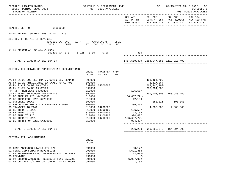| BPSC1L01 LAS/PBS SYSTEM<br>BUDGET PERIOD: 2009-2023<br>STATE OF FLORIDA                                                                                                                                                                                                                                                                                          | SCHEDULE I- DEPARTMENT LEVEL<br>TRUST FUNDS AVAILABLE                                                                                              |                                                                       | SP                                                      |                                                                                                | 09/15/2021 13:11 PAGE: 33<br><b>SCHEDULE I</b><br>TRUST FUNDS AVAILABLE |
|------------------------------------------------------------------------------------------------------------------------------------------------------------------------------------------------------------------------------------------------------------------------------------------------------------------------------------------------------------------|----------------------------------------------------------------------------------------------------------------------------------------------------|-----------------------------------------------------------------------|---------------------------------------------------------|------------------------------------------------------------------------------------------------|-------------------------------------------------------------------------|
|                                                                                                                                                                                                                                                                                                                                                                  |                                                                                                                                                    | COL A01                                                               | COL A02                                                 | COL A03<br>ACT PR YR CURR YR EST AGY REQUEST AGY REQ N/R<br>EXP 2020-21 EXP 2021-22 FY 2022-23 | COL A04<br>FY 2022-23                                                   |
| 64000000<br>HEALTH, DEPT OF                                                                                                                                                                                                                                                                                                                                      |                                                                                                                                                    |                                                                       |                                                         |                                                                                                |                                                                         |
| FUND: FEDERAL GRANTS TRUST FUND<br>2261                                                                                                                                                                                                                                                                                                                          |                                                                                                                                                    |                                                                       |                                                         |                                                                                                |                                                                         |
| SECTION I: DETAIL OF REVENUES<br>REVENUE CAP SVC<br><b>AUTH</b><br>CODE<br>CHG <sup>8</sup>                                                                                                                                                                                                                                                                      | MATCHING %<br>CFDA<br>ST I/C LOC I/C NO.                                                                                                           |                                                                       |                                                         |                                                                                                |                                                                         |
| 34 12 MO WARRANT CALCELLATIONS<br>003800 NO 0.0 17.26 0.00 0.00                                                                                                                                                                                                                                                                                                  |                                                                                                                                                    | 316                                                                   |                                                         |                                                                                                |                                                                         |
| TOTAL TO LINE B IN SECTION IV                                                                                                                                                                                                                                                                                                                                    |                                                                                                                                                    |                                                                       | 1457, 510, 479 1854, 047, 385 1119, 218, 499            |                                                                                                |                                                                         |
| SECTION II: DETAIL OF NONOPERATING EXPENDITURES<br>AA FY 21-22 BOB SECTION 75 COVID REV-REAPPR<br>AB FY 21-22 ANTICIPATED BA SMALL RURAL HOS<br>AB FY 21-22 BA B0118 COVID<br>AC FY 21-22 BA B0119 COVID<br>PP TNFR FROM 2261 64200800<br>QW ANTICIPATED BUDGET AMENDMENTS<br>01 BE TNFR FR 2261 64200800<br>01 BE TNFR FROM 2261 64200800<br>02 UNFUNDED BUDGET | OBJECT TRANSFER CFDA<br>TO BE<br>CODE<br>NO.<br>899000<br>899000<br>64200700<br>899000<br>899000<br>810000<br>899000<br>810000<br>810000<br>899000 | 126,587-<br>166,657,721-<br>42,159-<br>236,293                        | 491,464,799<br>3,617,264<br>263,446,197-<br>383,904,000 | 290,903,805 160,985,459<br>188,326- 690,850-                                                   |                                                                         |
| 03 REFUNDS OF NON STATE REVENUES 220030<br>860000<br>03 TRANSFER TO 2141<br>05 BE TNFR TO 2261<br>06 BE TNFR TO 2261<br>07 BE TNFR TO 2261<br>20 BE TNFR TO 2261<br>90 BE TNFR FROM 2261 64200800                                                                                                                                                                | 810000<br>64200700<br>64500100<br>810000<br>810000<br>64400100<br>810000<br>64100200<br>810000<br>64200200<br>810000                               | 126,587<br>42,159<br>904,427<br>166,657,721<br>$904.427 -$            |                                                         | 4,000,000 4,000,000                                                                            |                                                                         |
| TOTAL TO LINE E IN SECTION IV                                                                                                                                                                                                                                                                                                                                    |                                                                                                                                                    |                                                                       | 236, 293 910, 255, 345 164, 294, 609                    |                                                                                                |                                                                         |
| SECTION III: ADJUSTMENTS                                                                                                                                                                                                                                                                                                                                         | OBJECT<br>CODE                                                                                                                                     |                                                                       |                                                         |                                                                                                |                                                                         |
| 05 COMP ABSENSES LIABLILITY C/F<br>01 CERTIFIED FORWARD REVERSIONS<br>02 PY ENCUMBRANCES NOT RESERVED FUND BALANCE<br>03 ROUNDING<br>02 PY ENCUMBRANCES NOT RESERVED FUND BALANCE<br>03 PRIOR YEAR A/P NOT CF- OPERATING CATEGORY                                                                                                                                | 991000<br>991000<br>991000<br>991000<br>991000<br>991000                                                                                           | $30,172-$<br>4,691,864<br>$12,633-$<br>$2 -$<br>$6,027,062-$<br>7,738 |                                                         |                                                                                                |                                                                         |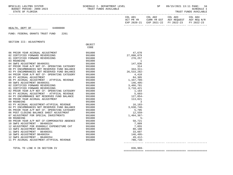| ACT PR YR   | COL A02<br>CURR YR EST | AGY REOUEST | AGY REO N/R |
|-------------|------------------------|-------------|-------------|
| EXP 2020-21 | EXP 2021-22            | FY 2022-23  | FY 2022-23  |
|             |                        |             |             |

## SECTION III: ADJUSTMENTS

|                                              | OBJECT |              |  |
|----------------------------------------------|--------|--------------|--|
|                                              | CODE   |              |  |
|                                              |        |              |  |
| 06 PRIOR YEAR ACCRUAL ADJUSTMENT             | 991000 | 47,670       |  |
| 02 CERTIFIED FORWARD REVERSIONS              | 991000 | 27,098,079   |  |
| 01 CERTIFIED FORWARD REVERSIONS              | 991000 | 270,257      |  |
| 03 ROUNDING                                  | 991000 |              |  |
| 04 SWFS ADJUSTMENT B6400351                  | 991000 | 147,836      |  |
| 07 PRIOR YEAR A/P NOT CF- OPERATING CATEGORY | 991000 | 314          |  |
| 08 PY ENCUMBRANCES NOT RESERVED FUND BALANCE | 991000 | $344, 311 -$ |  |
| 03 PY ENCUMBRANCES NOT RESERVED FUND BALANCE | 991000 | 26,533,282-  |  |
| 04 PRIOR YEAR A/P NOT CF- OPERATING CATEGORY | 991000 | 4,410        |  |
| 05 PY ACCRUAL ADJUSTMENT                     | 991000 | 84,305       |  |
| 06 PY ACCRUAL ADJUSTMENT - ATYPICAL REVENUE  | 991000 | 1,347,709-   |  |
| 09 SWFS ADJUSTMENT B6400351                  | 991000 | 146,495-     |  |
| 02 CERTIFIED FORWARD REVERSIONS              | 991000 | 3,466,781    |  |
| 01 CERTIFIED FORWARD REVERSIONS              | 991000 | 3,718,421    |  |
| 02 PRIOR YEAR A/P NOT CF- OPERATING CATEGORY | 991000 | 1,164        |  |
| 03 PY ACCRUAL ADJUSTMENT - ATYPICAL REVENUE  | 991000 | $5,603-$     |  |
| 04 PY ENCUMBRANCE NOT RESERVED FUND BALANCE  | 991000 | 127,054-     |  |
| 08 PRIOR YEAR ACCRUAL ADJUSTMENT             | 991000 | 113,821      |  |
| 09 ROUNDING                                  | 991000 | 3            |  |
| 03 PY ACCRUAL ADJUSTMENT-ATYPICAL REVENUE    | 991000 | $16, 183 -$  |  |
| 04 PY ENCUMBRANCES NOT RESERVED FUND BALANCE | 991000 | $3,638,748-$ |  |
| 05 PRIOR YEAR A/P NOT CF- OPERATING CATEGORY | 991000 | 5,795        |  |
| 06 POST CLOSING BALANCE SHEET ADJUSTMENT     | 991000 | $12,559-$    |  |
| 07 ADJUSTMENT FOR SPECIAL INVESTMENTS        | 991000 | $1,464,367-$ |  |
| 08 ROUNDING                                  | 991000 | $5 -$        |  |
| 09 PRIOR YEAR A/P NOT CF-COMPENSATED ABSENCE | 991000 | 58,721       |  |
| 10 SWFS ADJUSTMENT - B6400324                | 991000 | 7,889        |  |
| 12 ADJUSTMENT FOR 65900GLC EXPENDITURE CAT   | 991000 | 7,055        |  |
| 13 SWFS ADJUSTMENT B6400305                  | 991000 | 80,108       |  |
| 11 SWFS ADJUSTMENT - B6400351                | 991000 | 33,607       |  |
| 10 SWFS ADJUSTMENT B6400354                  | 991000 | $146, 495 -$ |  |
| 12 SWFS ADJUSTMENT - B6400354                | 991000 | 49,412-      |  |
| 11 PY ACCRUAL ADJUSTMENT-ATYPICAL REVENUE    | 991000 | $780.716 -$  |  |
|                                              |        |              |  |

TOTAL TO LINE H IN SECTION IV 836,969-

============= ============= ============= =============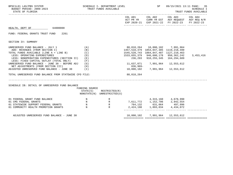| BPSC1L01 LAS/PBS SYSTEM<br>BUDGET PERIOD: 2009-2023<br>STATE OF FLORIDA                                                                                                                                                                                                                                                                                                                                                                                                                                             |                          | SCHEDULE I- DEPARTMENT LEVEL<br>TRUST FUNDS AVAILABLE |                                                                                                                                            | SP                                                                                  |                                                                                                                                | 09/15/2021 13:11 PAGE: 35<br><b>SCHEDULE I</b><br>TRUST FUNDS AVAILABLE |
|---------------------------------------------------------------------------------------------------------------------------------------------------------------------------------------------------------------------------------------------------------------------------------------------------------------------------------------------------------------------------------------------------------------------------------------------------------------------------------------------------------------------|--------------------------|-------------------------------------------------------|--------------------------------------------------------------------------------------------------------------------------------------------|-------------------------------------------------------------------------------------|--------------------------------------------------------------------------------------------------------------------------------|-------------------------------------------------------------------------|
|                                                                                                                                                                                                                                                                                                                                                                                                                                                                                                                     |                          |                                                       |                                                                                                                                            |                                                                                     | COL A01 COL A02 COL A03 COL A04<br>ACT PR YR CURR YR EST AGY REQUEST AGY REQ N/R EXP 2020-21 EXP 2021-22 FY 2022-23 FY 2022-23 |                                                                         |
| HEALTH, DEPT OF 64000000                                                                                                                                                                                                                                                                                                                                                                                                                                                                                            |                          |                                                       |                                                                                                                                            |                                                                                     |                                                                                                                                |                                                                         |
| FUND: FEDERAL GRANTS TRUST FUND 2261                                                                                                                                                                                                                                                                                                                                                                                                                                                                                |                          |                                                       |                                                                                                                                            |                                                                                     |                                                                                                                                |                                                                         |
| SECTION IV: SUMMARY                                                                                                                                                                                                                                                                                                                                                                                                                                                                                                 |                          |                                                       |                                                                                                                                            |                                                                                     |                                                                                                                                |                                                                         |
| UNRESERVED FUND BALANCE - JULY 1<br>ADD: REVENUES (FROM SECTION I)<br>TOTAL FUNDS AVAILABLE (LINE $A + LINE B$ ) (C)<br>LESS: OPERATING EXPENDITURES<br>LESS: NONOPERATING EXPENDITURES (SECTION II) (E)<br>LESS: FIXED CAPITAL OUTLAY (TOTAL ONLY)<br>UNRESERVED FUND BALANCE - JUNE 30 - BEFORE ADJ (G)<br>NET ADJUSTMENTS (FROM SECTION III) (H)<br>ADJUSTED UNRESERVED FUND BALANCE - JUNE $30$ (I)<br>TOTAL UNRESERVED FUND BALANCE FROM STATEWIDE CFO FILE:<br>SCHEDULE IB: DETAIL OF UNRESERVED FUND BALANCE | (A)<br>(B)<br>(D)<br>(F) | 1533,655,379 946,600,178 950,362,242                  | 1457, 510, 479 1854, 047, 385 1119, 218, 499<br>1545,528,743 1864,847,487 1127,210,463<br>11,637,071 7,991,964<br>$836,969-$<br>88,018,264 | 236,293 910,255,345 164,294,609<br>10,800,102 7,991,964                             | 12,553,612<br>12,553,612                                                                                                       | 3,453,416                                                               |
|                                                                                                                                                                                                                                                                                                                                                                                                                                                                                                                     | FUNDING SOURCE           | STATE(S) RESTRICTED(R)<br>NONSTATE(N) UNRESTRICTED(U) |                                                                                                                                            |                                                                                     |                                                                                                                                |                                                                         |
| 01 FEDERAL GRANT FUND BALANCE<br>$\mathbb N$<br>01 CMS FEDERAL GRANTS<br>01 STATEWIDE SUPPORT FEDERAL GRANTS<br>01 COMMUNITY HEALTH PROMOTION GRANTS N                                                                                                                                                                                                                                                                                                                                                              | N                        | R R R $\overline{R}$                                  |                                                                                                                                            | 4, 315, 160 4, 678, 990<br>764,132 631,064 497,996<br>2,424,198 1,893,034 4,434,072 |                                                                                                                                |                                                                         |
| ADJUSTED UNRESERVED FUND BALANCE - JUNE 30                                                                                                                                                                                                                                                                                                                                                                                                                                                                          |                          |                                                       |                                                                                                                                            | 10,800,102 7,991,964 12,553,612                                                     |                                                                                                                                |                                                                         |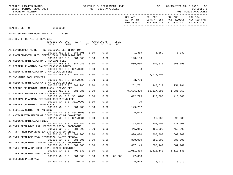| BPSC1L01 LAS/PBS SYSTEM<br>BUDGET PERIOD: 2009-2023<br>STATE OF FLORIDA       | SCHEDULE I- DEPARTMENT LEVEL<br>TRUST FUNDS AVAILABLE | <b>SP</b>                            | 09/15/2021 13:11 PAGE:<br>-36<br>SCHEDULE I<br>TRUST FUNDS AVAILABLE |                         |                   |                                                                                                                        |            |
|-------------------------------------------------------------------------------|-------------------------------------------------------|--------------------------------------|----------------------------------------------------------------------|-------------------------|-------------------|------------------------------------------------------------------------------------------------------------------------|------------|
|                                                                               |                                                       |                                      |                                                                      |                         |                   | COL A01 COL A02 COL A03 COL A04<br>ACT PR YR CURR YR EST AGY REQUEST AGY REQ N/R<br>EXP 2020-21 EXP 2021-22 FY 2022-23 | FY 2022-23 |
| HEALTH, DEPT OF 64000000                                                      |                                                       |                                      |                                                                      |                         |                   |                                                                                                                        |            |
| FUND: GRANTS AND DONATIONS TF<br>2339                                         |                                                       |                                      |                                                                      |                         |                   |                                                                                                                        |            |
| SECTION I: DETAIL OF REVENUES                                                 |                                                       |                                      |                                                                      |                         |                   |                                                                                                                        |            |
| REVENUE CAP SVC<br>CODE<br>$CHG\$                                             | AUTH                                                  | MATCHING %<br>$ST$ $I/C$ $LOC$ $I/C$ | CFDA<br>NO.                                                          |                         |                   |                                                                                                                        |            |
| A1 ENVIRONMENTAL HLTH PROFESSIONAL CERTIFICATION<br>000100 YES 8.0<br>381.006 | 0.00                                                  | 0.00                                 |                                                                      |                         | 1,389 1,389 1,389 |                                                                                                                        |            |
| A2 ENVIRONMENTAL HLTH SEPTIC TANK CONTRACTOR REG                              |                                                       |                                      |                                                                      |                         |                   |                                                                                                                        |            |
| 000100 YES 8.0<br>381.006                                                     | 0.00                                                  | 0.00                                 |                                                                      | 198,150                 |                   |                                                                                                                        |            |
| A5 MEDICAL MARIJUANA MMTC RENEWAL FEES<br>000100 YES 8.0 381.986              | 0.00                                                  | 0.00                                 |                                                                      | 600,630                 |                   | $600,630$ 660,693                                                                                                      |            |
| 01 CENTRAL PHARMACY FAMILY PLANNING DRUGS                                     |                                                       |                                      |                                                                      |                         |                   |                                                                                                                        |            |
| 000100 YES 0.0 381.0203<br>22 MEDICAL MARIJUANA MMTC APPLICATION FEES         | 0.00                                                  | 0.00                                 |                                                                      | 3                       |                   |                                                                                                                        |            |
| 000100 YES 8.0 381.986                                                        | 0.00                                                  | 0.00                                 |                                                                      |                         | 18,018,900        |                                                                                                                        |            |
| 23 SWIMMING POOL PERMITS                                                      |                                                       | 0.00                                 |                                                                      | 53,700                  |                   |                                                                                                                        |            |
| 000100 YES 8.0 381.0006<br>25 MEDICAL MARIJUANA CMTL APPLICATION FEES         | 0.00                                                  |                                      |                                                                      |                         |                   |                                                                                                                        |            |
| 000100 YES 8.0<br>381.986                                                     | 0.00                                                  | 0.00                                 |                                                                      | 251,781 440,617 251,781 |                   |                                                                                                                        |            |
| 26 OFFICE OF MEDICAL MARIJUANA LICENSE FEE<br>000100 YES 8.0<br>381.986       | 0.00                                                  | 0.00                                 |                                                                      | 45,636,320              | 58,117,296        | 71,281,752                                                                                                             |            |
| 02 CENTRAL PHARMACY FAMILY PLANNING DRUGS                                     |                                                       |                                      |                                                                      |                         |                   |                                                                                                                        |            |
| 000109 NO 0.0 381.0203<br>03 CENTRAL PHARMACY MEDICAID DSIPENSING FEE         | 0.00                                                  | 0.00                                 |                                                                      | 412,775                 | 413,000           | 413,000                                                                                                                |            |
| 000109 NO 0.0 381.0203                                                        | 0.00                                                  | 0.00                                 |                                                                      | 70                      |                   |                                                                                                                        |            |
| 28 OFFICE OF MEDICAL MARIJUANA                                                |                                                       |                                      |                                                                      |                         |                   |                                                                                                                        |            |
| 001100 NO 8.0 381.986<br>17 FLORIDA CENTER FOR NURSING                        | 0.00                                                  | 0.00                                 |                                                                      | 149,237                 |                   |                                                                                                                        |            |
| 001101 NO 0.0 464.0195                                                        | 0.00                                                  | 0.00                                 |                                                                      | 6,072                   |                   |                                                                                                                        |            |
| 01 ANTICIPATED MARCH OF DIMES GRANT OR DONATIONS                              |                                                       |                                      |                                                                      |                         |                   |                                                                                                                        |            |
| 001110 NO 0.0 381.0031<br>27 MEDICAL MARIJUANA FINES                          | 0.00                                                  | 0.00                                 |                                                                      |                         | 95,088            | 95,088                                                                                                                 |            |
| 001200 NO 8.0<br>381.986                                                      | 0.00                                                  | 0.00                                 |                                                                      |                         | 763,063 208,500   | 220,500                                                                                                                |            |
| A6 TNFR FROM DACS 2321 EPIDEMIOLOGICAL FOODBORNE                              |                                                       |                                      |                                                                      |                         |                   |                                                                                                                        |            |
| 001500 NO 0.0 381.006<br>A7 TNFR FROM DEP 2780 SAFE DRINKING WATER ACT        | 0.00                                                  | 0.00                                 |                                                                      | 445,915                 | 450,000           | 450,000                                                                                                                |            |
| 001500 NO 0.0<br>381.006                                                      | 0.00                                                  | 0.00                                 |                                                                      | 800,000                 | 800,000           | 800,000                                                                                                                |            |
| A8 TNFR FROM DEP 2644 BIOMEDICAL WASTE PROGRAM                                |                                                       |                                      |                                                                      |                         |                   |                                                                                                                        |            |
| 001500 NO 0.0<br>381.006<br>A9 TNFR FROM DBPR 2375 EPIDEMIOLOGICAL FOODBORNE  | 0.00                                                  | 0.00                                 |                                                                      | 880,000                 | 880,000           | 880,000                                                                                                                |            |
| 001500 NO 0.0<br>381.006                                                      | 0.00                                                  | 0.00                                 |                                                                      | 607,149                 | 607,149           | 607,149                                                                                                                |            |
| 06 TNFR FROM AHCA 2003 LOCAL HEALTH COUNCILS<br>001500 NO 0.0<br>408.033      | 0.00                                                  | 0.00                                 |                                                                      | 1,051,406               | 1,513,640         | 1,513,640                                                                                                              |            |
| D1 TNFR FROM DEP 2261 OSTDS                                                   |                                                       |                                      |                                                                      |                         |                   |                                                                                                                        |            |
| 001510 NO 0.0<br>381.006                                                      | 0.00                                                  | 0.00                                 | 66.608                                                               | 27,038                  |                   |                                                                                                                        |            |
| 08 REFUNDS PRIOR YEAR<br>001800 NO 0.0                                        | 215.31<br>0.00                                        | 0.00                                 |                                                                      | 5,919                   | 5,919             | 5,919                                                                                                                  |            |
|                                                                               |                                                       |                                      |                                                                      |                         |                   |                                                                                                                        |            |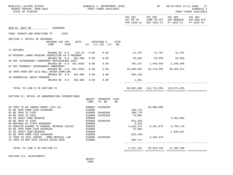| BPSC1L01 LAS/PBS SYSTEM<br>BUDGET PERIOD: 2009-2023<br>STATE OF FLORIDA            |                         |  |             |                  | SCHEDULE I- DEPARTMENT LEVEL<br>TRUST FUNDS AVAILABLE |             |                   | SP                                 |                                                                                                | 09/15/2021 13:11 PAGE: 37<br><b>SCHEDULE I</b><br>TRUST FUNDS AVAILABLE |
|------------------------------------------------------------------------------------|-------------------------|--|-------------|------------------|-------------------------------------------------------|-------------|-------------------|------------------------------------|------------------------------------------------------------------------------------------------|-------------------------------------------------------------------------|
|                                                                                    |                         |  |             |                  |                                                       |             | COL A01           | COL A02                            | COL A03<br>ACT PR YR CURR YR EST AGY REQUEST AGY REQ N/R<br>EXP 2020-21 EXP 2021-22 FY 2022-23 | COL A04<br>FY 2022-23                                                   |
| HEALTH, DEPT OF 64000000                                                           |                         |  |             |                  |                                                       |             |                   |                                    |                                                                                                |                                                                         |
| FUND: GRANTS AND DONATIONS TF 2339                                                 |                         |  |             |                  |                                                       |             |                   |                                    |                                                                                                |                                                                         |
| SECTION I: DETAIL OF REVENUES                                                      | REVENUE CAP SVC<br>CODE |  | <b>AUTH</b> |                  | MATCHING %<br>CHG <sup>&amp;</sup> ST I/C LOC I/C NO. | <b>CFDA</b> |                   |                                    |                                                                                                |                                                                         |
| 17 REFUNDS                                                                         |                         |  |             |                  |                                                       |             |                   |                                    |                                                                                                |                                                                         |
| D3 MIGRANT LABOR HOUSING INSPECTION H2-A PROGRAM                                   | 001800 NO 0.0 215.31    |  |             |                  | 0.00 0.00                                             |             |                   | $12,797$ $12,797$ $12,797$         |                                                                                                |                                                                         |
|                                                                                    | 001903 NO 0.0           |  | 381.006     | 0.00             | 0.00                                                  |             |                   | 28,836 28,836 28,836               |                                                                                                |                                                                         |
| 09 DOC INTERAGENCY AGREEMENT REPACKAGING SVCS                                      | 001903 NO 0.0 381.0203  |  |             | 0.00             | 0.00                                                  |             |                   | 705,247 1,346,940 1,346,940        |                                                                                                |                                                                         |
| 07 DOC PHARMACY INTERAGENCY AGREEMENT                                              |                         |  |             |                  |                                                       |             |                   |                                    |                                                                                                |                                                                         |
| 18 TNFR FROM DEP 2212 WELL WATER SAMPLING                                          | 001903 NO 0.0 381.0203  |  |             | 0.00             | 0.00                                                  |             | 26,830,502        | 35,178,593                         | 40,404,971                                                                                     |                                                                         |
|                                                                                    | 001903 NO 0.0 381.006   |  |             | 0.00             | 0.00                                                  |             | 584,130           |                                    |                                                                                                |                                                                         |
| 19 BIOMEDICAL WASTE PROGRAM                                                        | 001904 NO 8.0 381.006   |  |             | 0.00             | 0.00                                                  |             | 1,361             |                                    |                                                                                                |                                                                         |
| TOTAL TO LINE B IN SECTION IV                                                      |                         |  |             |                  |                                                       |             |                   | 80,053,490 118,719,294 118,974,455 |                                                                                                |                                                                         |
|                                                                                    |                         |  |             |                  |                                                       |             |                   |                                    |                                                                                                |                                                                         |
| SECTION II: DETAIL OF NONOPERATING EXPENDITURES                                    |                         |  |             | OBJECT           | TRANSFER CFDA                                         |             |                   |                                    |                                                                                                |                                                                         |
|                                                                                    |                         |  |             | CODE             | TO BE                                                 | NO.         |                   |                                    |                                                                                                |                                                                         |
| AD TNFR TO GR 180056 SWEEP (215.32)                                                |                         |  |             | 990002           | 64200200                                              |             |                   | 20,000,000                         |                                                                                                |                                                                         |
| AC BE TNFR FROM 2339 64200200                                                      |                         |  |             | 810000           |                                                       |             | 108,779-          |                                    |                                                                                                |                                                                         |
| 01 BE TNFR TO 2339<br>03 BE TNFR TO 2339                                           |                         |  |             | 810000<br>810000 | 64400100<br>64200100                                  |             | 108,779<br>75,086 |                                    |                                                                                                |                                                                         |
| 04 5% TRUST FUND RESERVE                                                           |                         |  |             | 999000           |                                                       |             |                   |                                    | 3,562,064                                                                                      |                                                                         |
| 05 BE TNFR TO 2339<br>06 REFUNDS OF STATE REVENUES                                 |                         |  |             | 810000<br>860000 | 64300100                                              |             | 825,250<br>9,210  |                                    |                                                                                                |                                                                         |
| 02 SERVICE CHARGE TO GENERAL REVENUE 310322                                        |                         |  |             | 880800           |                                                       |             | 3,816,273         | 6,187,675                          | 5,793,178                                                                                      |                                                                         |
| 03 BE TNFR FROM 2339 64200200                                                      |                         |  |             | 810000           |                                                       |             | 75,086-           |                                    |                                                                                                |                                                                         |
| 03 5% TRUST FUND RESERVE<br>01 BE TNFR FROM 2339 64200200                          |                         |  |             | 999000<br>810000 |                                                       |             | $825, 250 -$      |                                    | 1,846,927                                                                                      |                                                                         |
| 12 TNFR TO 2531 180205 - OMMU MEDICAL LAB<br>13 TNFR TO DEP 2526 181254 OSTDS FEES |                         |  |             | 810000<br>810000 | 64200200                                              |             | 306,711           | 3,346,474                          |                                                                                                |                                                                         |
| TOTAL TO LINE E IN SECTION IV                                                      |                         |  |             |                  |                                                       |             | 4,132,194         | 29,534,149                         | 11,202,169                                                                                     |                                                                         |
|                                                                                    |                         |  |             |                  |                                                       |             |                   |                                    |                                                                                                |                                                                         |

SECTION III: ADJUSTMENTS

 OBJECT **CODE**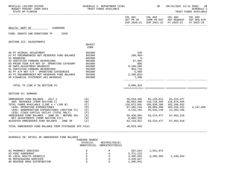| BPSC1L01 LAS/PBS SYSTEM<br>BUDGET PERIOD: 2009-2023<br>STATE OF FLORIDA                                                                                                                                                                         |                                   | SCHEDULE I- DEPARTMENT LEVEL<br>TRUST FUNDS AVAILABLE |                                                                                          | SP                                                     | 09/15/2021 13:11 PAGE: 38                                                                                              | <b>SCHEDULE I</b><br>TRUST FUNDS AVAILABLE |
|-------------------------------------------------------------------------------------------------------------------------------------------------------------------------------------------------------------------------------------------------|-----------------------------------|-------------------------------------------------------|------------------------------------------------------------------------------------------|--------------------------------------------------------|------------------------------------------------------------------------------------------------------------------------|--------------------------------------------|
|                                                                                                                                                                                                                                                 |                                   |                                                       |                                                                                          |                                                        | COL A01 COL A02 COL A03 COL A04<br>ACT PR YR CURR YR EST AGY REQUEST AGY REQ N/R<br>EXP 2020-21 EXP 2021-22 FY 2022-23 | FY 2022-23                                 |
| HEALTH, DEPT OF 64000000                                                                                                                                                                                                                        |                                   |                                                       |                                                                                          |                                                        |                                                                                                                        |                                            |
| FUND: GRANTS AND DONATIONS TF 2339                                                                                                                                                                                                              |                                   |                                                       |                                                                                          |                                                        |                                                                                                                        |                                            |
| SECTION III: ADJUSTMENTS                                                                                                                                                                                                                        |                                   |                                                       |                                                                                          |                                                        |                                                                                                                        |                                            |
|                                                                                                                                                                                                                                                 | OBJECT<br>CODE                    |                                                       |                                                                                          |                                                        |                                                                                                                        |                                            |
| AD PY ACCRUAL ADJUSTMENT<br>AJ PY ENCUMBRANCES NOT RESERVED FUND BALANCE<br>01 ROUNDING                                                                                                                                                         | 991000<br>991000<br>991000        |                                                       | 245<br>$109, 403 -$<br>$6-$                                                              |                                                        |                                                                                                                        |                                            |
| 02 CERTIFIED FORWARD REVERSIONS<br>03 PRIOR YEAR A/P NOT CF- OPERATING CATEGORY<br>05 SWFS ADJUSTMENT B6400325                                                                                                                                  | 991000<br>991000<br>991000        |                                                       | 67,955<br>866<br>8,109,690                                                               |                                                        |                                                                                                                        |                                            |
| 01 CERTIFIED FORWARD REVERSIONS<br>02 PY A/P NOT C/F - OPERATING CATEGORIES<br>03 PY ENCUMBRANCES NOT RESERVED FUND BALANCE 991000<br>05 FINANCIAL STATEMENT ADJ B6400342                                                                       | 991000<br>991000<br>991000        |                                                       | 994,718<br>5,689<br>$2,396,832-$<br>7,388                                                |                                                        |                                                                                                                        |                                            |
| TOTAL TO LINE H IN SECTION IV                                                                                                                                                                                                                   |                                   |                                                       | 6,680,310                                                                                |                                                        |                                                                                                                        |                                            |
| SECTION IV: SUMMARY                                                                                                                                                                                                                             |                                   |                                                       |                                                                                          |                                                        |                                                                                                                        |                                            |
| UNRESERVED FUND BALANCE - JULY 1<br>ADD: REVENUES (FROM SECTION I)<br>TOTAL FUNDS AVAILABLE (LINE $A + LINE B$ ) (C)<br>LESS: OPERATING EXPENDITURES<br>LESS: NONOPERATING EXPENDITURES (SECTION II)<br>LESS: FIXED CAPITAL OUTLAY (TOTAL ONLY) | (A)<br>(B)<br>(D)<br>( E )<br>(F) |                                                       | 46,819,455 62,118,812 63,214,477<br>80,053,490<br>126,872,945<br>67,302,249<br>4,132,194 | 118,719,294<br>180,838,106<br>88,089,480<br>29,534,149 | 118,974,455<br>182,188,932<br>103,534,253<br>11,202,169                                                                | 4,147,856                                  |
| UNRESERVED FUND BALANCE - JUNE 30 - BEFORE ADJ<br>NET ADJUSTMENTS (FROM SECTION III)<br>ADJUSTED UNRESERVED FUND BALANCE - JUNE 30                                                                                                              | (G)<br>(H)<br>$(\lrcorner)$       |                                                       | 55,438,502<br>6,680,310<br>62,118,812                                                    | 63,214,477                                             | 67,452,510<br>63, 214, 477 67, 452, 510                                                                                |                                            |
| TOTAL UNRESERVED FUND BALANCE FROM STATEWIDE CFO FILE:                                                                                                                                                                                          |                                   |                                                       | 46,819,455                                                                               |                                                        |                                                                                                                        |                                            |
|                                                                                                                                                                                                                                                 |                                   |                                                       |                                                                                          |                                                        |                                                                                                                        |                                            |
| SCHEDULE IB: DETAIL OF UNRESERVED FUND BALANCE                                                                                                                                                                                                  | FUNDING SOURCE<br>STATE(S)        | RESTRICTED(R)<br>NONSTATE(N) UNRESTRICTED(U)          |                                                                                          |                                                        |                                                                                                                        |                                            |
| 02 PHARMACY SERVICES<br>03 FDOC AGREEMENT<br>04 LOCAL HEALTH COUNCILS                                                                                                                                                                           | S<br>S<br>$\rm S$                 | R<br>U<br>U                                           | 597,544<br>5,371,123<br>3,495,593                                                        | 1,551,674<br>3,495,593                                 | 1,248,934                                                                                                              |                                            |
| 05 REPACKAGING SERVICES<br>06 REVERSE DRUG DISTRIBUTION                                                                                                                                                                                         | S<br>S                            | U<br>U                                                | 3,430,027<br>1,665,041                                                                   |                                                        |                                                                                                                        |                                            |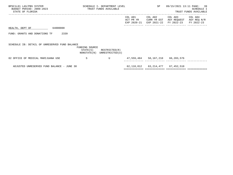| BPSC1L01 LAS/PBS SYSTEM<br>BUDGET PERIOD: 2009-2023<br>STATE OF FLORIDA |          |                | SCHEDULE I- DEPARTMENT LEVEL<br>TRUST FUNDS AVAILABLE      |                                     | SP                                         | 09/15/2021 13:11 PAGE: 39            | SCHEDULE I<br>TRUST FUNDS AVAILABLE  |
|-------------------------------------------------------------------------|----------|----------------|------------------------------------------------------------|-------------------------------------|--------------------------------------------|--------------------------------------|--------------------------------------|
|                                                                         |          |                |                                                            | COL A01<br>ACT PR YR<br>EXP 2020-21 | COL A02<br>CURR YR EST<br>EXP 2021-22      | COL A03<br>AGY REQUEST<br>FY 2022-23 | COL A04<br>AGY REQ N/R<br>FY 2022-23 |
| HEALTH, DEPT OF                                                         | 64000000 |                |                                                            |                                     |                                            |                                      |                                      |
| FUND: GRANTS AND DONATIONS TF                                           | 2339     |                |                                                            |                                     |                                            |                                      |                                      |
| SCHEDULE IB: DETAIL OF UNRESERVED FUND BALANCE                          |          | FUNDING SOURCE | $STATE(S)$ RESTRICTED $(R)$<br>NONSTATE(N) UNRESTRICTED(U) |                                     |                                            |                                      |                                      |
| 02 OFFICE OF MEDICAL MARIJUANA USE                                      |          | S              | U                                                          |                                     | 47,559,484 58,167,210 66,203,576           |                                      |                                      |
| ADJUSTED UNRESERVED FUND BALANCE - JUNE 30                              |          |                |                                                            |                                     | 62, 118, 812   63, 214, 477   67, 452, 510 |                                      |                                      |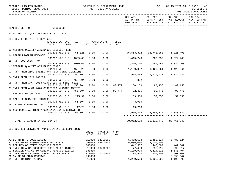| BPSC1L01 LAS/PBS SYSTEM<br>BUDGET PERIOD: 2009-2023<br>STATE OF FLORIDA                  |                            |                  |         |                  | SCHEDULE I- DEPARTMENT LEVEL<br>TRUST FUNDS AVAILABLE |             |                               | <b>SP</b> SP                   | 09/15/2021 13:11 PAGE:                                                                                 | 40<br>SCHEDULE I<br>TRUST FUNDS AVAILABLE |
|------------------------------------------------------------------------------------------|----------------------------|------------------|---------|------------------|-------------------------------------------------------|-------------|-------------------------------|--------------------------------|--------------------------------------------------------------------------------------------------------|-------------------------------------------|
|                                                                                          |                            |                  |         |                  |                                                       |             |                               | COL A01 COL A02                | COL A03 COL A04<br>ACT PR YR CURR YR EST AGY REQUEST AGY REQ N/R<br>EXP 2020-21 EXP 2021-22 FY 2022-23 | FY 2022-23                                |
| HEALTH, DEPT OF 64000000                                                                 |                            |                  |         |                  |                                                       |             |                               |                                |                                                                                                        |                                           |
| FUND: MEDICAL QLTY ASSURANCE TF 2352                                                     |                            |                  |         |                  |                                                       |             |                               |                                |                                                                                                        |                                           |
| SECTION I: DETAIL OF REVENUES                                                            |                            |                  |         |                  |                                                       |             |                               |                                |                                                                                                        |                                           |
|                                                                                          | REVENUE CAP SVC<br>CODE    | CHG <sup>8</sup> |         |                  | AUTH MATCHING %<br>ST I/C LOC I/C                     | CFDA<br>NO. |                               |                                |                                                                                                        |                                           |
| 02 MEDICAL QUALITY ASSURANCE LICENSE FEES                                                | 000202 YES 8.0             |                  | 456.025 | 0.00             | 0.00                                                  |             | 76,563,322 93,748,283         |                                | 75,325,490                                                                                             |                                           |
| 14 NSLTF PROGRAM FEE-DOE                                                                 |                            |                  |         |                  |                                                       |             |                               |                                |                                                                                                        |                                           |
| 15 TNFR DOE 2505 TR94                                                                    | 000202 YES 0.0             |                  | 1009.66 | 0.00             | 0.00                                                  |             |                               | 1,415,740 960,952 1,322,208    |                                                                                                        |                                           |
| YY MEDICAL QUALITY ASSURANCE FINES                                                       | 000202 YES 0.0             |                  | 1009.66 | 0.00             | 0.00                                                  |             |                               | 1,415,740- 960,952- 1,322,208- |                                                                                                        |                                           |
|                                                                                          | 001200 NO 8.0              |                  | 456.025 | 0.00             | 0.00                                                  |             |                               |                                |                                                                                                        |                                           |
| 03 TNFR FROM 2569 180251 RAD TECH CERTIFICATIONS                                         | 001500 NO 0.0              |                  | 456.004 | 0.00             | 0.00                                                  |             | 978,309                       |                                | 1, 126, 632 1, 126, 632                                                                                |                                           |
| 04 TNFR FROM 2021 180205                                                                 |                            |                  |         |                  |                                                       |             |                               |                                |                                                                                                        |                                           |
| 05 TNFR FROM AHCA 2003 CERTIFIED NURSING ASSIST                                          | 001500 NO 0.0              |                  | 456.004 | 0.00             | 0.00                                                  |             | 332                           |                                |                                                                                                        |                                           |
|                                                                                          | 001510 NO 0.0              |                  | 456.004 | 0.00             | 0.00                                                  |             | 93.777 80,156 80,156 80,156   |                                |                                                                                                        |                                           |
| 07 TNFR FROM AHCA 2474 CERTIFIED NURSING ASSIST                                          |                            |                  |         |                  |                                                       |             |                               |                                |                                                                                                        |                                           |
| 01 REFUNDS PRIOR YEAR                                                                    | 001510 NO 0.0              |                  | 456.004 | 0.00             | 0.00                                                  |             | 93.777 92,476 92,476 92,476   |                                |                                                                                                        |                                           |
|                                                                                          | 001800 NO 0.0 215.31       |                  |         | 0.00             | 0.00                                                  |             |                               | 59,550 59,550                  | 59,550                                                                                                 |                                           |
| 10 SALE OF SERVICES OUTSIDE                                                              |                            |                  |         |                  |                                                       |             |                               |                                |                                                                                                        |                                           |
| 16 12 MONTH WARRANT CANX                                                                 | 001905 YES 8.0 456.004     |                  |         | 0.00             | 0.00                                                  |             | 3,906                         |                                |                                                                                                        |                                           |
|                                                                                          | 003800 NO 0.0              |                  | 17.26   | 0.00             |                                                       |             | $0.00$ 19,713                 |                                |                                                                                                        |                                           |
| 12 NEUROLOGICAL INJURY COMPENSATION ASSOCIATION                                          |                            |                  |         |                  |                                                       |             |                               |                                |                                                                                                        |                                           |
|                                                                                          | 005000 NO 0.0 456.004 0.00 |                  |         |                  | 0.00                                                  |             | 1,955,844 2,581,812 2,348,084 |                                |                                                                                                        |                                           |
| TOTAL TO LINE B IN SECTION IV                                                            |                            |                  |         |                  |                                                       |             |                               | 80,912,690   99,118,470        | 80,461,949                                                                                             |                                           |
|                                                                                          |                            |                  |         |                  |                                                       |             |                               |                                |                                                                                                        |                                           |
| SECTION II: DETAIL OF NONOPERATING EXPENDITURES                                          |                            |                  |         |                  | OBJECT TRANSFER CFDA                                  |             |                               |                                |                                                                                                        |                                           |
|                                                                                          |                            |                  |         | CODE             | TO BE                                                 | NO.         |                               |                                |                                                                                                        |                                           |
| A1 BE TNFR TO 2021 185080                                                                |                            |                  |         | 810000           | 64100200                                              |             | 5,488,624                     | 5,488,624                      | 5,488,624                                                                                              |                                           |
| A2 TNFR TO GR 180056 SWEEP SEC 215.32                                                    |                            |                  |         | 990002           | 64400100                                              |             | 5,000,000                     | 15,000,000                     |                                                                                                        |                                           |
| CH REFUNDS OF STATE REVENUES 220020                                                      |                            |                  |         | 860000           |                                                       |             | 442,507                       | 442,507                        | 442,507                                                                                                |                                           |
| P2 TNFR TO AHCA 2003 HCTF COST ALLOC 181067                                              |                            |                  |         | 810000           | 68700700                                              |             | 77,489                        | 296,917                        | 296,917                                                                                                |                                           |
| 02 SERVICE CHARGE TO GENERAL REVENUE 310322<br>04 TNFR TO FDLE 2510 INVESTIGATIVE 181317 |                            |                  |         | 880800<br>810000 | 71700100                                              |             | 6,119,976<br>84,912           | 7,614,228<br>500,000           | 6,140,404<br>500,000                                                                                   |                                           |
| 06 5% TRUST FUND RESERVE                                                                 |                            |                  |         | 999000           |                                                       |             |                               |                                | 3,390,647                                                                                              |                                           |
| 11 TNFR TO NICA-310345                                                                   |                            |                  |         | 810000           |                                                       |             | 1,259,500                     | 1,106,500                      | 1,106,500                                                                                              |                                           |

------------- ------------- ------------- -------------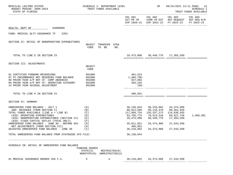| BPSC1L01 LAS/PBS SYSTEM<br>BUDGET PERIOD: 2009-2023<br>STATE OF FLORIDA                                                                                                                                                                                                                    | SCHEDULE I- DEPARTMENT LEVEL                              | TRUST FUNDS AVAILABLE         |     |                                                       | SP                                      | 09/15/2021 13:11 PAGE: 41                                                                                                                                 | <b>SCHEDULE I</b><br>TRUST FUNDS AVAILABLE |
|--------------------------------------------------------------------------------------------------------------------------------------------------------------------------------------------------------------------------------------------------------------------------------------------|-----------------------------------------------------------|-------------------------------|-----|-------------------------------------------------------|-----------------------------------------|-----------------------------------------------------------------------------------------------------------------------------------------------------------|--------------------------------------------|
|                                                                                                                                                                                                                                                                                            |                                                           |                               |     |                                                       |                                         | COL A01 COL A02 COL A03 COL A04<br>ACT PR YR CURR YR EST AGY REQUEST AGY REQ N/R<br>EXP 2020-21 EXP 2021-22 FY 2022-23                                    | FY 2022-23                                 |
| 64000000<br>HEALTH, DEPT OF                                                                                                                                                                                                                                                                |                                                           |                               |     |                                                       |                                         |                                                                                                                                                           |                                            |
| FUND: MEDICAL QLTY ASSURANCE TF<br>2352                                                                                                                                                                                                                                                    |                                                           |                               |     |                                                       |                                         |                                                                                                                                                           |                                            |
| SECTION II: DETAIL OF NONOPERATING EXPENDITURES                                                                                                                                                                                                                                            | CODE                                                      | OBJECT TRANSFER CFDA<br>TO BE | NO. |                                                       |                                         |                                                                                                                                                           |                                            |
| TOTAL TO LINE E IN SECTION IV                                                                                                                                                                                                                                                              |                                                           |                               |     |                                                       |                                         | 18,473,008 30,448,776 17,365,599                                                                                                                          |                                            |
| SECTION III: ADJUSTMENTS                                                                                                                                                                                                                                                                   | OBJECT<br>CODE                                            |                               |     |                                                       |                                         |                                                                                                                                                           |                                            |
| 01 CERTIFIED FORWARD REVERSIONS<br>07 PY ENCUMBRANCE NOT RESERVED FUND BALANCE<br>08 PRIOR YEAR A/P NOT CF- COMP ABSENCES<br>09 PRIOR YEAR A/P NOT CF- OPERATING CATEGORY<br>14 PRIOR YEAR ACCRUAL ADJUSTMENT                                                                              | 991000<br>991000<br>991000<br>991000<br>991000            |                               |     | 491,523<br>1,384,796-<br>937,056<br>363,226<br>$158-$ |                                         |                                                                                                                                                           |                                            |
| TOTAL TO LINE H IN SECTION IV                                                                                                                                                                                                                                                              |                                                           |                               |     | 406,851                                               |                                         |                                                                                                                                                           |                                            |
| SECTION IV: SUMMARY                                                                                                                                                                                                                                                                        |                                                           |                               |     |                                                       |                                         |                                                                                                                                                           |                                            |
| UNRESERVED FUND BALANCE - JULY 1<br>ADD: REVENUES (FROM SECTION I)<br>TOTAL FUNDS AVAILABLE (LINE A + LINE B)<br>LESS: OPERATING EXPENDITURES<br>LESS: NONOPERATING EXPENDITURES (SECTION II)<br>LESS: FIXED CAPITAL OUTLAY (TOTAL ONLY)<br>UNRESERVED FUND BALANCE - JUNE 30 - BEFORE ADJ | (A)<br>(B)<br>(C)<br>(D)<br>( E )<br>(F)<br>(G)           |                               |     | 117,050,734<br>18,473,008<br>35,811,951               | 135,337,272<br>30,448,776<br>34,374,986 | 36, 138, 044 36, 218, 802 34, 374, 986<br>80,912,690 99,118,470 80,461,949<br>114,836,935<br>62,765,775 70,513,510 69,927,746<br>17,365,599<br>27,543,590 | 1,960,381                                  |
| NET ADJUSTMENTS (FROM SECTION III)<br>ADJUSTED UNRESERVED FUND BALANCE - JUNE 30                                                                                                                                                                                                           | (H)<br>(T)                                                |                               |     | 406,851<br>36, 218, 802                               | 34,374,986                              | 27,543,590                                                                                                                                                |                                            |
| TOTAL UNRESERVED FUND BALANCE FROM STATEWIDE CFO FILE:                                                                                                                                                                                                                                     |                                                           |                               |     | 36, 138, 044                                          |                                         |                                                                                                                                                           |                                            |
|                                                                                                                                                                                                                                                                                            |                                                           |                               |     |                                                       |                                         |                                                                                                                                                           |                                            |
| SCHEDULE IB: DETAIL OF UNRESERVED FUND BALANCE                                                                                                                                                                                                                                             | FUNDING SOURCE<br>STATE(S)<br>NONSTATE(N) UNRESTRICTED(U) | RESTRICTED(R)                 |     |                                                       |                                         |                                                                                                                                                           |                                            |
| 01 MEDICAL ASSURANCE BOARDS 456 F.S.                                                                                                                                                                                                                                                       | S                                                         | U                             |     |                                                       |                                         | 36, 218, 802 34, 374, 986 27, 543, 590                                                                                                                    |                                            |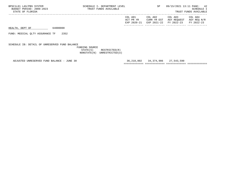HEALTH, DEPT OF 64000000

FUND: MEDICAL QLTY ASSURANCE TF 2352

SCHEDULE IB: DETAIL OF UNRESERVED FUND BALANCE

 FUNDING SOURCE STATE(S) RESTRICTED(R) NONSTATE(N) UNRESTRICTED(U)

ADJUSTED UNRESERVED FUND BALANCE - JUNE 30 36,218,802 34,374,986 27,543,590

============= ============= ============= =============

 EXP 2020-21 EXP 2021-22 FY 2022-23 FY 2022-23 ------------- ------------- ------------- -------------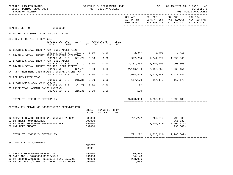| BPSC1L01 LAS/PBS SYSTEM<br>BUDGET PERIOD: 2009-2023<br>STATE OF FLORIDA                                                                                              |                         |                  |        |                                      | SCHEDULE I- DEPARTMENT LEVEL<br>TRUST FUNDS AVAILABLE |             |                                          | <b>SP</b> SP                  |                                                                                      | 09/15/2021 13:11 PAGE: 43<br><b>SCHEDULE I</b><br>TRUST FUNDS AVAILABLE |
|----------------------------------------------------------------------------------------------------------------------------------------------------------------------|-------------------------|------------------|--------|--------------------------------------|-------------------------------------------------------|-------------|------------------------------------------|-------------------------------|--------------------------------------------------------------------------------------|-------------------------------------------------------------------------|
|                                                                                                                                                                      |                         |                  |        |                                      |                                                       |             | COL A01<br>ACT PR YR                     | COL A02                       | COL A03<br>CURR YR EST AGY REQUEST AGY REQ N/R<br>EXP 2020-21 EXP 2021-22 FY 2022-23 | COL A04<br>FY 2022-23                                                   |
| HEALTH, DEPT OF 64000000                                                                                                                                             |                         |                  |        |                                      |                                                       |             |                                          |                               |                                                                                      |                                                                         |
| FUND: BRAIN & SPINAL CORD INJ/TF 2390                                                                                                                                |                         |                  |        |                                      |                                                       |             |                                          |                               |                                                                                      |                                                                         |
| SECTION I: DETAIL OF REVENUES                                                                                                                                        |                         |                  |        |                                      |                                                       |             |                                          |                               |                                                                                      |                                                                         |
|                                                                                                                                                                      | REVENUE CAP SVC<br>CODE | CHG <sup>8</sup> | AUTH   |                                      | MATCHING %<br>ST $I/C$ LOC $I/C$ NO.                  | CFDA        |                                          |                               |                                                                                      |                                                                         |
| 12 BRAIN & SPINAL INJURY PGM FINES ADULT MISC                                                                                                                        | 001100 NO 8.0           |                  | 381.79 | 0.00                                 | 0.00                                                  |             | 2,347 2,400 2,410                        |                               |                                                                                      |                                                                         |
| 01 BRAIN & SPINAL INJURY FINES BOATING VIOLATION                                                                                                                     | 001225 NO 8.0           |                  | 381.79 | 0.00                                 | 0.00                                                  |             | 992,254 1,041,777 1,093,866              |                               |                                                                                      |                                                                         |
| 02 BRAIN & SPINAL INJURY PGM FINES ADULT                                                                                                                             | 001225 NO 8.0           |                  | 381.79 | 0.00                                 | 0.00                                                  |             | 4,131,438                                | 4,800,000                     | 4,900,000                                                                            |                                                                         |
| 03 BRAIN & SPINAL INJURY PGM RED LIGHT TICKET                                                                                                                        | 001225 NO 8.0           |                  | 381.79 | 0.00                                 | 0.00                                                  |             | 2,146,190                                | 2,158,239                     | 2,266,151                                                                            |                                                                         |
| 04 TNFR FROM HSMV 2488 BRAIN & SPINAL INJURY PGM                                                                                                                     | 001520 NO 0.0           |                  | 381.79 | 0.00                                 | 0.00                                                  |             | 1,634,449                                |                               | 1,618,882 1,618,882                                                                  |                                                                         |
| 06 REFUNDS PRIOR YEAR                                                                                                                                                |                         |                  |        |                                      |                                                       |             |                                          |                               |                                                                                      |                                                                         |
| 17 BRAIN AND SPINAL CORD INJURY                                                                                                                                      | 001800 NO 0.0           |                  | 215.31 | 0.00                                 | 0.00                                                  |             | 117,179 117,179 117,179                  |                               |                                                                                      |                                                                         |
| 08 PRIOR YEAR WARRANT CANCELLATIONS                                                                                                                                  | 001903 NO 0.0           |                  | 381.79 | 0.00                                 | 0.00                                                  |             | 22                                       |                               |                                                                                      |                                                                         |
|                                                                                                                                                                      | 003700 NO 0.0           |                  | 215.31 | 0.00                                 | 0.00                                                  |             | 120                                      |                               |                                                                                      |                                                                         |
| TOTAL TO LINE B IN SECTION IV                                                                                                                                        |                         |                  |        |                                      |                                                       |             |                                          | 9,023,999 9,738,477 9,998,488 |                                                                                      |                                                                         |
| SECTION II: DETAIL OF NONOPERATING EXPENDITURES                                                                                                                      |                         |                  |        |                                      |                                                       |             |                                          |                               |                                                                                      |                                                                         |
|                                                                                                                                                                      |                         |                  |        | OBJECT<br>CODE                       | TRANSFER<br>TO BE                                     | CFDA<br>NO. |                                          |                               |                                                                                      |                                                                         |
| 02 SERVICE CHARGE TO GENERAL REVENUE 310322<br>03 5% TRUST FUND RESERVE                                                                                              |                         |                  |        | 880800<br>999000                     |                                                       |             |                                          | 721,222 769,677 790,505       | 361,637                                                                              |                                                                         |
| 04 ANTICIPATED BUDGET SURPLUS-WAIVER<br>08 UNFUNDED BUDGET                                                                                                           |                         |                  |        | 899000<br>899000                     |                                                       |             |                                          |                               | $2,505,111-2,505,111-$<br>$933,640-$                                                 |                                                                         |
| TOTAL TO LINE E IN SECTION IV                                                                                                                                        |                         |                  |        |                                      |                                                       |             | 721,222                                  | 1,735,434-                    | $2,286,609-$                                                                         |                                                                         |
| SECTION III: ADJUSTMENTS                                                                                                                                             |                         |                  |        |                                      |                                                       |             |                                          |                               |                                                                                      |                                                                         |
|                                                                                                                                                                      |                         |                  |        | OBJECT<br>CODE                       |                                                       |             |                                          |                               |                                                                                      |                                                                         |
| 01 CERTIFIED FORWARD REVERSIONS<br>02 SWFS ADJ - B6400306 RECEIVABLE<br>03 PY ENCUMBRANCES NOT RESERVED FUND BALANCE<br>04 PRIOR YEAR A/P NOT CF- OPERATING CATEGORY |                         |                  |        | 991000<br>991000<br>991000<br>991000 |                                                       |             | 736,904<br>64,143<br>$228,936-$<br>7,632 |                               |                                                                                      |                                                                         |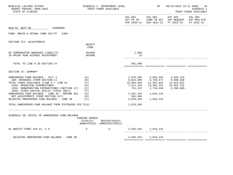| BPSC1L01 LAS/PBS SYSTEM<br>BUDGET PERIOD: 2009-2023<br>STATE OF FLORIDA                                                                                                                                                                                                                                                                                                                                                                            |                                               | SCHEDULE I- DEPARTMENT LEVEL<br>TRUST FUNDS AVAILABLE      |                                                                         | SP                                                                                                 | 09/15/2021 13:11 PAGE: 44                                                                                                                       | <b>SCHEDULE I</b><br>TRUST FUNDS AVAILABLE |
|----------------------------------------------------------------------------------------------------------------------------------------------------------------------------------------------------------------------------------------------------------------------------------------------------------------------------------------------------------------------------------------------------------------------------------------------------|-----------------------------------------------|------------------------------------------------------------|-------------------------------------------------------------------------|----------------------------------------------------------------------------------------------------|-------------------------------------------------------------------------------------------------------------------------------------------------|--------------------------------------------|
|                                                                                                                                                                                                                                                                                                                                                                                                                                                    |                                               |                                                            |                                                                         |                                                                                                    | COL A01 COL A02 COL A03 COL A04<br>ACT PR YR $\,$ CURR YR EST $\,$ AGY REQUEST $\,$ AGY REQ $\,$ N/R $\,$<br>EXP 2020-21 EXP 2021-22 FY 2022-23 | FY 2022-23                                 |
| HEALTH, DEPT OF 64000000                                                                                                                                                                                                                                                                                                                                                                                                                           |                                               |                                                            |                                                                         |                                                                                                    |                                                                                                                                                 |                                            |
| FUND: BRAIN & SPINAL CORD INJ/TF<br>2390                                                                                                                                                                                                                                                                                                                                                                                                           |                                               |                                                            |                                                                         |                                                                                                    |                                                                                                                                                 |                                            |
| SECTION III: ADJUSTMENTS                                                                                                                                                                                                                                                                                                                                                                                                                           |                                               |                                                            |                                                                         |                                                                                                    |                                                                                                                                                 |                                            |
|                                                                                                                                                                                                                                                                                                                                                                                                                                                    | OBJECT<br>CODE                                |                                                            |                                                                         |                                                                                                    |                                                                                                                                                 |                                            |
| 05 COMPENSATED ABSENCES LIABILITY<br>10 PRIOR YEAR ACCRUAL ADJUSTMENT                                                                                                                                                                                                                                                                                                                                                                              | 991000<br>991000                              |                                                            | 1,969<br>$22-$                                                          |                                                                                                    |                                                                                                                                                 |                                            |
| TOTAL TO LINE H IN SECTION IV                                                                                                                                                                                                                                                                                                                                                                                                                      |                                               |                                                            | 581,690                                                                 |                                                                                                    |                                                                                                                                                 |                                            |
| SECTION IV: SUMMARY                                                                                                                                                                                                                                                                                                                                                                                                                                |                                               |                                                            |                                                                         |                                                                                                    |                                                                                                                                                 |                                            |
| UNRESERVED FUND BALANCE - JULY 1<br>ADD: REVENUES (FROM SECTION I)<br>TOTAL FUNDS AVAILABLE (LINE A + LINE B)<br>LESS: OPERATING EXPENDITURES<br>LESS: NONOPERATING EXPENDITURES (SECTION II) (E)<br>LESS: FIXED CAPITAL OUTLAY (TOTAL ONLY)<br>UNRESERVED FUND BALANCE - JUNE 30 - BEFORE ADJ $(G)$<br>NET ADJUSTMENTS (FROM SECTION III)<br>ADJUSTED UNRESERVED FUND BALANCE - JUNE 30<br>TOTAL UNRESERVED FUND BALANCE FROM STATEWIDE CFO FILE: | (A)<br>(B)<br>(C)<br>(D)<br>(F)<br>(H)<br>(1) |                                                            | 10,894,204<br>7,911,218<br>721,222<br>581,690<br>2,843,454<br>1,870,205 | 1,870,205 2,843,454 1,016,134<br>9,023,999 9,738,477 9,998,488<br>2,261,764 1,016,134<br>1,016,134 | 1,735,434-2,286,609-                                                                                                                            |                                            |
|                                                                                                                                                                                                                                                                                                                                                                                                                                                    |                                               |                                                            |                                                                         |                                                                                                    |                                                                                                                                                 |                                            |
| SCHEDULE IB: DETAIL OF UNRESERVED FUND BALANCE                                                                                                                                                                                                                                                                                                                                                                                                     | FUNDING SOURCE                                | $STATE(S)$ RESTRICTED $(R)$<br>NONSTATE(N) UNRESTRICTED(U) |                                                                         |                                                                                                    |                                                                                                                                                 |                                            |
| 01 B&SCIP FINES 318.21, F.S.                                                                                                                                                                                                                                                                                                                                                                                                                       | S                                             | $\mathbf{U}$                                               |                                                                         | 2,843,454 1,016,134                                                                                |                                                                                                                                                 |                                            |
| ADJUSTED UNRESERVED FUND BALANCE - JUNE 30                                                                                                                                                                                                                                                                                                                                                                                                         |                                               |                                                            |                                                                         | 2,843,454 1,016,134                                                                                |                                                                                                                                                 |                                            |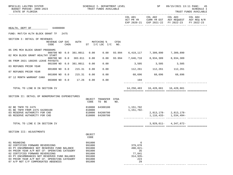| BPSC1L01 LAS/PBS SYSTEM<br>BUDGET PERIOD: 2009-2023<br>STATE OF FLORIDA                                                                                                                                                                                                                                                 |                         |                  |             |                                                                              | SCHEDULE I- DEPARTMENT LEVEL<br>TRUST FUNDS AVAILABLE |        |                                                                        | <b>SP</b>                                  | 09/15/2021 13:11 PAGE: 45                                                                                      | <b>SCHEDULE I</b><br>TRUST FUNDS AVAILABLE |
|-------------------------------------------------------------------------------------------------------------------------------------------------------------------------------------------------------------------------------------------------------------------------------------------------------------------------|-------------------------|------------------|-------------|------------------------------------------------------------------------------|-------------------------------------------------------|--------|------------------------------------------------------------------------|--------------------------------------------|----------------------------------------------------------------------------------------------------------------|--------------------------------------------|
|                                                                                                                                                                                                                                                                                                                         |                         |                  |             |                                                                              |                                                       |        |                                                                        |                                            | COL A01 COL A02 COL A03<br>ACT PR YR CURR YR EST AGY REQUEST AGY REQ N/R<br>EXP 2020-21 EXP 2021-22 FY 2022-23 | COL A04<br>FY 2022-23                      |
| HEALTH, DEPT OF 64000000                                                                                                                                                                                                                                                                                                |                         |                  |             |                                                                              |                                                       |        |                                                                        |                                            |                                                                                                                |                                            |
| FUND: MAT/CH HLTH BLOCK GRANT TF 2475                                                                                                                                                                                                                                                                                   |                         |                  |             |                                                                              |                                                       |        |                                                                        |                                            |                                                                                                                |                                            |
| SECTION I: DETAIL OF REVENUES                                                                                                                                                                                                                                                                                           | REVENUE CAP SVC<br>CODE | CHG <sup>8</sup> | <b>AUTH</b> |                                                                              | MATCHING %<br>ST I/C LOC I/C NO.                      | CFDA   |                                                                        |                                            |                                                                                                                |                                            |
| 05 CMS MCH BLOCK GRANT PROGRAMS                                                                                                                                                                                                                                                                                         |                         |                  |             |                                                                              |                                                       |        |                                                                        |                                            |                                                                                                                |                                            |
| 02 MCH BLOCK GRANT HEALTHY START                                                                                                                                                                                                                                                                                        | 000700 NO 0.0 381.0011  |                  |             | 0.00                                                                         | 0.00                                                  | 93.994 |                                                                        | 6,419,117 7,309,890                        | 7,309,890                                                                                                      |                                            |
| 06 FROM 2021 180205 LEAVE PAYOUTS                                                                                                                                                                                                                                                                                       | 000700 NO 0.0 383.011   |                  |             | 0.00                                                                         | 0.00                                                  | 93.994 |                                                                        | 7,646,710 8,934,309 8,934,309              |                                                                                                                |                                            |
| 03 REFUNDS PRIOR YEAR                                                                                                                                                                                                                                                                                                   | 001500 NO 0.0 381.0011  |                  |             | 0.00                                                                         | 0.00                                                  |        |                                                                        | 3,505 3,505 3,505                          |                                                                                                                |                                            |
| 07 REFUNDS PRIOR YEAR                                                                                                                                                                                                                                                                                                   | 001800 NO 0.0           |                  | 215.31      | 0.00                                                                         | 0.00                                                  |        | $112,261$ $112,261$ $112,261$                                          |                                            |                                                                                                                |                                            |
|                                                                                                                                                                                                                                                                                                                         | 001800 NO 0.0           |                  | 215.31      | 0.00                                                                         | 0.00                                                  |        | $68,696$ $68,696$ $68,696$                                             |                                            |                                                                                                                |                                            |
| 07 12 MONTH WARRANT CANX                                                                                                                                                                                                                                                                                                | 003800 NO 0.0 17.26     |                  |             | 0.00                                                                         | 0.00                                                  |        | 194                                                                    |                                            |                                                                                                                |                                            |
| TOTAL TO LINE B IN SECTION IV                                                                                                                                                                                                                                                                                           |                         |                  |             |                                                                              |                                                       |        |                                                                        | 14, 250, 483   16, 428, 661   16, 428, 661 |                                                                                                                |                                            |
| SECTION II: DETAIL OF NONOPERATING EXPENDITURES                                                                                                                                                                                                                                                                         |                         |                  |             | CODE                                                                         | OBJECT TRANSFER CFDA<br>TO BE                         | NO.    |                                                                        |                                            |                                                                                                                |                                            |
| 02 BE TNFR TO 2475<br>01 BE TNFR FROM 2475 64200100<br>03 RESERVE AUTHORITY FOR CHD<br>05 RESERVE AUTHORITY FOR CHD                                                                                                                                                                                                     |                         |                  |             | 810000<br>810000                                                             | 64300100<br>810000 64200700<br>810000 64200700        |        | 1,151,702<br>1,151,702-                                                |                                            | $2,813,178-2,813,178-$<br>$1, 116, 433 - 1, 534, 494 -$                                                        |                                            |
| TOTAL TO LINE E IN SECTION IV                                                                                                                                                                                                                                                                                           |                         |                  |             |                                                                              |                                                       |        |                                                                        | 3,929,611-                                 | 4,347,672-                                                                                                     |                                            |
| SECTION III: ADJUSTMENTS                                                                                                                                                                                                                                                                                                |                         |                  |             | OBJECT<br>CODE                                                               |                                                       |        |                                                                        |                                            |                                                                                                                |                                            |
| 01 ROUNDING<br>02 CERTIFIED FORWARD REVERSIONS<br>03 PY ENCUMBRANCE NOT RESERVED FUND BALANCE<br>04 PRIOR YEAR A/P NOT CF- OPERATING CATEGORY<br>02 CERTIFIED FORWARD REVERSIONS<br>03 PY ENCUMBRANCES NOT RESERVED FUND BALANCE<br>04 PRIOR YEAR A/P NOT CF- OPERATING CATEGORY<br>07 A/P NOT C/F COMPENSATED ABSENCES |                         |                  |             | 991000<br>991000<br>991000<br>991000<br>991000<br>991000<br>991000<br>991000 |                                                       |        | 6<br>379,670<br>$490,821 -$<br>35<br>77,841<br>$314,935-$<br>223<br>29 |                                            |                                                                                                                |                                            |

------------- ------------- ------------- -------------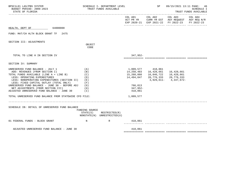| BPSC1L01 LAS/PBS SYSTEM<br>BUDGET PERIOD: 2009-2023<br>STATE OF FLORIDA                                                                                                                                                                                                                                                                                                                                                                  |                                                             | SCHEDULE I- DEPARTMENT LEVEL<br>TRUST FUNDS AVAILABLE |                                                                                       | SP                                                                     | 09/15/2021 13:11 PAGE: 46                                                                      | <b>SCHEDULE I</b><br>TRUST FUNDS AVAILABLE |
|------------------------------------------------------------------------------------------------------------------------------------------------------------------------------------------------------------------------------------------------------------------------------------------------------------------------------------------------------------------------------------------------------------------------------------------|-------------------------------------------------------------|-------------------------------------------------------|---------------------------------------------------------------------------------------|------------------------------------------------------------------------|------------------------------------------------------------------------------------------------|--------------------------------------------|
|                                                                                                                                                                                                                                                                                                                                                                                                                                          |                                                             |                                                       |                                                                                       | COL A01 COL A02                                                        | COL A03<br>ACT PR YR CURR YR EST AGY REQUEST AGY REQ N/R<br>EXP 2020-21 EXP 2021-22 FY 2022-23 | COL A04<br>FY 2022-23                      |
| HEALTH, DEPT OF 64000000                                                                                                                                                                                                                                                                                                                                                                                                                 |                                                             |                                                       |                                                                                       |                                                                        |                                                                                                |                                            |
| FUND: MAT/CH HLTH BLOCK GRANT TF 2475                                                                                                                                                                                                                                                                                                                                                                                                    |                                                             |                                                       |                                                                                       |                                                                        |                                                                                                |                                            |
| SECTION III: ADJUSTMENTS                                                                                                                                                                                                                                                                                                                                                                                                                 | OBJECT<br>CODE                                              |                                                       |                                                                                       |                                                                        |                                                                                                |                                            |
| TOTAL TO LINE H IN SECTION IV                                                                                                                                                                                                                                                                                                                                                                                                            |                                                             |                                                       | $347,952-$                                                                            |                                                                        |                                                                                                |                                            |
| SECTION IV: SUMMARY                                                                                                                                                                                                                                                                                                                                                                                                                      |                                                             |                                                       |                                                                                       |                                                                        |                                                                                                |                                            |
| UNRESERVED FUND BALANCE - JULY 1<br>ADD: REVENUES (FROM SECTION I)<br>TOTAL FUNDS AVAILABLE (LINE A + LINE B)<br>LESS: OPERATING EXPENDITURES<br>LESS: NONOPERATING EXPENDITURES (SECTION II)<br>LESS: FIXED CAPITAL OUTLAY (TOTAL ONLY)<br>UNRESERVED FUND BALANCE - JUNE 30 - BEFORE ADJ<br>NET ADJUSTMENTS (FROM SECTION III)<br>ADJUSTED UNRESERVED FUND BALANCE - JUNE 30<br>TOTAL UNRESERVED FUND BALANCE FROM STATEWIDE CFO FILE: | (A)<br>(B)<br>(C)<br>(D)<br>(E)<br>(F)<br>(G)<br>(H)<br>(1) |                                                       | 14,250,483<br>15,260,060<br>14,494,047<br>766,013<br>347,952-<br>418,061<br>1,009,577 | 1,009,577 418,061<br>16,428,661<br>16,846,722<br>20,776,333 20,776,333 | 16,428,661<br>16,428,661<br>3,929,611-4,347,672-                                               |                                            |
| SCHEDULE IB: DETAIL OF UNRESERVED FUND BALANCE                                                                                                                                                                                                                                                                                                                                                                                           | FUNDING SOURCE<br>STATE(S)                                  | RESTRICTED(R)<br>NONSTATE(N) UNRESTRICTED(U)          |                                                                                       |                                                                        |                                                                                                |                                            |
| 01 FEDERAL FUNDS - BLOCK GRANT                                                                                                                                                                                                                                                                                                                                                                                                           | $\mathbb N$                                                 | $\mathbb R$ and $\mathbb R$                           | 418,061                                                                               |                                                                        |                                                                                                |                                            |
| ADJUSTED UNRESERVED FUND BALANCE - JUNE 30                                                                                                                                                                                                                                                                                                                                                                                               |                                                             |                                                       | 418,061                                                                               |                                                                        |                                                                                                |                                            |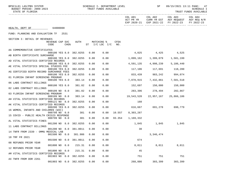TRUST FUNDS AVAILABLE

|                                          |                                             |          |                 |                |                         |                  | ACT PR YR CURR YR EST AGY REQUEST AGY REQ N/R<br>EXP 2020-21 EXP 2021-22 FY 2022-23 |           | FY 2022-23 |
|------------------------------------------|---------------------------------------------|----------|-----------------|----------------|-------------------------|------------------|-------------------------------------------------------------------------------------|-----------|------------|
| HEALTH, DEPT OF 64000000                 |                                             |          |                 |                |                         |                  |                                                                                     |           |            |
| FUND: PLANNING AND EVALUATION TF 2531    |                                             |          |                 |                |                         |                  |                                                                                     |           |            |
| SECTION I: DETAIL OF REVENUES            |                                             |          |                 |                |                         |                  |                                                                                     |           |            |
|                                          | REVENUE CAP SVC<br>CHG <sup>8</sup><br>CODE |          | AUTH MATCHING % | ST I/C LOC I/C | CFDA<br>NO <sub>z</sub> |                  |                                                                                     |           |            |
| AA COMMEMORATIVE CERTIFICATES            | 000100 YES 8.0 382.0255                     |          | 0.00            | 0.00           |                         |                  | 4,025 4,425 4,525                                                                   |           |            |
| AB BIRTH CERTIFICATE SURCHARGE           |                                             |          |                 |                |                         |                  |                                                                                     |           |            |
| AD VITAL STATISTICS CERTIFIED RECORDS    | 000100 YES 8.0 382.0255                     |          | 0.00            | 0.00           |                         |                  |                                                                                     |           |            |
|                                          | 000100 YES 8.0 382.0255                     |          | 0.00            | 0.00           |                         |                  | 4,591,135 4,998,239                                                                 | 5,186,440 |            |
| AE VITAL STATISTICS SPECIAL STUDIES FEE  |                                             |          |                 |                |                         |                  |                                                                                     |           |            |
|                                          | 000100 YES 8.0 382.0255                     |          | 0.00            | 0.00           |                         |                  | 117,106 117,691 118,280                                                             |           |            |
| AG CERTIFIED BIRTH RECORD SURCHARGE FEES | 000100 YES 8.0 382.0255                     |          | 0.00            | 0.00           |                         |                  | 833,439 983,242 994,074                                                             |           |            |
| 01 FLORIDA INFANT SCREENING PROGRAM      |                                             |          |                 |                |                         |                  |                                                                                     |           |            |
| 06 LABS CONTRACT BILLINGS                | 000100 YES 8.0                              | 383.14   | 0.00            | 0.00           |                         |                  | 7,078,915 7,432,861 7,581,518                                                       |           |            |
|                                          | 000100 YES 8.0                              | 381.02   | 0.00            | 0.00           |                         |                  | 152,697 150,000 150,000                                                             |           |            |
| 02 LABS CONTRACT BILLINGS                |                                             |          |                 |                |                         |                  |                                                                                     |           |            |
|                                          | 000109 NO 0.0                               | 381.02   | 0.00            | 0.00           |                         |                  | 283,396 278,494 282,867                                                             |           |            |
| 03 FLORIDA INFANT SCREENING PROGRAM      | 000109 NO 0.0                               | 383.14   | 0.00            | 0.00           |                         |                  | 19,543,520    22,957,167    25,866,186                                              |           |            |
| AH VITAL STATISTICS CERTIFIED RECORDS    |                                             |          |                 |                |                         |                  |                                                                                     |           |            |
|                                          | 000121 NO 8.0                               | 382.0255 | 0.00            | 0.00           |                         | 160              |                                                                                     |           |            |
| AK VITAL STATISTICS CERTIFIED RECORDS    |                                             |          |                 |                |                         |                  |                                                                                     |           |            |
|                                          | 000200 YES 8.0 382.0255                     |          | 0.00            | 0.00           |                         |                  | 616,667 691,278 698,779                                                             |           |            |
| 16 WOMEN, INFANTS AND CHILDREN (WIC)     |                                             |          |                 |                |                         |                  |                                                                                     |           |            |
|                                          | 000799 NO 0.0                               | 381      | 0.00            |                | 0.00 10.557             | 8,303,287        |                                                                                     |           |            |
| 15 COVID - PUBLIC HEALTH CRISIS RESPONSE | 000799 NO 0.0                               | 381      | 0.00            | 0.00           |                         | 93.354 1,169,332 |                                                                                     |           |            |
| AL VITAL STATISTICS FINES                |                                             |          |                 |                |                         |                  |                                                                                     |           |            |
|                                          | 001200 NO 8.0 382.0255                      |          | 0.00            | 0.00           |                         | 1,845            | 1,845 1,845                                                                         |           |            |
| 11 LABS CONTRACT BILLINGS                |                                             |          |                 |                |                         |                  |                                                                                     |           |            |
|                                          | 001200 NO 8.0 381.0011                      |          | 0.00            | 0.00           |                         | $\overline{30}$  |                                                                                     |           |            |
| 14 TNFR FROM 2339 - OMMU MEDICAL LAB     |                                             |          |                 |                |                         |                  |                                                                                     |           |            |
|                                          | 001500 NO 0.0 381.986 0.00                  |          |                 | 0.00           |                         |                  | 3,346,474                                                                           |           |            |
| 18 TRF FR 2021                           |                                             |          |                 |                |                         |                  |                                                                                     |           |            |
| 08 REFUNDS PRIOR YEAR                    | 001500 NO 0.0 381.0011 0.00 0.00            |          |                 |                |                         | 674              |                                                                                     |           |            |
|                                          | 001800 NO 0.0                               | 215.31   | 0.00            | 0.00           |                         | 8,011            | 8,011                                                                               | 8,011     |            |
| 12 REFUNDS PRIOR YEAR                    |                                             |          |                 |                |                         |                  |                                                                                     |           |            |
|                                          | 001800 NO 0.0                               | 215.31   | 0.00            | 0.00           |                         | 45               |                                                                                     |           |            |
| AM VITAL STATISTICS CERTIFIED RECORDS    |                                             |          |                 |                |                         |                  |                                                                                     |           |            |
|                                          | 001903 NO 0.0                               | 382.0255 | 0.00            | 0.00           |                         | 751              | 751                                                                                 | 751       |            |
| AX TNFR FROM DOR 2261                    | 001903 NO 0.0 382.0255                      |          | 0.00            | 0.00           |                         | 268,886          | 303,399                                                                             | 303,399   |            |
|                                          |                                             |          |                 |                |                         |                  |                                                                                     |           |            |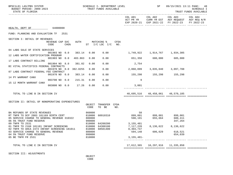| BPSC1L01 LAS/PBS SYSTEM<br>BUDGET PERIOD: 2009-2023<br>STATE OF FLORIDA                                                                                                    |                                      |      |         |                            | SCHEDULE I- DEPARTMENT LEVEL<br>TRUST FUNDS AVAILABLE      |      |                                      | SP                                   | 09/15/2021 13:11 PAGE: 48<br>SCHEDULE I<br>TRUST FUNDS AVAILABLE                                                                  |  |
|----------------------------------------------------------------------------------------------------------------------------------------------------------------------------|--------------------------------------|------|---------|----------------------------|------------------------------------------------------------|------|--------------------------------------|--------------------------------------|-----------------------------------------------------------------------------------------------------------------------------------|--|
|                                                                                                                                                                            |                                      |      |         |                            |                                                            |      |                                      |                                      | COL A01 COL A02 COL A03 COL A04<br>ACT PR YR CURR YR EST AGY REQUEST AGY REQ N/R<br>EXP 2020-21 EXP 2021-22 FY 2022-23 FY 2022-23 |  |
| HEALTH, DEPT OF 64000000                                                                                                                                                   |                                      |      |         |                            |                                                            |      |                                      |                                      |                                                                                                                                   |  |
| FUND: PLANNING AND EVALUATION TF 2531                                                                                                                                      |                                      |      |         |                            |                                                            |      |                                      |                                      |                                                                                                                                   |  |
| SECTION I: DETAIL OF REVENUES                                                                                                                                              | REVENUE CAP SVC<br>CODE              | CHG% |         |                            | AUTH MATCHING %<br>ST I/C LOC I/C NO.                      | CFDA |                                      |                                      |                                                                                                                                   |  |
| 04 LABS SALE OF STATE SERVICES                                                                                                                                             | 001903 NO 0.0                        |      | 383.14  | 0.00                       |                                                            |      | $0.00$ 1,749,922 1,914,767 1,934,305 |                                      |                                                                                                                                   |  |
| 12 LABS WATER CERTIFICATION PROGRAM<br>17 LABS CONTRACT BILLING                                                                                                            | 001903 NO 0.0                        |      | 403.863 | 0.00                       | 0.00                                                       |      |                                      | 651,350 680,000 685,000              |                                                                                                                                   |  |
| BI VITAL STATISTICS FEDERAL CONTRACTS                                                                                                                                      | 001904 NO 8.0                        |      | 381.02  | 0.00                       | 0.00                                                       |      | 2,754                                |                                      |                                                                                                                                   |  |
| 07 LABS CONTRACT FEDERAL FEE CONTRACT                                                                                                                                      | 001970 NO 0.0 382.0255               |      |         | 0.00                       | 0.00                                                       |      | 2,060,099 3,035,040 3,097,708        |                                      |                                                                                                                                   |  |
| 14 PY WARRANT CANX                                                                                                                                                         | 001970 NO 0.0                        |      | 383.14  | 0.00                       | 0.00                                                       |      |                                      | 155,298 155,298 155,298              |                                                                                                                                   |  |
| 15 12 MONTH WARRANT CANX                                                                                                                                                   | 003700 NO 0.0<br>003800 NO 0.0 17.26 |      | 215.31  | 0.00<br>0.00               | 0.00<br>0.00                                               |      | 9<br>3,001                           |                                      |                                                                                                                                   |  |
|                                                                                                                                                                            |                                      |      |         |                            |                                                            |      |                                      |                                      |                                                                                                                                   |  |
| TOTAL TO LINE B IN SECTION IV                                                                                                                                              |                                      |      |         |                            |                                                            |      |                                      | 48,695,516 48,458,061 48,570,185     |                                                                                                                                   |  |
| SECTION II: DETAIL OF NONOPERATING EXPENDITURES                                                                                                                            |                                      |      |         |                            |                                                            |      |                                      |                                      |                                                                                                                                   |  |
|                                                                                                                                                                            |                                      |      |         | OBJECT<br>CODE             | TRANSFER CFDA<br>TO BE                                     | NO.  |                                      |                                      |                                                                                                                                   |  |
| BA REFUNDS OF STATE REVENUES<br>RT TNFR TO DCF 2083 181169 BIRTH CERT<br>05 SERVICE CHARGE TO GENERAL REVENUE 310322 880800<br>06 5% TRUST FUND RESERVE<br>09 TNFR TO 2531 |                                      |      |         | 860000<br>810000<br>999000 | 60910310                                                   |      | 3, 155, 481                          |                                      | 347,264                                                                                                                           |  |
| 01 TNFR TO 2168 181181 INFANT SCREENING<br>02 TNFR TO AHCA 2474 INFANT SCREENING 181011<br>03 SERVICE CHARGE TO GENERAL REVENUE                                            |                                      |      |         | 880800                     | 810000 64200200<br>810000 64300100<br>1011 810000 68501400 |      | 7, 117, 220<br>8,403,747<br>594,148  | 8, 136, 622 8, 136, 622<br>606,629   | 618,521                                                                                                                           |  |
| 04 5% TRUST FUND RESERVE<br>05 BE TNFR FR 2531                                                                                                                             |                                      |      |         | 999000<br>810000           |                                                            |      | $3,155,481-$                         |                                      | 654,039<br>_________ ____________                                                                                                 |  |
| TOTAL TO LINE E IN SECTION IV                                                                                                                                              |                                      |      |         |                            |                                                            |      |                                      | 17,612,365   10,297,916   11,335,858 |                                                                                                                                   |  |
|                                                                                                                                                                            |                                      |      |         |                            |                                                            |      |                                      |                                      |                                                                                                                                   |  |

SECTION III: ADJUSTMENTS

 OBJECT **CODE**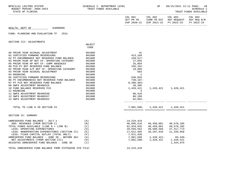| BPSC1L01 LAS/PBS SYSTEM<br>BUDGET PERIOD: 2009-2023<br>STATE OF FLORIDA                                                                                                                                                                                                                                                                                                                                                                                                                                                                                                                                                                                                                     | SCHEDULE I- DEPARTMENT LEVEL<br>TRUST FUNDS AVAILABLE                                                                                                                                                 |                                                                                                                                                                                               | SP SP                                                                 |                                                                                                                                   | 09/15/2021 13:11 PAGE: 49<br><b>SCHEDULE I</b><br>TRUST FUNDS AVAILABLE |
|---------------------------------------------------------------------------------------------------------------------------------------------------------------------------------------------------------------------------------------------------------------------------------------------------------------------------------------------------------------------------------------------------------------------------------------------------------------------------------------------------------------------------------------------------------------------------------------------------------------------------------------------------------------------------------------------|-------------------------------------------------------------------------------------------------------------------------------------------------------------------------------------------------------|-----------------------------------------------------------------------------------------------------------------------------------------------------------------------------------------------|-----------------------------------------------------------------------|-----------------------------------------------------------------------------------------------------------------------------------|-------------------------------------------------------------------------|
|                                                                                                                                                                                                                                                                                                                                                                                                                                                                                                                                                                                                                                                                                             |                                                                                                                                                                                                       |                                                                                                                                                                                               |                                                                       | COL A01 COL A02 COL A03 COL A04<br>ACT PR YR CURR YR EST AGY REQUEST AGY REQ N/R<br>EXP 2020-21 EXP 2021-22 FY 2022-23 FY 2022-23 |                                                                         |
| HEALTH, DEPT OF<br>64000000                                                                                                                                                                                                                                                                                                                                                                                                                                                                                                                                                                                                                                                                 |                                                                                                                                                                                                       |                                                                                                                                                                                               |                                                                       |                                                                                                                                   |                                                                         |
| FUND: PLANNING AND EVALUATION TF 2531                                                                                                                                                                                                                                                                                                                                                                                                                                                                                                                                                                                                                                                       |                                                                                                                                                                                                       |                                                                                                                                                                                               |                                                                       |                                                                                                                                   |                                                                         |
| SECTION III: ADJUSTMENTS                                                                                                                                                                                                                                                                                                                                                                                                                                                                                                                                                                                                                                                                    |                                                                                                                                                                                                       |                                                                                                                                                                                               |                                                                       |                                                                                                                                   |                                                                         |
|                                                                                                                                                                                                                                                                                                                                                                                                                                                                                                                                                                                                                                                                                             | OBJECT<br>CODE                                                                                                                                                                                        |                                                                                                                                                                                               |                                                                       |                                                                                                                                   |                                                                         |
| AD PRIOR YEAR ACCRUAL ADJUSTMENT<br>01 CERTIFIED FORWARD REVERSIONS<br>02 PY ENCUMBRANCE NOT RESERVED FUND BALANCE<br>03 PRIOR YEAR AP NOT CF- OPERATING CATEGORY<br>05 PRIOR YEAR AP NOT CF- COMP ABSENCES<br>09 FCO PY NOT RESERVED FUND BALANCE<br>02 PRIOR YEAR A/P NOT CF- OPERATING CATEGORY<br>03 PRIOR YEAR ACCRUAL ADJUSTMENT<br>04 ROUNDING<br>05 CERTIFIED FORWARD REVERSIONS<br>06 PY ENCUMBRANCES NOT RESERVED FUND BALANCE<br>07 PY FCO NOT RESERVED FUND BALANCE<br>08 SWFS ADJUSTMENT B6400315<br>10 FUND BALANCE RESERVED FCO<br>12 ROUNDING<br>11 SWFS ADJUSTMENT B6400330<br>12 SWFS ADJUSTMENT B6400337<br>13 SWFS ADJUSTMENT B6400352<br>TOTAL TO LINE H IN SECTION IV | 991000<br>991000<br>991000<br>991000<br>991000<br>991000<br>991000<br>991000<br>991000<br>991000<br>991000<br>991000<br>991000<br>991000<br>991000<br>991000<br>-------<br>991000<br>991000<br>991000 | 41<br>413,169<br>159,527-<br>17,655<br>25,864<br>195,101–<br>10,969<br>583<br>$\sim$ 1<br>546,826<br>730,187-<br>9,288,303-<br>28,385<br>1,428,421<br>$\sim$ 3<br>96,316<br>86,189<br>82,892- | 7,801,588- 1,428,421 1,428,421                                        | 1,428,421 1,428,421                                                                                                               |                                                                         |
|                                                                                                                                                                                                                                                                                                                                                                                                                                                                                                                                                                                                                                                                                             |                                                                                                                                                                                                       |                                                                                                                                                                                               |                                                                       |                                                                                                                                   |                                                                         |
| SECTION IV: SUMMARY                                                                                                                                                                                                                                                                                                                                                                                                                                                                                                                                                                                                                                                                         |                                                                                                                                                                                                       |                                                                                                                                                                                               |                                                                       |                                                                                                                                   |                                                                         |
| $\begin{array}{c} (A) \\ (B) \end{array}$<br>UNRESERVED FUND BALANCE - JULY 1<br>ADD: REVENUES (FROM SECTION I)<br>TOTAL FUNDS AVAILABLE (LINE A + LINE B) (C)<br>LESS: OPERATING EXPENDITURES (D)<br>LESS: OPERATING EXPENDITURES<br>LESS: NONOPERATING EXPENDITURES (SECTION II) (E)<br>LESS: FIXED CAPITAL OUTLAY (TOTAL ONLY)<br>UNRESERVED FUND BALANCE - JUNE 30 - BEFORE ADJ<br>NET ADJUSTMENTS (FROM SECTION III)<br>ADJUSTED UNRESERVED FUND BALANCE - JUNE 30 (I)                                                                                                                                                                                                                 | (B)<br>(D)<br>(F)<br>(G)<br>(H)                                                                                                                                                                       | 14,224,419<br>48,695,516<br>62,919,935<br>29,594,562<br>17,612,365<br>7,911,420                                                                                                               | 48,458,061 48,570,185<br>48,458,061<br>7,801,588- 1,428,421 1,428,421 | 48,570,185<br>39,588,566 37,317,773<br>1,344,975                                                                                  |                                                                         |
| TOTAL UNRESERVED FUND BALANCE FROM STATEWIDE CFO FILE:                                                                                                                                                                                                                                                                                                                                                                                                                                                                                                                                                                                                                                      |                                                                                                                                                                                                       | 14,224,419                                                                                                                                                                                    |                                                                       |                                                                                                                                   |                                                                         |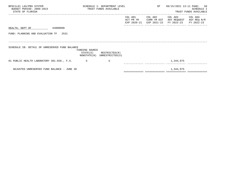| BPSC1L01 LAS/PBS SYSTEM<br>BUDGET PERIOD: 2009-2023<br>STATE OF FLORIDA |                                           | SCHEDULE I- DEPARTMENT LEVEL<br>TRUST FUNDS AVAILABLE |                      |                        | 50<br>09/15/2021 13:11 PAGE:<br><b>SCHEDULE I</b><br>TRUST FUNDS AVAILABLE |                                      |
|-------------------------------------------------------------------------|-------------------------------------------|-------------------------------------------------------|----------------------|------------------------|----------------------------------------------------------------------------|--------------------------------------|
|                                                                         |                                           |                                                       | COL A01<br>ACT PR YR | COL A02<br>CURR YR EST | COL A03<br>AGY REQUEST<br>EXP 2020-21 EXP 2021-22 FY 2022-23               | COL A04<br>AGY REQ N/R<br>FY 2022-23 |
| 64000000<br>HEALTH, DEPT OF                                             |                                           |                                                       |                      |                        |                                                                            |                                      |
| FUND: PLANNING AND EVALUATION TF<br>2531                                |                                           |                                                       |                      |                        |                                                                            |                                      |
|                                                                         |                                           |                                                       |                      |                        |                                                                            |                                      |
| SCHEDULE IB: DETAIL OF UNRESERVED FUND BALANCE                          |                                           |                                                       |                      |                        |                                                                            |                                      |
|                                                                         | FUNDING SOURCE<br>STATE(S)<br>NONSTATE(N) | RESTRICTED(R)<br>UNRESTRICTED(U)                      |                      |                        |                                                                            |                                      |
| 01 PUBLIC HEALTH LABORATORY 381.020., F.S.                              | S                                         | U                                                     |                      |                        | 1,344,975                                                                  |                                      |
| ADJUSTED UNRESERVED FUND BALANCE - JUNE 30                              |                                           |                                                       |                      |                        | 1,344,975                                                                  |                                      |

============= ============= ============= =============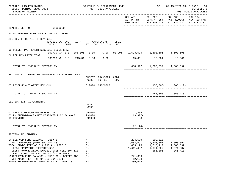| BPSC1L01 LAS/PBS SYSTEM<br>BUDGET PERIOD: 2009-2023<br>STATE OF FLORIDA                                                                                                                                                                                                                                                                                                        |                                            |                                                             | SCHEDULE I- DEPARTMENT LEVEL<br>TRUST FUNDS AVAILABLE |      |                                                                                 | SP                                                           | 09/15/2021 13:11 PAGE: 51                                                                                                 | SCHEDULE I<br>TRUST FUNDS AVAILABLE |
|--------------------------------------------------------------------------------------------------------------------------------------------------------------------------------------------------------------------------------------------------------------------------------------------------------------------------------------------------------------------------------|--------------------------------------------|-------------------------------------------------------------|-------------------------------------------------------|------|---------------------------------------------------------------------------------|--------------------------------------------------------------|---------------------------------------------------------------------------------------------------------------------------|-------------------------------------|
|                                                                                                                                                                                                                                                                                                                                                                                |                                            |                                                             |                                                       |      |                                                                                 |                                                              | COL A01 COL A02 COL A03<br>ACT PR YR CURR YR EST AGY REQUEST AGY REQ N/R<br>EXP 2020-21 EXP 2021-22 FY 2022-23 FY 2022-23 | COL A04                             |
| HEALTH, DEPT OF 64000000                                                                                                                                                                                                                                                                                                                                                       |                                            |                                                             |                                                       |      |                                                                                 |                                                              |                                                                                                                           |                                     |
| FUND: PREVENT HLTH SVCS BL GR TF 2539                                                                                                                                                                                                                                                                                                                                          |                                            |                                                             |                                                       |      |                                                                                 |                                                              |                                                                                                                           |                                     |
| SECTION I: DETAIL OF REVENUES<br>CODE                                                                                                                                                                                                                                                                                                                                          | REVENUE CAP SVC<br>CHG% ST I/C LOC I/C NO. |                                                             | AUTH MATCHING %                                       | CFDA |                                                                                 |                                                              |                                                                                                                           |                                     |
| 08 PREVENTIVE HEALTH SERVICES BLOCK GRANT                                                                                                                                                                                                                                                                                                                                      | 000700 NO 0.0                              |                                                             |                                                       |      | 381.005  0.00  0.00  93.991  1,593,596  1,593,596  1,593,596                    |                                                              |                                                                                                                           |                                     |
| 06 REFUNDS PRIOR YEAR                                                                                                                                                                                                                                                                                                                                                          | 001800 NO 0.0 215.31 0.00                  |                                                             | 0.00                                                  |      |                                                                                 | 15,001 15,001 15,001                                         |                                                                                                                           |                                     |
| TOTAL TO LINE B IN SECTION IV                                                                                                                                                                                                                                                                                                                                                  |                                            |                                                             |                                                       |      |                                                                                 | 1,608,597    1,608,597    1,608,597                          |                                                                                                                           |                                     |
| SECTION II: DETAIL OF NONOPERATING EXPENDITURES                                                                                                                                                                                                                                                                                                                                |                                            | OBJECT<br>CODE                                              | TRANSFER CFDA<br>TO BE                                | NO.  |                                                                                 |                                                              |                                                                                                                           |                                     |
| 05 RESERVE AUTHORITY FOR CHD                                                                                                                                                                                                                                                                                                                                                   |                                            |                                                             | 810000 64200700                                       |      |                                                                                 |                                                              | $155,895-365,410-$<br>____________ _______________ ______                                                                 |                                     |
| TOTAL TO LINE E IN SECTION IV                                                                                                                                                                                                                                                                                                                                                  |                                            |                                                             |                                                       |      |                                                                                 |                                                              | 155,895-365,410-                                                                                                          |                                     |
| SECTION III: ADJUSTMENTS                                                                                                                                                                                                                                                                                                                                                       |                                            |                                                             |                                                       |      |                                                                                 |                                                              |                                                                                                                           |                                     |
|                                                                                                                                                                                                                                                                                                                                                                                |                                            | OBJECT<br>CODE                                              |                                                       |      |                                                                                 |                                                              |                                                                                                                           |                                     |
| 01 CERTIFIED FORWARD REVERSIONS<br>02 PY ENCUMBRANCES NOT RESERVED FUND BALANCE<br>05 ROUNDING                                                                                                                                                                                                                                                                                 |                                            | 991000<br>991000<br>991000                                  |                                                       |      | 1,256<br>$13,377-$<br>$3-$                                                      |                                                              |                                                                                                                           |                                     |
| TOTAL TO LINE H IN SECTION IV                                                                                                                                                                                                                                                                                                                                                  |                                            |                                                             |                                                       |      | 12,124-                                                                         |                                                              |                                                                                                                           |                                     |
| SECTION IV: SUMMARY                                                                                                                                                                                                                                                                                                                                                            |                                            |                                                             |                                                       |      |                                                                                 |                                                              |                                                                                                                           |                                     |
| UNRESERVED FUND BALANCE - JULY 1<br>ADD: REVENUES (FROM SECTION I)<br>TOTAL FUNDS AVAILABLE (LINE A + LINE B)<br>LESS: OPERATING EXPENDITURES<br>LESS: NONOPERATING EXPENDITURES (SECTION II)<br>LESS: FIXED CAPITAL OUTLAY (TOTAL ONLY)<br>UNRESERVED FUND BALANCE - JUNE 30 - BEFORE ADJ<br>NET ADJUSTMENTS (FROM SECTION III)<br>ADJUSTED UNRESERVED FUND BALANCE - JUNE 30 |                                            | (A)<br>(B)<br>(C)<br>(D)<br>(E)<br>(F)<br>(G)<br>(H)<br>(I) |                                                       |      | 224,529<br>1,608,597<br>1,833,126<br>1,611,487<br>221,639<br>12,124-<br>209,515 | 209,515<br>1,608,597<br>1,818,112<br>1,974,007<br>$155,895-$ | 1,608,597<br>1,608,597<br>1,974,007<br>$365,410-$                                                                         |                                     |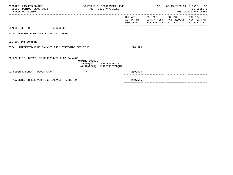| BPSC1L01 LAS/PBS SYSTEM<br>BUDGET PERIOD: 2009-2023<br>STATE OF FLORIDA | SCHEDULE I- DEPARTMENT LEVEL<br>TRUST FUNDS AVAILABLE |                                                            | SP 09/15/2021 13:11 PAGE: 52 | SCHEDULE I<br>TRUST FUNDS AVAILABLE                                                                                               |  |
|-------------------------------------------------------------------------|-------------------------------------------------------|------------------------------------------------------------|------------------------------|-----------------------------------------------------------------------------------------------------------------------------------|--|
|                                                                         |                                                       |                                                            |                              | COL A01 COL A02 COL A03 COL A04<br>ACT PR YR CURR YR EST AGY REQUEST AGY REQ N/R<br>EXP 2020-21 EXP 2021-22 FY 2022-23 FY 2022-23 |  |
| HEALTH, DEPT OF 64000000                                                |                                                       |                                                            |                              |                                                                                                                                   |  |
| FUND: PREVENT HLTH SVCS BL GR TF 2539                                   |                                                       |                                                            |                              |                                                                                                                                   |  |
| SECTION IV: SUMMARY                                                     |                                                       |                                                            |                              |                                                                                                                                   |  |
| TOTAL UNRESERVED FUND BALANCE FROM STATEWIDE CFO FILE:                  |                                                       |                                                            | 224,529                      |                                                                                                                                   |  |
| SCHEDULE IB: DETAIL OF UNRESERVED FUND BALANCE                          | FUNDING SOURCE                                        | $STATE(S)$ RESTRICTED $(R)$<br>NONSTATE(N) UNRESTRICTED(U) |                              |                                                                                                                                   |  |
| 01 FEDERAL FUNDS - BLOCK GRANT                                          | $\mathbf N$                                           | R 209,515                                                  |                              |                                                                                                                                   |  |
| ADJUSTED UNRESERVED FUND BALANCE - JUNE 30                              |                                                       |                                                            | 209,515                      |                                                                                                                                   |  |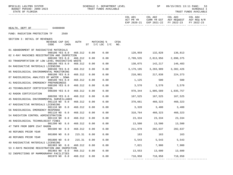BPSC1L01 LAS/PBS SYSTEM STER SALL SOMEDULE I- DEPARTMENT LEVEL SP 89/15/2021 13:11 PAGE: 53

------------- ------------- ------------- -------------

STATE OF FLORIDA TRUST FUNDS AVAILABLE

|                                                      |                                   | COL A01 COL A02 COL A03<br>ACT PR YR $\,$ CURR YR EST $\,$ AGY REQUEST $\,$ AGY REQ $\,$ N/R $\,$<br>EXP 2020-21 EXP 2021-22 FY 2022-23 |         | COL A04<br>FY 2022-23 |
|------------------------------------------------------|-----------------------------------|-----------------------------------------------------------------------------------------------------------------------------------------|---------|-----------------------|
| HEALTH, DEPT OF 64000000                             |                                   |                                                                                                                                         |         |                       |
| FUND: RADIATION PROTECTION TF 2569                   |                                   |                                                                                                                                         |         |                       |
| SECTION I: DETAIL OF REVENUES                        |                                   |                                                                                                                                         |         |                       |
| MATCHING %<br><b>CFDA</b><br>REVENUE CAP SVC<br>AUTH |                                   |                                                                                                                                         |         |                       |
| $ST$ $I/C$ $LOC$ $I/C$<br>CODE<br>$CHG\$<br>NO.      |                                   |                                                                                                                                         |         |                       |
| 01 ABANDONMENT OF RADIOACTIVE MATERIALS              |                                   |                                                                                                                                         |         |                       |
| 000100 YES 8.0<br>468.312<br>0.00<br>0.00            | 128,959 132,828 136,813           |                                                                                                                                         |         |                       |
| 02 X-RAY MACHINES REGISTRATION AND INSPECTION        |                                   |                                                                                                                                         |         |                       |
| 0.00<br>000100 YES 8.0<br>468.312<br>0.00            |                                   |                                                                                                                                         |         |                       |
| 03 TRANSPORTATION OF LOW LEVEL RADIOACTIVE WASTE     |                                   |                                                                                                                                         |         |                       |
| 0.00<br>0.00<br>000100 YES 8.0<br>468.312            |                                   | 138,075 142,217 146,483                                                                                                                 |         |                       |
| 04 RADIOACTIVE MATERIALS LICENSING                   |                                   |                                                                                                                                         |         |                       |
| 0.00<br>0.00<br>000100 YES 8.0<br>468.312            | 3,179,195   3,283,909   3,382,426 |                                                                                                                                         |         |                       |
| 05 RADIOLOGICAL ENVIRONMENTAL MONITORING             |                                   |                                                                                                                                         |         |                       |
| 0.00<br>0.00<br>000100 YES 8.0<br>468.312            |                                   | 210,981 217,838 224,373                                                                                                                 |         |                       |
| 07 RADIOLOGICAL ANALYSIS OF WATER - SDWA             |                                   |                                                                                                                                         |         |                       |
| 468.312<br>0.00<br>0.00<br>000100 YES 8.0            |                                   | 1,125 500                                                                                                                               | 500     |                       |
| 41 RADIOLOGICAL EMERGENCY PREPAREDNESS               |                                   |                                                                                                                                         |         |                       |
| 000100 YES 8.0<br>468.312<br>0.00<br>0.00            | $3,570$ $3,570$ $3,570$ $3,570$   |                                                                                                                                         |         |                       |
| 43 TECHNOLOGIST CERTIFICATION                        |                                   |                                                                                                                                         |         |                       |
| 468.312<br>0.00<br>0.00<br>000200 YES 8.0            |                                   |                                                                                                                                         |         |                       |
| 42 RADON CERTIFICATION                               |                                   |                                                                                                                                         |         |                       |
| 468.312<br>0.00<br>0.00<br>000200 YES 8.0            |                                   | 167,525 167,525 167,525                                                                                                                 |         |                       |
| 45 RADIOLOGICAL ENVIRONMENTAL SURVEILLANCE           |                                   |                                                                                                                                         |         |                       |
| 0.00<br>0.00<br>001110 NO 0.0<br>468.312             |                                   | 370,661 460,323 460,323                                                                                                                 |         |                       |
| 47 RADIOACTIVE MATERIALS LICENSING                   |                                   |                                                                                                                                         |         |                       |
| 468.312<br>0.00<br>0.00<br>001110 NO 0.0             |                                   | 3,320 3,400                                                                                                                             | 3,400   |                       |
| 56 RADIOLOGICAL EMERGENCY RESPONSE                   |                                   |                                                                                                                                         |         |                       |
| 468.312<br>0.00<br>0.00<br>001110 NO 0.0             | 318,764 460,323 460,323           |                                                                                                                                         |         |                       |
| 54 RADIATION CONTROL ADMINISTRATION                  |                                   |                                                                                                                                         |         |                       |
| 468.312<br>0.00<br>0.00<br>001110 NO 0.0             | 23,334 23,334 23,334              |                                                                                                                                         |         |                       |
| 46 RADIOLOGICAL TECHNOLOGIST FINES                   |                                   |                                                                                                                                         |         |                       |
| 001200 NO 8.0<br>468.312<br>0.00<br>0.00             | 13,500 13,500                     |                                                                                                                                         | 13,500  |                       |
| 47 TNFR FROM DBPR 2547 RADON                         |                                   |                                                                                                                                         |         |                       |
| 001500 NO 0.0<br>468.312<br>0.00<br>0.00             |                                   | 211,978 282,637 282,637                                                                                                                 |         |                       |
| 48 REFUNDS PRIOR YEAR                                |                                   |                                                                                                                                         |         |                       |
| 001800 NO 0.0<br>0.00<br>215.31<br>0.00              | 163                               | 163                                                                                                                                     | 163     |                       |
| 48 REFUNDS PRIOR YEAR                                |                                   |                                                                                                                                         |         |                       |
| 215.31<br>0.00<br>0.00<br>001800 NO 0.0              |                                   | 5,543<br>5,543                                                                                                                          | 5,543   |                       |
| 49 RADIOACTIVE MATERIALS LICENSING                   |                                   |                                                                                                                                         |         |                       |
| 0.00<br>0.00<br>001903 NO 0.0<br>468.312             | 7,821 7,900                       |                                                                                                                                         | 7,900   |                       |
| 53 X-RAYS MACHINE REGISTRATION AND INSPECTION        |                                   |                                                                                                                                         |         |                       |
| 468.312<br>0.00<br>0.00<br>001903 NO 0.0             | 13,553 13,600                     |                                                                                                                                         | 13,600  |                       |
| 52 INSPECTIONS OF MAMMOGRAPHY FACILITIES             |                                   |                                                                                                                                         |         |                       |
| 0.00<br>0.00<br>001970 NO 0.0<br>468.312             | 718,958                           | 718,958                                                                                                                                 | 718,958 |                       |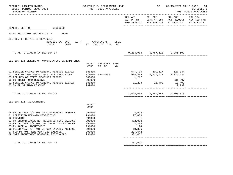| BPSC1L01 LAS/PBS SYSTEM<br>BUDGET PERIOD: 2009-2023<br>STATE OF FLORIDA                                                                                      | SCHEDULE I- DEPARTMENT LEVEL<br>TRUST FUNDS AVAILABLE |                                 | SP | 09/15/2021 13:11 PAGE: 54<br><b>SCHEDULE I</b><br>TRUST FUNDS AVAILABLE                                        |                       |  |
|--------------------------------------------------------------------------------------------------------------------------------------------------------------|-------------------------------------------------------|---------------------------------|----|----------------------------------------------------------------------------------------------------------------|-----------------------|--|
|                                                                                                                                                              |                                                       |                                 |    | COL A01 COL A02 COL A03<br>ACT PR YR CURR YR EST AGY REQUEST AGY REQ N/R<br>EXP 2020-21 EXP 2021-22 FY 2022-23 | COL A04<br>FY 2022-23 |  |
| HEALTH, DEPT OF 64000000                                                                                                                                     |                                                       |                                 |    |                                                                                                                |                       |  |
| FUND: RADIATION PROTECTION TF<br>2569                                                                                                                        |                                                       |                                 |    |                                                                                                                |                       |  |
| SECTION I: DETAIL OF REVENUES<br>REVENUE CAP SVC AUTH MATCHING %<br>CODE                                                                                     | <b>CFDA</b><br>CHG% ST I/C LOC I/C NO.                |                                 |    |                                                                                                                |                       |  |
| TOTAL TO LINE B IN SECTION IV                                                                                                                                |                                                       |                                 |    | 9,204,904 9,757,613 9,985,503                                                                                  |                       |  |
| SECTION II: DETAIL OF NONOPERATING EXPENDITURES                                                                                                              | OBJECT TRANSFER CFDA<br>CODE<br>TO BE<br>NO.          |                                 |    |                                                                                                                |                       |  |
| 01 SERVICE CHARGE TO GENERAL REVENUE 310322<br>02 TNFR TO 2352 180251 RAD TECH CERTIFICAT<br>05 REFUNDS OF STATE REVENUES 220020<br>08 5% TRUST FUND RESERVE | 880800<br>64400100<br>810000<br>860000<br>999000      | 1,217                           |    | 331,207                                                                                                        |                       |  |
| 01 SERVICE CHARGE TO GENERAL REVENUE 310322<br>03 5% TRUST FUND RESERVE                                                                                      | 880800<br>999000                                      |                                 |    | 21, 293 13, 402 13, 402<br>7,730                                                                               |                       |  |
| TOTAL TO LINE E IN SECTION IV                                                                                                                                |                                                       |                                 |    | 1,548,534 1,749,161 2,106,315                                                                                  |                       |  |
| SECTION III: ADJUSTMENTS                                                                                                                                     | OBJECT<br>CODE                                        |                                 |    |                                                                                                                |                       |  |
| 04 PRIOR YEAR A/P NOT CF-COMPENSATED ABSENCE<br>01 CERTIFIED FORWARD REVERSIONS<br>02 ROUNDING                                                               | 991000<br>991000<br>991000                            | 4,594-<br>27,686<br>1           |    |                                                                                                                |                       |  |
| 03 PY ENCUMBRANCES NOT RESERVED FUND BALANCE<br>04 PRIOR YEAR A/P NOT CF- OPERATING CATEGORY<br>05 PY ACCRUAL ADJUSTMENT                                     | 991000<br>991000<br>991000                            | $462,028-$<br>2,238<br>194      |    |                                                                                                                |                       |  |
| 06 PRIOR YEAR A/P NOT CF-COMPENSATED ABSENCE<br>07 FCO PY NOT RESERVED FUND BALANCE<br>09 SWFS ADJUSTMENT B6400344 RECEIVABLE                                | 991000<br>991000<br>991000                            | 10,306<br>$237,542-$<br>332,062 |    |                                                                                                                |                       |  |
| TOTAL TO LINE H IN SECTION IV                                                                                                                                |                                                       | $331,677-$                      |    |                                                                                                                |                       |  |

============= ============= ============= =============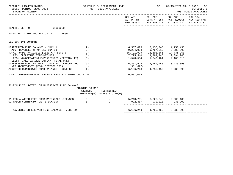| BPSC1L01 LAS/PBS SYSTEM<br>BUDGET PERIOD: 2009-2023<br>STATE OF FLORIDA                                                                                                                                                                                                                                                                                                                                                                                |                                        | SCHEDULE I- DEPARTMENT LEVEL<br>TRUST FUNDS AVAILABLE      |                                    | SP                                   | 09/15/2021 13:11 PAGE:<br>55<br>SCHEDULE I<br>TRUST FUNDS AVAILABLE                                                                                                                                       |            |
|--------------------------------------------------------------------------------------------------------------------------------------------------------------------------------------------------------------------------------------------------------------------------------------------------------------------------------------------------------------------------------------------------------------------------------------------------------|----------------------------------------|------------------------------------------------------------|------------------------------------|--------------------------------------|-----------------------------------------------------------------------------------------------------------------------------------------------------------------------------------------------------------|------------|
|                                                                                                                                                                                                                                                                                                                                                                                                                                                        |                                        |                                                            |                                    | COL A01 COL A02                      | COL A03 COL A04<br>ACT PR YR CURR YR EST AGY REQUEST AGY REQ N/R<br>EXP 2020-21 EXP 2021-22 FY 2022-23                                                                                                    | FY 2022-23 |
| HEALTH, DEPT OF 64000000                                                                                                                                                                                                                                                                                                                                                                                                                               |                                        |                                                            |                                    |                                      |                                                                                                                                                                                                           |            |
| FUND: RADIATION PROTECTION TF 2569                                                                                                                                                                                                                                                                                                                                                                                                                     |                                        |                                                            |                                    |                                      |                                                                                                                                                                                                           |            |
| SECTION IV: SUMMARY                                                                                                                                                                                                                                                                                                                                                                                                                                    |                                        |                                                            |                                    |                                      |                                                                                                                                                                                                           |            |
| UNRESERVED FUND BALANCE - JULY 1<br>ADD: REVENUES (FROM SECTION I)<br>TOTAL FUNDS AVAILABLE (LINE A + LINE B)<br>LESS: OPERATING EXPENDITURES<br>LESS: NONOPERATING EXPENDITURES (SECTION II) (E)<br>LESS: FIXED CAPITAL OUTLAY (TOTAL ONLY)<br>UNRESERVED FUND BALANCE - JUNE 30 - BEFORE ADJ $(G)$<br>NET ADJUSTMENTS (FROM SECTION III)<br>ADJUSTED UNRESERVED FUND BALANCE - JUNE 30 (I)<br>TOTAL UNRESERVED FUND BALANCE FROM STATEWIDE CFO FILE: | (A)<br>(B)<br>(C)<br>(D)<br>(F)<br>(H) |                                                            | 6,467,925<br>331,677-<br>6,587,095 | 4,750,455<br>6, 136, 248 4, 750, 455 | 9,204,904 9,757,613 9,985,503<br>15,791,999    15,893,861    14,735,958<br>7,775,540           9,394,245           9,394,245<br>1,548,534          1,749,161          2,106,315<br>3,235,398<br>3,235,398 |            |
| SCHEDULE IB: DETAIL OF UNRESERVED FUND BALANCE                                                                                                                                                                                                                                                                                                                                                                                                         | FUNDING SOURCE                         | $STATE(S)$ RESTRICTED $(R)$<br>NONSTATE(N) UNRESTRICTED(U) |                                    |                                      |                                                                                                                                                                                                           |            |
| 02 RADON CONTRACTOR CERTIFICATION                                                                                                                                                                                                                                                                                                                                                                                                                      | S                                      | $\mathbf U$                                                | 922,487 930,213 930,209            |                                      |                                                                                                                                                                                                           |            |
| ADJUSTED UNRESERVED FUND BALANCE - JUNE 30                                                                                                                                                                                                                                                                                                                                                                                                             |                                        |                                                            |                                    |                                      | 6, 136, 248 4, 750, 455 3, 235, 398                                                                                                                                                                       |            |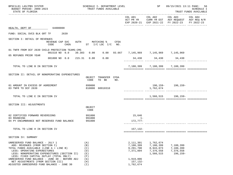| BPSC1L01 LAS/PBS SYSTEM<br>BUDGET PERIOD: 2009-2023<br>STATE OF FLORIDA                                                                                                                                                                                                                                                                                                        |                           |                                                             |                  | SCHEDULE I- DEPARTMENT LEVEL<br>TRUST FUNDS AVAILABLE |     |                                                                                        | SP                                                            | 09/15/2021 13:11 PAGE: 56                                                                                 | SCHEDULE I<br>TRUST FUNDS AVAILABLE |
|--------------------------------------------------------------------------------------------------------------------------------------------------------------------------------------------------------------------------------------------------------------------------------------------------------------------------------------------------------------------------------|---------------------------|-------------------------------------------------------------|------------------|-------------------------------------------------------|-----|----------------------------------------------------------------------------------------|---------------------------------------------------------------|-----------------------------------------------------------------------------------------------------------|-------------------------------------|
|                                                                                                                                                                                                                                                                                                                                                                                |                           |                                                             |                  |                                                       |     |                                                                                        | COL A01 COL A02                                               | COL A03<br>ACT PR YR CURR YR EST AGY REQUEST AGY REQ N/R<br>EXP 2020-21 EXP 2021-22 FY 2022-23 FY 2022-23 | COL A04                             |
| HEALTH, DEPT OF 64000000                                                                                                                                                                                                                                                                                                                                                       |                           |                                                             |                  |                                                       |     |                                                                                        |                                                               |                                                                                                           |                                     |
| FUND: SOCIAL SVCS BLK GRT TF 2639                                                                                                                                                                                                                                                                                                                                              |                           |                                                             |                  |                                                       |     |                                                                                        |                                                               |                                                                                                           |                                     |
| SECTION I: DETAIL OF REVENUES                                                                                                                                                                                                                                                                                                                                                  | REVENUE CAP SVC<br>CODE   |                                                             |                  | AUTH MATCHING % CFDA<br>CHG% ST I/C LOC I/C NO.       |     |                                                                                        |                                                               |                                                                                                           |                                     |
| 01 TNFR FROM DCF 2639 CHILD PROTECTION TEAMS-CMS                                                                                                                                                                                                                                                                                                                               |                           |                                                             |                  |                                                       |     |                                                                                        |                                                               |                                                                                                           |                                     |
| 05 REFUNDS PRIOR YEAR                                                                                                                                                                                                                                                                                                                                                          | 001510 NO 0.0 39.303 0.00 |                                                             |                  |                                                       |     | $0.00$ 93.667 7,145,969 7,145,969 7,145,969                                            |                                                               |                                                                                                           |                                     |
|                                                                                                                                                                                                                                                                                                                                                                                | 001800 NO 0.0 215.31      |                                                             | 0.00             | 0.00                                                  |     |                                                                                        | 34,430 34,430 34,430                                          |                                                                                                           |                                     |
| TOTAL TO LINE B IN SECTION IV                                                                                                                                                                                                                                                                                                                                                  |                           |                                                             |                  |                                                       |     |                                                                                        | 7,180,399 7,180,399 7,180,399                                 |                                                                                                           |                                     |
| SECTION II: DETAIL OF NONOPERATING EXPENDITURES                                                                                                                                                                                                                                                                                                                                |                           |                                                             | OBJECT<br>CODE   | TRANSFER CFDA<br>TO BE                                | NO. |                                                                                        |                                                               |                                                                                                           |                                     |
| 01 AMOUNT IN EXCESS OF AGREEMENT<br>03 TNFR TO DCF 2639                                                                                                                                                                                                                                                                                                                        |                           |                                                             | 899000           | 810000 60910310                                       |     |                                                                                        | 1,762,674                                                     | 196, 159 - 196, 159 -                                                                                     |                                     |
| TOTAL TO LINE E IN SECTION IV                                                                                                                                                                                                                                                                                                                                                  |                           |                                                             |                  |                                                       |     |                                                                                        |                                                               | 1,566,515 196,159-                                                                                        |                                     |
| SECTION III: ADJUSTMENTS                                                                                                                                                                                                                                                                                                                                                       |                           |                                                             | OBJECT<br>CODE   |                                                       |     |                                                                                        |                                                               |                                                                                                           |                                     |
| 02 CERTIFIED FORWARD REVERSIONS                                                                                                                                                                                                                                                                                                                                                |                           |                                                             | 991000           |                                                       |     | 15,646                                                                                 |                                                               |                                                                                                           |                                     |
| 03 ROUNDING<br>04 PY ENCUMBRANCE NOT RESERVED FUND BALANCE                                                                                                                                                                                                                                                                                                                     |                           |                                                             | 991000<br>991000 |                                                       |     | $1 -$<br>172,777-                                                                      |                                                               |                                                                                                           |                                     |
| TOTAL TO LINE H IN SECTION IV                                                                                                                                                                                                                                                                                                                                                  |                           |                                                             |                  |                                                       |     | 157, 132-                                                                              |                                                               |                                                                                                           |                                     |
| SECTION IV: SUMMARY                                                                                                                                                                                                                                                                                                                                                            |                           |                                                             |                  |                                                       |     |                                                                                        |                                                               |                                                                                                           |                                     |
| UNRESERVED FUND BALANCE - JULY 1<br>ADD: REVENUES (FROM SECTION I)<br>TOTAL FUNDS AVAILABLE (LINE A + LINE B)<br>LESS: OPERATING EXPENDITURES<br>LESS: NONOPERATING EXPENDITURES (SECTION II)<br>LESS: FIXED CAPITAL OUTLAY (TOTAL ONLY)<br>UNRESERVED FUND BALANCE - JUNE 30 - BEFORE ADJ<br>NET ADJUSTMENTS (FROM SECTION III)<br>ADJUSTED UNRESERVED FUND BALANCE - JUNE 30 |                           | (A)<br>(B)<br>(C)<br>(D)<br>(E)<br>(F)<br>(G)<br>(H)<br>(I) |                  |                                                       |     | 2,111,301<br>7,180,399<br>9,291,700<br>7,371,894<br>1,919,806<br>157,132-<br>1,762,674 | 1,762,674<br>7,180,399<br>8,943,073<br>7,376,558<br>1,566,515 | 7,180,399<br>7,180,399<br>7,376,558<br>196,159-                                                           |                                     |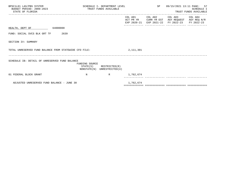| BPSC1L01 LAS/PBS SYSTEM<br>BUDGET PERIOD: 2009-2023<br>STATE OF FLORIDA |                | SCHEDULE I- DEPARTMENT LEVEL<br>TRUST FUNDS AVAILABLE      |           | SP                                       | 09/15/2021 13:11 PAGE: 57<br>-------------------------------------               | <b>SCHEDULE I</b><br>TRUST FUNDS AVAILABLE |
|-------------------------------------------------------------------------|----------------|------------------------------------------------------------|-----------|------------------------------------------|----------------------------------------------------------------------------------|--------------------------------------------|
|                                                                         |                |                                                            |           | COL A01 COL A02<br>ACT PR YR CURR YR EST | COL A03 COL A04<br>AGY REOUEST AGY REO N/R<br>EXP 2020-21 EXP 2021-22 FY 2022-23 | FY 2022-23                                 |
| HEALTH, DEPT OF 64000000                                                |                |                                                            |           |                                          |                                                                                  |                                            |
| FUND: SOCIAL SVCS BLK GRT TF<br>2639                                    |                |                                                            |           |                                          |                                                                                  |                                            |
| SECTION IV: SUMMARY                                                     |                |                                                            |           |                                          |                                                                                  |                                            |
| TOTAL UNRESERVED FUND BALANCE FROM STATEWIDE CFO FILE:                  |                |                                                            | 2,111,301 |                                          |                                                                                  |                                            |
| SCHEDULE IB: DETAIL OF UNRESERVED FUND BALANCE                          | FUNDING SOURCE | $STATE(S)$ RESTRICTED $(R)$<br>NONSTATE(N) UNRESTRICTED(U) |           |                                          |                                                                                  |                                            |
| 01 FEDERAL BLOCK GRANT                                                  | N              | $\mathbb{R}$                                               | 1,762,674 |                                          |                                                                                  |                                            |
| ADJUSTED UNRESERVED FUND BALANCE - JUNE 30                              |                |                                                            | 1,762,674 |                                          |                                                                                  |                                            |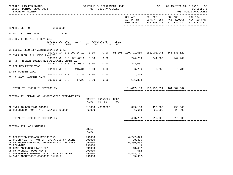| BPSC1L01 LAS/PBS SYSTEM<br>BUDGET PERIOD: 2009-2023<br>STATE OF FLORIDA                                                                                                                                                                                                                        |                                      |                         |                                                                              | SCHEDULE I- DEPARTMENT LEVEL<br>TRUST FUNDS AVAILABLE |     |                                                                                         | SP              | 09/15/2021 13:11 PAGE: 58<br><b>SCHEDULE I</b><br>TRUST FUNDS AVAILABLE                                                           |  |
|------------------------------------------------------------------------------------------------------------------------------------------------------------------------------------------------------------------------------------------------------------------------------------------------|--------------------------------------|-------------------------|------------------------------------------------------------------------------|-------------------------------------------------------|-----|-----------------------------------------------------------------------------------------|-----------------|-----------------------------------------------------------------------------------------------------------------------------------|--|
|                                                                                                                                                                                                                                                                                                |                                      |                         |                                                                              |                                                       |     |                                                                                         |                 | COL A01 COL A02 COL A03 COL A04<br>ACT PR YR CURR YR EST AGY REQUEST AGY REQ N/R<br>EXP 2020-21 EXP 2021-22 FY 2022-23 FY 2022-23 |  |
| HEALTH, DEPT OF 64000000                                                                                                                                                                                                                                                                       |                                      |                         |                                                                              |                                                       |     |                                                                                         |                 |                                                                                                                                   |  |
| FUND: U.S. TRUST FUND                                                                                                                                                                                                                                                                          | 2738                                 |                         |                                                                              |                                                       |     |                                                                                         |                 |                                                                                                                                   |  |
| SECTION I: DETAIL OF REVENUES                                                                                                                                                                                                                                                                  | REVENUE CAP SVC AUTH MATCHING % CFDA |                         |                                                                              |                                                       |     |                                                                                         |                 |                                                                                                                                   |  |
|                                                                                                                                                                                                                                                                                                | CODE                                 | CHG% ST I/C LOC I/C NO. |                                                                              |                                                       |     |                                                                                         |                 |                                                                                                                                   |  |
| 01 SOCIAL SECURITY ADMINISTRATION GRANT                                                                                                                                                                                                                                                        | 000700 NO 0.0 20.435 19 0.00 0.00    |                         |                                                                              |                                                       |     | 96.001 130,771,650 152,908,946 161,131,622                                              |                 |                                                                                                                                   |  |
| 05 TNFR FROM 2021 LEAVE PAYOUTS                                                                                                                                                                                                                                                                | 001500 NO 0.0 381.0011               |                         | 0.00                                                                         | 0.00                                                  |     | 244,209                                                                                 | 244,209 244,209 |                                                                                                                                   |  |
| 16 TNFR FR 2021 180205 NON ALLOWABLE GRANT EXP                                                                                                                                                                                                                                                 | 001500 NO 0.0 381.0011               |                         | 0.00                                                                         | 0.00                                                  |     | 242,031                                                                                 |                 |                                                                                                                                   |  |
| 03 REFUNDS PRIOR YEAR                                                                                                                                                                                                                                                                          | 001800 NO 0.0                        | 215.31                  | 0.00                                                                         | 0.00                                                  |     | 6,736 6,736 6,736                                                                       |                 |                                                                                                                                   |  |
| 10 PY WARRANT CANX                                                                                                                                                                                                                                                                             | 003700 NO 0.0                        | 251.31                  | 0.00                                                                         | 0.00                                                  |     | 1,226                                                                                   |                 |                                                                                                                                   |  |
| 07 12 MONTH WARRANT CANX                                                                                                                                                                                                                                                                       | 003800 NO 0.0 17.26                  |                         | 0.00                                                                         | 0.00                                                  |     | 151,304                                                                                 |                 |                                                                                                                                   |  |
| TOTAL TO LINE B IN SECTION IV                                                                                                                                                                                                                                                                  |                                      |                         |                                                                              |                                                       |     |                                                                                         |                 | 131, 417, 156 153, 159, 891 161, 382, 567                                                                                         |  |
| SECTION II: DETAIL OF NONOPERATING EXPENDITURES                                                                                                                                                                                                                                                |                                      |                         | OBJECT<br>CODE                                                               | TRANSFER CFDA<br>TO BE                                | NO. |                                                                                         |                 |                                                                                                                                   |  |
| 02 TNFR TO DFS 2261 181315                                                                                                                                                                                                                                                                     |                                      |                         |                                                                              | 810000 43500700                                       |     | 399,133 490,000 490,000                                                                 |                 |                                                                                                                                   |  |
| 06 REFUNDS OF NON STATE REVENUES 220030                                                                                                                                                                                                                                                        |                                      |                         | 860000                                                                       |                                                       |     |                                                                                         |                 | $1,619$ $25,000$ $25,000$                                                                                                         |  |
| TOTAL TO LINE E IN SECTION IV                                                                                                                                                                                                                                                                  |                                      |                         |                                                                              |                                                       |     | 400,752                                                                                 | 515,000         | 515,000                                                                                                                           |  |
| SECTION III: ADJUSTMENTS                                                                                                                                                                                                                                                                       |                                      |                         |                                                                              |                                                       |     |                                                                                         |                 |                                                                                                                                   |  |
|                                                                                                                                                                                                                                                                                                |                                      |                         | OBJECT<br>CODE                                                               |                                                       |     |                                                                                         |                 |                                                                                                                                   |  |
| 01 CERTIFIED FORWARD REVERSIONS<br>02 PRIOR YEAR A/P NOT CF- OPERATING CATEGORY<br>04 PY ENCUMBRANCES NOT RESERVED FUND BALANCE<br>05 ROUNDING<br>06 COMP ABSENSES LIABILITY<br>08 PY ACCRUAL ADJUSTMENTS<br>12 DIFFERENCE BETWEEN CF A ITEM & PAYABLES<br>14 SWFS ADJUSTMENT #6400308 PAYABLE |                                      |                         | 991000<br>991000<br>991000<br>991000<br>991000<br>991000<br>991000<br>991000 |                                                       |     | 4,242,679<br>30,436<br>$5,260,533-$<br>9<br>18,457<br>$562 -$<br>4,468,197<br>$35,902-$ |                 |                                                                                                                                   |  |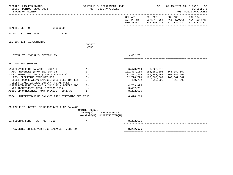| BPSC1L01 LAS/PBS SYSTEM<br>BUDGET PERIOD: 2009-2023<br>STATE OF FLORIDA                                                                                                                                                                                                                                                                                                                                                                  |                                                                         | SCHEDULE I- DEPARTMENT LEVEL<br>TRUST FUNDS AVAILABLE |                                                                            | SP and the set of the set of the set of the set of the set of the set of the set of the set of the set of the s           |                                       | 09/15/2021 13:11 PAGE: 59<br><b>SCHEDULE I</b><br>TRUST FUNDS AVAILABLE |
|------------------------------------------------------------------------------------------------------------------------------------------------------------------------------------------------------------------------------------------------------------------------------------------------------------------------------------------------------------------------------------------------------------------------------------------|-------------------------------------------------------------------------|-------------------------------------------------------|----------------------------------------------------------------------------|---------------------------------------------------------------------------------------------------------------------------|---------------------------------------|-------------------------------------------------------------------------|
|                                                                                                                                                                                                                                                                                                                                                                                                                                          |                                                                         |                                                       |                                                                            | COL A01 COL A02 COL A03<br>ACT PR YR CURR YR EST AGY REQUEST AGY REQ N/R<br>EXP 2020-21 EXP 2021-22 FY 2022-23            |                                       | COL A04<br>FY 2022-23                                                   |
| HEALTH, DEPT OF 64000000                                                                                                                                                                                                                                                                                                                                                                                                                 |                                                                         |                                                       |                                                                            |                                                                                                                           |                                       |                                                                         |
| 2738<br>FUND: U.S. TRUST FUND                                                                                                                                                                                                                                                                                                                                                                                                            |                                                                         |                                                       |                                                                            |                                                                                                                           |                                       |                                                                         |
| SECTION III: ADJUSTMENTS                                                                                                                                                                                                                                                                                                                                                                                                                 | OBJECT<br>CODE                                                          |                                                       |                                                                            |                                                                                                                           |                                       |                                                                         |
| TOTAL TO LINE H IN SECTION IV                                                                                                                                                                                                                                                                                                                                                                                                            |                                                                         |                                                       | 3,462,781                                                                  |                                                                                                                           |                                       |                                                                         |
| SECTION IV: SUMMARY                                                                                                                                                                                                                                                                                                                                                                                                                      |                                                                         |                                                       |                                                                            |                                                                                                                           |                                       |                                                                         |
| UNRESERVED FUND BALANCE - JULY 1<br>ADD: REVENUES (FROM SECTION I)<br>TOTAL FUNDS AVAILABLE (LINE A + LINE B)<br>LESS: OPERATING EXPENDITURES<br>LESS: NONOPERATING EXPENDITURES (SECTION II)<br>LESS: FIXED CAPITAL OUTLAY (TOTAL ONLY)<br>UNRESERVED FUND BALANCE - JUNE 30 - BEFORE ADJ<br>NET ADJUSTMENTS (FROM SECTION III)<br>ADJUSTED UNRESERVED FUND BALANCE - JUNE 30<br>TOTAL UNRESERVED FUND BALANCE FROM STATEWIDE CFO FILE: | (A)<br>(B)<br>(C)<br>(D)<br>( E )<br>(F)<br>(G)<br>(H)<br>$(\lrcorner)$ |                                                       | 132,726,728<br>400,752<br>4,759,895<br>3,462,781<br>8,222,676<br>6,470,219 | 6,470,219 8,222,676<br>131, 417, 156 153, 159, 891<br>137,887,375    161,382,567    161,382,567<br>160,867,567<br>515,000 | 161,382,567<br>160,867,567<br>515,000 |                                                                         |
| SCHEDULE IB: DETAIL OF UNRESERVED FUND BALANCE                                                                                                                                                                                                                                                                                                                                                                                           | FUNDING SOURCE<br>STATE(S)                                              | RESTRICTED(R)<br>NONSTATE(N) UNRESTRICTED(U)          |                                                                            |                                                                                                                           |                                       |                                                                         |
| 01 FEDERAL FUND - US TRUST FUND<br>$\mathbb N$                                                                                                                                                                                                                                                                                                                                                                                           |                                                                         | $\mathbb R$ and $\mathbb R$                           | 8,222,676                                                                  |                                                                                                                           |                                       |                                                                         |
| ADJUSTED UNRESERVED FUND BALANCE - JUNE 30                                                                                                                                                                                                                                                                                                                                                                                               |                                                                         |                                                       | 8,222,676                                                                  |                                                                                                                           |                                       |                                                                         |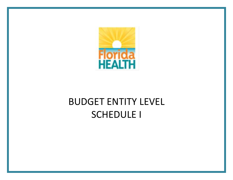

## BUDGET ENTITY LEVEL SCHEDULE I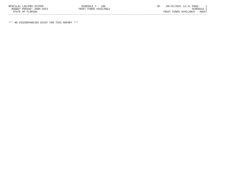| BPSC1L01 LAS/PBS SYSTEM  | SCHEDULE I - LBE      | 09/15/2021 13:11 PAGE:        |            |  |
|--------------------------|-----------------------|-------------------------------|------------|--|
| BUDGET PERIOD: 2009-2023 | TRUST FUNDS AVAILABLE |                               | SCHEDULE I |  |
| STATE OF FLORIDA         |                       | TRUST FUNDS AVAILABLE - AUDIT |            |  |
|                          |                       |                               |            |  |

\*\*\* NO DISCREPANCIES EXIST FOR THIS REPORT \*\*\*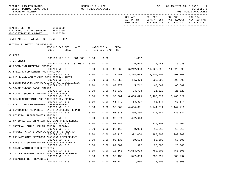| BPSC1L01 LAS/PBS SYSTEM<br>BUDGET PERIOD: 2009-2023<br>STATE OF FLORIDA                  |                                   |      | SCHEDULE I - LBE<br>TRUST FUNDS AVAILABLE |            |        |                                     | SP                                  |                                                                          | 09/15/2021 13:11 PAGE: 1<br>SCHEDULE I<br>TRUST FUNDS AVAILABLE |
|------------------------------------------------------------------------------------------|-----------------------------------|------|-------------------------------------------|------------|--------|-------------------------------------|-------------------------------------|--------------------------------------------------------------------------|-----------------------------------------------------------------|
|                                                                                          |                                   |      |                                           |            |        | COL A01<br>ACT PR YR<br>EXP 2020-21 | COL A02                             | COL A03<br>CURR YR EST AGY REQUEST AGY REQ N/R<br>EXP 2021-22 FY 2022-23 | COL A04<br>FY 2022-23                                           |
| HEALTH, DEPT OF 64000000<br>PGM: EXEC DIR AND SUPPORT 64100000<br>ADMINISTRATIVE SUPPORT | 64100200                          |      |                                           |            |        |                                     |                                     |                                                                          |                                                                 |
| FUND: ADMINISTRATIVE TRUST FUND                                                          | 2021                              |      |                                           |            |        |                                     |                                     |                                                                          |                                                                 |
| SECTION I: DETAIL OF REVENUES                                                            | REVENUE CAP SVC<br>CODE<br>$CHG\$ | AUTH | ST I/C LOC I/C NO.                        | MATCHING % | CFDA   |                                     |                                     |                                                                          |                                                                 |
| A7 FEES                                                                                  |                                   |      |                                           |            |        |                                     |                                     |                                                                          |                                                                 |
| R7 INTEREST                                                                              | 000100 YES 8.0 381.086            |      | 0.00                                      | 0.00       |        | 1,002                               |                                     |                                                                          |                                                                 |
| AZ COVID IMMUNIZATION PROGRAM                                                            | 000500 NO 0.0 381.0011            |      | 0.00                                      | 0.00       |        |                                     | 6,948 6,948 6,948                   |                                                                          |                                                                 |
|                                                                                          | 000799 NO 0.0                     |      | 0.00                                      | 0.00       | 93.268 | 6,242,933                           | 11,028,698                          | 11,028,698                                                               |                                                                 |
| A3 SPECIAL SUPPLEMENT FOOD PROGRAM                                                       | 000799 NO 0.0                     | 0.00 |                                           | 0.00       | 10.557 |                                     | 3,284,609 4,500,000 4,500,000       |                                                                          |                                                                 |
| A4 CHILD AND ADULT CARE FOOD PROGRAM AUDIT                                               |                                   |      |                                           |            |        |                                     |                                     |                                                                          |                                                                 |
| B2 BIRTH DEFECTS AND DEVELOPMENTAL DISABILITIES                                          | 000799 NO 0.0                     |      | 0.00                                      | 0.00       |        |                                     | 10.555 485,470 600,000 600,000      |                                                                          |                                                                 |
|                                                                                          | 000799 NO 0.0                     |      | 0.00                                      | 0.00       |        |                                     | 93.073 5,712 68,667 68,667          |                                                                          |                                                                 |
| B4 STATE INDOOR RADON GRANTS                                                             | 000799 NO 0.0                     |      | 0.00                                      | 0.00       | 66.032 |                                     | 24,708 21,523 21,523                |                                                                          |                                                                 |
| B5 SOCIAL SECURITY DISABILITY INSURANCE                                                  |                                   |      |                                           |            |        |                                     |                                     |                                                                          |                                                                 |
| B6 BEACH MONITORING AND NOTIFICATION PROGRAM                                             | 000799 NO 0.0                     |      | 0.00                                      | 0.00       | 96.001 |                                     | 6,466,029 6,466,029                 | 6,466,029                                                                |                                                                 |
|                                                                                          | 000799 NO 0.0                     |      | 0.00                                      | 0.00       |        |                                     | 66.472 53,837 63,574 63,574         |                                                                          |                                                                 |
| C3 PUBLIC HEALTH EMERGENCY PREPAREDNESS                                                  | 000799 NO 0.0                     |      | 0.00                                      | 0.00       | 93.069 |                                     | 4, 464, 691 5, 144, 211 5, 144, 211 |                                                                          |                                                                 |
| C6 ENVIRONMENTAL PUBLIC HEALTH EMERGENCY RESPONS                                         |                                   |      |                                           |            |        |                                     |                                     |                                                                          |                                                                 |
| C8 HOSPITAL PREPAREDNESS PROGRAM                                                         | 000799 NO 0.0                     |      | 0.00                                      | 0.00       | 93.070 |                                     | 265,350 126,084 126,084             |                                                                          |                                                                 |
|                                                                                          | 000799 NO 0.0                     |      | 0.00                                      | 0.00       |        | 93.074 422,643                      |                                     |                                                                          |                                                                 |
| C9 NATIONAL BIOTERRORISM HOSPITAL PREPAREDNESS                                           |                                   |      |                                           |            |        |                                     |                                     |                                                                          |                                                                 |
| D1 MATERNAL CHILD HEALTH FEDERAL PROGRAM                                                 | 000799 NO 0.0                     |      | 0.00                                      | 0.00       | 93.889 |                                     |                                     | 435,201 435,201                                                          |                                                                 |
|                                                                                          | 000799 NO 0.0                     |      | 0.00                                      | 0.00       | 93.110 |                                     | 9,953 15,213 15,213                 |                                                                          |                                                                 |
| D3 PROJECT GRANTS COOP AGREEMENTS TB PROGRAM                                             | 000799 NO 0.0                     |      | 0.00                                      | 0.00       | 93.116 | 972,050                             | 980,000                             | 980,000                                                                  |                                                                 |
| D5 PRIMARY CARE SERVICES PLANNING DEVELOPMENT                                            |                                   |      |                                           |            |        |                                     |                                     |                                                                          |                                                                 |
| D6 VIRGINIA GRAEME BAKER POOL AND SPA SAFETY                                             | 000799 NO 0.0                     |      | 0.00                                      | 0.00       | 93.130 | 59,538                              | 58,500                              | 58,500                                                                   |                                                                 |
|                                                                                          | 000799 NO 0.0                     |      | 0.00                                      | 0.00       | 87.002 | 992                                 | 25,000                              | 25,000                                                                   |                                                                 |
| D7 STATE ADMIN CHILD NUTRITION                                                           | 000799 NO 0.0                     |      | 0.00                                      | 0.00       | 10.560 | 6,654,938                           | 750,000                             | 750,000                                                                  |                                                                 |
| D9 INJURY PREVENTION & CONTROL RESEARCH PROJECT                                          |                                   |      |                                           |            |        |                                     |                                     |                                                                          |                                                                 |
| E1 DISABILITIES PREVENTION                                                               | 000799 NO 0.0                     |      | 0.00                                      | 0.00       | 93.136 | 547,309                             | 380,997                             | 380,997                                                                  |                                                                 |
|                                                                                          | 000799 NO 0.0                     |      | 0.00                                      | 0.00       | 93.184 | 21,500                              | 25,000                              | 25,000                                                                   |                                                                 |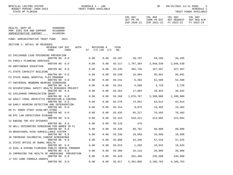|                                                |                                                                                                                                                                     |                                                                                                                                                                                                                                    |                                                                                 | SP                                                                                                                                      |                                                              | -2<br>SCHEDULE I<br>TRUST FUNDS AVAILABLE                                                                                                                                                                                                                                                                                                                                                                                                                    |
|------------------------------------------------|---------------------------------------------------------------------------------------------------------------------------------------------------------------------|------------------------------------------------------------------------------------------------------------------------------------------------------------------------------------------------------------------------------------|---------------------------------------------------------------------------------|-----------------------------------------------------------------------------------------------------------------------------------------|--------------------------------------------------------------|--------------------------------------------------------------------------------------------------------------------------------------------------------------------------------------------------------------------------------------------------------------------------------------------------------------------------------------------------------------------------------------------------------------------------------------------------------------|
|                                                |                                                                                                                                                                     |                                                                                                                                                                                                                                    |                                                                                 |                                                                                                                                         |                                                              | FY 2022-23                                                                                                                                                                                                                                                                                                                                                                                                                                                   |
|                                                |                                                                                                                                                                     |                                                                                                                                                                                                                                    |                                                                                 |                                                                                                                                         |                                                              |                                                                                                                                                                                                                                                                                                                                                                                                                                                              |
|                                                |                                                                                                                                                                     |                                                                                                                                                                                                                                    |                                                                                 |                                                                                                                                         |                                                              |                                                                                                                                                                                                                                                                                                                                                                                                                                                              |
| AUTH                                           |                                                                                                                                                                     | CFDA<br>NO.                                                                                                                                                                                                                        |                                                                                 |                                                                                                                                         |                                                              |                                                                                                                                                                                                                                                                                                                                                                                                                                                              |
|                                                | 0.00                                                                                                                                                                |                                                                                                                                                                                                                                    |                                                                                 |                                                                                                                                         |                                                              |                                                                                                                                                                                                                                                                                                                                                                                                                                                              |
|                                                |                                                                                                                                                                     |                                                                                                                                                                                                                                    |                                                                                 |                                                                                                                                         |                                                              |                                                                                                                                                                                                                                                                                                                                                                                                                                                              |
|                                                |                                                                                                                                                                     |                                                                                                                                                                                                                                    |                                                                                 |                                                                                                                                         |                                                              |                                                                                                                                                                                                                                                                                                                                                                                                                                                              |
|                                                |                                                                                                                                                                     |                                                                                                                                                                                                                                    |                                                                                 |                                                                                                                                         |                                                              |                                                                                                                                                                                                                                                                                                                                                                                                                                                              |
|                                                | 0.00                                                                                                                                                                |                                                                                                                                                                                                                                    |                                                                                 |                                                                                                                                         |                                                              |                                                                                                                                                                                                                                                                                                                                                                                                                                                              |
|                                                | 0.00                                                                                                                                                                |                                                                                                                                                                                                                                    |                                                                                 |                                                                                                                                         | 52,500                                                       |                                                                                                                                                                                                                                                                                                                                                                                                                                                              |
|                                                | 0.00                                                                                                                                                                |                                                                                                                                                                                                                                    |                                                                                 |                                                                                                                                         | 3,720                                                        |                                                                                                                                                                                                                                                                                                                                                                                                                                                              |
| F9 OCCUPATIONAL SAFETY HEALTH RESEARCH PROJECT |                                                                                                                                                                     |                                                                                                                                                                                                                                    |                                                                                 |                                                                                                                                         |                                                              |                                                                                                                                                                                                                                                                                                                                                                                                                                                              |
|                                                |                                                                                                                                                                     |                                                                                                                                                                                                                                    |                                                                                 |                                                                                                                                         |                                                              |                                                                                                                                                                                                                                                                                                                                                                                                                                                              |
| G4 ADULT VIRAL HEPATITIS PREVENTION & CONTROL  |                                                                                                                                                                     |                                                                                                                                                                                                                                    |                                                                                 |                                                                                                                                         |                                                              |                                                                                                                                                                                                                                                                                                                                                                                                                                                              |
|                                                | 0.00                                                                                                                                                                |                                                                                                                                                                                                                                    |                                                                                 |                                                                                                                                         | 63,814                                                       |                                                                                                                                                                                                                                                                                                                                                                                                                                                              |
|                                                | 0.00                                                                                                                                                                |                                                                                                                                                                                                                                    |                                                                                 |                                                                                                                                         |                                                              |                                                                                                                                                                                                                                                                                                                                                                                                                                                              |
|                                                |                                                                                                                                                                     |                                                                                                                                                                                                                                    |                                                                                 |                                                                                                                                         |                                                              |                                                                                                                                                                                                                                                                                                                                                                                                                                                              |
|                                                |                                                                                                                                                                     |                                                                                                                                                                                                                                    |                                                                                 |                                                                                                                                         |                                                              |                                                                                                                                                                                                                                                                                                                                                                                                                                                              |
|                                                |                                                                                                                                                                     |                                                                                                                                                                                                                                    |                                                                                 |                                                                                                                                         |                                                              |                                                                                                                                                                                                                                                                                                                                                                                                                                                              |
|                                                | 0.00                                                                                                                                                                | 93.118                                                                                                                                                                                                                             | 379                                                                             |                                                                                                                                         |                                                              |                                                                                                                                                                                                                                                                                                                                                                                                                                                              |
|                                                | 0.00                                                                                                                                                                | 93.436                                                                                                                                                                                                                             | 60,781                                                                          |                                                                                                                                         | 80,000                                                       |                                                                                                                                                                                                                                                                                                                                                                                                                                                              |
|                                                | 0.00                                                                                                                                                                | 93.336                                                                                                                                                                                                                             | 10,668                                                                          | 10,668                                                                                                                                  | 10,668                                                       |                                                                                                                                                                                                                                                                                                                                                                                                                                                              |
|                                                |                                                                                                                                                                     |                                                                                                                                                                                                                                    |                                                                                 |                                                                                                                                         |                                                              |                                                                                                                                                                                                                                                                                                                                                                                                                                                              |
|                                                |                                                                                                                                                                     |                                                                                                                                                                                                                                    |                                                                                 |                                                                                                                                         |                                                              |                                                                                                                                                                                                                                                                                                                                                                                                                                                              |
|                                                | 0.00                                                                                                                                                                |                                                                                                                                                                                                                                    |                                                                                 | 19,633                                                                                                                                  |                                                              |                                                                                                                                                                                                                                                                                                                                                                                                                                                              |
|                                                | 0.00                                                                                                                                                                | 93.366                                                                                                                                                                                                                             | 25,115                                                                          | 20,000                                                                                                                                  | 20,000                                                       |                                                                                                                                                                                                                                                                                                                                                                                                                                                              |
|                                                | 0.00                                                                                                                                                                | 93.426                                                                                                                                                                                                                             | 261,406                                                                         | 245,608                                                                                                                                 | 245,608                                                      |                                                                                                                                                                                                                                                                                                                                                                                                                                                              |
|                                                | 0.00                                                                                                                                                                |                                                                                                                                                                                                                                    | 5,361,806                                                                       | 4,106,763                                                                                                                               | 4,106,763                                                    |                                                                                                                                                                                                                                                                                                                                                                                                                                                              |
|                                                | 000799 NO 0.0<br>16 WELL-INTEGRATED SCREENING FOR WOMEN IN FL<br>J2 EVAL & EXPAND FLORIDAS PUBLIC DENTAL PROGRAM<br>J5 IMPROVING THE HEALTH OF AMERICANS PREVENTION | MATCHING %<br>0.00<br>0.00<br>0.00<br>0.00<br>0.00<br>0.00<br>0.00<br>0.00<br>0.00<br>0.00<br>0.00<br>0.00<br>0.00<br>0.00<br>0.00<br>0.00<br>0.00<br>0.00<br>0.00<br>0.00<br>0.00<br>0.00<br>0.00<br>0.00<br>0.00<br>0.00<br>0.00 | SCHEDULE I - LBE<br>TRUST FUNDS AVAILABLE<br>ST I/C LOC I/C<br>93.800<br>93.913 | 93.217<br>93.235<br>93.240<br>93.241<br>93.251<br>93.262<br>93.268<br>93.270<br>93.314<br>93.435<br>93.323<br>32,296<br>1,250<br>93.917 | COL A01<br>ACT PR YR<br>6,384<br>85,217<br>518,421<br>57,525 | 09/15/2021 13:11 PAGE:<br>COL A03 COL A04<br>COL A02<br>CURR YR EST AGY REQUEST AGY REQ N/R<br>EXP 2020-21 EXP 2021-22 FY 2022-23<br>93.197 39,707 94,185 94,185<br>1,767,364 2,046,530<br>2,046,530<br>302,726 327,487 327,487<br>16,904 95,691 95,691<br>52,500<br>5,588 3,720<br>17,884 39,925<br>39,925<br>1,876,787 2,200,000<br>2,200,000<br>74,951 63,814<br>8,875 19,403 19,403<br>76,483 76,483<br>513,094<br>513,094<br>80,000<br>57,525<br>19,633 |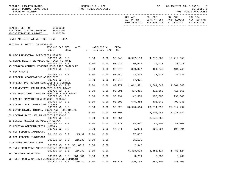| BPSC1L01 LAS/PBS SYSTEM<br>BUDGET PERIOD: 2009-2023<br>STATE OF FLORIDA                                 |                  | SCHEDULE I - LBE<br>TRUST FUNDS AVAILABLE |      |                              |             |                                | SP                             | 09/15/2021 13:11 PAGE:                                                                                                 | -3<br>SCHEDULE I<br>TRUST FUNDS AVAILABLE |
|---------------------------------------------------------------------------------------------------------|------------------|-------------------------------------------|------|------------------------------|-------------|--------------------------------|--------------------------------|------------------------------------------------------------------------------------------------------------------------|-------------------------------------------|
|                                                                                                         |                  |                                           |      |                              |             |                                |                                | COL A01 COL A02 COL A03 COL A04<br>ACT PR YR CURR YR EST AGY REQUEST AGY REQ N/R<br>EXP 2020-21 EXP 2021-22 FY 2022-23 | FY 2022-23                                |
| HEALTH, DEPT OF 64000000<br>PGM: EXEC DIR AND SUPPORT<br>64100000<br>ADMINISTRATIVE SUPPORT<br>64100200 |                  |                                           |      |                              |             |                                |                                |                                                                                                                        |                                           |
| FUND: ADMINISTRATIVE TRUST FUND                                                                         | 2021             |                                           |      |                              |             |                                |                                |                                                                                                                        |                                           |
| SECTION I: DETAIL OF REVENUES                                                                           |                  |                                           |      |                              |             |                                |                                |                                                                                                                        |                                           |
| REVENUE CAP SVC<br>CODE                                                                                 | CHG <sub>8</sub> | AUTH                                      |      | MATCHING %<br>ST I/C LOC I/C | CFDA<br>NO. |                                |                                |                                                                                                                        |                                           |
| J9 HIV PREVENTION ACTIVITIES HEALTH<br>000799 NO 0.0                                                    |                  |                                           | 0.00 | 0.00                         | 93.940      |                                | 3,997,163 4,010,562 19,719,658 |                                                                                                                        |                                           |
| K1 RURAL HEALTH SERVICES OUTREACH NETWORK                                                               |                  |                                           |      |                              |             |                                |                                |                                                                                                                        |                                           |
| 000799 NO 0.0<br>K3 TOBACCO CONTROL PROGRAM DRUG FREE COMM SUPP                                         |                  |                                           | 0.00 | 0.00                         |             | 93.912 30,918 30,918 30,918    |                                |                                                                                                                        |                                           |
| 000799 NO 0.0                                                                                           |                  |                                           | 0.00 | 0.00                         |             | 93.276 359,027 404,749 404,749 |                                |                                                                                                                        |                                           |
| K4 HIV GRANTS<br>000799 NO 0.0                                                                          |                  |                                           |      |                              |             | 93.944 63,318 32,637 32,637    |                                |                                                                                                                        |                                           |
| K6 FEDERAL COOPERATIVE AGREEMENTS                                                                       |                  |                                           | 0.00 | 0.00                         |             |                                |                                |                                                                                                                        |                                           |
| 000799 NO 0.0                                                                                           |                  |                                           | 0.00 | 0.00                         | 93.946      | 17,071                         |                                |                                                                                                                        |                                           |
| K8 PREVENTIVE HEALTH SERVICES STD CONTROL                                                               |                  |                                           |      |                              |             |                                |                                |                                                                                                                        |                                           |
| 000799 NO 0.0<br>L3 PREVENTIVE HEALTH SERVICES BLOCK GRANT                                              |                  |                                           | 0.00 | 0.00                         | 93.977      |                                | 1,012,521 1,561,643 1,561,643  |                                                                                                                        |                                           |
| 000799 NO 0.0                                                                                           |                  |                                           | 0.00 | 0.00                         |             | 93.991 427,855 415,660 415,661 |                                |                                                                                                                        |                                           |
| L5 MATERNAL CHILD HEALTH SERVICES BLOCK GRANT                                                           |                  |                                           |      |                              |             |                                |                                |                                                                                                                        |                                           |
| 000799 NO 0.0                                                                                           |                  |                                           | 0.00 | 0.00                         | 93.994      |                                | 142,500 190,000                | 190,000                                                                                                                |                                           |
| L9 CANCER PREVENTION & CONTROL PROGRAM<br>000799 NO 0.0                                                 |                  |                                           | 0.00 | 0.00                         | 93.898      |                                | 546,362 403,240                | 403,240                                                                                                                |                                           |
| ZA COVID - ELC INFECTIOUS DISEAS                                                                        |                  |                                           |      |                              |             |                                |                                |                                                                                                                        |                                           |
| 000799 NO 0.0                                                                                           |                  |                                           | 0.00 | 0.00                         | 93.323      |                                | 23,990,514 29,514,292          | 29,514,292                                                                                                             |                                           |
| ZB COVID-STATE, TRIBAL, LOCAL AND TERRITORIAL                                                           |                  |                                           |      |                              |             |                                |                                |                                                                                                                        |                                           |
| 000799 NO 0.0<br>ZC COVID-PUBLIC HEALTH CRISIS RESPONSE                                                 |                  |                                           | 0.00 | 0.00                         | 93.391      |                                | 2,106,945                      | 1,930,789                                                                                                              |                                           |
| 000799 NO 0.0                                                                                           |                  |                                           | 0.00 | 0.00                         |             | 93.354                         | 8,548,868                      |                                                                                                                        |                                           |
| 16 SEXUAL ASSAULT SERVICES PROGRAM                                                                      |                  |                                           |      |                              |             |                                |                                |                                                                                                                        |                                           |
|                                                                                                         |                  | 000799 NO 0.0                             | 0.00 | 0.00                         |             | 16.017 38,507 40,000 40,000    |                                |                                                                                                                        |                                           |
| 15 HOUSING OPPORTUNITIES (HOPWA)<br>000799 NO 0.0                                                       |                  |                                           | 0.00 | 0.00                         |             | 14.241 5,053 108,394 108,394   |                                |                                                                                                                        |                                           |
| M9 NON FEDERAL INDIRECTS                                                                                |                  |                                           |      |                              |             |                                |                                |                                                                                                                        |                                           |
| 001100 NO 8.0                                                                                           |                  | 215.32                                    | 0.00 | 0.00                         |             | 37,467                         |                                |                                                                                                                        |                                           |
| N2 NON FEDERAL INDIRECTS                                                                                |                  |                                           |      |                              |             |                                |                                |                                                                                                                        |                                           |
| 001110 NO<br>N3 ADMINSITRATIVE FINES                                                                    | 0.0              | 215.32                                    | 0.00 | 0.00                         |             | 85,171                         |                                |                                                                                                                        |                                           |
| 001200 NO                                                                                               | 8.0              | 381.0011                                  | 0.00 | 0.00                         |             | 2,942                          |                                |                                                                                                                        |                                           |
| B1 TNFR FROM 2352 ADMINISTRATIVE INDIRECT                                                               |                  |                                           |      |                              |             |                                |                                |                                                                                                                        |                                           |
| 001500 NO                                                                                               | 0.0              | 215.32                                    | 0.00 | 0.00                         |             | 5,488,624                      | 5,488,624                      | 5,488,624                                                                                                              |                                           |
| 88 TRANSFER FROM 2141<br>001500 NO                                                                      | 0.0              | 381.001                                   | 0.00 | 0.00                         |             | 3,239                          | 3,239                          | 3,239                                                                                                                  |                                           |
| N6 TNFR FROM AHCA 2474 ADMINISTRATIVE INDIRECT                                                          |                  |                                           |      |                              |             |                                |                                |                                                                                                                        |                                           |
| 001510 NO                                                                                               | 0.0              | 215.32                                    | 0.00 | 0.00                         | 93.778      | 240,706                        | 240,706                        | 240,706                                                                                                                |                                           |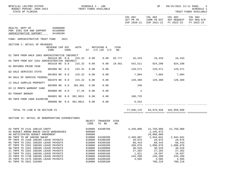| BPSC1L01 LAS/PBS SYSTEM<br>BUDGET PERIOD: 2009-2023<br>STATE OF FLORIDA                                              |                         |                  | SCHEDULE I - LBE |                            | TRUST FUNDS AVAILABLE            |             |                               | SP                                | 09/15/2021 13:11 PAGE:                                                                       | 4<br><b>SCHEDULE I</b><br>TRUST FUNDS AVAILABLE |
|----------------------------------------------------------------------------------------------------------------------|-------------------------|------------------|------------------|----------------------------|----------------------------------|-------------|-------------------------------|-----------------------------------|----------------------------------------------------------------------------------------------|-------------------------------------------------|
|                                                                                                                      |                         |                  |                  |                            |                                  |             | COL A01<br>ACT PR YR          | COL A02                           | COL A03 COL A04<br>CURR YR EST AGY REQUEST AGY REQ N/R<br>EXP 2020-21 EXP 2021-22 FY 2022-23 | FY 2022-23                                      |
| HEALTH, DEPT OF 64000000<br>PGM: EXEC DIR AND SUPPORT<br>ADMINISTRATIVE SUPPORT                                      | 64100000<br>64100200    |                  |                  |                            |                                  |             |                               |                                   |                                                                                              |                                                 |
| FUND: ADMINISTRATIVE TRUST FUND                                                                                      |                         | 2021             |                  |                            |                                  |             |                               |                                   |                                                                                              |                                                 |
| SECTION I: DETAIL OF REVENUES                                                                                        | REVENUE CAP SVC<br>CODE | CHG <sup>8</sup> | AUTH             |                            | MATCHING %<br>ST I/C LOC I/C     | CFDA<br>NO. |                               |                                   |                                                                                              |                                                 |
| O1 TNFR FROM AHCA 2003 ADMINISTRATIVE INDIRECT                                                                       | 001510 NO 0.0           |                  | 215.32           | 0.00                       | 0.00                             |             | 93.777 16,433 16,433 16,433   |                                   |                                                                                              |                                                 |
| 05 TNFR FROM DCF 2261 ADMINISTRATIVE INDIRECT                                                                        | 001510 NO 0.0           |                  | 215.32           | 0.00                       | 0.00                             | 10.561      | 542,511                       | 824,298                           | 824,298                                                                                      |                                                 |
| 02 REFUNDS PRIOR YEAR                                                                                                | 001800 NO 0.0           |                  | 215.31           | 0.00                       | 0.00                             |             |                               | 129,571 129,571 129,571           |                                                                                              |                                                 |
| Q3 SALE SERVICES STATE                                                                                               | 001903 NO 0.0           |                  | 215.32           | 0.00                       | 0.00                             |             | 7,084                         | 7,084                             | 7,084                                                                                        |                                                 |
| R4 SALE OF SERVICE FEDERAL                                                                                           | 001970 NO 0.0           |                  | 215.32           | 0.00                       | 0.00                             |             |                               | 129,389 129,389 129,389           |                                                                                              |                                                 |
| 12 SALE SURPLUS PROPERTY                                                                                             |                         |                  |                  |                            |                                  |             |                               |                                   |                                                                                              |                                                 |
| 03 12 MONTH WARRANT CANX                                                                                             | 002900 NO 8.0           |                  | 381.001          | 0.00                       | 0.00                             |             | 240                           |                                   |                                                                                              |                                                 |
| R3 TENANT BROKER                                                                                                     | 003800 NO 0.0 17.26     |                  |                  | 0.00                       | 0.00                             |             | 2                             |                                   |                                                                                              |                                                 |
| R9 TNFR FROM 1000 64200700                                                                                           | 004001 NO 0.0 381.0011  |                  |                  | 0.00                       | 0.00                             |             | 160,725                       |                                   |                                                                                              |                                                 |
|                                                                                                                      | 006000 NO 0.0 381.0011  |                  |                  | 0.00                       | 0.00                             |             | 6,542                         |                                   |                                                                                              |                                                 |
| TOTAL TO LINE B IN SECTION IV                                                                                        |                         |                  |                  |                            |                                  |             |                               | 77,946,176 94,975,926 101,959,999 |                                                                                              |                                                 |
| SECTION II: DETAIL OF NONOPERATING EXPENDITURES                                                                      |                         |                  |                  | OBJECT<br>CODE             | TRANSFER CFDA<br>TO BE           | NO.         |                               |                                   |                                                                                              |                                                 |
| A2 TNFR TO 2141 180110 CHDTF<br>A5 BUDGET AMEND B0038 COVID WAREHOUSES<br>A6 ANTICIPATED BUDGET AMENDMENT            |                         |                  |                  | 899000<br>899000           | 810000 64200700                  |             | 4,250,000                     | 2, 245, 873<br>10,000,000         | 21,750,000 21,750,000                                                                        |                                                 |
| BA TNFR TO GR 180200 SWCAP<br>PP TNFR TO 2168 180205 LEAVE PAYOUTS<br>RS TNFR TO 2261 180205 LEAVE PAYOUTS           |                         |                  |                  | 810000<br>810000<br>810000 | 64100200<br>64300100<br>64200100 |             | 2,450,887<br>29,075<br>68,443 | 2,944,041<br>29,075<br>68,443     | 2,944,041<br>29,075<br>68,443                                                                |                                                 |
| RT TNFR TO 2261 180205 LEAVE PAYOUTS<br>SW TNFR TO 2261 180205 LEAVE PAYOUTS                                         |                         |                  |                  | 810000<br>810000           | 64200200<br>64200800             |             | 109,078<br>30,529             | 1,090,078<br>30,529               | 1,090,078<br>30,529                                                                          |                                                 |
| Z1 TNFR TO 2261 180205 LEAVE PAYOUTS<br>Z2 TNFR TO 2261 180205 LEAVE PAYOUTS<br>Z3 TNFR TO 2738 180205 LEAVE PAYOUTS |                         |                  |                  | 810000<br>810000<br>810000 | 64300100<br>64500100<br>64500100 |             | 27,202<br>1,821<br>244,209    | 27,202<br>10,597<br>244,209       | 27,202<br>10,597<br>244,209                                                                  |                                                 |
| Z5 TNFR TO 2475 180205 LEAVE PAYOUTS<br>01 TNFR TO 2021 310405                                                       |                         |                  |                  | 810000<br>810000           | 64200100<br>64200100             |             | 3,505                         | 3,505<br>788,218                  | 3,505<br>788,218                                                                             |                                                 |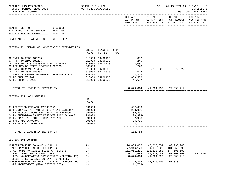| BPSC1L01 LAS/PBS SYSTEM<br>TRUST FUNDS AVAILABLE<br>BUDGET PERIOD: 2009-2023<br>STATE OF FLORIDA                                                                                                                                                                                                                                 | SCHEDULE I - LBE                                                                                  |                                                                                                |     |                                                                                                  | SP.                                                                                   | 09/15/2021 13:11 PAGE:                                                                                                                                                                                                                                        | 5<br><b>SCHEDULE I</b><br>TRUST FUNDS AVAILABLE |
|----------------------------------------------------------------------------------------------------------------------------------------------------------------------------------------------------------------------------------------------------------------------------------------------------------------------------------|---------------------------------------------------------------------------------------------------|------------------------------------------------------------------------------------------------|-----|--------------------------------------------------------------------------------------------------|---------------------------------------------------------------------------------------|---------------------------------------------------------------------------------------------------------------------------------------------------------------------------------------------------------------------------------------------------------------|-------------------------------------------------|
|                                                                                                                                                                                                                                                                                                                                  |                                                                                                   |                                                                                                |     |                                                                                                  |                                                                                       | $\begin{tabular}{lllllllllll} \multicolumn{2}{l}{{\text{COL A02}}} & \multicolumn{2}{c}{\text{COL A03}} & \multicolumn{2}{c}{\text{COL A04}} \end{tabular}$<br>ACT PR YR CURR YR EST AGY REQUEST AGY REQ N/R<br>EXP 2020-21 EXP 2021-22 FY 2022-23 FY 2022-23 |                                                 |
| HEALTH, DEPT OF 64000000<br>PGM: EXEC DIR AND SUPPORT 64100000<br>ADMINISTRATIVE SUPPORT<br>64100200                                                                                                                                                                                                                             |                                                                                                   |                                                                                                |     |                                                                                                  |                                                                                       |                                                                                                                                                                                                                                                               |                                                 |
| 2021<br>FUND: ADMINISTRATIVE TRUST FUND                                                                                                                                                                                                                                                                                          |                                                                                                   |                                                                                                |     |                                                                                                  |                                                                                       |                                                                                                                                                                                                                                                               |                                                 |
| SECTION II: DETAIL OF NONOPERATING EXPENDITURES                                                                                                                                                                                                                                                                                  | CODE                                                                                              | OBJECT TRANSFER CFDA<br>TO BE                                                                  | NO. |                                                                                                  |                                                                                       |                                                                                                                                                                                                                                                               |                                                 |
| 06 TNFR TO 2352 180205<br>07 TNFR TO 2192 180205<br>08 TNFR TO 2738 180205-NON ALLOW GRANT<br>09 REFUNDS OF STATE REVENUES 220020<br>02 TNFR TO 2021 310405<br>04 TNFR TO 2531 180205<br>10 SERVICE CHARGE TO GENERAL REVENUE 310322 880800<br>22 BE TNFR TO 2021<br>23 BE TNFR TO 2021                                          | 810000<br>$\begin{array}{cc}\n & 810000 \\ & 810000 \\ & 860000\n\end{array}$<br>810000<br>810000 | 64400100<br>64200800<br>64500100<br>64200800<br>64200800<br>810000 64200100<br>810000 64200800 |     | 332<br>245<br>242,031<br>1,720<br>674<br>2,893<br>663,533<br>747,637                             |                                                                                       | 2, 372, 522 2, 372, 522                                                                                                                                                                                                                                       |                                                 |
| TOTAL TO LINE E IN SECTION IV                                                                                                                                                                                                                                                                                                    |                                                                                                   |                                                                                                |     |                                                                                                  | 8,873,814 41,604,292 29,358,419                                                       |                                                                                                                                                                                                                                                               |                                                 |
| SECTION III: ADJUSTMENTS                                                                                                                                                                                                                                                                                                         | OBJECT<br>CODE                                                                                    |                                                                                                |     |                                                                                                  |                                                                                       |                                                                                                                                                                                                                                                               |                                                 |
| 01 CERTIFIED FORWARD REVERSIONS<br>02 PRIOR YEAR A/P NOT CF-OPERATING CATEGORY<br>03 PY ACCRUAL ADJUSTMENT-ATYPICAL REVENUE<br>04 PY ENCUMBRANCES NOT RESERVED FUND BALANCE<br>05 PRIOR YR A/P NOT CF-COMP ABSENCES<br>10 SWFS ADJ B6400346<br>21 PY ACCRUAL ADJUSTMENT                                                          | 991000<br>991000<br>991000<br>991000<br>991000<br>991000<br>991000                                |                                                                                                |     | 692,080<br>253,061<br>39,467-<br>1,108,323-<br>62,988<br>24,756<br>2,147                         |                                                                                       |                                                                                                                                                                                                                                                               |                                                 |
| TOTAL TO LINE H IN SECTION IV                                                                                                                                                                                                                                                                                                    |                                                                                                   |                                                                                                |     | $112,758-$                                                                                       |                                                                                       |                                                                                                                                                                                                                                                               |                                                 |
| SECTION IV: SUMMARY                                                                                                                                                                                                                                                                                                              |                                                                                                   |                                                                                                |     |                                                                                                  |                                                                                       |                                                                                                                                                                                                                                                               |                                                 |
| UNRESERVED FUND BALANCE - JULY 1<br>ADD: REVENUES (FROM SECTION I)<br>TOTAL FUNDS AVAILABLE (LINE A + LINE B)<br>LESS: OPERATING EXPENDITURES<br>LESS: NONOPERATING EXPENDITURES (SECTION II)<br>LESS: FIXED CAPITAL OUTLAY (TOTAL ONLY)<br>UNRESERVED FUND BALANCE - JUNE 30 - BEFORE ADJ<br>NET ADJUSTMENTS (FROM SECTION III) | (A)<br>(B)<br>(C)<br>(D)<br>(E)<br>(F)<br>(G)<br>(H)                                              |                                                                                                |     | 24,005,055<br>77,946,176<br>101,951,231<br>49,727,605<br>8,873,814<br>43, 349, 812<br>$112,758-$ | 43, 237, 054<br>94,975,926<br>138,212,980<br>54, 378, 488<br>41,604,292<br>42,230,200 | 42,230,200<br>101,959,999<br>144,190,199<br>57,003,368<br>29, 358, 419<br>57,828,412                                                                                                                                                                          | 1,521,519                                       |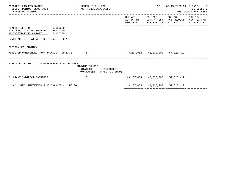| BPSC1L01 LAS/PBS SYSTEM<br>BUDGET PERIOD: 2009-2023 TRUST FUNDS AVAILABLE<br>STATE OF FLORIDA           | SCHEDULE I - LBE           |                                              |                                        | SP                             |                                                              | 09/15/2021 13:11 PAGE: 6<br>SCHEDULE I<br>TRUST FUNDS AVAILABLE |
|---------------------------------------------------------------------------------------------------------|----------------------------|----------------------------------------------|----------------------------------------|--------------------------------|--------------------------------------------------------------|-----------------------------------------------------------------|
|                                                                                                         |                            |                                              | ACT PR YR<br>EXP 2020-21               | COL A01 COL A02<br>EXP 2021-22 | COL A03<br>CURR YR EST AGY REQUEST AGY REQ N/R<br>FY 2022-23 | COL A04<br>FY 2022-23                                           |
| 64000000<br>HEALTH, DEPT OF<br>PGM: EXEC DIR AND SUPPORT 64100000<br>ADMINISTRATIVE SUPPORT<br>64100200 |                            |                                              |                                        |                                |                                                              |                                                                 |
| FUND: ADMINISTRATIVE TRUST FUND 2021                                                                    |                            |                                              |                                        |                                |                                                              |                                                                 |
| SECTION IV: SUMMARY                                                                                     |                            |                                              |                                        |                                |                                                              |                                                                 |
| ADJUSTED UNRESERVED FUND BALANCE - JUNE 30 (I)                                                          |                            |                                              | 43, 237, 054 42, 230, 200 57, 828, 412 |                                |                                                              |                                                                 |
| SCHEDULE IB: DETAIL OF UNRESERVED FUND BALANCE                                                          | FUNDING SOURCE<br>STATE(S) | RESTRICTED(R)<br>NONSTATE(N) UNRESTRICTED(U) |                                        |                                |                                                              |                                                                 |
| 01 GRANT INDIRECT EARNINGS                                                                              | -S                         | $\mathbf{U}$                                 |                                        |                                | 43, 237, 054 42, 230, 200 57, 828, 412                       |                                                                 |
| ADJUSTED UNRESERVED FUND BALANCE - JUNE 30                                                              |                            |                                              |                                        |                                | 43, 237, 054 42, 230, 200 57, 828, 412                       |                                                                 |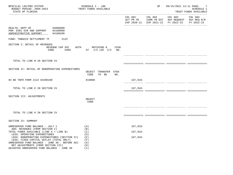| BPSC1L01 LAS/PBS SYSTEM<br>BUDGET PERIOD: 2009-2023<br>STATE OF FLORIDA                                                                                                                                                                                       | SCHEDULE I - LBE<br>TRUST FUNDS AVAILABLE |                                                        | SP         |  | 09/15/2021 13:11 PAGE: 7<br>SCHEDULE I<br>TRUST FUNDS AVAILABLE                                                        |            |
|---------------------------------------------------------------------------------------------------------------------------------------------------------------------------------------------------------------------------------------------------------------|-------------------------------------------|--------------------------------------------------------|------------|--|------------------------------------------------------------------------------------------------------------------------|------------|
|                                                                                                                                                                                                                                                               |                                           |                                                        |            |  | COL A01 COL A02 COL A03 COL A04<br>ACT PR YR CURR YR EST AGY REQUEST AGY REQ N/R<br>EXP 2020-21 EXP 2021-22 FY 2022-23 | FY 2022-23 |
| HEALTH, DEPT OF 64000000<br>PGM: EXEC DIR AND SUPPORT 64100000<br>ADMINISTRATIVE SUPPORT                                                                                                                                                                      | 64100200                                  |                                                        |            |  |                                                                                                                        |            |
| FUND: TOBACCO SETTLEMENT TF                                                                                                                                                                                                                                   | 2122                                      |                                                        |            |  |                                                                                                                        |            |
| SECTION I: DETAIL OF REVENUES                                                                                                                                                                                                                                 | REVENUE CAP SVC<br><b>AUTH</b><br>CODE    | MATCHING % CFDA<br>CHG <sup>%</sup> ST I/C LOC I/C NO. |            |  |                                                                                                                        |            |
|                                                                                                                                                                                                                                                               |                                           |                                                        |            |  |                                                                                                                        |            |
| TOTAL TO LINE B IN SECTION IV                                                                                                                                                                                                                                 |                                           |                                                        |            |  |                                                                                                                        |            |
| SECTION II: DETAIL OF NONOPERATING EXPENDITURES                                                                                                                                                                                                               |                                           | OBJECT TRANSFER CFDA<br>CODE<br>TO BE<br>NO.           |            |  |                                                                                                                        |            |
| 04 BE TNFR FROM 2122 64200100                                                                                                                                                                                                                                 |                                           | 810000                                                 | 167,918-   |  |                                                                                                                        |            |
| TOTAL TO LINE E IN SECTION IV                                                                                                                                                                                                                                 |                                           |                                                        | $167,918-$ |  |                                                                                                                        |            |
| SECTION III: ADJUSTMENTS                                                                                                                                                                                                                                      |                                           | OBJECT<br>CODE                                         |            |  |                                                                                                                        |            |
|                                                                                                                                                                                                                                                               |                                           |                                                        |            |  |                                                                                                                        |            |
| TOTAL TO LINE H IN SECTION IV                                                                                                                                                                                                                                 |                                           |                                                        |            |  |                                                                                                                        |            |
| SECTION IV: SUMMARY                                                                                                                                                                                                                                           |                                           |                                                        |            |  |                                                                                                                        |            |
| UNRESERVED FUND BALANCE - JULY 1                                                                                                                                                                                                                              |                                           | (A)                                                    | $167,918-$ |  |                                                                                                                        |            |
| ADD: REVENUES (FROM SECTION I)<br>TOTAL FUNDS AVAILABLE (LINE A + LINE B)                                                                                                                                                                                     |                                           | (B)<br>(C)                                             | 167,918-   |  |                                                                                                                        |            |
| LESS: OPERATING EXPENDITURES<br>LESS: NONOPERATING EXPENDITURES (SECTION II)<br>LESS: FIXED CAPITAL OUTLAY (TOTAL ONLY)<br>UNRESERVED FUND BALANCE - JUNE 30 - BEFORE ADJ<br>NET ADJUSTMENTS (FROM SECTION III)<br>ADJUSTED UNRESERVED FUND BALANCE - JUNE 30 |                                           | (D)<br>(E)<br>(F)<br>(G)<br>(H)<br>(I)                 | $167,918-$ |  |                                                                                                                        |            |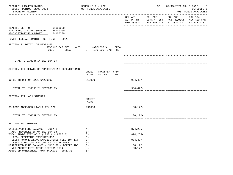| BPSC1L01 LAS/PBS SYSTEM<br>BUDGET PERIOD: 2009-2023<br>STATE OF FLORIDA                                                            | SCHEDULE I - LBE<br>TRUST FUNDS AVAILABLE         |                     | SP                                                                                 | 09/15/2021 13:11 PAGE: | 8<br><b>SCHEDULE I</b><br>TRUST FUNDS AVAILABLE |
|------------------------------------------------------------------------------------------------------------------------------------|---------------------------------------------------|---------------------|------------------------------------------------------------------------------------|------------------------|-------------------------------------------------|
|                                                                                                                                    |                                                   | COL A01             | COL A02<br>ACT PR YR CURR YR EST AGY REQUEST<br>EXP 2020-21 EXP 2021-22 FY 2022-23 | COL A03                | COL A04<br>AGY REQ N/R<br>FY 2022-23            |
| 64000000<br>HEALTH, DEPT OF<br>PGM: EXEC DIR AND SUPPORT 64100000<br>ADMINISTRATIVE SUPPORT<br>64100200                            |                                                   |                     |                                                                                    |                        |                                                 |
| FUND: FEDERAL GRANTS TRUST FUND<br>2261                                                                                            |                                                   |                     |                                                                                    |                        |                                                 |
| SECTION I: DETAIL OF REVENUES<br>REVENUE CAP SVC<br>CODE<br>CHG <sup>8</sup>                                                       | AUTH MATCHING %<br>CFDA<br>ST $I/C$ LOC $I/C$ NO. |                     |                                                                                    |                        |                                                 |
|                                                                                                                                    |                                                   |                     |                                                                                    |                        |                                                 |
| TOTAL TO LINE B IN SECTION IV                                                                                                      |                                                   |                     |                                                                                    |                        |                                                 |
| SECTION II: DETAIL OF NONOPERATING EXPENDITURES                                                                                    | OBJECT TRANSFER CFDA<br>CODE<br>TO BE<br>NO.      |                     |                                                                                    |                        |                                                 |
| 90 BE TNFR FROM 2261 64200800                                                                                                      | 810000                                            | 904,427-            |                                                                                    |                        |                                                 |
| TOTAL TO LINE E IN SECTION IV                                                                                                      |                                                   | $904,427-$          |                                                                                    |                        |                                                 |
| SECTION III: ADJUSTMENTS                                                                                                           | OBJECT<br>CODE                                    |                     |                                                                                    |                        |                                                 |
| 05 COMP ABSENSES LIABLILITY C/F                                                                                                    | 991000                                            | 30,172-             |                                                                                    |                        |                                                 |
| TOTAL TO LINE H IN SECTION IV                                                                                                      |                                                   | $30, 172 -$         |                                                                                    |                        |                                                 |
| SECTION IV: SUMMARY                                                                                                                |                                                   |                     |                                                                                    |                        |                                                 |
| UNRESERVED FUND BALANCE - JULY 1<br>ADD: REVENUES (FROM SECTION I)                                                                 | (A)<br>(B)                                        | $874, 255 -$        |                                                                                    |                        |                                                 |
| TOTAL FUNDS AVAILABLE (LINE A + LINE B)<br>LESS: OPERATING EXPENDITURES                                                            | (C)<br>(D)                                        | $874, 255 -$        |                                                                                    |                        |                                                 |
| LESS: NONOPERATING EXPENDITURES (SECTION II)<br>LESS: FIXED CAPITAL OUTLAY (TOTAL ONLY)                                            | (E)<br>(F)                                        | $904, 427 -$        |                                                                                    |                        |                                                 |
| UNRESERVED FUND BALANCE - JUNE 30 - BEFORE ADJ<br>NET ADJUSTMENTS (FROM SECTION III)<br>ADJUSTED UNRESERVED FUND BALANCE - JUNE 30 | (G)<br>(H)<br>(I)                                 | 30,172<br>$30,172-$ |                                                                                    |                        |                                                 |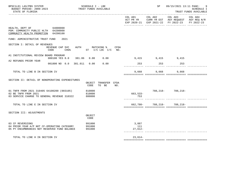| SCHEDULE I - LBE<br>TRUST FUNDS AVAILABLE              |                           | SP and the set of the set of the set of the set of the set of the set of the set of the set of the set of the set of the set of the set of the set of the set of the set of the set of the set of the set of the set of the se | 09/15/2021 13:11 PAGE: | -9<br>SCHEDULE I<br>TRUST FUNDS AVAILABLE                                                                                                                                                                |
|--------------------------------------------------------|---------------------------|--------------------------------------------------------------------------------------------------------------------------------------------------------------------------------------------------------------------------------|------------------------|----------------------------------------------------------------------------------------------------------------------------------------------------------------------------------------------------------|
|                                                        |                           |                                                                                                                                                                                                                                | COL A03                | COL A04<br>FY 2022-23                                                                                                                                                                                    |
|                                                        |                           |                                                                                                                                                                                                                                |                        |                                                                                                                                                                                                          |
|                                                        |                           |                                                                                                                                                                                                                                |                        |                                                                                                                                                                                                          |
| AUTH MATCHING %<br>CHG <sup>§</sup> ST I/C LOC I/C NO. |                           |                                                                                                                                                                                                                                |                        |                                                                                                                                                                                                          |
| 000100 YES 8.0 381.86 0.00 0.00                        |                           |                                                                                                                                                                                                                                |                        |                                                                                                                                                                                                          |
| $0.01800$ NO $0.0$ $381.011$ $0.00$ $0.00$             |                           |                                                                                                                                                                                                                                |                        |                                                                                                                                                                                                          |
|                                                        |                           |                                                                                                                                                                                                                                | 9,668                  |                                                                                                                                                                                                          |
| OBJECT TRANSFER CFDA<br>CODE<br>TO BE<br>NO.           |                           |                                                                                                                                                                                                                                |                        |                                                                                                                                                                                                          |
| 810000<br>810000<br>880800                             | 753                       |                                                                                                                                                                                                                                |                        |                                                                                                                                                                                                          |
|                                                        |                           |                                                                                                                                                                                                                                |                        |                                                                                                                                                                                                          |
| OBJECT<br>CODE                                         |                           |                                                                                                                                                                                                                                |                        |                                                                                                                                                                                                          |
| 991000<br>991000<br>991000                             | 3,887<br>111<br>$27,612-$ |                                                                                                                                                                                                                                |                        |                                                                                                                                                                                                          |
|                                                        | $23,614-$                 |                                                                                                                                                                                                                                |                        |                                                                                                                                                                                                          |
|                                                        |                           | CFDA                                                                                                                                                                                                                           | COL A01<br>$663,533-$  | COL A02<br>ACT PR YR CURR YR EST AGY REQUEST AGY REQ N/R<br>EXP 2020-21 EXP 2021-22 FY 2022-23<br>9,415 9,415 9,415<br>253 253 253<br>9,668 9,668<br>788, 218 - 788, 218 -<br>662,780- 788,218- 788,218- |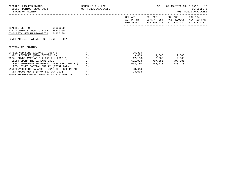| BPSC1L01 LAS/PBS SYSTEM<br>BUDGET PERIOD: 2009-2023 TRUST FUNDS AVAILABLE<br>STATE OF FLORIDA                | SCHEDULE I - LBE | SP                                  | 09/15/2021 13:11 PAGE: 10<br>SCHEDULE I<br>TRUST FUNDS AVAILABLE |                                                                             |             |
|--------------------------------------------------------------------------------------------------------------|------------------|-------------------------------------|------------------------------------------------------------------|-----------------------------------------------------------------------------|-------------|
|                                                                                                              |                  | COL A01<br>ACT PR YR<br>EXP 2020-21 | CURR YR EST                                                      | COL A02 COL A03 COL A04<br>AGY REOUEST<br>EXP 2021-22 FY 2022-23 FY 2022-23 | AGY REQ N/R |
| HEALTH, DEPT OF<br>64000000<br>PGM: COMMUNITY PUBLIC HLTH 64200000<br>COMMUNITY HEALTH PROMOTION<br>64200100 |                  |                                     |                                                                  |                                                                             |             |
| FUND: ADMINISTRATIVE TRUST FUND 2021                                                                         |                  |                                     |                                                                  |                                                                             |             |
| SECTION IV: SUMMARY                                                                                          |                  |                                     |                                                                  |                                                                             |             |
| UNRESERVED FUND BALANCE - JULY 1                                                                             | (A)              | $26,836-$                           |                                                                  |                                                                             |             |
| ADD: REVENUES (FROM SECTION I)                                                                               | (B)              |                                     | 9,668 9,668                                                      | 9,668                                                                       |             |
| TOTAL FUNDS AVAILABLE (LINE A + LINE B)                                                                      | (C)              |                                     | $17,168-$ 9,668                                                  | 9,668                                                                       |             |
| LESS: OPERATING EXPENDITURES                                                                                 | (D)              |                                     | 621,998 797,886                                                  | 797,886                                                                     |             |
| LESS: NONOPERATING EXPENDITURES (SECTION II)                                                                 | (E)              | 662,780-                            | 788,218-                                                         | 788,218-                                                                    |             |
| LESS: FIXED CAPITAL OUTLAY (TOTAL ONLY)                                                                      | (F)              |                                     |                                                                  |                                                                             |             |
| UNRESERVED FUND BALANCE - JUNE 30 - BEFORE ADJ                                                               | (G)              | 23,614                              |                                                                  |                                                                             |             |
| NET ADJUSTMENTS (FROM SECTION III)                                                                           | (H)              | $23,614-$                           |                                                                  |                                                                             |             |

ADJUSTED UNRESERVED FUND BALANCE - JUNE 30 (I)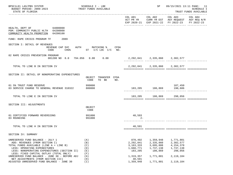| BPSC1L01 LAS/PBS SYSTEM<br>BUDGET PERIOD: 2009-2023<br>STATE OF FLORIDA                                                                                                                                                                                                                                                          | SCHEDULE I - LBE<br>TRUST FUNDS AVAILABLE            |                                                                                    | SP                                                                       |                                                                                                                                         | 09/15/2021 13:11 PAGE: 11<br><b>SCHEDULE I</b><br>TRUST FUNDS AVAILABLE |
|----------------------------------------------------------------------------------------------------------------------------------------------------------------------------------------------------------------------------------------------------------------------------------------------------------------------------------|------------------------------------------------------|------------------------------------------------------------------------------------|--------------------------------------------------------------------------|-----------------------------------------------------------------------------------------------------------------------------------------|-------------------------------------------------------------------------|
|                                                                                                                                                                                                                                                                                                                                  |                                                      |                                                                                    |                                                                          | COL A01 COL A02 COL A03<br>ACT PR YR $\,$ CURR YR EST $\,$ AGY REQUEST $\,$ AGY REQ $\,$ N/R $\,$<br>EXP 2020-21 EXP 2021-22 FY 2022-23 | COL A04<br>FY 2022-23                                                   |
| HEALTH, DEPT OF 64000000<br>PGM: COMMUNITY PUBLIC HLTH 64200000<br>COMMUNITY HEALTH PROMOTION 64200100                                                                                                                                                                                                                           |                                                      |                                                                                    |                                                                          |                                                                                                                                         |                                                                         |
| FUND: RAPE CRISIS PROGRAM TF<br>2089                                                                                                                                                                                                                                                                                             |                                                      |                                                                                    |                                                                          |                                                                                                                                         |                                                                         |
| SECTION I: DETAIL OF REVENUES<br>REVENUE CAP SVC<br>CODE<br>CHG <sup>8</sup>                                                                                                                                                                                                                                                     | AUTH MATCHING %<br>CFDA<br>ST I/C LOC I/C NO.        |                                                                                    |                                                                          |                                                                                                                                         |                                                                         |
| 02 RAPE CRISIS PREVENTION PROGRAM<br>001200 NO 8.0 794.056 0.00 0.00                                                                                                                                                                                                                                                             |                                                      |                                                                                    | 2, 292, 841 2, 335, 860 2, 382, 577                                      |                                                                                                                                         |                                                                         |
| TOTAL TO LINE B IN SECTION IV                                                                                                                                                                                                                                                                                                    |                                                      |                                                                                    | 2, 292, 841 2, 335, 860 2, 382, 577                                      |                                                                                                                                         |                                                                         |
| SECTION II: DETAIL OF NONOPERATING EXPENDITURES                                                                                                                                                                                                                                                                                  | TRANSFER CFDA<br>OBJECT<br>TO BE<br>CODE<br>NO.      |                                                                                    |                                                                          |                                                                                                                                         |                                                                         |
| 01 5% TRUST FUND RESERVE<br>03 SERVICE CHARGE TO GENERAL REVENUE 310322                                                                                                                                                                                                                                                          | 999000<br>880800                                     |                                                                                    |                                                                          | 107,450                                                                                                                                 |                                                                         |
| TOTAL TO LINE E IN SECTION IV                                                                                                                                                                                                                                                                                                    |                                                      |                                                                                    | 183,205 186,869 298,056                                                  |                                                                                                                                         |                                                                         |
| SECTION III: ADJUSTMENTS                                                                                                                                                                                                                                                                                                         | OBJECT<br>CODE                                       |                                                                                    |                                                                          |                                                                                                                                         |                                                                         |
| 01 CERTIFIED FORWARD REVERSIONS<br>03 ROUNDING                                                                                                                                                                                                                                                                                   | 991000<br>991000                                     | 40,593<br>$2 -$                                                                    |                                                                          |                                                                                                                                         |                                                                         |
| TOTAL TO LINE H IN SECTION IV                                                                                                                                                                                                                                                                                                    |                                                      | 40,591                                                                             |                                                                          |                                                                                                                                         |                                                                         |
| SECTION IV: SUMMARY                                                                                                                                                                                                                                                                                                              |                                                      |                                                                                    |                                                                          |                                                                                                                                         |                                                                         |
| UNRESERVED FUND BALANCE - JULY 1<br>ADD: REVENUES (FROM SECTION I)<br>TOTAL FUNDS AVAILABLE (LINE A + LINE B)<br>LESS: OPERATING EXPENDITURES<br>LESS: NONOPERATING EXPENDITURES (SECTION II)<br>LESS: FIXED CAPITAL OUTLAY (TOTAL ONLY)<br>UNRESERVED FUND BALANCE - JUNE 30 - BEFORE ADJ<br>NET ADJUSTMENTS (FROM SECTION III) | (A)<br>(B)<br>(C)<br>(D)<br>(E)<br>(F)<br>(G)<br>(H) | 870,492<br>2,292,841<br>3, 163, 333<br>1,660,771<br>183,205<br>1,319,357<br>40,591 | 1,359,948<br>2,335,860<br>3,695,808<br>1,737,138<br>186,869<br>1,771,801 | 1,771,801<br>2,382,577<br>4,154,378<br>1,737,138<br>298,056<br>2,119,184                                                                |                                                                         |
| ADJUSTED UNRESERVED FUND BALANCE - JUNE 30                                                                                                                                                                                                                                                                                       | (I)                                                  | 1,359,948                                                                          | 1,771,801                                                                | 2,119,184                                                                                                                               |                                                                         |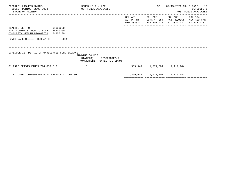| BPSC1L01 LAS/PBS SYSTEM<br>BUDGET PERIOD: 2009-2023<br>STATE OF FLORIDA                                | TRUST FUNDS AVAILABLE | SCHEDULE I - LBE |                                                            |                      | SP      | 09/15/2021 13:11 PAGE: 12                                                                       | SCHEDULE I<br>TRUST FUNDS AVAILABLE |
|--------------------------------------------------------------------------------------------------------|-----------------------|------------------|------------------------------------------------------------|----------------------|---------|-------------------------------------------------------------------------------------------------|-------------------------------------|
|                                                                                                        |                       |                  |                                                            | COL A01<br>ACT PR YR | COL A02 | COL A03<br>CURR YR EST AGY REQUEST AGY REQ N/R<br>EXP 2020-21 EXP 2021-22 FY 2022-23 FY 2022-23 | COL A04                             |
| HEALTH, DEPT OF 64000000<br>PGM: COMMUNITY PUBLIC HLTH 64200000<br>COMMUNITY HEALTH PROMOTION 64200100 |                       |                  |                                                            |                      |         |                                                                                                 |                                     |
| FUND: RAPE CRISIS PROGRAM TF                                                                           | 2089                  |                  |                                                            |                      |         |                                                                                                 |                                     |
| SCHEDULE IB: DETAIL OF UNRESERVED FUND BALANCE                                                         |                       | FUNDING SOURCE   | $STATE(S)$ RESTRICTED $(R)$<br>NONSTATE(N) UNRESTRICTED(U) |                      |         |                                                                                                 |                                     |
| 01 RAPE CRISIS FINES 794.056 F.S.                                                                      |                       | S                | U                                                          |                      |         | 1,359,948 1,771,801 2,119,184                                                                   |                                     |
| ADJUSTED UNRESERVED FUND BALANCE - JUNE 30                                                             |                       |                  |                                                            |                      |         | 1,359,948 1,771,801 2,119,184                                                                   |                                     |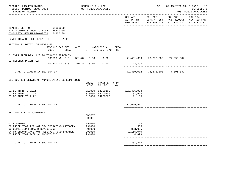| BPSC1L01 LAS/PBS SYSTEM<br>BUDGET PERIOD: 2009-2023<br>STATE OF FLORIDA                                                                                                           | SCHEDULE I - LBE<br>TRUST FUNDS AVAILABLE      |                                                       |     |                                             | SP                               | 09/15/2021 13:11 PAGE: 13<br><b>SCHEDULE I</b><br>TRUST FUNDS AVAILABLE                                                 |                       |  |
|-----------------------------------------------------------------------------------------------------------------------------------------------------------------------------------|------------------------------------------------|-------------------------------------------------------|-----|---------------------------------------------|----------------------------------|-------------------------------------------------------------------------------------------------------------------------|-----------------------|--|
|                                                                                                                                                                                   |                                                |                                                       |     | COL A01                                     | COL A02                          | COL A03<br>ACT PR YR $\,$ CURR YR EST $\,$ AGY REQUEST $\,$ AGY REQ $\,$ N/R $\,$<br>EXP 2020-21 EXP 2021-22 FY 2022-23 | COL A04<br>FY 2022-23 |  |
| HEALTH, DEPT OF 64000000<br>PGM: COMMUNITY PUBLIC HLTH 64200000<br>COMMUNITY HEALTH PROMOTION 64200100                                                                            |                                                |                                                       |     |                                             |                                  |                                                                                                                         |                       |  |
| FUND: TOBACCO SETTLEMENT TF 2122                                                                                                                                                  |                                                |                                                       |     |                                             |                                  |                                                                                                                         |                       |  |
| SECTION I: DETAIL OF REVENUES<br>REVENUE CAP SVC<br>CHG <sup>8</sup><br>CODE                                                                                                      | AUTH MATCHING % CFDA<br>ST $I/C$ LOC $I/C$ NO. |                                                       |     |                                             |                                  |                                                                                                                         |                       |  |
| 01 TNFR FROM DFS 2123 TO TOBACCO SERVICES<br>001500 NO 0.0                                                                                                                        | 381.84 0.00                                    | 0.00                                                  |     |                                             |                                  |                                                                                                                         |                       |  |
| 02 REFUNDS PRIOR YEAR<br>001800 NO 0.0                                                                                                                                            | 215.31 0.00                                    | 0.00                                                  |     | 48,393                                      |                                  |                                                                                                                         |                       |  |
|                                                                                                                                                                                   |                                                |                                                       |     |                                             |                                  |                                                                                                                         |                       |  |
| TOTAL TO LINE B IN SECTION IV                                                                                                                                                     |                                                |                                                       |     |                                             | 71,480,032 73,373,808 77,096,032 |                                                                                                                         |                       |  |
| SECTION II: DETAIL OF NONOPERATING EXPENDITURES                                                                                                                                   | OBJECT<br>CODE                                 | TRANSFER CFDA<br>TO BE                                | NO. |                                             |                                  |                                                                                                                         |                       |  |
| 01 BE TNFR TO 2122<br>02 BE TNFR TO 2122<br>03 BE TNFR TO 2122                                                                                                                    |                                                | 810000 64300100<br>810000 64100200<br>810000 64200700 |     | 131,486,924<br>167,918<br>11,155            |                                  |                                                                                                                         |                       |  |
| TOTAL TO LINE E IN SECTION IV                                                                                                                                                     |                                                |                                                       |     | 131,665,997                                 |                                  |                                                                                                                         |                       |  |
| SECTION III: ADJUSTMENTS                                                                                                                                                          | OBJECT<br>CODE                                 |                                                       |     |                                             |                                  |                                                                                                                         |                       |  |
| 01 ROUNDING<br>02 PRIOR YEAR A/P NOT CF- OPERATING CATEGORY<br>03 CERTIFIED FORWARD REVERSIONS<br>04 PY ENCUMBRANCE NOT RESERVED FUND BALANCE<br>07 PRIOR YEAR ACCRUAL ADJUSTMENT | 991000<br>991000<br>991000<br>991000<br>991000 |                                                       |     | 13<br>585<br>803,095<br>1,166,040-<br>4,899 |                                  |                                                                                                                         |                       |  |
| TOTAL TO LINE H IN SECTION IV                                                                                                                                                     |                                                |                                                       |     | $357,448-$                                  |                                  |                                                                                                                         |                       |  |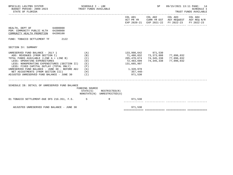| HEALTH, DEPT OF 64000000<br>PGM: COMMUNITY PUBLIC HLTH 64200000<br>COMMUNITY HEALTH PROMOTION 64200100<br>FUND: TOBACCO SETTLEMENT TF 2122                                                                                                                                                                                                                                                                                               |                                                                              |                                                                            | COL A01 COL A02 COL A03 COL A04<br>ACT PR YR CURR YR EST AGY REQUEST AGY REQ N/R<br>EXP 2020-21 EXP 2021-22 FY 2022-23 FY 2022-23 |  |
|------------------------------------------------------------------------------------------------------------------------------------------------------------------------------------------------------------------------------------------------------------------------------------------------------------------------------------------------------------------------------------------------------------------------------------------|------------------------------------------------------------------------------|----------------------------------------------------------------------------|-----------------------------------------------------------------------------------------------------------------------------------|--|
|                                                                                                                                                                                                                                                                                                                                                                                                                                          |                                                                              |                                                                            |                                                                                                                                   |  |
|                                                                                                                                                                                                                                                                                                                                                                                                                                          |                                                                              |                                                                            |                                                                                                                                   |  |
|                                                                                                                                                                                                                                                                                                                                                                                                                                          |                                                                              |                                                                            |                                                                                                                                   |  |
| SECTION IV: SUMMARY                                                                                                                                                                                                                                                                                                                                                                                                                      |                                                                              |                                                                            |                                                                                                                                   |  |
| UNRESERVED FUND BALANCE - JULY 1<br>(A)<br>ADD: REVENUES (FROM SECTION I)<br>(B)<br>TOTAL FUNDS AVAILABLE (LINE A + LINE B)<br>(C)<br>LESS: OPERATING EXPENDITURES<br>(D)<br>LESS: NONOPERATING EXPENDITURES (SECTION II) (E)<br>LESS: FIXED CAPITAL OUTLAY (TOTAL ONLY)<br>(F)<br>UNRESERVED FUND BALANCE - JUNE 30 - BEFORE ADJ $(G)$<br>NET ADJUSTMENTS (FROM SECTION III)<br>(H)<br>ADJUSTED UNRESERVED FUND BALANCE - JUNE 30 $(1)$ | 205,478,674<br>72,483,699<br>131,665,997<br>1,328,978<br>357,448-<br>971,530 | 133,998,642 971,530<br>71,480,032 73,373,808<br>74, 345, 338<br>74,345,338 | 77,096,032<br>77,096,032<br>77,096,032                                                                                            |  |
| SCHEDULE IB: DETAIL OF UNRESERVED FUND BALANCE<br>FUNDING SOURCE<br>$STATE(S)$ RESTRICTED $(R)$<br>NONSTATE(N) UNRESTRICTED(U)                                                                                                                                                                                                                                                                                                           |                                                                              |                                                                            |                                                                                                                                   |  |
| 01 TOBACCO SETTLEMENT-DUE DFS 216.351, F.S. S R R 971,530                                                                                                                                                                                                                                                                                                                                                                                |                                                                              |                                                                            |                                                                                                                                   |  |
| ADJUSTED UNRESERVED FUND BALANCE - JUNE 30                                                                                                                                                                                                                                                                                                                                                                                               | 971,530                                                                      |                                                                            |                                                                                                                                   |  |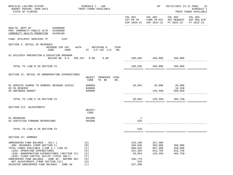| BPSC1L01 LAS/PBS SYSTEM<br>BUDGET PERIOD: 2009-2023<br>STATE OF FLORIDA                                                                                                                                                                                                                                                                                                        |                                     | SCHEDULE I - LBE                                            | TRUST FUNDS AVAILABLE         |      |                                                                                 | SP                                                   | 09/15/2021 13:11 PAGE: 15                                                                                                 | <b>SCHEDULE I</b><br>TRUST FUNDS AVAILABLE |
|--------------------------------------------------------------------------------------------------------------------------------------------------------------------------------------------------------------------------------------------------------------------------------------------------------------------------------------------------------------------------------|-------------------------------------|-------------------------------------------------------------|-------------------------------|------|---------------------------------------------------------------------------------|------------------------------------------------------|---------------------------------------------------------------------------------------------------------------------------|--------------------------------------------|
|                                                                                                                                                                                                                                                                                                                                                                                |                                     |                                                             |                               |      |                                                                                 |                                                      | COL A01 COL A02 COL A03<br>ACT PR YR CURR YR EST AGY REQUEST AGY REQ N/R<br>EXP 2020-21 EXP 2021-22 FY 2022-23 FY 2022-23 | COL A04                                    |
| HEALTH, DEPT OF 64000000<br>PGM: COMMUNITY PUBLIC HLTH 64200000<br>COMMUNITY HEALTH PROMOTION                                                                                                                                                                                                                                                                                  | 64200100                            |                                                             |                               |      |                                                                                 |                                                      |                                                                                                                           |                                            |
| FUND: EPILEPSY SERVICES TF                                                                                                                                                                                                                                                                                                                                                     | 2197                                |                                                             |                               |      |                                                                                 |                                                      |                                                                                                                           |                                            |
| SECTION I: DETAIL OF REVENUES<br>CODE                                                                                                                                                                                                                                                                                                                                          | REVENUE CAP SVC<br>CHG <sup>8</sup> | AUTH MATCHING %                                             | ST I/C LOC I/C NO.            | CFDA |                                                                                 |                                                      |                                                                                                                           |                                            |
| 01 EPILEPSY PREVENTION & EDUCATION PROGRAM                                                                                                                                                                                                                                                                                                                                     | 001200 NO 8.0 385.207 0.00 0.00     |                                                             |                               |      |                                                                                 | 260,836 350,000 350,000                              |                                                                                                                           |                                            |
| TOTAL TO LINE B IN SECTION IV                                                                                                                                                                                                                                                                                                                                                  |                                     |                                                             |                               |      |                                                                                 | 260,836 350,000 350,000                              |                                                                                                                           |                                            |
| SECTION II: DETAIL OF NONOPERATING EXPENDITURES                                                                                                                                                                                                                                                                                                                                |                                     | CODE                                                        | OBJECT TRANSFER CFDA<br>TO BE | NO.  |                                                                                 |                                                      |                                                                                                                           |                                            |
| 01 SERVICE CHARGE TO GENERAL REVENUE 310322<br>03 5% RESERVE<br>05 UNFUNDED BUDGET                                                                                                                                                                                                                                                                                             |                                     | 880800<br>999000<br>899000                                  |                               |      |                                                                                 | 20,854 28,000 28,000                                 | 16,100<br>$156,450-509,858-$                                                                                              |                                            |
| TOTAL TO LINE E IN SECTION IV                                                                                                                                                                                                                                                                                                                                                  |                                     |                                                             |                               |      |                                                                                 |                                                      | 20,854 128,450- 465,758-                                                                                                  |                                            |
| SECTION III: ADJUSTMENTS                                                                                                                                                                                                                                                                                                                                                       |                                     | OBJECT<br>CODE                                              |                               |      |                                                                                 |                                                      |                                                                                                                           |                                            |
| 01 ROUNDING<br>02 CERTIFIED FORWARD REVERSIONS                                                                                                                                                                                                                                                                                                                                 |                                     | 991000<br>991000                                            |                               |      | $\overline{\phantom{1}}$<br>528                                                 |                                                      |                                                                                                                           |                                            |
| TOTAL TO LINE H IN SECTION IV                                                                                                                                                                                                                                                                                                                                                  |                                     |                                                             |                               |      | 529                                                                             |                                                      |                                                                                                                           |                                            |
| SECTION IV: SUMMARY                                                                                                                                                                                                                                                                                                                                                            |                                     |                                                             |                               |      |                                                                                 |                                                      |                                                                                                                           |                                            |
| UNRESERVED FUND BALANCE - JULY 1<br>ADD: REVENUES (FROM SECTION I)<br>TOTAL FUNDS AVAILABLE (LINE A + LINE B)<br>LESS: OPERATING EXPENDITURES<br>LESS: NONOPERATING EXPENDITURES (SECTION II)<br>LESS: FIXED CAPITAL OUTLAY (TOTAL ONLY)<br>UNRESERVED FUND BALANCE - JUNE 30 - BEFORE ADJ<br>NET ADJUSTMENTS (FROM SECTION III)<br>ADJUSTED UNRESERVED FUND BALANCE - JUNE 30 |                                     | (A)<br>(B)<br>(C)<br>(D)<br>(E)<br>(F)<br>(G)<br>(H)<br>(I) |                               |      | 419,190<br>260,836<br>680,026<br>322,393<br>20,854<br>336,779<br>529<br>337,308 | 337,308<br>350,000<br>687,308<br>815,758<br>128,450- | 350,000<br>350,000<br>815,758<br>$465,758-$                                                                               |                                            |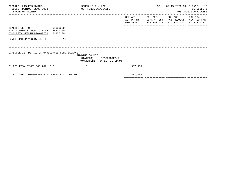| BPSC1L01 LAS/PBS SYSTEM<br>BUDGET PERIOD: 2009-2023 TRUST FUNDS AVAILABLE<br>STATE OF FLORIDA |          | SCHEDULE I - LBE |                                                            |                      | SP      | 09/15/2021 13:11 PAGE: 16                                                                       | SCHEDULE I<br>TRUST FUNDS AVAILABLE |
|-----------------------------------------------------------------------------------------------|----------|------------------|------------------------------------------------------------|----------------------|---------|-------------------------------------------------------------------------------------------------|-------------------------------------|
|                                                                                               |          |                  |                                                            | COL A01<br>ACT PR YR | COL A02 | COL A03<br>CURR YR EST AGY REQUEST AGY REQ N/R<br>EXP 2020-21 EXP 2021-22 FY 2022-23 FY 2022-23 | COL A04                             |
| HEALTH, DEPT OF 64000000<br>PGM: COMMUNITY PUBLIC HLTH 64200000<br>COMMUNITY HEALTH PROMOTION | 64200100 |                  |                                                            |                      |         |                                                                                                 |                                     |
| FUND: EPILEPSY SERVICES TF                                                                    | 2197     |                  |                                                            |                      |         |                                                                                                 |                                     |
| SCHEDULE IB: DETAIL OF UNRESERVED FUND BALANCE                                                |          | FUNDING SOURCE   | $STATE(S)$ RESTRICTED $(R)$<br>NONSTATE(N) UNRESTRICTED(U) |                      |         |                                                                                                 |                                     |
| 01 EPILEPSY FINES 385.207, F.S.                                                               |          | S                | U                                                          | 337,308              |         |                                                                                                 |                                     |
| ADJUSTED UNRESERVED FUND BALANCE - JUNE 30                                                    |          |                  |                                                            | 337,308              |         |                                                                                                 |                                     |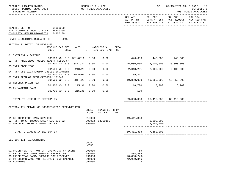| BPSC1L01 LAS/PBS SYSTEM<br>BUDGET PERIOD: 2009-2023<br>STATE OF FLORIDA                                                                                                                          |                         | SCHEDULE I - LBE<br>TRUST FUNDS AVAILABLE |          |                                                |                                  |             |                                                         | SP                               |                                                                                      | 09/15/2021 13:11 PAGE: 17<br><b>SCHEDULE I</b><br>TRUST FUNDS AVAILABLE |
|--------------------------------------------------------------------------------------------------------------------------------------------------------------------------------------------------|-------------------------|-------------------------------------------|----------|------------------------------------------------|----------------------------------|-------------|---------------------------------------------------------|----------------------------------|--------------------------------------------------------------------------------------|-------------------------------------------------------------------------|
|                                                                                                                                                                                                  |                         |                                           |          |                                                |                                  |             | COL A01<br>ACT PR YR                                    | COL A02                          | COL A03<br>CURR YR EST AGY REQUEST AGY REQ N/R<br>EXP 2020-21 EXP 2021-22 FY 2022-23 | COL A04<br>FY 2022-23                                                   |
| HEALTH, DEPT OF 64000000<br>PGM: COMMUNITY PUBLIC HLTH 64200000<br>COMMUNITY HEALTH PROMOTION 64200100                                                                                           |                         |                                           |          |                                                |                                  |             |                                                         |                                  |                                                                                      |                                                                         |
| FUND: BIOMEDICAL RESEARCH TF                                                                                                                                                                     | 2245                    |                                           |          |                                                |                                  |             |                                                         |                                  |                                                                                      |                                                                         |
| SECTION I: DETAIL OF REVENUES                                                                                                                                                                    | REVENUE CAP SVC<br>CODE | CHG <sup>8</sup>                          | AUTH     |                                                | MATCHING %<br>ST I/C LOC I/C NO. | CFDA        |                                                         |                                  |                                                                                      |                                                                         |
| 01 INTEREST - SCRIPPS                                                                                                                                                                            |                         |                                           |          |                                                |                                  |             |                                                         | 446,686 446,686 446,686          |                                                                                      |                                                                         |
| 02 TNFR AHCA 2003 PUBLIC HEALTH RESEARCH                                                                                                                                                         | 000500 NO 0.0 381.0011  |                                           |          | 0.00                                           | 0.00                             |             |                                                         |                                  |                                                                                      |                                                                         |
| 03 TNFR DBPR 2086                                                                                                                                                                                | 001500 NO 0.0           |                                           | 381.922  | 0.00                                           | 0.00                             |             | 25,000,000                                              | 25,000,000                       | 25,000,000                                                                           |                                                                         |
| 04 TNFR DFS 2123 LAWTON CHILES ENDOWMENT                                                                                                                                                         | 001500 NO 0.0           |                                           | 210.20   | 0.00                                           | 0.00                             |             | 2,043,231                                               | 2,100,000                        | 2,100,000                                                                            |                                                                         |
|                                                                                                                                                                                                  | 001500 NO 0.0           |                                           | 215.5601 | 0.00                                           | 0.00                             |             | 739,321                                                 |                                  |                                                                                      |                                                                         |
| 07 TNFR FROM GR FROM CATEGORY 101049                                                                                                                                                             | 001500 NO 0.0           |                                           | 381.922  | 0.00                                           | 0.00                             |             | 10,850,000                                              | 10,850,000                       | 10,850,000                                                                           |                                                                         |
| 06 REFUNDS PRIOR YEAR                                                                                                                                                                            | 001800 NO 0.0           |                                           | 215.31   | 0.00                                           | 0.00                             |             |                                                         | 18,700 18,700 18,700             |                                                                                      |                                                                         |
| 05 PY WARRANT CANX                                                                                                                                                                               |                         |                                           |          |                                                |                                  |             |                                                         |                                  |                                                                                      |                                                                         |
|                                                                                                                                                                                                  | 003700 NO 0.0           |                                           | 215.31   | 0.00                                           | 0.00                             |             | 100                                                     |                                  |                                                                                      |                                                                         |
| TOTAL TO LINE B IN SECTION IV                                                                                                                                                                    |                         |                                           |          |                                                |                                  |             |                                                         | 39,098,038 38,415,386 38,415,386 |                                                                                      |                                                                         |
| SECTION II: DETAIL OF NONOPERATING EXPENDITURES                                                                                                                                                  |                         |                                           |          |                                                |                                  |             |                                                         |                                  |                                                                                      |                                                                         |
|                                                                                                                                                                                                  |                         |                                           |          | OBJECT<br>CODE                                 | TRANSFER<br>TO BE                | CFDA<br>NO. |                                                         |                                  |                                                                                      |                                                                         |
| 01 BE TNFR FROM 2245 64200800<br>02 TNFR TO GR 180056 SWEEP SEC 215.32<br>03 UNFUNDED BUDGET-LAWTON CHILES                                                                                       |                         |                                           |          | 810000<br>990002<br>899000                     | 64200100                         |             | 19,411,308–                                             | 9,800,000<br>$2,150,000 -$       |                                                                                      |                                                                         |
| TOTAL TO LINE E IN SECTION IV                                                                                                                                                                    |                         |                                           |          |                                                |                                  |             | 19, 411, 308-                                           | 7,650,000                        |                                                                                      |                                                                         |
| SECTION III: ADJUSTMENTS                                                                                                                                                                         |                         |                                           |          |                                                |                                  |             |                                                         |                                  |                                                                                      |                                                                         |
|                                                                                                                                                                                                  |                         |                                           |          | OBJECT<br>CODE                                 |                                  |             |                                                         |                                  |                                                                                      |                                                                         |
| 01 PRIOR YEAR A/P NOT CF- OPERATING CATEGORY<br>02 PRIOR YEAR CARRY FORWARD REVERSIONS<br>03 PRIOR YEAR CARRY FORWARD NOT RESERVED<br>04 PY ENCUMBRANCE NOT RESERVED FUND BALANCE<br>06 ROUNDING |                         |                                           |          | 991000<br>991000<br>991000<br>991000<br>991000 |                                  |             | 69<br>434,489<br>$20,800,246 -$<br>42,039,346-<br>$2 -$ |                                  |                                                                                      |                                                                         |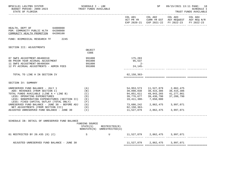| BPSC1L01 LAS/PBS SYSTEM<br>BUDGET PERIOD: 2009-2023<br>STATE OF FLORIDA                                                                                                                       | SCHEDULE I - LBE<br>TRUST FUNDS AVAILABLE |                                              |                                                      | 09/15/2021 13:11 PAGE: 18<br>SCHEDULE I<br>TRUST FUNDS AVAILABLE                        |                                                                                                        |                       |
|-----------------------------------------------------------------------------------------------------------------------------------------------------------------------------------------------|-------------------------------------------|----------------------------------------------|------------------------------------------------------|-----------------------------------------------------------------------------------------|--------------------------------------------------------------------------------------------------------|-----------------------|
|                                                                                                                                                                                               |                                           |                                              | COL A01                                              | ________________________                                                                | COL A02 COL A03<br>ACT PR YR CURR YR EST AGY REQUEST AGY REQ N/R<br>EXP 2020-21 EXP 2021-22 FY 2022-23 | COL A04<br>FY 2022-23 |
| HEALTH, DEPT OF 64000000<br>PGM: COMMUNITY PUBLIC HLTH 64200000<br>COMMUNITY HEALTH PROMOTION<br>64200100                                                                                     |                                           |                                              |                                                      |                                                                                         |                                                                                                        |                       |
| FUND: BIOMEDICAL RESEARCH TF 2245                                                                                                                                                             |                                           |                                              |                                                      |                                                                                         |                                                                                                        |                       |
| SECTION III: ADJUSTMENTS                                                                                                                                                                      | OBJECT<br>CODE                            |                                              |                                                      |                                                                                         |                                                                                                        |                       |
| 07 SWFS ADJUSTMENT-B6400310<br>08 PRIOR YEAR ACCRUAL ADJUSTMENT<br>11 SWFS ADJUSTMENT-B6400304<br>12 PY ACCRUAL ADJUSTMENTS - ADMIN FEES                                                      | 991000<br>991000<br>991000<br>991000      |                                              | 175,283<br>95,537<br>$2 -$<br>$24, 145 -$            |                                                                                         |                                                                                                        |                       |
| TOTAL TO LINE H IN SECTION IV                                                                                                                                                                 |                                           |                                              | $62, 158, 363 -$                                     |                                                                                         |                                                                                                        |                       |
| SECTION IV: SUMMARY                                                                                                                                                                           |                                           |                                              |                                                      |                                                                                         |                                                                                                        |                       |
| UNRESERVED FUND BALANCE - JULY 1<br>ADD: REVENUES (FROM SECTION I)<br>TOTAL FUNDS AVAILABLE (LINE A + LINE B)<br>LESS: OPERATING EXPENDITURES<br>LESS: NONOPERATING EXPENDITURES (SECTION II) | (A)<br>(B)<br>(C)<br>(D)<br>( E )         |                                              | 54,953,573<br>39,098,038<br>94,051,611<br>39,776,677 | 11,527,879 2,862,475<br>38,415,386<br>49,943,265<br>39,430,790<br>19,411,308- 7,650,000 | 38, 415, 386<br>41,277,861<br>37,280,790                                                               |                       |
| LESS: FIXED CAPITAL OUTLAY (TOTAL ONLY)<br>UNRESERVED FUND BALANCE - JUNE 30 - BEFORE ADJ<br>NET ADJUSTMENTS (FROM SECTION III)<br>ADJUSTED UNRESERVED FUND BALANCE - JUNE 30                 | (F)<br>(G)<br>(H)<br>(1)                  |                                              | 73,686,242<br>$62, 158, 363 -$<br>11,527,879         | 2,862,475                                                                               | 2,862,475 3,997,071<br>3,997,071                                                                       |                       |
| SCHEDULE IB: DETAIL OF UNRESERVED FUND BALANCE                                                                                                                                                | FUNDING SOURCE<br>STATE(S)                | RESTRICTED(R)<br>NONSTATE(N) UNRESTRICTED(U) |                                                      |                                                                                         |                                                                                                        |                       |
| 01 RESTRICTED BY 20.435 (8) (C)                                                                                                                                                               | $\mathbf S$                               | $\mathbf U$                                  | 11,527,879 2,862,475 3,997,071                       |                                                                                         |                                                                                                        |                       |
| ADJUSTED UNRESERVED FUND BALANCE - JUNE 30                                                                                                                                                    |                                           |                                              |                                                      | 11,527,879 2,862,475 3,997,071                                                          |                                                                                                        |                       |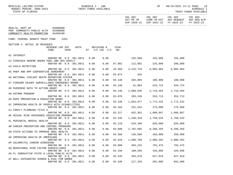| COL A01     | COL A02     | COL A03                | COL A04     |
|-------------|-------------|------------------------|-------------|
| ACT PR YR   | CURR YR EST | AGY REQUEST            | AGY REQ N/R |
| EXP 2020-21 |             | EXP 2021-22 FY 2022-23 | FY 2022-23  |
|             |             |                        |             |

| COMMUNITY HEALTH PROMOTION                                                                                                         | 64200100                |                  |          |      |                               |                    |           |           |           |
|------------------------------------------------------------------------------------------------------------------------------------|-------------------------|------------------|----------|------|-------------------------------|--------------------|-----------|-----------|-----------|
| FUND: FEDERAL GRANTS TRUST FUND                                                                                                    |                         | 2261             |          |      |                               |                    |           |           |           |
| SECTION I: DETAIL OF REVENUES                                                                                                      |                         |                  |          |      |                               |                    |           |           |           |
|                                                                                                                                    | REVENUE CAP SVC<br>CODE | CHG <sup>8</sup> | AUTH     | ST   | MATCHING %<br>$I/C$ LOC $I/C$ | <b>CFDA</b><br>NO. |           |           |           |
|                                                                                                                                    |                         |                  |          |      |                               |                    |           |           |           |
| A1 INTEREST                                                                                                                        |                         |                  |          |      |                               |                    |           |           |           |
|                                                                                                                                    | 000500 NO 0.0 381.0011  |                  |          | 0.00 | 0.00                          |                    | 155,988   | 155,988   | 155,988   |
| A2 VIRGINIA GRAEME BAKER POOL AND SPA SAFELY                                                                                       | 000700 NO 0.0 381.0011  |                  |          | 0.00 | 0.00                          | 87.002             | 112,082   | 225,000   | 200,000   |
| A3 CHILD NUTRITION                                                                                                                 |                         |                  |          |      |                               |                    |           |           |           |
|                                                                                                                                    | 000700 NO 0.0           |                  | 381.0011 | 0.00 | 0.00                          | 10.560             | 4,216,716 | 6,905,984 | 6,905,984 |
| A5 PHEP AND HPP COOPERATIVE AGREEMENT                                                                                              |                         |                  |          |      |                               |                    |           |           |           |
|                                                                                                                                    | 000700 NO 0.0 381.0011  |                  |          | 0.00 | 0.00                          | 93.074             | 333       |           |           |
| A6 NATIONAL VIOLENT DEATH REPORTING SYSTEM                                                                                         | 000700 NO 0.0 381.0011  |                  |          | 0.00 | 0.00                          | 93.136             | 304,085   | 180,000   | 180,000   |
| A7 FIREARM INJURY SURVEILLANCE-EMERGENCY ROOMS                                                                                     |                         |                  |          |      |                               |                    |           |           |           |
|                                                                                                                                    | 000700 NO 0.0 381.0011  |                  |          | 0.00 | 0.00                          | 93.136             | 41,003    | 533,724   | 533,724   |
| A8 OVERDOSE DATA TO ACTION GRANT                                                                                                   |                         |                  |          |      |                               |                    |           |           |           |
|                                                                                                                                    | 000700 NO               | 0.0              | 381.0011 | 0.00 | 0.00                          | 93.136             | 2,688,556 | 2,719,494 | 2,719,494 |
| A9 ASTHMA PROGRAM                                                                                                                  |                         |                  |          |      |                               |                    |           |           |           |
| AH RAPE PREVENTION & EDUCATION GRANT                                                                                               | 000700 NO               | 0.0              | 381.0011 | 0.00 | 0.00                          | 93.070             | 393,249   | 353,713   | 353,713   |
|                                                                                                                                    | 000700 NO 0.0 381.0011  |                  |          | 0.00 | 0.00                          | 93.136             | 1,653,877 | 1,772,232 | 1,772,232 |
| AI IMPROVING HEALTH OF PEOPLE WITH DISABILITIES                                                                                    |                         |                  |          |      |                               |                    |           |           |           |
|                                                                                                                                    | 000700 NO 0.0 381.0011  |                  |          | 0.00 | 0.00                          | 93.184             | 251,644   | 275,000   | 275,000   |
| AJ FAMILY PLANNING TITLE X                                                                                                         |                         |                  |          |      |                               |                    |           |           |           |
|                                                                                                                                    | 000700 NO 0.0 381.0011  |                  |          | 0.00 | 0.00                          | 93.217             | 652,361   | 1,096,867 | 1,096,867 |
| AK SEXUAL RISK AVOIDANCE EDUCATION PROGRAM                                                                                         |                         |                  |          |      |                               |                    |           |           |           |
| AL PERINATAL MENTAL HEALTH                                                                                                         | 000700 NO 0.0 381.0011  |                  |          | 0.00 | 0.00                          | 93.235             | 1,430,329 | 1,768,534 | 1,768,534 |
|                                                                                                                                    | 000700 NO 0.0           |                  | 381.0011 | 0.00 | 0.00                          | 93.110             | 534,499   | 826,000   | 826,000   |
| AM CANCER PREVENTION AND CONTROL PROGRAMS                                                                                          |                         |                  |          |      |                               |                    |           |           |           |
|                                                                                                                                    | 000700 NO 0.0 381.0011  |                  |          | 0.00 | 0.00                          | 93.898             | 2,782,895 | 8,288,359 | 8,288,359 |
| AN STATE ACTIONS TO IMPROVE ORAL HEALTH                                                                                            |                         |                  |          |      |                               |                    |           |           |           |
|                                                                                                                                    | 000700 NO 0.0           |                  | 381.0011 | 0.00 | 0.00                          | 93.366             | 136,689   | 350,000   | 350,000   |
| AO IMPROVING HEALTH OF AMERICANS                                                                                                   | 000700 NO 0.0           |                  | 381.0011 | 0.00 | 0.00                          | 93.426             | 1,608,799 | 2,006,492 | 2,006,492 |
| AP COLORECTAL CANCER SCREENING                                                                                                     |                         |                  |          |      |                               |                    |           |           |           |
|                                                                                                                                    | 000700 NO 0.0           |                  | 381.0011 | 0.00 | 0.00                          | 93.800             | 403,215   | 792,475   | 792,475   |
|                                                                                                                                    |                         |                  |          |      |                               |                    |           |           |           |
|                                                                                                                                    |                         |                  |          |      |                               |                    | 100,595   | 426,096   | 426,096   |
|                                                                                                                                    | 000700 NO 0.0 381.0011  |                  |          | 0.00 | 0.00                          | 93.336             |           |           |           |
|                                                                                                                                    |                         |                  |          |      |                               |                    |           |           |           |
| AO BEHAVIORAL RISK FACTOR SURVEILLANCE<br>AS FL INNOVATIVE STATE & LOCAL PUBLIC HLTH<br>AT WELL-INTEGRATED SCREEN & EVAL FOR WOMEN | 000700 NO 0.0 381.0011  |                  |          | 0.00 | 0.00                          | 93.435             | 494,678   | 627,919   | 627,919   |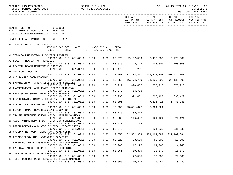| BPSC1L01 LAS/PBS SYSTEM<br>TRUST FUNDS AVAILABLE<br>BUDGET PERIOD: 2009-2023<br>STATE OF FLORIDA             | SCHEDULE I - LBE |      |                              |             |                                      | SP                      | 09/15/2021 13:11 PAGE:                                                                                 | -20<br>SCHEDULE I<br>TRUST FUNDS AVAILABLE |
|--------------------------------------------------------------------------------------------------------------|------------------|------|------------------------------|-------------|--------------------------------------|-------------------------|--------------------------------------------------------------------------------------------------------|--------------------------------------------|
|                                                                                                              |                  |      |                              |             | COL A01                              | COL A02                 | COL A03 COL A04<br>ACT PR YR CURR YR EST AGY REQUEST AGY REQ N/R<br>EXP 2020-21 EXP 2021-22 FY 2022-23 | FY 2022-23                                 |
| 64000000<br>HEALTH, DEPT OF<br>PGM: COMMUNITY PUBLIC HLTH 64200000<br>COMMUNITY HEALTH PROMOTION<br>64200100 |                  |      |                              |             |                                      |                         |                                                                                                        |                                            |
| FUND: FEDERAL GRANTS TRUST FUND<br>2261                                                                      |                  |      |                              |             |                                      |                         |                                                                                                        |                                            |
| SECTION I: DETAIL OF REVENUES<br>REVENUE CAP SVC<br>CHG <sup>8</sup><br>CODE                                 | AUTH             |      | MATCHING %<br>ST I/C LOC I/C | CFDA<br>NO. |                                      |                         |                                                                                                        |                                            |
| AU TOBACCO PREVENTION & CONTROL PROGRAM<br>000700 NO 0.0 381.0011                                            |                  | 0.00 | 0.00                         |             | 93.276 2,107,589 2,478,382 2,478,382 |                         |                                                                                                        |                                            |
| AW HEALTH PROGRAM FOR REFUGEES<br>000700 NO 0.0 381.0011                                                     |                  | 0.00 | 0.00                         |             | 93.576 5,728 108,000 108,000         |                         |                                                                                                        |                                            |
| AZ COASTAL BEACH MONITORING PROGRAM<br>000700 NO 0.0 381.0011                                                |                  | 0.00 | 0.00                         | 66.472      | 261                                  |                         |                                                                                                        |                                            |
| AA WIC FOOD PROGRAM<br>000700 NO 0.0 381.0011                                                                |                  | 0.00 | 0.00                         |             | 10.557 183,132,817                   |                         | 197,222,108 207,222,108                                                                                |                                            |
| AB CHILD CARE FOOD PROGRAM<br>000700 NO 0.0 381.0011                                                         |                  | 0.00 | 0.00                         | 10.558      | 16,774,799                           | 24,139,300              | 24,139,300                                                                                             |                                            |
| AD EXPANSION OF RAPE CRISIS CENTERS SERVICES                                                                 |                  |      |                              |             |                                      |                         |                                                                                                        |                                            |
| 000700 NO 0.0 381.0011<br>AE ENVIRONMENTAL AND HEALTH EFFECT TRACKING                                        |                  | 0.00 | 0.00                         |             | 16.017 820,657 675,016 675,016       |                         |                                                                                                        |                                            |
| 000700 NO 0.0 381.0011<br>AF HRSA GRANT SUPPRT ORAL HLTH WORKFORCE                                           |                  | 0.00 | 0.00                         | 93.070      | 14,708                               |                         |                                                                                                        |                                            |
| 000700 NO 0.0 381.0011<br>AG COVID-STATE, TRIBAL, LOCAL AND TERRITORIAL                                      |                  | 0.00 | 0.00                         | 93.236      |                                      | 321,051 398,429 398,429 |                                                                                                        |                                            |
| 000700 NO 0.0 381.0011<br>BA COVID - CHILD CARE FOOD                                                         |                  | 0.00 | 0.00                         | 93.391      |                                      | 7,316,415               | 6,488,241                                                                                              |                                            |
| 000700 NO 0.0 381.0011                                                                                       |                  | 0.00 | 0.00                         | 10.555      | 25,891,077                           | 6,004,624               |                                                                                                        |                                            |
| BB COVID - RAPE PREVENTION AND EDUCATION<br>000700 NO 0.0 381.0011                                           |                  | 0.00 | 0.00                         | 93.136      | 209,819                              |                         |                                                                                                        |                                            |
| BC TRAUMA RESPONSE SCHOOL MENTAL HEALTH SYSTEMS<br>000700 NO 0.0 381.0011                                    |                  | 0.00 | 0.00                         |             | 93.982 116,492 921,424 921,424       |                         |                                                                                                        |                                            |
| BG ADULT VIRAL HEPATITIS PREVENTION-SURVEILLANCE<br>000700 NO 0.0 381.0011                                   |                  | 0.00 | 0.00                         | 93.270      | 172                                  |                         |                                                                                                        |                                            |
| BH BIRTH DEFECTS AND DEVELOPMENTAL DISABILITIES<br>000700 NO 0.0 381.0011                                    |                  | 0.00 | 0.00                         | 93.073      |                                      |                         | 231,333 231,333                                                                                        |                                            |
| C8 CHILD CARE FOOD - AUDIT AND MEAL COSTS                                                                    |                  |      |                              |             |                                      |                         |                                                                                                        |                                            |
| 000700 NO 0.0 381.0011<br>D6 EPIDEMIOLOGY AND LABORATORY CAPACITY                                            |                  | 0.00 | 0.00                         |             | 10.555 262,562,983 321,109,884       |                         | 321,109,884                                                                                            |                                            |
| 000700 NO 0.0 381.0011<br>D7 PREGNANCY RISK ASSESSMENT OPIOID SUPPLEMENT                                     |                  | 0.00 | 0.00                         | 93.323      | 33,699                               | 85,000                  | 15,000                                                                                                 |                                            |
| 000700 NO 0.0 381.0011<br>D3 NATIONAL ASSOC CHRONIC DISEASE DIRECTOR                                         |                  | 0.00 | 0.00                         | 93.946      | 17,175                               | 24,243                  | 24,243                                                                                                 |                                            |
| 001110 NO 0.0 381.0011<br>B6 TNFR FROM 2021 LEAVE PAYOUTS                                                    |                  | 0.00 | 0.00                         | 93.261      | 10,879                               | 10,879                  | 10,879                                                                                                 |                                            |
| 001500 NO 0.0 381.0011<br>B7 TNFR FROM DCF 2261 REFUGEE HLTH CASE MANAGER                                    |                  | 0.00 | 0.00                         |             | 72,585                               | 72,585                  | 72,585                                                                                                 |                                            |
| 001510 NO 0.0 381.0011                                                                                       |                  | 0.00 | 0.00                         | 93.566      | 10,449                               | 10,449                  | 10,449                                                                                                 |                                            |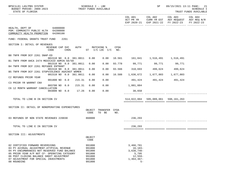| BPSC1L01 LAS/PBS SYSTEM<br>BUDGET PERIOD: 2009-2023<br>STATE OF FLORIDA                                                                                                                                                                                                          |                             |                  |        | SCHEDULE I - LBE                                                   | TRUST FUNDS AVAILABLE                |             |                                                                                         | SP |                                                                                                        | 09/15/2021 13:11 PAGE: 21<br><b>SCHEDULE I</b><br>TRUST FUNDS AVAILABLE |
|----------------------------------------------------------------------------------------------------------------------------------------------------------------------------------------------------------------------------------------------------------------------------------|-----------------------------|------------------|--------|--------------------------------------------------------------------|--------------------------------------|-------------|-----------------------------------------------------------------------------------------|----|--------------------------------------------------------------------------------------------------------|-------------------------------------------------------------------------|
|                                                                                                                                                                                                                                                                                  |                             |                  |        |                                                                    |                                      |             | COL A01                                                                                 |    | COL A02 COL A03<br>ACT PR YR CURR YR EST AGY REQUEST AGY REQ N/R<br>EXP 2020-21 EXP 2021-22 FY 2022-23 | COL A04<br>FY 2022-23                                                   |
| HEALTH, DEPT OF 64000000<br>PGM: COMMUNITY PUBLIC HLTH 64200000<br>COMMUNITY HEALTH PROMOTION                                                                                                                                                                                    | 64200100                    |                  |        |                                                                    |                                      |             |                                                                                         |    |                                                                                                        |                                                                         |
| FUND: FEDERAL GRANTS TRUST FUND                                                                                                                                                                                                                                                  |                             | 2261             |        |                                                                    |                                      |             |                                                                                         |    |                                                                                                        |                                                                         |
| SECTION I: DETAIL OF REVENUES                                                                                                                                                                                                                                                    |                             |                  |        |                                                                    |                                      |             |                                                                                         |    |                                                                                                        |                                                                         |
|                                                                                                                                                                                                                                                                                  | REVENUE CAP SVC<br>CODE     | CHG <sup>8</sup> | AUTH   |                                                                    | MATCHING %<br>ST $I/C$ LOC $I/C$ NO. | CFDA        |                                                                                         |    |                                                                                                        |                                                                         |
| B8 TNFR FROM DCF 2261 SNAP-ED                                                                                                                                                                                                                                                    | 001510 NO 0.0 381.0011 0.00 |                  |        |                                                                    | 0.00                                 |             | 10.561 161,841 1,516,491 1,516,491                                                      |    |                                                                                                        |                                                                         |
| B1 TNFR FROM AHCA 2474 MEDICAID ADMIN 50/50                                                                                                                                                                                                                                      |                             |                  |        |                                                                    |                                      |             |                                                                                         |    |                                                                                                        |                                                                         |
| B4 TNFR FROM DCF 2261 REFUGEE ENTRANT                                                                                                                                                                                                                                            | 001510 NO 0.0 381.0011      |                  |        | 0.00                                                               | 0.00                                 |             | 93.778 99,771 99,771 99,771                                                             |    |                                                                                                        |                                                                         |
|                                                                                                                                                                                                                                                                                  | 001510 NO 0.0 381.0011      |                  |        | 0.00                                                               | 0.00                                 | 93.566      | 310,693                                                                                 |    | 499,624 499,624                                                                                        |                                                                         |
| B5 TNFR FROM DCF 2261 STOPVIOLENCE AGAINST WOMEN                                                                                                                                                                                                                                 | 001510 NO 0.0 381.0011      |                  |        | 0.00                                                               | 0.00                                 |             | 16.588 1,636,672                                                                        |    |                                                                                                        |                                                                         |
| C2 REFUNDS PRIOR YEAR                                                                                                                                                                                                                                                            |                             |                  |        |                                                                    |                                      |             |                                                                                         |    |                                                                                                        |                                                                         |
| C3 PRIOR YR WARRNT CNX                                                                                                                                                                                                                                                           | 001800 NO 0.0               |                  | 215.31 | 0.00                                                               | 0.00                                 |             |                                                                                         |    | 491,424 491,424 491,424                                                                                |                                                                         |
|                                                                                                                                                                                                                                                                                  | 003700 NO 0.0               |                  | 215.31 | 0.00                                                               | 0.00                                 |             | 1,001,084                                                                               |    |                                                                                                        |                                                                         |
| C6 12 MONTH WARRANT CANCELLATION                                                                                                                                                                                                                                                 | 003800 NO 0.0 17.26         |                  |        | 0.00                                                               | 0.00                                 |             | 38,658                                                                                  |    |                                                                                                        |                                                                         |
|                                                                                                                                                                                                                                                                                  |                             |                  |        |                                                                    |                                      |             |                                                                                         |    |                                                                                                        |                                                                         |
| TOTAL TO LINE B IN SECTION IV                                                                                                                                                                                                                                                    |                             |                  |        |                                                                    |                                      |             |                                                                                         |    | 514,022,004 595,089,061 598,161,263                                                                    |                                                                         |
| SECTION II: DETAIL OF NONOPERATING EXPENDITURES                                                                                                                                                                                                                                  |                             |                  |        |                                                                    |                                      |             |                                                                                         |    |                                                                                                        |                                                                         |
|                                                                                                                                                                                                                                                                                  |                             |                  |        | OBJECT<br>CODE                                                     | TRANSFER<br>TO BE                    | CFDA<br>NO. |                                                                                         |    |                                                                                                        |                                                                         |
| 03 REFUNDS OF NON STATE REVENUES 220030                                                                                                                                                                                                                                          |                             |                  | 860000 |                                                                    |                                      |             | 236,293                                                                                 |    |                                                                                                        |                                                                         |
|                                                                                                                                                                                                                                                                                  |                             |                  |        |                                                                    |                                      |             |                                                                                         |    |                                                                                                        |                                                                         |
| TOTAL TO LINE E IN SECTION IV                                                                                                                                                                                                                                                    |                             |                  |        |                                                                    |                                      |             | 236,293                                                                                 |    |                                                                                                        |                                                                         |
|                                                                                                                                                                                                                                                                                  |                             |                  |        |                                                                    |                                      |             |                                                                                         |    |                                                                                                        |                                                                         |
| SECTION III: ADJUSTMENTS                                                                                                                                                                                                                                                         |                             |                  |        | OBJECT<br>CODE                                                     |                                      |             |                                                                                         |    |                                                                                                        |                                                                         |
| 02 CERTIFIED FORWARD REVERSIONS<br>03 PY ACCRUAL ADJUSTMENT-ATYPICAL REVENUE<br>04 PY ENCUMBRANCES NOT RESERVED FUND BALANCE<br>05 PRIOR YEAR A/P NOT CF- OPERATING CATEGORY<br>06 POST CLOSING BALANCE SHEET ADJUSTMENT<br>07 ADJUSTMENT FOR SPECIAL INVESTMENTS<br>08 ROUNDING |                             |                  |        | 991000<br>991000<br>991000<br>991000<br>991000<br>991000<br>991000 |                                      |             | 3,466,781<br>$16, 183 -$<br>$3,638,748-$<br>5,795<br>$12,559-$<br>$1,464,367-$<br>$5 -$ |    |                                                                                                        |                                                                         |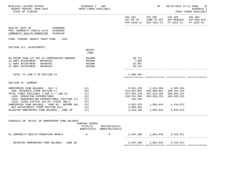| BPSC1L01 LAS/PBS SYSTEM<br>BUDGET PERIOD: 2009-2023<br>STATE OF FLORIDA                                                                                                                                                                  | SCHEDULE I - LBE<br>TRUST FUNDS AVAILABLE |                                              |                                                        | SP                                                                         | 09/15/2021 13:11 PAGE: 22<br>SCHEDULE I<br>TRUST FUNDS AVAILABLE                               |                       |  |
|------------------------------------------------------------------------------------------------------------------------------------------------------------------------------------------------------------------------------------------|-------------------------------------------|----------------------------------------------|--------------------------------------------------------|----------------------------------------------------------------------------|------------------------------------------------------------------------------------------------|-----------------------|--|
|                                                                                                                                                                                                                                          |                                           |                                              | COL A01                                                | COL A02                                                                    | COL A03<br>ACT PR YR CURR YR EST AGY REQUEST AGY REQ N/R<br>EXP 2020-21 EXP 2021-22 FY 2022-23 | COL A04<br>FY 2022-23 |  |
| HEALTH, DEPT OF 64000000<br>PGM: COMMUNITY PUBLIC HLTH 64200000<br>COMMUNITY HEALTH PROMOTION 64200100                                                                                                                                   |                                           |                                              |                                                        |                                                                            |                                                                                                |                       |  |
| FUND: FEDERAL GRANTS TRUST FUND<br>2261                                                                                                                                                                                                  |                                           |                                              |                                                        |                                                                            |                                                                                                |                       |  |
| SECTION III: ADJUSTMENTS                                                                                                                                                                                                                 | OBJECT<br>CODE                            |                                              |                                                        |                                                                            |                                                                                                |                       |  |
| 09 PRIOR YEAR A/P NOT CF-COMPENSATED ABSENCE<br>10 SWFS ADJUSTMENT - B6400324<br>11 SWFS ADJUSTMENT - B6400351<br>12 SWFS ADJUSTMENT - B6400354                                                                                          | 991000<br>991000<br>991000<br>991000      |                                              | 58,721<br>7,889<br>33,607<br>$49.412 -$                |                                                                            |                                                                                                |                       |  |
| TOTAL TO LINE H IN SECTION IV                                                                                                                                                                                                            |                                           |                                              | 1,608,481-                                             |                                                                            |                                                                                                |                       |  |
| SECTION IV: SUMMARY                                                                                                                                                                                                                      |                                           |                                              |                                                        |                                                                            |                                                                                                |                       |  |
| UNRESERVED FUND BALANCE - JULY 1<br>ADD: REVENUES (FROM SECTION I)<br>TOTAL FUNDS AVAILABLE (LINE A + LINE B)<br>LESS: OPERATING EXPENDITURES<br>LESS: NONOPERATING EXPENDITURES (SECTION II)<br>LESS: FIXED CAPITAL OUTLAY (TOTAL ONLY) | (A)<br>(B)<br>(C)<br>(D)<br>( E )<br>(F)  |                                              | 514,022,004<br>522,584,240<br>518, 315, 268<br>236,293 | 8,562,236 2,424,198 1,893,034<br>595,089,061<br>597,513,259<br>595,620,225 | 598,161,263<br>600,054,297<br>595,620,225                                                      |                       |  |
| UNRESERVED FUND BALANCE - JUNE 30 - BEFORE ADJ<br>NET ADJUSTMENTS (FROM SECTION III)<br>ADJUSTED UNRESERVED FUND BALANCE - JUNE 30                                                                                                       | (G)<br>(H)<br>$(\top)$                    |                                              | 4,032,679<br>1,608,481-                                | 1,893,034 4,434,072<br>2,424,198 1,893,034 4,434,072                       |                                                                                                |                       |  |
| SCHEDULE IB: DETAIL OF UNRESERVED FUND BALANCE                                                                                                                                                                                           | FUNDING SOURCE<br>STATE(S)                | RESTRICTED(R)<br>NONSTATE(N) UNRESTRICTED(U) |                                                        |                                                                            |                                                                                                |                       |  |
| 01 COMMUNITY HEALTH PROMOTION GRANTS                                                                                                                                                                                                     | $\mathbb N$                               | R                                            |                                                        | 2,424,198 1,893,034 4,434,072                                              |                                                                                                |                       |  |
| ADJUSTED UNRESERVED FUND BALANCE - JUNE 30                                                                                                                                                                                               |                                           |                                              |                                                        | 2,424,198 1,893,034 4,434,072                                              |                                                                                                |                       |  |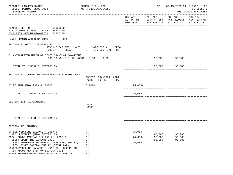| BPSC1L01 LAS/PBS SYSTEM<br>BUDGET PERIOD: 2009-2023<br>STATE OF FLORIDA                                                                                                                                                                                       |                                             | SCHEDULE I - LBE<br>TRUST FUNDS AVAILABLE                  |                      | SP               |                                                                                                | 09/15/2021 13:11 PAGE: 23<br><b>SCHEDULE I</b><br>TRUST FUNDS AVAILABLE |
|---------------------------------------------------------------------------------------------------------------------------------------------------------------------------------------------------------------------------------------------------------------|---------------------------------------------|------------------------------------------------------------|----------------------|------------------|------------------------------------------------------------------------------------------------|-------------------------------------------------------------------------|
|                                                                                                                                                                                                                                                               |                                             |                                                            | COL A01              | COL A02          | COL A03<br>ACT PR YR CURR YR EST AGY REQUEST AGY REQ N/R<br>EXP 2020-21 EXP 2021-22 FY 2022-23 | COL A04<br>FY 2022-23                                                   |
| HEALTH, DEPT OF 64000000<br>PGM: COMMUNITY PUBLIC HLTH 64200000<br>COMMUNITY HEALTH PROMOTION 64200100                                                                                                                                                        |                                             |                                                            |                      |                  |                                                                                                |                                                                         |
| FUND: GRANTS AND DONATIONS TF                                                                                                                                                                                                                                 | 2339                                        |                                                            |                      |                  |                                                                                                |                                                                         |
| SECTION I: DETAIL OF REVENUES                                                                                                                                                                                                                                 | REVENUE CAP SVC<br>CHG <sup>8</sup><br>CODE | AUTH MATCHING %<br>CFDA<br>ST I/C LOC I/C<br>NO.           |                      |                  |                                                                                                |                                                                         |
| 01 ANTICIPATED MARCH OF DIMES GRANT OR DONATIONS                                                                                                                                                                                                              | 001110 NO 0.0 381.0031 0.00                 | 0.00                                                       |                      |                  | 95,088 95,088                                                                                  |                                                                         |
| TOTAL TO LINE B IN SECTION IV                                                                                                                                                                                                                                 |                                             |                                                            |                      |                  | 95,088 95,088                                                                                  |                                                                         |
| SECTION II: DETAIL OF NONOPERATING EXPENDITURES                                                                                                                                                                                                               |                                             | OBJECT TRANSFER CFDA<br>CODE<br>TO BE<br>NO.               |                      |                  |                                                                                                |                                                                         |
| 03 BE TNFR FROM 2339 64200200                                                                                                                                                                                                                                 |                                             | 810000                                                     | 75,086-              |                  |                                                                                                |                                                                         |
| TOTAL TO LINE E IN SECTION IV                                                                                                                                                                                                                                 |                                             |                                                            | $75,086-$            |                  |                                                                                                |                                                                         |
| SECTION III: ADJUSTMENTS                                                                                                                                                                                                                                      |                                             | OBJECT<br>CODE                                             |                      |                  |                                                                                                |                                                                         |
|                                                                                                                                                                                                                                                               |                                             |                                                            |                      |                  |                                                                                                |                                                                         |
| TOTAL TO LINE H IN SECTION IV                                                                                                                                                                                                                                 |                                             |                                                            |                      |                  |                                                                                                |                                                                         |
| SECTION IV: SUMMARY                                                                                                                                                                                                                                           |                                             |                                                            |                      |                  |                                                                                                |                                                                         |
| UNRESERVED FUND BALANCE - JULY 1<br>ADD: REVENUES (FROM SECTION I)<br>TOTAL FUNDS AVAILABLE (LINE A + LINE B)                                                                                                                                                 |                                             | (A)<br>(B)<br>(C)                                          | 75,086-<br>$75,086-$ | 95,088<br>95,088 | 95,088<br>95,088                                                                               |                                                                         |
| LESS: OPERATING EXPENDITURES<br>LESS: NONOPERATING EXPENDITURES (SECTION II)<br>LESS: FIXED CAPITAL OUTLAY (TOTAL ONLY)<br>UNRESERVED FUND BALANCE - JUNE 30 - BEFORE ADJ<br>NET ADJUSTMENTS (FROM SECTION III)<br>ADJUSTED UNRESERVED FUND BALANCE - JUNE 30 |                                             | (D)<br>(E)<br>(F)<br>(G)<br>(H)<br>$(\lceil \cdot \rceil)$ | $75,086-$            | 95,088           | 95,088                                                                                         |                                                                         |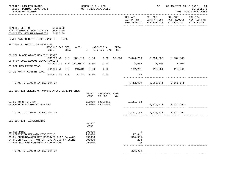| BPSC1L01 LAS/PBS SYSTEM<br>STATE OF FLORIDA                                                                                                                                           | TRUST FUNDS AVAILABLE<br>BUDGET PERIOD: 2009-2023 |      |  | SCHEDULE I - LBE                               |                                            |     |                                             | SP                  |                                                                                  | 09/15/2021 13:11 PAGE: 24<br><b>SCHEDULE I</b><br>TRUST FUNDS AVAILABLE |  |
|---------------------------------------------------------------------------------------------------------------------------------------------------------------------------------------|---------------------------------------------------|------|--|------------------------------------------------|--------------------------------------------|-----|---------------------------------------------|---------------------|----------------------------------------------------------------------------------|-------------------------------------------------------------------------|--|
|                                                                                                                                                                                       |                                                   |      |  |                                                |                                            |     |                                             |                     | COL A01 COL A02 COL A03 COL A04<br>EXP 2020-21 EXP 2021-22 FY 2022-23 FY 2022-23 | ACT PR YR CURR YR EST AGY REQUEST AGY REQ N/R                           |  |
| HEALTH, DEPT OF 64000000<br>PGM: COMMUNITY PUBLIC HLTH 64200000<br>COMMUNITY HEALTH PROMOTION 64200100                                                                                |                                                   |      |  |                                                |                                            |     |                                             |                     |                                                                                  |                                                                         |  |
| FUND: MAT/CH HLTH BLOCK GRANT TF 2475                                                                                                                                                 |                                                   |      |  |                                                |                                            |     |                                             |                     |                                                                                  |                                                                         |  |
| SECTION I: DETAIL OF REVENUES                                                                                                                                                         | REVENUE CAP SVC<br>CODE                           | CHG% |  |                                                | AUTH MATCHING % CFDA<br>ST I/C LOC I/C NO. |     |                                             |                     |                                                                                  |                                                                         |  |
| 02 MCH BLOCK GRANT HEALTHY START                                                                                                                                                      | 000700 NO 0.0 383.011 0.00                        |      |  |                                                |                                            |     | $0.00$ 93.994 7,646,710 8,934,309 8,934,309 |                     |                                                                                  |                                                                         |  |
| 06 FROM 2021 180205 LEAVE PAYOUTS                                                                                                                                                     |                                                   |      |  |                                                |                                            |     |                                             |                     |                                                                                  |                                                                         |  |
| 03 REFUNDS PRIOR YEAR                                                                                                                                                                 | 001500 NO 0.0 381.0011                            |      |  | 0.00                                           | 0.00                                       |     | $3,505$ $3,505$ $3,505$                     |                     |                                                                                  |                                                                         |  |
| 07 12 MONTH WARRANT CANX                                                                                                                                                              | 001800 NO 0.0 215.31                              |      |  | 0.00                                           |                                            |     | $0.00$ 112, 261 112, 261 112, 261           |                     |                                                                                  |                                                                         |  |
|                                                                                                                                                                                       | 003800 NO 0.0 17.26                               |      |  | 0.00                                           | 0.00                                       |     | 194<br>--------------                       |                     |                                                                                  |                                                                         |  |
| TOTAL TO LINE B IN SECTION IV                                                                                                                                                         |                                                   |      |  |                                                |                                            |     |                                             | 7,762,670 9,050,075 | 9,050,075                                                                        |                                                                         |  |
| SECTION II: DETAIL OF NONOPERATING EXPENDITURES                                                                                                                                       |                                                   |      |  |                                                |                                            |     |                                             |                     |                                                                                  |                                                                         |  |
|                                                                                                                                                                                       |                                                   |      |  | CODE                                           | OBJECT TRANSFER CFDA<br>TO BE              | NO. |                                             |                     |                                                                                  |                                                                         |  |
| 02 BE TNFR TO 2475<br>05 RESERVE AUTHORITY FOR CHD                                                                                                                                    |                                                   |      |  |                                                | 810000 64300100<br>810000 64200700         |     | 1,151,702                                   |                     | $1, 116, 433 - 1, 534, 494 -$                                                    |                                                                         |  |
| TOTAL TO LINE E IN SECTION IV                                                                                                                                                         |                                                   |      |  |                                                |                                            |     |                                             |                     | 1, 151, 702 1, 116, 433 - 1, 534, 494 -                                          |                                                                         |  |
| SECTION III: ADJUSTMENTS                                                                                                                                                              |                                                   |      |  |                                                |                                            |     |                                             |                     |                                                                                  |                                                                         |  |
|                                                                                                                                                                                       |                                                   |      |  | OBJECT<br>CODE                                 |                                            |     |                                             |                     |                                                                                  |                                                                         |  |
| 01 ROUNDING<br>02 CERTIFIED FORWARD REVERSIONS<br>03 PY ENCUMBRANCES NOT RESERVED FUND BALANCE<br>04 PRIOR YEAR A/P NOT CF- OPERATING CATEGORY<br>07 A/P NOT C/F COMPENSATED ABSENCES |                                                   |      |  | 991000<br>991000<br>991000<br>991000<br>991000 |                                            |     | 6<br>77,841<br>$314,935-$<br>223<br>29      |                     |                                                                                  |                                                                         |  |
| TOTAL TO LINE H IN SECTION IV                                                                                                                                                         |                                                   |      |  |                                                |                                            |     | $236,836-$                                  |                     |                                                                                  |                                                                         |  |

============= ============= ============= =============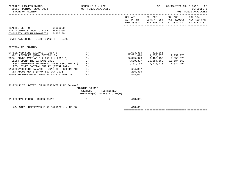| BPSC1L01 LAS/PBS SYSTEM<br>BUDGET PERIOD: 2009-2023 TRUST FUNDS AVAILABLE<br>STATE OF FLORIDA                                                                                                                                                                                                                                                                                                | SCHEDULE I - LBE                       |                                         |                                             | SP                                  | 09/15/2021 13:11 PAGE: 25<br><b>SCHEDULE I</b><br>TRUST FUNDS AVAILABLE                                                |            |  |
|----------------------------------------------------------------------------------------------------------------------------------------------------------------------------------------------------------------------------------------------------------------------------------------------------------------------------------------------------------------------------------------------|----------------------------------------|-----------------------------------------|---------------------------------------------|-------------------------------------|------------------------------------------------------------------------------------------------------------------------|------------|--|
|                                                                                                                                                                                                                                                                                                                                                                                              |                                        |                                         |                                             |                                     | COL A01 COL A02 COL A03 COL A04<br>ACT PR YR CURR YR EST AGY REQUEST AGY REQ N/R<br>EXP 2020-21 EXP 2021-22 FY 2022-23 | FY 2022-23 |  |
| HEALTH, DEPT OF 64000000<br>PGM: COMMUNITY PUBLIC HLTH 64200000<br>COMMUNITY HEALTH PROMOTION 64200100                                                                                                                                                                                                                                                                                       |                                        |                                         |                                             |                                     |                                                                                                                        |            |  |
| FUND: MAT/CH HLTH BLOCK GRANT TF 2475                                                                                                                                                                                                                                                                                                                                                        |                                        |                                         |                                             |                                     |                                                                                                                        |            |  |
| SECTION IV: SUMMARY                                                                                                                                                                                                                                                                                                                                                                          |                                        |                                         |                                             |                                     |                                                                                                                        |            |  |
| UNRESERVED FUND BALANCE - JULY 1<br>ADD: REVENUES (FROM SECTION I)<br>TOTAL FUNDS AVAILABLE (LINE A + LINE B)<br>LESS: OPERATING EXPENDITURES<br>LESS: NONOPERATING EXPENDITURES (SECTION II) (E)<br>LESS: FIXED CAPITAL OUTLAY (TOTAL ONLY)<br>UNRESERVED FUND BALANCE - JUNE 30 - BEFORE ADJ $(G)$<br>NET ADJUSTMENTS (FROM SECTION III)<br>ADJUSTED UNRESERVED FUND BALANCE - JUNE 30 (I) | (A)<br>(B)<br>(C)<br>(D)<br>(F)<br>(H) |                                         | 1,151,702<br>654,897<br>236,836-<br>418,061 | 7,589,377   10,584,569   10,584,569 | 1, 116, 433 - 1, 534, 494 -                                                                                            |            |  |
| SCHEDULE IB: DETAIL OF UNRESERVED FUND BALANCE                                                                                                                                                                                                                                                                                                                                               | FUNDING SOURCE                         | $STATE(S)$ RESTRICTED $(R)$             |                                             |                                     |                                                                                                                        |            |  |
| 01 FEDERAL FUNDS - BLOCK GRANT<br>$\mathbf N$                                                                                                                                                                                                                                                                                                                                                |                                        | NONSTATE(N) UNRESTRICTED(U)<br>$R \sim$ | 418,061                                     |                                     |                                                                                                                        |            |  |
| ADJUSTED UNRESERVED FUND BALANCE - JUNE 30                                                                                                                                                                                                                                                                                                                                                   |                                        |                                         | 418,061                                     |                                     |                                                                                                                        |            |  |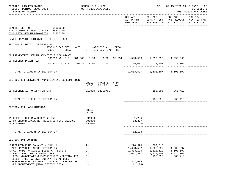| BPSC1L01 LAS/PBS SYSTEM<br>BUDGET PERIOD: 2009-2023<br>STATE OF FLORIDA                                                                                                                                                                                                                    |                                                                      | SCHEDULE I - LBE<br>TRUST FUNDS AVAILABLE     |                        |      |                                                           | SP                                                         | 09/15/2021 13:11 PAGE: 26                                                                                                         | SCHEDULE I<br>TRUST FUNDS AVAILABLE |
|--------------------------------------------------------------------------------------------------------------------------------------------------------------------------------------------------------------------------------------------------------------------------------------------|----------------------------------------------------------------------|-----------------------------------------------|------------------------|------|-----------------------------------------------------------|------------------------------------------------------------|-----------------------------------------------------------------------------------------------------------------------------------|-------------------------------------|
|                                                                                                                                                                                                                                                                                            |                                                                      |                                               |                        |      |                                                           |                                                            | COL A01 COL A02 COL A03 COL A04<br>ACT PR YR CURR YR EST AGY REQUEST AGY REQ N/R<br>EXP 2020-21 EXP 2021-22 FY 2022-23 FY 2022-23 |                                     |
| HEALTH, DEPT OF 64000000<br>PGM: COMMUNITY PUBLIC HLTH 64200000<br>COMMUNITY HEALTH PROMOTION 64200100                                                                                                                                                                                     |                                                                      |                                               |                        |      |                                                           |                                                            |                                                                                                                                   |                                     |
| FUND: PREVENT HLTH SVCS BL GR TF 2539                                                                                                                                                                                                                                                      |                                                                      |                                               |                        |      |                                                           |                                                            |                                                                                                                                   |                                     |
| SECTION I: DETAIL OF REVENUES                                                                                                                                                                                                                                                              | REVENUE CAP SVC<br>CODE<br>CHG%                                      | AUTH MATCHING %<br>ST I/C LOC I/C NO.         |                        | CFDA |                                                           |                                                            |                                                                                                                                   |                                     |
| 08 PREVENTIVE HEALTH SERVICES BLOCK GRANT                                                                                                                                                                                                                                                  | 000700 NO 0.0 381.005 0.00 0.00 93.991 1,593,596 1,593,596 1,593,596 |                                               |                        |      |                                                           |                                                            |                                                                                                                                   |                                     |
| 06 REFUNDS PRIOR YEAR                                                                                                                                                                                                                                                                      | 001800 NO 0.0 215.31 0.00                                            |                                               | 0.00                   |      |                                                           | $15,001$ $15,001$ $15,001$ $15,001$                        |                                                                                                                                   |                                     |
| TOTAL TO LINE B IN SECTION IV                                                                                                                                                                                                                                                              |                                                                      |                                               |                        |      |                                                           | 1,608,597   1,608,597   1,608,597                          |                                                                                                                                   |                                     |
| SECTION II: DETAIL OF NONOPERATING EXPENDITURES                                                                                                                                                                                                                                            |                                                                      | OBJECT<br>CODE                                | TRANSFER CFDA<br>TO BE | NO.  |                                                           |                                                            |                                                                                                                                   |                                     |
| 05 RESERVE AUTHORITY FOR CHD                                                                                                                                                                                                                                                               |                                                                      |                                               | 810000 64200700        |      |                                                           |                                                            |                                                                                                                                   |                                     |
| TOTAL TO LINE E IN SECTION IV                                                                                                                                                                                                                                                              |                                                                      |                                               |                        |      |                                                           |                                                            | $155,895-365,410-$                                                                                                                |                                     |
| SECTION III: ADJUSTMENTS                                                                                                                                                                                                                                                                   |                                                                      | OBJECT<br>CODE                                |                        |      |                                                           |                                                            |                                                                                                                                   |                                     |
| 01 CERTIFIED FORWARD REVERSIONS<br>02 PY ENCUMBRANCES NOT RESERVED FUND BALANCE<br>05 ROUNDING                                                                                                                                                                                             |                                                                      | 991000<br>991000<br>991000                    |                        |      | 1,256<br>$13,377-$<br>$3 -$                               |                                                            |                                                                                                                                   |                                     |
| TOTAL TO LINE H IN SECTION IV                                                                                                                                                                                                                                                              |                                                                      |                                               |                        |      | $12, 124-$                                                |                                                            |                                                                                                                                   |                                     |
| SECTION IV: SUMMARY                                                                                                                                                                                                                                                                        |                                                                      |                                               |                        |      |                                                           |                                                            |                                                                                                                                   |                                     |
| UNRESERVED FUND BALANCE - JULY 1<br>ADD: REVENUES (FROM SECTION I)<br>TOTAL FUNDS AVAILABLE (LINE A + LINE B)<br>LESS: OPERATING EXPENDITURES<br>LESS: NONOPERATING EXPENDITURES (SECTION II)<br>LESS: FIXED CAPITAL OUTLAY (TOTAL ONLY)<br>UNRESERVED FUND BALANCE - JUNE 30 - BEFORE ADJ |                                                                      | (A)<br>(B)<br>(C)<br>(D)<br>(E)<br>(F)<br>(G) |                        |      | 224,529<br>1,608,597<br>1,833,126<br>1,611,487<br>221,639 | 209,515<br>1,608,597<br>1,818,112<br>1,974,007<br>155,895- | 1,608,597<br>1,608,597<br>1,974,007<br>$365,410-$                                                                                 |                                     |
| NET ADJUSTMENTS (FROM SECTION III)                                                                                                                                                                                                                                                         |                                                                      | (H)                                           |                        |      | 12,124-                                                   |                                                            |                                                                                                                                   |                                     |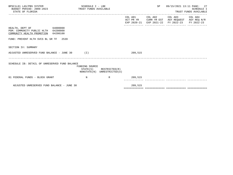| BPSC1L01 LAS/PBS SYSTEM<br>BUDGET PERIOD: 2009-2023 TRUST FUNDS AVAILABLE<br>STATE OF FLORIDA                | SCHEDULE I - LBE           |                                              |                                     | SP                     | 09/15/2021 13:11 PAGE: 27<br>SCHEDULE I<br>TRUST FUNDS AVAILABLE |                       |  |  |
|--------------------------------------------------------------------------------------------------------------|----------------------------|----------------------------------------------|-------------------------------------|------------------------|------------------------------------------------------------------|-----------------------|--|--|
|                                                                                                              |                            |                                              | COL A01<br>ACT PR YR<br>EXP 2020-21 | COL A02<br>EXP 2021-22 | COL A03<br>CURR YR EST AGY REQUEST AGY REQ N/R<br>FY 2022-23     | COL A04<br>FY 2022-23 |  |  |
| 64000000<br>HEALTH, DEPT OF<br>PGM: COMMUNITY PUBLIC HLTH 64200000<br>COMMUNITY HEALTH PROMOTION<br>64200100 |                            |                                              |                                     |                        |                                                                  |                       |  |  |
| FUND: PREVENT HLTH SVCS BL GR TF 2539                                                                        |                            |                                              |                                     |                        |                                                                  |                       |  |  |
| SECTION IV: SUMMARY                                                                                          |                            |                                              |                                     |                        |                                                                  |                       |  |  |
| ADJUSTED UNRESERVED FUND BALANCE - JUNE 30 (I)                                                               |                            |                                              | 209,515                             |                        |                                                                  |                       |  |  |
| SCHEDULE IB: DETAIL OF UNRESERVED FUND BALANCE                                                               | FUNDING SOURCE<br>STATE(S) | RESTRICTED(R)<br>NONSTATE(N) UNRESTRICTED(U) |                                     |                        |                                                                  |                       |  |  |
| 01 FEDERAL FUNDS - BLOCK GRANT                                                                               | $_{\rm N}$                 | $\mathbb{R}$                                 | 209,515                             |                        |                                                                  |                       |  |  |
| ADJUSTED UNRESERVED FUND BALANCE - JUNE 30                                                                   |                            |                                              | 209,515                             |                        |                                                                  |                       |  |  |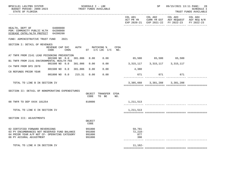| BPSC1L01 LAS/PBS SYSTEM<br>BUDGET PERIOD: 2009-2023<br>STATE OF FLORIDA                                                                                     | SCHEDULE I - LBE                     | TRUST FUNDS AVAILABLE         |      |                                   | SP                                  |                                                                                                                                                       | 09/15/2021 13:11 PAGE: 28<br><b>SCHEDULE I</b><br>TRUST FUNDS AVAILABLE |  |
|-------------------------------------------------------------------------------------------------------------------------------------------------------------|--------------------------------------|-------------------------------|------|-----------------------------------|-------------------------------------|-------------------------------------------------------------------------------------------------------------------------------------------------------|-------------------------------------------------------------------------|--|
|                                                                                                                                                             |                                      |                               |      | COL A01 COL A02                   |                                     | COL A03<br>ACT PR YR CURR YR EST AGY REQUEST AGY REQ N/R<br>EXP 2020-21 EXP 2021-22 FY 2022-23<br>.cooperate arabertariaren profesoriaren arabertzare | COL A04<br>FY 2022-23                                                   |  |
| HEALTH, DEPT OF 64000000<br>PGM: COMMUNITY PUBLIC HLTH 64200000<br>DISEASE CNTRL/HLTH PROTECT 64200200                                                      |                                      |                               |      |                                   |                                     |                                                                                                                                                       |                                                                         |  |
| FUND: ADMINISTRATIVE TRUST FUND<br>2021                                                                                                                     |                                      |                               |      |                                   |                                     |                                                                                                                                                       |                                                                         |  |
| SECTION I: DETAIL OF REVENUES<br>REVENUE CAP SVC<br>CHG <sup>&amp;</sup> ST I/C LOC I/C NO.<br>CODE                                                         |                                      | AUTH MATCHING %               | CFDA |                                   |                                     |                                                                                                                                                       |                                                                         |  |
| A7 TNFR FROM 2141 LEAD POISONING PREVENTION<br>001500 NO 0.0 381.006                                                                                        | 0.00                                 | 0.00                          |      |                                   | 65,500 65,500 65,500                |                                                                                                                                                       |                                                                         |  |
| B1 TNFR FROM 2141 ENVIRONMENTAL HEALTH FEE                                                                                                                  |                                      |                               |      |                                   |                                     |                                                                                                                                                       |                                                                         |  |
| 001500 NO 0.0 381.006<br>C4 TNFR FROM DFS 2078                                                                                                              | 0.00                                 | 0.00                          |      |                                   | 3, 315, 117 3, 315, 117 3, 315, 117 |                                                                                                                                                       |                                                                         |  |
| 001500 NO 0.0 381.006                                                                                                                                       | 0.00                                 | 0.00                          |      | 4,380                             |                                     |                                                                                                                                                       |                                                                         |  |
| C8 REFUNDS PRIOR YEAR<br>001800 NO 0.0<br>215.31                                                                                                            | 0.00                                 | 0.00                          |      | 671                               | 671                                 | 671                                                                                                                                                   |                                                                         |  |
| TOTAL TO LINE B IN SECTION IV                                                                                                                               |                                      |                               |      |                                   | 3,385,668 3,381,288 3,381,288       |                                                                                                                                                       |                                                                         |  |
| SECTION II: DETAIL OF NONOPERATING EXPENDITURES                                                                                                             | CODE                                 | OBJECT TRANSFER CFDA<br>TO BE | NO.  |                                   |                                     |                                                                                                                                                       |                                                                         |  |
| 08 TNFR TO DEP XXXX 181254                                                                                                                                  | 810000                               |                               |      | 1,211,513                         |                                     |                                                                                                                                                       |                                                                         |  |
| TOTAL TO LINE E IN SECTION IV                                                                                                                               |                                      |                               |      | 1,211,513                         |                                     |                                                                                                                                                       |                                                                         |  |
|                                                                                                                                                             |                                      |                               |      |                                   |                                     |                                                                                                                                                       |                                                                         |  |
| SECTION III: ADJUSTMENTS                                                                                                                                    | OBJECT<br>CODE                       |                               |      |                                   |                                     |                                                                                                                                                       |                                                                         |  |
| 02 CERTIFIED FORWARD REVERSIONS<br>03 PY ENCUMBRANCES NOT RESERVED FUND BALANCE<br>04 PRIOR YEAR A/P NOT CF- OPERATING CATEGORY<br>06 PY ACCURAL ADJUSTMENT | 991000<br>991000<br>991000<br>991000 |                               |      | 59,781<br>$72,218-$<br>877<br>398 |                                     |                                                                                                                                                       |                                                                         |  |
| TOTAL TO LINE H IN SECTION IV                                                                                                                               |                                      |                               |      | 11,162-                           |                                     |                                                                                                                                                       |                                                                         |  |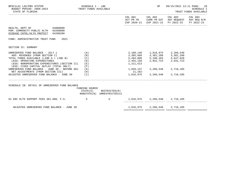| BPSC1L01 LAS/PBS SYSTEM<br>BUDGET PERIOD: 2009-2023 TRUST FUNDS AVAILABLE<br>STATE OF FLORIDA                                                                                                                                                | SCHEDULE I - LBE                |                                                            |                                                                               | SP                                                                                                                                           | 09/15/2021 13:11 PAGE: 29<br><b>SCHEDULE I</b><br>TRUST FUNDS AVAILABLE                                                           |  |  |
|----------------------------------------------------------------------------------------------------------------------------------------------------------------------------------------------------------------------------------------------|---------------------------------|------------------------------------------------------------|-------------------------------------------------------------------------------|----------------------------------------------------------------------------------------------------------------------------------------------|-----------------------------------------------------------------------------------------------------------------------------------|--|--|
|                                                                                                                                                                                                                                              |                                 |                                                            |                                                                               |                                                                                                                                              | COL A01 COL A02 COL A03 COL A04<br>ACT PR YR CURR YR EST AGY REQUEST AGY REQ N/R<br>EXP 2020-21 EXP 2021-22 FY 2022-23 FY 2022-23 |  |  |
| HEALTH, DEPT OF 64000000<br>PGM: COMMUNITY PUBLIC HLTH 64200000<br>DISEASE CNTRL/HLTH PROTECT 64200200                                                                                                                                       |                                 |                                                            |                                                                               |                                                                                                                                              |                                                                                                                                   |  |  |
| FUND: ADMINISTRATIVE TRUST FUND<br>2021                                                                                                                                                                                                      |                                 |                                                            |                                                                               |                                                                                                                                              |                                                                                                                                   |  |  |
| SECTION IV: SUMMARY                                                                                                                                                                                                                          |                                 |                                                            |                                                                               |                                                                                                                                              |                                                                                                                                   |  |  |
| UNRESERVED FUND BALANCE - JULY 1<br>ADD: REVENUES (FROM SECTION I)<br>TOTAL FUNDS AVAILABLE (LINE A + LINE B)<br>LESS: OPERATING EXPENDITURES<br>LESS: NONOPERATING EXPENDITURES (SECTION II) (E)<br>LESS: FIXED CAPITAL OUTLAY (TOTAL ONLY) | (A)<br>(B)<br>(C)<br>(D)<br>(F) |                                                            | 1,211,513                                                                     | 2, 109, 140 1, 816, 975 2, 266, 540<br>3, 385, 668 3, 381, 288 3, 381, 288<br>5,494,808 5,198,263 5,647,828<br>2,455,158 2,931,723 2,931,723 |                                                                                                                                   |  |  |
| UNRESERVED FUND BALANCE - JUNE 30 - BEFORE ADJ $(G)$<br>NET ADJUSTMENTS (FROM SECTION III)<br>(H)<br>ADJUSTED UNRESERVED FUND BALANCE - JUNE 30 $(1)$                                                                                        |                                 |                                                            | 1,828,137   2,266,540   2,716,105<br>11,162-<br>1,816,975 2,266,540 2,716,105 |                                                                                                                                              |                                                                                                                                   |  |  |
| SCHEDULE IB: DETAIL OF UNRESERVED FUND BALANCE                                                                                                                                                                                               | FUNDING SOURCE                  | $STATE(S)$ RESTRICTED $(R)$<br>NONSTATE(N) UNRESTRICTED(U) |                                                                               |                                                                                                                                              |                                                                                                                                   |  |  |
|                                                                                                                                                                                                                                              |                                 |                                                            | 1,816,975 2,266,540 2,716,105                                                 |                                                                                                                                              |                                                                                                                                   |  |  |
| ADJUSTED UNRESERVED FUND BALANCE - JUNE 30                                                                                                                                                                                                   |                                 |                                                            |                                                                               | 1,816,975 2,266,540 2,716,105                                                                                                                |                                                                                                                                   |  |  |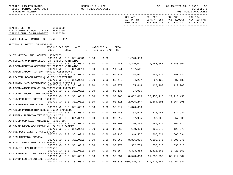| BPSC1L01 LAS/PBS SYSTEM<br>BUDGET PERIOD: 2009-2023<br>STATE OF FLORIDA                          |                         |                  | SCHEDULE I - LBE       |      | TRUST FUNDS AVAILABLE        |             |                      | SP                      |                                                                                              | 09/15/2021 13:11 PAGE: 30<br>SCHEDULE I<br>TRUST FUNDS AVAILABLE |
|--------------------------------------------------------------------------------------------------|-------------------------|------------------|------------------------|------|------------------------------|-------------|----------------------|-------------------------|----------------------------------------------------------------------------------------------|------------------------------------------------------------------|
|                                                                                                  |                         |                  |                        |      |                              |             | COL A01<br>ACT PR YR | COL A02                 | COL A03 COL A04<br>CURR YR EST AGY REQUEST AGY REQ N/R<br>EXP 2020-21 EXP 2021-22 FY 2022-23 | FY 2022-23                                                       |
| 64000000<br>HEALTH, DEPT OF<br>PGM: COMMUNITY PUBLIC HLTH 64200000<br>DISEASE CNTRL/HLTH PROTECT | 64200200                |                  |                        |      |                              |             |                      |                         |                                                                                              |                                                                  |
| FUND: FEDERAL GRANTS TRUST FUND                                                                  |                         | 2261             |                        |      |                              |             |                      |                         |                                                                                              |                                                                  |
| SECTION I: DETAIL OF REVENUES                                                                    | REVENUE CAP SVC<br>CODE | CHG <sup>8</sup> | AUTH                   |      | MATCHING %<br>ST I/C LOC I/C | CFDA<br>NO. |                      |                         |                                                                                              |                                                                  |
| DA TB MEDICAL AND HOSPITAL SERVICES                                                              |                         |                  | 000109 NO 0.0 381.0031 | 0.00 | 0.00                         |             | 1,248,986            |                         |                                                                                              |                                                                  |
| AA HOUSING OPPPRTUNITIES FOR PERSONS WITH AIDS                                                   |                         |                  | 000700 NO 0.0 381.0011 | 0.00 | 0.00                         | 14.241      | 4,840,021            |                         |                                                                                              |                                                                  |
| AB COVID-HOUSING OPPORTUNITY PERSONS WITH AIDS                                                   |                         |                  | 000700 NO 0.0 381.0011 | 0.00 | 0.00                         | 14.241      | 137,541              |                         |                                                                                              |                                                                  |
| AC RADON INDOOR AIR EPA FUNDING ASSISTANCE                                                       |                         |                  | 000700 NO 0.0 381.0011 | 0.00 | 0.00                         | 66.032      |                      | 124,611 150,924 150,924 |                                                                                              |                                                                  |
| AD COASTAL BEACH WATER QUAILITY MONITORING                                                       |                         |                  | 000700 NO 0.0 381.0011 | 0.00 | 0.00                         | 66.472      |                      | 84, 207 87, 133 87, 133 |                                                                                              |                                                                  |
| AE STRENGTHING ENVIRONMENTAL HEALTH CAPACITY                                                     |                         |                  | 000700 NO 0.0 381.0011 | 0.00 | 0.00                         | 93.070      |                      | 55,444 120,203 120,203  |                                                                                              |                                                                  |
| AG COVID-ATSDR REDUCE ENVIRONMENTAL EXPOSURE                                                     |                         |                  | 000700 NO 0.0 381.0011 | 0.00 | 0.00                         | 93.136      | 77,915               |                         |                                                                                              |                                                                  |
| AI COVID-IMMUNIZATION PROGRAM                                                                    |                         |                  | 000700 NO 0.0 381.0011 | 0.00 | 0.00                         | 93.268      | 8,062,016            | 50,458,115              | 29,110,450                                                                                   |                                                                  |
| AJ TUBERCULOSIS CONTROL PROJECT                                                                  |                         |                  | 000700 NO 0.0 381.0011 | 0.00 | 0.00                         | 93.116      | 2,096,247            |                         | 1,864,396 1,864,396                                                                          |                                                                  |
| AL COVID-RYAN WHITE PART B                                                                       |                         |                  |                        |      |                              |             |                      |                         |                                                                                              |                                                                  |
| AM ATSDR PARTNERSHIP-REDUCE ENVRN EXPOSURE                                                       |                         |                  | 000700 NO 0.0 381.0011 | 0.00 | 0.00                         | 93.917      | 1,370,000            |                         |                                                                                              |                                                                  |
|                                                                                                  |                         |                  | 000700 NO 0.0 381.0011 | 0.00 | 0.00                         | 93.240      |                      | 58,526 372,947 372,947  |                                                                                              |                                                                  |
| AN FAMILY PLANNING TITLE X_CHLAMYDIA                                                             |                         |                  |                        |      |                              |             |                      |                         |                                                                                              |                                                                  |
|                                                                                                  |                         |                  | 000700 NO 0.0 381.0011 | 0.00 | 0.00                         | 93.217      |                      | 57,905 57,000           | 57,000                                                                                       |                                                                  |
| AO CHILDHOOD LEAD POISONING PREVENTION                                                           |                         |                  | 000700 NO 0.0 381.0011 | 0.00 | 0.00                         | 93.197      | 120,233              | 165,774                 | 165,774                                                                                      |                                                                  |
| AP STATE BASED OCCUPATIONAL HEALTH & SAFETY                                                      |                         |                  |                        |      |                              |             |                      |                         |                                                                                              |                                                                  |
|                                                                                                  |                         |                  | 000700 NO 0.0 381.0011 | 0.00 | 0.00                         | 93.262      | 150,463              | 120,075                 | 120,075                                                                                      |                                                                  |
| AQ OVERDOSE DATA TO ACTION GRANT                                                                 |                         |                  |                        |      |                              |             |                      |                         |                                                                                              |                                                                  |
| AR IMMUNIZATION PROGRAM                                                                          | 000700 NO               |                  | $0.0$ 381.0011         | 0.00 | 0.00                         | 93.136      | 348,567              | 805,834                 | 805,834                                                                                      |                                                                  |
|                                                                                                  | 000700 NO               | 0.0              | 381.0011               | 0.00 | 0.00                         | 93.268      | 8,826,005            | 7,300,876               | 7,300,876                                                                                    |                                                                  |
| AS ADULT VIRAL HEPATITIS PREVENTION                                                              |                         |                  |                        |      |                              |             |                      |                         |                                                                                              |                                                                  |
|                                                                                                  | 000700 NO               | 0.0              | 381.0011               | 0.00 | 0.00                         | 93.270      | 352,739              | 335,313                 | 335,313                                                                                      |                                                                  |
| BE PUBLIC HEALTH CRISIS RESPONSE                                                                 | 000700 NO               | 0.0              | 381.0011               | 0.00 | 0.00                         | 93.354      | 3,423,863            | 3,423,863               | 3,423,863                                                                                    |                                                                  |
| BG COVID-PUBLIC HEALTH CRISIS RESPONSE                                                           |                         |                  |                        |      |                              |             |                      |                         |                                                                                              |                                                                  |
|                                                                                                  |                         |                  | 000700 NO 0.0 381.0011 | 0.00 | 0.00                         | 93.354      | 8,548,868            | 31,653,750              | 86, 412, 382                                                                                 |                                                                  |
| BI COVID-ELC INFECTIOUS DISEASES                                                                 |                         |                  | 000700 NO 0.0 381.0011 | 0.00 | 0.00                         | 93.323      | 636,245,767          | 820,714,542             | 45, 462, 627                                                                                 |                                                                  |
|                                                                                                  |                         |                  |                        |      |                              |             |                      |                         |                                                                                              |                                                                  |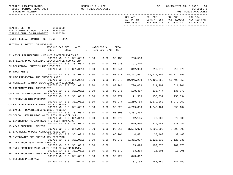| BPSC1L01 LAS/PBS SYSTEM<br>BUDGET PERIOD: 2009-2023<br>STATE OF FLORIDA              |                      | SCHEDULE I - LBE<br>TRUST FUNDS AVAILABLE |      |                              |             |                      | SP                      |                                                                                              | 09/15/2021 13:11 PAGE: 31<br>SCHEDULE I<br>TRUST FUNDS AVAILABLE |
|--------------------------------------------------------------------------------------|----------------------|-------------------------------------------|------|------------------------------|-------------|----------------------|-------------------------|----------------------------------------------------------------------------------------------|------------------------------------------------------------------|
| -----------------                                                                    |                      |                                           |      |                              |             | COL A01<br>ACT PR YR | COL A02                 | COL A03 COL A04<br>CURR YR EST AGY REQUEST AGY REQ N/R<br>EXP 2020-21 EXP 2021-22 FY 2022-23 | FY 2022-23                                                       |
| HEALTH, DEPT OF<br>PGM: COMMUNITY PUBLIC HLTH 64200000<br>DISEASE CNTRL/HLTH PROTECT | 64000000<br>64200200 |                                           |      |                              |             |                      |                         |                                                                                              |                                                                  |
| FUND: FEDERAL GRANTS TRUST FUND                                                      | 2261                 |                                           |      |                              |             |                      |                         |                                                                                              |                                                                  |
| SECTION I: DETAIL OF REVENUES                                                        |                      |                                           |      |                              |             |                      |                         |                                                                                              |                                                                  |
| REVENUE CAP SVC<br>CODE                                                              | CHG <sup>8</sup>     | AUTH                                      |      | MATCHING %<br>ST I/C LOC I/C | CFDA<br>NO. |                      |                         |                                                                                              |                                                                  |
| BJ ATSDR PARTNERSHIP - REDUCE ENVIRON EXPOSURE                                       |                      | 000700 NO 0.0 381.0011                    | 0.00 | 0.00                         | 93.136      | 260,563              |                         |                                                                                              |                                                                  |
| BK SPECIAL PROJ NATIONAL SIGNIFICANCE GEORGETOWN                                     |                      | 000700 NO 0.0 381.0011                    | 0.00 | 0.00                         | 93.928      | 91,840               |                         |                                                                                              |                                                                  |
| BU BEHAVIORAL SURVEILLANCE PROJECT                                                   |                      | 000700 NO 0.0 381.0011                    | 0.00 | 0.00                         | 93.944      | 342,958              | 210,675 210,675         |                                                                                              |                                                                  |
| BV RYAN WHITE                                                                        |                      |                                           |      |                              |             |                      |                         |                                                                                              |                                                                  |
| BZ HIV PREVENTION AND SURVEILLANCE                                                   |                      | 000700 NO 0.0 381.0011                    | 0.00 | 0.00                         | 93.917      | 18,217,587           | 56,114,359              | 56,114,359                                                                                   |                                                                  |
| CB MORBIDITY & RISK BEHAVIORAL SURVEILLANCE                                          |                      | 000700 NO 0.0 381.0011                    | 0.00 | 0.00                         | 93.940      | 19,045,299           | 17,405,853              | 17,405,853                                                                                   |                                                                  |
|                                                                                      |                      | 000700 NO 0.0 381.0011                    | 0.00 | 0.00                         | 93.944      | 700,036              | 811,201                 | 811,201                                                                                      |                                                                  |
| CC PREGNANCY RISK ASSESSMENT                                                         |                      | 000700 NO 0.0 381.0011                    | 0.00 | 0.00                         | 93.946      |                      | 130,417 135,777         | 135,777                                                                                      |                                                                  |
| CD FLORIDA STD SURVEILLANCE NETWORK                                                  |                      | 000700 NO 0.0 381.0011                    | 0.00 | 0.00                         | 93.977      |                      | 171,556 156,334 156,334 |                                                                                              |                                                                  |
| CE IMPROVING STD PROGRAMS                                                            |                      |                                           |      |                              |             |                      |                         |                                                                                              |                                                                  |
| CG EPI LAB CAPACITY INFECTIOUS DISEASE                                               |                      | 000700 NO 0.0 381.0011                    | 0.00 | 0.00                         | 93.977      | 1,250,786            | 1,279,262 1,279,262     |                                                                                              |                                                                  |
| CK CANCER PREVENTION & CONTROL PROGRAM                                               |                      | 000700 NO 0.0 381.0011                    | 0.00 | 0.00                         | 93.323      | 4,219,850            |                         | 4, 346, 464 395, 134                                                                         |                                                                  |
|                                                                                      |                      | 000700 NO 0.0 381.0011                    | 0.00 | 0.00                         | 93.898      | 2,201,408            |                         |                                                                                              |                                                                  |
| CM SCHOOL HEALTH PROG YOUTH RISK BEHAVIOR SURV                                       |                      | 000700 NO 0.0 381.0011                    | 0.00 | 0.00                         | 93.079      |                      | 12,165 72,000 72,000    |                                                                                              |                                                                  |
| 03 ENVIRONMENTAL AND HEALTH EFFECT TRACKING                                          |                      | 000700 NO 0.0 381.0011                    | 0.00 | 0.00                         | 93.070      |                      | 629,990 820,482 820,482 |                                                                                              |                                                                  |
| 10 ADAP SHORTFALL RELIEF                                                             |                      |                                           |      |                              |             |                      |                         |                                                                                              |                                                                  |
| 17 EPA MULTIPURPOSE NITROGEN REDUCTION                                               |                      | 000700 NO 0.0 381.0011                    | 0.00 | 0.00                         | 93.917      |                      | 3,524,078 2,200,000     | 2,200,000                                                                                    |                                                                  |
| 26 INTEGRATED PRG ENDING HIV EPIDEMIC                                                |                      | 000700 NO 0.0 381.0011                    | 0.00 | 0.00                         | 66.204      | 4,401                | 30,463                  | 30,463                                                                                       |                                                                  |
|                                                                                      |                      | 000700 NO 0.0 381.0011                    | 0.00 | 0.00                         | 93.940      | 1,351,997            | 2,128,330               | 2,128,330                                                                                    |                                                                  |
| 65 TNFR FROM 2021 LEAVE PAYOUTS                                                      |                      | 001500 NO 0.0 381.0011                    | 0.00 | 0.00                         |             | 109,078              | 109,078                 | 109,078                                                                                      |                                                                  |
| 66 TNFR FROM DOE 2261 YOUTH RISK BEHAVIOR SURVEY                                     |                      | 001510 NO 0.0 381.0011                    | 0.00 | 0.00                         | 93.079      | 13,205               | 13,205                  | 13,205                                                                                       |                                                                  |
| 89 TNFR FROM AHCA 2003 ARR ACT HEALTH INFO                                           |                      |                                           |      |                              |             |                      |                         |                                                                                              |                                                                  |
| 27 REFUNDS PRIOR YEAR                                                                |                      | 001510 NO 0.0 381.0011                    | 0.00 | 0.00                         | 93.729      | 843,012              |                         |                                                                                              |                                                                  |
|                                                                                      | 001800 NO 0.0        | 215.31                                    | 0.00 | 0.00                         |             | 181,759              | 181,759                 | 181,759                                                                                      |                                                                  |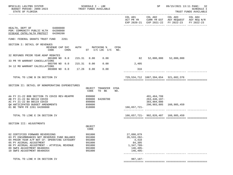| BPSC1L01 LAS/PBS SYSTEM<br>BUDGET PERIOD: 2009-2023<br>STATE OF FLORIDA                                                                                                                                                                                                  |                                                                    | SCHEDULE I - LBE<br>TRUST FUNDS AVAILABLE        |      |                                                                                                          | SP                                          |                                                                                                | 09/15/2021 13:11 PAGE: 32<br><b>SCHEDULE I</b><br>TRUST FUNDS AVAILABLE |
|--------------------------------------------------------------------------------------------------------------------------------------------------------------------------------------------------------------------------------------------------------------------------|--------------------------------------------------------------------|--------------------------------------------------|------|----------------------------------------------------------------------------------------------------------|---------------------------------------------|------------------------------------------------------------------------------------------------|-------------------------------------------------------------------------|
|                                                                                                                                                                                                                                                                          |                                                                    |                                                  |      | COL A01                                                                                                  | COL A02                                     | COL A03<br>ACT PR YR CURR YR EST AGY REQUEST AGY REQ N/R<br>EXP 2020-21 EXP 2021-22 FY 2022-23 | COL A04<br>FY 2022-23                                                   |
| 64000000<br>HEALTH, DEPT OF<br>PGM: COMMUNITY PUBLIC HLTH 64200000<br>DISEASE CNTRL/HLTH PROTECT 64200200                                                                                                                                                                |                                                                    |                                                  |      |                                                                                                          |                                             |                                                                                                |                                                                         |
| FUND: FEDERAL GRANTS TRUST FUND<br>2261                                                                                                                                                                                                                                  |                                                                    |                                                  |      |                                                                                                          |                                             |                                                                                                |                                                                         |
| SECTION I: DETAIL OF REVENUES<br>REVENUE CAP SVC<br>CODE<br>$CHG\$                                                                                                                                                                                                       |                                                                    | AUTH MATCHING %<br>$ST$ $I/C$ $LOC$ $I/C$ $NO$ . | CFDA |                                                                                                          |                                             |                                                                                                |                                                                         |
| 32 REFUNDS PRIOR YEAR ADAP REBATES<br>001800 NO 0.0<br>33 PR YR WARRANT CANCELLATIONS                                                                                                                                                                                    | 215.31<br>0.00                                                     | 0.00                                             |      | 82                                                                                                       | 52,000,000                                  | 52,000,000                                                                                     |                                                                         |
| 003700 NO 0.0<br>34 12 MO WARRANT CALCELLATIONS                                                                                                                                                                                                                          | 215.31<br>0.00                                                     | 0.00                                             |      | 2,405                                                                                                    |                                             |                                                                                                |                                                                         |
| 003800 NO 0.0 17.26                                                                                                                                                                                                                                                      | 0.00                                                               | 0.00                                             |      | 316                                                                                                      |                                             |                                                                                                |                                                                         |
| TOTAL TO LINE B IN SECTION IV                                                                                                                                                                                                                                            |                                                                    |                                                  |      |                                                                                                          | 729, 534, 712 1067, 394, 654 321, 602, 376  |                                                                                                |                                                                         |
| SECTION II: DETAIL OF NONOPERATING EXPENDITURES                                                                                                                                                                                                                          | CODE                                                               | OBJECT TRANSFER CFDA<br>TO BE                    | NO.  |                                                                                                          |                                             |                                                                                                |                                                                         |
| AA FY 21-22 BOB SECTION 75 COVID REV-REAPPR<br>AB FY 21-22 BA B0118 COVID<br>AC FY 21-22 BA B0119 COVID<br>OW ANTICIPATED BUDGET AMENDMENTS<br>01 BE TNFR FR 2261 64200800                                                                                               | 899000<br>899000<br>899000<br>899000<br>810000                     | 64200700                                         |      | 166,657,721-                                                                                             | 491,464,799<br>263,446,197-<br>383,904,000  | 290, 903, 805 160, 985, 459                                                                    |                                                                         |
| TOTAL TO LINE E IN SECTION IV                                                                                                                                                                                                                                            |                                                                    |                                                  |      |                                                                                                          | 166, 657, 721 - 902, 826, 407 160, 985, 459 |                                                                                                |                                                                         |
| SECTION III: ADJUSTMENTS                                                                                                                                                                                                                                                 | OBJECT<br>CODE                                                     |                                                  |      |                                                                                                          |                                             |                                                                                                |                                                                         |
| 02 CERTIFIED FORWARD REVERSIONS<br>03 PY ENCUMBRANCES NOT RESERVED FUND BALANCE<br>04 PRIOR YEAR A/P NOT CF- OPERATING CATEGORY<br>05 PY ACCRUAL ADJUSTMENT<br>06 PY ACCRUAL ADJUSTMENT - ATYPICAL REVENUE<br>09 SWFS ADJUSTMENT B6400351<br>10 SWFS ADJUSTMENT B6400354 | 991000<br>991000<br>991000<br>991000<br>991000<br>991000<br>991000 |                                                  |      | 27,098,079<br>26,533,282-<br>4,410<br>84,305<br>1,347,709-<br>$146, 495 -$<br>$146, 495 -$<br>. <u>.</u> |                                             |                                                                                                |                                                                         |
| TOTAL TO LINE H IN SECTION IV                                                                                                                                                                                                                                            |                                                                    |                                                  |      | $987,187-$                                                                                               |                                             |                                                                                                |                                                                         |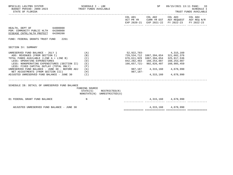| ACT PR YR CURR YR EST AGY REQUEST AGY REQ N/R<br>EXP 2020-21 EXP 2021-22 FY 2022-23<br>HEALTH, DEPT OF 64000000<br>PGM: COMMUNITY PUBLIC HLTH 64200000<br>DISEASE CNTRL/HLTH PROTECT 64200200<br>FUND: FEDERAL GRANTS TRUST FUND<br>2261<br>SECTION IV: SUMMARY<br>52,922,783- 4,315,160<br>UNRESERVED FUND BALANCE - JULY 1<br>(A)<br>729,534,712 1067,394,654 321,602,376<br>ADD: REVENUES (FROM SECTION I)<br>(B)<br>(C)<br>TOTAL FUNDS AVAILABLE (LINE A + LINE B)<br>676,611,929 1067,394,654 325,917,536<br>LESS: OPERATING EXPENDITURES<br>842, 282, 463 160, 253, 087 160, 253, 087<br>(D)<br>LESS: NONOPERATING EXPENDITURES (SECTION II) (E)<br>166,657,721-902,826,407<br>160,985,459<br>LESS: FIXED CAPITAL OUTLAY (TOTAL ONLY)<br>(F)<br>987,187 4,315,160 4,678,990<br>UNRESERVED FUND BALANCE - JUNE 30 - BEFORE ADJ $(G)$<br>NET ADJUSTMENTS (FROM SECTION III)<br>987,187-<br>(H)<br>ADJUSTED UNRESERVED FUND BALANCE - JUNE 30 (I)<br>4, 315, 160 4, 678, 990<br>SCHEDULE IB: DETAIL OF UNRESERVED FUND BALANCE<br>FUNDING SOURCE<br>STATE(S)<br>RESTRICTED(R)<br>NONSTATE(N) UNRESTRICTED(U)<br>01 FEDERAL GRANT FUND BALANCE<br>$\mathbb N$<br>4,315,160 4,678,990<br>R<br>4, 315, 160 4, 678, 990 | BPSC1L01 LAS/PBS SYSTEM<br>BUDGET PERIOD: 2009-2023 TRUST FUNDS AVAILABLE<br>STATE OF FLORIDA | SCHEDULE I - LBE |  | SP | TRUST FUNDS AVAILABLE | 09/15/2021 13:11 PAGE: 33<br>SCHEDULE I |
|------------------------------------------------------------------------------------------------------------------------------------------------------------------------------------------------------------------------------------------------------------------------------------------------------------------------------------------------------------------------------------------------------------------------------------------------------------------------------------------------------------------------------------------------------------------------------------------------------------------------------------------------------------------------------------------------------------------------------------------------------------------------------------------------------------------------------------------------------------------------------------------------------------------------------------------------------------------------------------------------------------------------------------------------------------------------------------------------------------------------------------------------------------------------------------------------------------------------|-----------------------------------------------------------------------------------------------|------------------|--|----|-----------------------|-----------------------------------------|
|                                                                                                                                                                                                                                                                                                                                                                                                                                                                                                                                                                                                                                                                                                                                                                                                                                                                                                                                                                                                                                                                                                                                                                                                                        |                                                                                               |                  |  |    |                       | FY 2022-23                              |
|                                                                                                                                                                                                                                                                                                                                                                                                                                                                                                                                                                                                                                                                                                                                                                                                                                                                                                                                                                                                                                                                                                                                                                                                                        |                                                                                               |                  |  |    |                       |                                         |
|                                                                                                                                                                                                                                                                                                                                                                                                                                                                                                                                                                                                                                                                                                                                                                                                                                                                                                                                                                                                                                                                                                                                                                                                                        |                                                                                               |                  |  |    |                       |                                         |
|                                                                                                                                                                                                                                                                                                                                                                                                                                                                                                                                                                                                                                                                                                                                                                                                                                                                                                                                                                                                                                                                                                                                                                                                                        |                                                                                               |                  |  |    |                       |                                         |
|                                                                                                                                                                                                                                                                                                                                                                                                                                                                                                                                                                                                                                                                                                                                                                                                                                                                                                                                                                                                                                                                                                                                                                                                                        |                                                                                               |                  |  |    |                       |                                         |
|                                                                                                                                                                                                                                                                                                                                                                                                                                                                                                                                                                                                                                                                                                                                                                                                                                                                                                                                                                                                                                                                                                                                                                                                                        |                                                                                               |                  |  |    |                       |                                         |
|                                                                                                                                                                                                                                                                                                                                                                                                                                                                                                                                                                                                                                                                                                                                                                                                                                                                                                                                                                                                                                                                                                                                                                                                                        |                                                                                               |                  |  |    |                       |                                         |
|                                                                                                                                                                                                                                                                                                                                                                                                                                                                                                                                                                                                                                                                                                                                                                                                                                                                                                                                                                                                                                                                                                                                                                                                                        |                                                                                               |                  |  |    |                       |                                         |
|                                                                                                                                                                                                                                                                                                                                                                                                                                                                                                                                                                                                                                                                                                                                                                                                                                                                                                                                                                                                                                                                                                                                                                                                                        |                                                                                               |                  |  |    |                       |                                         |
|                                                                                                                                                                                                                                                                                                                                                                                                                                                                                                                                                                                                                                                                                                                                                                                                                                                                                                                                                                                                                                                                                                                                                                                                                        |                                                                                               |                  |  |    |                       |                                         |
|                                                                                                                                                                                                                                                                                                                                                                                                                                                                                                                                                                                                                                                                                                                                                                                                                                                                                                                                                                                                                                                                                                                                                                                                                        |                                                                                               |                  |  |    |                       |                                         |
|                                                                                                                                                                                                                                                                                                                                                                                                                                                                                                                                                                                                                                                                                                                                                                                                                                                                                                                                                                                                                                                                                                                                                                                                                        |                                                                                               |                  |  |    |                       |                                         |
|                                                                                                                                                                                                                                                                                                                                                                                                                                                                                                                                                                                                                                                                                                                                                                                                                                                                                                                                                                                                                                                                                                                                                                                                                        |                                                                                               |                  |  |    |                       |                                         |
|                                                                                                                                                                                                                                                                                                                                                                                                                                                                                                                                                                                                                                                                                                                                                                                                                                                                                                                                                                                                                                                                                                                                                                                                                        | ADJUSTED UNRESERVED FUND BALANCE - JUNE 30                                                    |                  |  |    |                       |                                         |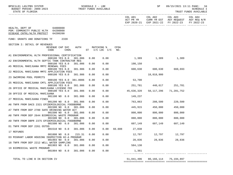| BPSC1L01 LAS/PBS SYSTEM<br>BUDGET PERIOD: 2009-2023<br>STATE OF FLORIDA              |                                                     |      | SCHEDULE I - LBE<br>TRUST FUNDS AVAILABLE |             |            | SP                |                                                                                                        | 09/15/2021 13:11 PAGE: 34<br><b>SCHEDULE I</b><br>TRUST FUNDS AVAILABLE |
|--------------------------------------------------------------------------------------|-----------------------------------------------------|------|-------------------------------------------|-------------|------------|-------------------|--------------------------------------------------------------------------------------------------------|-------------------------------------------------------------------------|
|                                                                                      |                                                     |      |                                           |             | COL A01    |                   | COL A02 COL A03<br>ACT PR YR CURR YR EST AGY REQUEST AGY REQ N/R<br>EXP 2020-21 EXP 2021-22 FY 2022-23 | COL A04<br>FY 2022-23                                                   |
| HEALTH, DEPT OF<br>PGM: COMMUNITY PUBLIC HLTH 64200000<br>DISEASE CNTRL/HLTH PROTECT | 64000000<br>64200200                                |      |                                           |             |            |                   |                                                                                                        |                                                                         |
| FUND: GRANTS AND DONATIONS TF                                                        | 2339                                                |      |                                           |             |            |                   |                                                                                                        |                                                                         |
| SECTION I: DETAIL OF REVENUES                                                        |                                                     |      |                                           |             |            |                   |                                                                                                        |                                                                         |
|                                                                                      | REVENUE CAP SVC<br>AUTH<br>CODE<br>CHG <sup>8</sup> |      | MATCHING %<br>ST $I/C$ LOC $I/C$          | CFDA<br>NO. |            |                   |                                                                                                        |                                                                         |
| A1 ENVIRONMENTAL HLTH PROFESSIONAL CERTIFICATION                                     | 000100 YES 8.0<br>381.006                           | 0.00 | 0.00                                      |             |            | 1,389 1,389 1,389 |                                                                                                        |                                                                         |
| A2 ENVIRONMENTAL HLTH SEPTIC TANK CONTRACTOR REG                                     | 000100 YES 8.0<br>381.006                           | 0.00 | 0.00                                      |             | 198,150    |                   |                                                                                                        |                                                                         |
| A5 MEDICAL MARIJUANA MMTC RENEWAL FEES                                               | 000100 YES 8.0<br>381.986                           | 0.00 | 0.00                                      |             | 600,630    |                   | 600,630 660,693                                                                                        |                                                                         |
| 22 MEDICAL MARIJUANA MMTC APPLICATION FEES                                           | 000100 YES 8.0<br>381.986                           | 0.00 | 0.00                                      |             |            | 18,018,900        |                                                                                                        |                                                                         |
| 23 SWIMMING POOL PERMITS                                                             | 000100 YES 8.0 381.0006                             | 0.00 | 0.00                                      |             | 53,700     |                   |                                                                                                        |                                                                         |
| 25 MEDICAL MARIJUANA CMTL APPLICATION FEES                                           | 000100 YES 8.0<br>381.986                           | 0.00 | 0.00                                      |             | 251,781    |                   | 440,617 251,781                                                                                        |                                                                         |
| 26 OFFICE OF MEDICAL MARIJUANA LICENSE FEE                                           | 000100 YES 8.0<br>381.986                           | 0.00 | 0.00                                      |             | 45,636,320 | 58,117,296        | 71,281,752                                                                                             |                                                                         |
| 28 OFFICE OF MEDICAL MARIJUANA                                                       | 001100 NO 8.0<br>381.986                            | 0.00 | 0.00                                      |             | 149,237    |                   |                                                                                                        |                                                                         |
| 27 MEDICAL MARIJUANA FINES                                                           |                                                     | 0.00 | 0.00                                      |             | 763,063    | 208,500           |                                                                                                        |                                                                         |
| A6 TNFR FROM DACS 2321 EPIDEMIOLOGICAL FOODBORNE                                     | 001200 NO 8.0<br>381.986                            |      |                                           |             |            |                   | 220,500                                                                                                |                                                                         |
| A7 TNFR FROM DEP 2780 SAFE DRINKING WATER ACT                                        | 001500 NO 0.0<br>381.006                            | 0.00 | 0.00                                      |             | 445,915    | 450,000           | 450,000                                                                                                |                                                                         |
| A8 TNFR FROM DEP 2644 BIOMEDICAL WASTE PROGRAM                                       | 001500 NO 0.0<br>381.006                            | 0.00 | 0.00                                      |             | 800,000    | 800,000           | 800,000                                                                                                |                                                                         |
| A9 TNFR FROM DBPR 2375 EPIDEMIOLOGICAL FOODBORNE                                     | 001500 NO 0.0<br>381.006                            | 0.00 | 0.00                                      |             | 880,000    | 880,000           | 880,000                                                                                                |                                                                         |
| D1 TNFR FROM DEP 2261 OSTDS                                                          | 001500 NO 0.0<br>381.006                            | 0.00 | 0.00                                      |             | 607,149    | 607,149           | 607,149                                                                                                |                                                                         |
| 17 REFUNDS                                                                           | 001510 NO 0.0 381.006                               | 0.00 |                                           | 0.00 66.608 | 27,038     |                   |                                                                                                        |                                                                         |
| D3 MIGRANT LABOR HOUSING INSPECTION H2-A PROGRAM                                     | 001800 NO 0.0<br>215.31                             | 0.00 | 0.00                                      |             | 12,797     | 12,797            | 12,797                                                                                                 |                                                                         |
| 18 TNFR FROM DEP 2212 WELL WATER SAMPLING                                            | 001903 NO 0.0<br>381.006                            | 0.00 | 0.00                                      |             | 28,836     | 28,836            | 28,836                                                                                                 |                                                                         |
| 19 BIOMEDICAL WASTE PROGRAM                                                          | 001903 NO 0.0<br>381.006                            | 0.00 | 0.00                                      |             | 584,130    |                   |                                                                                                        |                                                                         |
|                                                                                      | 001904 NO 8.0<br>381.006                            | 0.00 | 0.00                                      |             | 1,361      |                   |                                                                                                        |                                                                         |

TOTAL TO LINE B IN SECTION IV 61 A 196 10 10 11 A 196 10 11 A 196 10 11 A 196 10 11 A 196 10 11 A 196 10 11 A 1

============= ============= ============= =============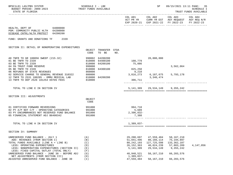| BPSC1L01 LAS/PBS SYSTEM<br>BUDGET PERIOD: 2009-2023<br>STATE OF FLORIDA                                                                                                                                                                  | SCHEDULE I - LBE<br>TRUST FUNDS AVAILABLE    |                                                                       | SP                                                                  | 09/15/2021 13:11 PAGE: 35<br>SCHEDULE I<br>TRUST FUNDS AVAILABLE                                                                  |           |  |
|------------------------------------------------------------------------------------------------------------------------------------------------------------------------------------------------------------------------------------------|----------------------------------------------|-----------------------------------------------------------------------|---------------------------------------------------------------------|-----------------------------------------------------------------------------------------------------------------------------------|-----------|--|
|                                                                                                                                                                                                                                          |                                              |                                                                       |                                                                     | COL A01 COL A02 COL A03 COL A04<br>ACT PR YR CURR YR EST AGY REQUEST AGY REQ N/R<br>EXP 2020-21 EXP 2021-22 FY 2022-23 FY 2022-23 |           |  |
| HEALTH, DEPT OF<br>64000000<br>PGM: COMMUNITY PUBLIC HLTH 64200000<br>DISEASE CNTRL/HLTH PROTECT<br>64200200                                                                                                                             |                                              |                                                                       |                                                                     |                                                                                                                                   |           |  |
| FUND: GRANTS AND DONATIONS TF<br>2339                                                                                                                                                                                                    |                                              |                                                                       |                                                                     |                                                                                                                                   |           |  |
| SECTION II: DETAIL OF NONOPERATING EXPENDITURES                                                                                                                                                                                          |                                              |                                                                       |                                                                     |                                                                                                                                   |           |  |
|                                                                                                                                                                                                                                          | OBJECT TRANSFER CFDA<br>CODE<br>TO BE<br>NO. |                                                                       |                                                                     |                                                                                                                                   |           |  |
| AD TNFR TO GR 180056 SWEEP (215.32)<br>01 BE TNFR TO 2339                                                                                                                                                                                | 990002 64200200<br>810000 64400100           | 108,779                                                               | 20,000,000                                                          |                                                                                                                                   |           |  |
| 03 BE TNFR TO 2339<br>04 5% TRUST FUND RESERVE<br>05 BE TNFR TO 2339<br>06 REFUNDS OF STATE REVENUES                                                                                                                                     | 810000 64200100<br>999000<br>810000 64300100 | 75,086<br>825,250                                                     |                                                                     | 3,562,064                                                                                                                         |           |  |
| 02 SERVICE CHARGE TO GENERAL REVENUE 310322<br>12 TNFR TO 2531 180205 - OMMU MEDICAL LAB                                                                                                                                                 | 860000<br>880800<br>810000 64200200          | 9,210<br>3,816,273                                                    | 3,346,474                                                           | 6,187,675 5,793,178                                                                                                               |           |  |
| 13 TNFR TO DEP 2526 181254 OSTDS FEES                                                                                                                                                                                                    | 810000                                       | 306,711                                                               |                                                                     |                                                                                                                                   |           |  |
| TOTAL TO LINE E IN SECTION IV                                                                                                                                                                                                            |                                              |                                                                       | 5, 141, 309 29, 534, 149 9, 355, 242                                |                                                                                                                                   |           |  |
| SECTION III: ADJUSTMENTS                                                                                                                                                                                                                 |                                              |                                                                       |                                                                     |                                                                                                                                   |           |  |
|                                                                                                                                                                                                                                          | OBJECT<br>CODE                               |                                                                       |                                                                     |                                                                                                                                   |           |  |
| 01 CERTIFIED FORWARD REVERSIONS<br>02 PY A/P NOT C/F - OPERATING CATEGORIES<br>03 PY ENCUMBRANCES NOT RESERVED FUND BALANCE<br>05 FINANCIAL STATEMENT ADJ B6400342                                                                       | 991000<br>991000<br>991000<br>991000         | 994,718<br>5,689<br>$2,396,832-$<br>7,388                             |                                                                     |                                                                                                                                   |           |  |
| TOTAL TO LINE H IN SECTION IV                                                                                                                                                                                                            |                                              | 1,389,037-                                                            |                                                                     |                                                                                                                                   |           |  |
| SECTION IV: SUMMARY                                                                                                                                                                                                                      |                                              |                                                                       |                                                                     |                                                                                                                                   |           |  |
| UNRESERVED FUND BALANCE - JULY 1<br>ADD: REVENUES (FROM SECTION I)<br>TOTAL FUNDS AVAILABLE (LINE A + LINE B)<br>LESS: OPERATING EXPENDITURES<br>LESS: NONOPERATING EXPENDITURES (SECTION II)<br>LESS: FIXED CAPITAL OUTLAY (TOTAL ONLY) | (A)<br>(B)<br>(C)<br>(D)<br>(E)<br>(F)       | 29,200,697<br>51,041,496<br>80, 242, 193<br>26, 152, 363<br>5,141,309 | 47,559,484<br>80,166,114<br>127,725,598<br>40,024,239<br>29,534,149 | 58,167,210<br>75,194,897<br>133,362,107<br>57,803,289<br>9,355,242                                                                | 4,147,856 |  |
| UNRESERVED FUND BALANCE - JUNE 30 - BEFORE ADJ<br>NET ADJUSTMENTS (FROM SECTION III)                                                                                                                                                     | (G)<br>(H)                                   | 48,948,521<br>$1,389,037-$                                            | 58, 167, 210                                                        | 66, 203, 576                                                                                                                      |           |  |
| ADJUSTED UNRESERVED FUND BALANCE - JUNE 30                                                                                                                                                                                               | (T)                                          | 47,559,484                                                            | 58,167,210                                                          | 66, 203, 576                                                                                                                      |           |  |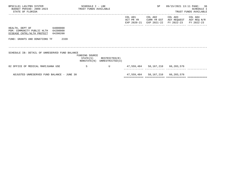| BPSC1L01 LAS/PBS SYSTEM<br>BUDGET PERIOD: 2009-2023<br>STATE OF FLORIDA                                | TRUST FUNDS AVAILABLE | SCHEDULE I - LBE |                                                            |                      | SP                               | 09/15/2021 13:11 PAGE: 36                                                                       | SCHEDULE I<br>TRUST FUNDS AVAILABLE |
|--------------------------------------------------------------------------------------------------------|-----------------------|------------------|------------------------------------------------------------|----------------------|----------------------------------|-------------------------------------------------------------------------------------------------|-------------------------------------|
|                                                                                                        |                       |                  |                                                            | COL A01<br>ACT PR YR | COL A02                          | COL A03<br>CURR YR EST AGY REQUEST AGY REQ N/R<br>EXP 2020-21 EXP 2021-22 FY 2022-23 FY 2022-23 | COL A04                             |
| HEALTH, DEPT OF 64000000<br>PGM: COMMUNITY PUBLIC HLTH 64200000<br>DISEASE CNTRL/HLTH PROTECT 64200200 |                       |                  |                                                            |                      |                                  |                                                                                                 |                                     |
| FUND: GRANTS AND DONATIONS TF                                                                          | 2339                  |                  |                                                            |                      |                                  |                                                                                                 |                                     |
| SCHEDULE IB: DETAIL OF UNRESERVED FUND BALANCE                                                         |                       | FUNDING SOURCE   | $STATE(S)$ RESTRICTED $(R)$<br>NONSTATE(N) UNRESTRICTED(U) |                      |                                  |                                                                                                 |                                     |
| 02 OFFICE OF MEDICAL MARIJUANA USE                                                                     |                       | S                | U                                                          |                      | 47,559,484 58,167,210 66,203,576 |                                                                                                 |                                     |
| ADJUSTED UNRESERVED FUND BALANCE - JUNE 30                                                             |                       |                  |                                                            |                      | 47,559,484 58,167,210 66,203,576 |                                                                                                 |                                     |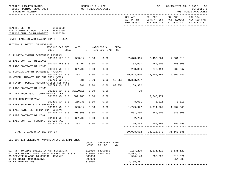| BPSC1L01 LAS/PBS SYSTEM<br>TRUST FUNDS AVAILABLE<br>BUDGET PERIOD: 2009-2023<br>STATE OF FLORIDA       | SCHEDULE I - LBE |                        |        |                               | SP                               |                                                                                              | 09/15/2021 13:11 PAGE: 37<br>SCHEDULE I<br>TRUST FUNDS AVAILABLE<br>----------- |
|--------------------------------------------------------------------------------------------------------|------------------|------------------------|--------|-------------------------------|----------------------------------|----------------------------------------------------------------------------------------------|---------------------------------------------------------------------------------|
|                                                                                                        |                  |                        |        | COL A01<br>ACT PR YR          | COL A02                          | COL A03 COL A04<br>CURR YR EST AGY REQUEST AGY REQ N/R<br>EXP 2020-21 EXP 2021-22 FY 2022-23 | FY 2022-23                                                                      |
| HEALTH, DEPT OF 64000000<br>PGM: COMMUNITY PUBLIC HLTH 64200000<br>DISEASE CNTRL/HLTH PROTECT 64200200 |                  |                        |        |                               |                                  |                                                                                              |                                                                                 |
| FUND: PLANNING AND EVALUATION TF 2531                                                                  |                  |                        |        |                               |                                  |                                                                                              |                                                                                 |
| SECTION I: DETAIL OF REVENUES<br>REVENUE CAP SVC<br>CODE<br>CHG <sup>8</sup>                           | AUTH MATCHING %  | ST I/C LOC I/C NO.     | CFDA   |                               |                                  |                                                                                              |                                                                                 |
| 01 FLORIDA INFANT SCREENING PROGRAM<br>000100 YES 8.0                                                  | 383.14<br>0.00   | 0.00                   |        | 7,078,915 7,432,861 7,581,518 |                                  |                                                                                              |                                                                                 |
| 06 LABS CONTRACT BILLINGS<br>000100 YES 8.0                                                            | 0.00<br>381.02   | 0.00                   |        | 152,697 150,000 150,000       |                                  |                                                                                              |                                                                                 |
| 02 LABS CONTRACT BILLINGS<br>000109 NO 0.0                                                             | 381.02<br>0.00   | 0.00                   |        |                               | 283,396 278,494 282,867          |                                                                                              |                                                                                 |
| 03 FLORIDA INFANT SCREENING PROGRAM                                                                    | 0.00             |                        |        | 19,543,520                    | 22,957,167 25,866,186            |                                                                                              |                                                                                 |
| 000109 NO 0.0<br>16 WOMEN, INFANTS AND CHILDREN (WIC)                                                  | 383.14           | 0.00                   |        |                               |                                  |                                                                                              |                                                                                 |
| 000799 NO 0.0<br>15 COVID - PUBLIC HEALTH CRISIS RESPONSE                                              | 381<br>0.00      | 0.00                   | 10.557 | 8,303,287                     |                                  |                                                                                              |                                                                                 |
| 000799 NO 0.0<br>11 LABS CONTRACT BILLINGS                                                             | 0.00<br>381      | 0.00                   |        | 93.354 1,169,332              |                                  |                                                                                              |                                                                                 |
| 001200 NO 8.0<br>14 TNFR FROM 2339 - OMMU MEDICAL LAB                                                  | 381.0011<br>0.00 | 0.00                   |        | 30                            |                                  |                                                                                              |                                                                                 |
| 001500 NO 0.0<br>08 REFUNDS PRIOR YEAR                                                                 | 381.986<br>0.00  | 0.00                   |        |                               | 3,346,474                        |                                                                                              |                                                                                 |
| 001800 NO 0.0<br>04 LABS SALE OF STATE SERVICES                                                        | 215.31<br>0.00   | 0.00                   |        | 8,011 8,011 8,011             |                                  |                                                                                              |                                                                                 |
| 001903 NO 0.0                                                                                          | 383.14<br>0.00   | 0.00                   |        |                               |                                  |                                                                                              |                                                                                 |
| 12 LABS WATER CERTIFICATION PROGRAM<br>001903 NO 0.0                                                   | 0.00<br>403.863  | 0.00                   |        |                               | 651,350 680,000 685,000          |                                                                                              |                                                                                 |
| 17 LABS CONTRACT BILLING<br>001904 NO 8.0                                                              | 381.02<br>0.00   | 0.00                   |        | 2,754                         |                                  |                                                                                              |                                                                                 |
| 07 LABS CONTRACT FEDERAL FEE CONTRACT<br>001970 NO 0.0                                                 | 0.00<br>383.14   | 0.00                   |        | 155, 298 155, 298 155, 298    |                                  |                                                                                              |                                                                                 |
| TOTAL TO LINE B IN SECTION IV                                                                          |                  |                        |        |                               | 39,098,512 36,923,072 36,663,185 |                                                                                              |                                                                                 |
| SECTION II: DETAIL OF NONOPERATING EXPENDITURES                                                        | OBJECT<br>CODE   | TRANSFER CFDA<br>TO BE | NO.    |                               |                                  |                                                                                              |                                                                                 |
| 01 TNFR TO 2168 181181 INFANT SCREENING<br>02 TNFR TO AHCA 2474 INFANT SCREENING 181011                | 810000<br>810000 | 64300100<br>68501400   |        | 7,117,220<br>8,403,747        | 8,136,622                        | 8,136,622                                                                                    |                                                                                 |
| 03 SERVICE CHARGE TO GENERAL REVENUE<br>04 5% TRUST FUND RESERVE                                       | 880800<br>999000 |                        |        | 594,148                       | 606,629                          | 618,521<br>654,039                                                                           |                                                                                 |
| 05 BE TNFR FR 2531                                                                                     | 810000           |                        |        | $3, 155, 481 -$               |                                  |                                                                                              |                                                                                 |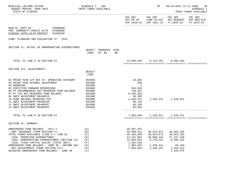| BPSC1L01 LAS/PBS SYSTEM<br>BUDGET PERIOD: 2009-2023<br>STATE OF FLORIDA                                                                                                                                                                                                                                                                                                        | SCHEDULE I - LBE<br>TRUST FUNDS AVAILABLE                                              |                                                                                                                   | SP                                                                               |                                                                                                                | 09/15/2021 13:11 PAGE: 38<br>SCHEDULE I<br>TRUST FUNDS AVAILABLE |
|--------------------------------------------------------------------------------------------------------------------------------------------------------------------------------------------------------------------------------------------------------------------------------------------------------------------------------------------------------------------------------|----------------------------------------------------------------------------------------|-------------------------------------------------------------------------------------------------------------------|----------------------------------------------------------------------------------|----------------------------------------------------------------------------------------------------------------|------------------------------------------------------------------|
|                                                                                                                                                                                                                                                                                                                                                                                |                                                                                        |                                                                                                                   |                                                                                  | COL A01 COL A02 COL A03<br>ACT PR YR CURR YR EST AGY REQUEST AGY REQ N/R<br>EXP 2020-21 EXP 2021-22 FY 2022-23 | COL A04<br>FY 2022-23                                            |
| HEALTH, DEPT OF 64000000<br>PGM: COMMUNITY PUBLIC HLTH 64200000<br>DISEASE CNTRL/HLTH PROTECT 64200200                                                                                                                                                                                                                                                                         |                                                                                        |                                                                                                                   |                                                                                  |                                                                                                                |                                                                  |
| FUND: PLANNING AND EVALUATION TF 2531                                                                                                                                                                                                                                                                                                                                          |                                                                                        |                                                                                                                   |                                                                                  |                                                                                                                |                                                                  |
| SECTION II: DETAIL OF NONOPERATING EXPENDITURES                                                                                                                                                                                                                                                                                                                                | TRANSFER CFDA<br>OBJECT<br>CODE<br>TO BE<br>NO.                                        |                                                                                                                   |                                                                                  |                                                                                                                |                                                                  |
| TOTAL TO LINE E IN SECTION IV                                                                                                                                                                                                                                                                                                                                                  |                                                                                        |                                                                                                                   | 12,959,634 8,743,251 9,409,182                                                   |                                                                                                                |                                                                  |
| SECTION III: ADJUSTMENTS                                                                                                                                                                                                                                                                                                                                                       | OBJECT<br>CODE                                                                         |                                                                                                                   |                                                                                  |                                                                                                                |                                                                  |
| 02 PRIOR YEAR A/P NOT CF- OPERATING CATEGORY<br>03 PRIOR YEAR ACCRUAL ADJUSTMENT<br>04 ROUNDING<br>05 CERTIFIED FORWARD REVERSIONS<br>06 PY ENCUMBRANCES NOT RESERVED FUND BALANCE<br>07 PY FCO NOT RESERVED FUND BALANCE<br>08 SWFS ADJUSTMENT B6400315<br>10 FUND BALANCE RESERVED FCO<br>11 SWFS ADJUSTMENT B6400330                                                        | 991000<br>991000<br>991000<br>991000<br>991000<br>991000<br>991000<br>991000<br>991000 | 10,969<br>583<br>$\overline{\phantom{0}}$<br>546,826<br>730,187-<br>$9,288,303-$<br>28,385<br>1,428,421<br>96,316 |                                                                                  | 1,428,421 1,428,421                                                                                            |                                                                  |
| 12 SWFS ADJUSTMENT B6400337<br>13 SWFS ADJUSTMENT B6400352                                                                                                                                                                                                                                                                                                                     | 991000<br>991000                                                                       | 86,189<br>82,892-                                                                                                 |                                                                                  |                                                                                                                |                                                                  |
| TOTAL TO LINE H IN SECTION IV                                                                                                                                                                                                                                                                                                                                                  |                                                                                        |                                                                                                                   | 7,903,692- 1,428,421 1,428,421                                                   |                                                                                                                |                                                                  |
| SECTION IV: SUMMARY                                                                                                                                                                                                                                                                                                                                                            |                                                                                        |                                                                                                                   |                                                                                  |                                                                                                                |                                                                  |
| UNRESERVED FUND BALANCE - JULY 1<br>ADD: REVENUES (FROM SECTION I)<br>TOTAL FUNDS AVAILABLE (LINE A + LINE B)<br>LESS: OPERATING EXPENDITURES<br>LESS: NONOPERATING EXPENDITURES (SECTION II)<br>LESS: FIXED CAPITAL OUTLAY (TOTAL ONLY)<br>UNRESERVED FUND BALANCE - JUNE 30 - BEFORE ADJ<br>NET ADJUSTMENTS (FROM SECTION III)<br>ADJUSTED UNRESERVED FUND BALANCE - JUNE 30 | (A)<br>(B)<br>(C)<br>(D)<br>(E)<br>(F)<br>(G)<br>(H)<br>(T)                            | 10,307,297<br>39,098,512<br>49,405,809<br>21, 141, 063<br>12,959,634<br>7,401,420<br>7,903,692<br>$7,903,692 -$   | 36,923,072<br>36,923,072<br>29,608,242<br>8,743,251<br>$1,428,421-$<br>1,428,421 | 36,663,185<br>36,663,185<br>27, 337, 449<br>9,409,182<br>$83,446-$<br>1,428,421<br>1,344,975                   |                                                                  |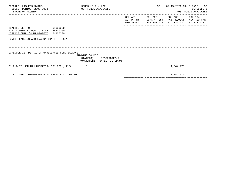| BPSC1L01 LAS/PBS SYSTEM<br>BUDGET PERIOD: 2009-2023 TRUST FUNDS AVAILABLE<br>STATE OF FLORIDA    |          | SCHEDULE I - LBE |                                                            |                      | SP                     |                                                                                 | 09/15/2021 13:11 PAGE: 39<br>SCHEDULE I<br>TRUST FUNDS AVAILABLE |
|--------------------------------------------------------------------------------------------------|----------|------------------|------------------------------------------------------------|----------------------|------------------------|---------------------------------------------------------------------------------|------------------------------------------------------------------|
|                                                                                                  |          |                  |                                                            | COL A01<br>ACT PR YR | COL A02<br>CURR YR EST | COL A03 COL A04<br>AGY REQUEST<br>EXP 2020-21 EXP 2021-22 FY 2022-23 FY 2022-23 | AGY REQ N/R                                                      |
| 64000000<br>HEALTH, DEPT OF<br>PGM: COMMUNITY PUBLIC HLTH 64200000<br>DISEASE CNTRL/HLTH PROTECT | 64200200 |                  |                                                            |                      |                        |                                                                                 |                                                                  |
| FUND: PLANNING AND EVALUATION TF 2531                                                            |          |                  |                                                            |                      |                        |                                                                                 |                                                                  |
| SCHEDULE IB: DETAIL OF UNRESERVED FUND BALANCE                                                   |          | FUNDING SOURCE   | $STATE(S)$ RESTRICTED $(R)$<br>NONSTATE(N) UNRESTRICTED(U) |                      |                        |                                                                                 |                                                                  |
| 01 PUBLIC HEALTH LABORATORY 381.020., F.S. S                                                     |          |                  | U                                                          |                      |                        | 1,344,975                                                                       |                                                                  |
| ADJUSTED UNRESERVED FUND BALANCE - JUNE 30                                                       |          |                  |                                                            |                      |                        | 1,344,975                                                                       |                                                                  |

============= ============= ============= =============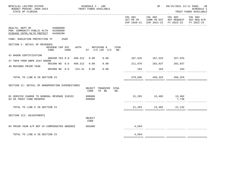| BPSC1L01 LAS/PBS SYSTEM<br>BUDGET PERIOD: 2009-2023<br>STATE OF FLORIDA                                | SCHEDULE I - LBE<br>TRUST FUNDS AVAILABLE |                  |  |                  |                                            |     | SP       |                         | 09/15/2021 13:11 PAGE: 40<br>SCHEDULE I<br>TRUST FUNDS AVAILABLE |                                                                        |
|--------------------------------------------------------------------------------------------------------|-------------------------------------------|------------------|--|------------------|--------------------------------------------|-----|----------|-------------------------|------------------------------------------------------------------|------------------------------------------------------------------------|
|                                                                                                        |                                           |                  |  |                  |                                            |     | COL A01  | COL A02                 | COL A03<br>EXP 2020-21 EXP 2021-22 FY 2022-23                    | COL A04<br>ACT PR YR CURR YR EST AGY REQUEST AGY REQ N/R<br>FY 2022-23 |
| HEALTH, DEPT OF 64000000<br>PGM: COMMUNITY PUBLIC HLTH 64200000<br>DISEASE CNTRL/HLTH PROTECT 64200200 |                                           |                  |  |                  |                                            |     |          |                         |                                                                  |                                                                        |
| FUND: RADIATION PROTECTION TF 2569                                                                     |                                           |                  |  |                  |                                            |     |          |                         |                                                                  |                                                                        |
| SECTION I: DETAIL OF REVENUES                                                                          | REVENUE CAP SVC<br>CODE                   | CHG <sup>8</sup> |  |                  | AUTH MATCHING % CFDA<br>ST I/C LOC I/C NO. |     |          |                         |                                                                  |                                                                        |
| 42 RADON CERTIFICATION                                                                                 |                                           |                  |  |                  |                                            |     |          |                         |                                                                  |                                                                        |
| 47 TNFR FROM DBPR 2547 RADON                                                                           | 000200 YES 8.0 468.312                    |                  |  | 0.00             | 0.00                                       |     |          | 167,525 167,525 167,525 |                                                                  |                                                                        |
| 48 REFUNDS PRIOR YEAR                                                                                  | 001500 NO 0.0 468.312                     |                  |  | 0.00             | 0.00                                       |     |          | 211,978 282,637 282,637 |                                                                  |                                                                        |
|                                                                                                        | 001800 NO 0.0 215.31 0.00                 |                  |  |                  | 0.00                                       |     | 163      | 163                     | 163                                                              |                                                                        |
| TOTAL TO LINE B IN SECTION IV                                                                          |                                           |                  |  |                  |                                            |     |          | 379,666 450,325 450,325 |                                                                  |                                                                        |
| SECTION II: DETAIL OF NONOPERATING EXPENDITURES                                                        |                                           |                  |  | CODE             | OBJECT TRANSFER CFDA<br>TO BE              | NO. |          |                         |                                                                  |                                                                        |
| 01 SERVICE CHARGE TO GENERAL REVENUE 310322<br>03 5% TRUST FUND RESERVE                                |                                           |                  |  | 880800<br>999000 |                                            |     |          | 21, 293 13, 402 13, 402 | 7,730                                                            |                                                                        |
| TOTAL TO LINE E IN SECTION IV                                                                          |                                           |                  |  |                  |                                            |     |          | 21, 293 13, 402 21, 132 |                                                                  |                                                                        |
| SECTION III: ADJUSTMENTS                                                                               |                                           |                  |  | OBJECT<br>CODE   |                                            |     |          |                         |                                                                  |                                                                        |
| 04 PRIOR YEAR A/P NOT CF-COMPENSATED ABSENCE                                                           |                                           |                  |  | 991000           |                                            |     | $4,594-$ |                         |                                                                  |                                                                        |
| TOTAL TO LINE H IN SECTION IV                                                                          |                                           |                  |  |                  |                                            |     | $4,594-$ |                         |                                                                  |                                                                        |
|                                                                                                        |                                           |                  |  |                  |                                            |     |          |                         |                                                                  |                                                                        |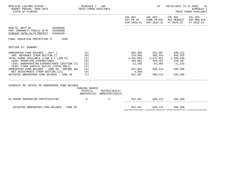| BPSC1L01 LAS/PBS SYSTEM<br>BUDGET PERIOD: 2009-2023 TRUST FUNDS AVAILABLE<br>STATE OF FLORIDA                               | SCHEDULE I - LBE  |                                                            |                                                                                                                                                               | SP                      | 09/15/2021 13:11 PAGE: 41<br>TRUST FUNDS AVAILABLE                                                                                | <b>SCHEDULE I</b> |
|-----------------------------------------------------------------------------------------------------------------------------|-------------------|------------------------------------------------------------|---------------------------------------------------------------------------------------------------------------------------------------------------------------|-------------------------|-----------------------------------------------------------------------------------------------------------------------------------|-------------------|
|                                                                                                                             |                   |                                                            |                                                                                                                                                               |                         | COL A01 COL A02 COL A03 COL A04<br>ACT PR YR CURR YR EST AGY REQUEST AGY REQ N/R<br>EXP 2020-21 EXP 2021-22 FY 2022-23 FY 2022-23 |                   |
| HEALTH, DEPT OF 64000000<br>PGM: COMMUNITY PUBLIC HLTH 64200000<br>DISEASE CNTRL/HLTH PROTECT 64200200                      |                   |                                                            |                                                                                                                                                               |                         |                                                                                                                                   |                   |
| FUND: RADIATION PROTECTION TF<br>2569                                                                                       |                   |                                                            |                                                                                                                                                               |                         |                                                                                                                                   |                   |
| SECTION IV: SUMMARY                                                                                                         |                   |                                                            |                                                                                                                                                               |                         |                                                                                                                                   |                   |
| UNRESERVED FUND BALANCE - JULY 1<br>ADD: REVENUES (FROM SECTION I)<br>TOTAL FUNDS AVAILABLE (LINE A + LINE B)               | (A)<br>(B)<br>(C) |                                                            |                                                                                                                                                               | 962,389 922,487 930,213 |                                                                                                                                   |                   |
| LESS: OPERATING EXPENDITURES<br>LESS: NONOPERATING EXPENDITURES (SECTION II) (E)<br>LESS: FIXED CAPITAL OUTLAY (TOTAL ONLY) | (D)<br>(F)        |                                                            | $\begin{array}{cccc} 379,666 & 450,325 & 450,325 \\ 1,342,055 & 1,372,812 & 1,380,538 \\ 393,681 & 429,197 & 429,197 \\ 21,293 & 13,402 & 21,132 \end{array}$ |                         |                                                                                                                                   |                   |
| UNRESERVED FUND BALANCE - JUNE 30 - BEFORE ADJ (G)<br>NET ADJUSTMENTS (FROM SECTION III) (H)                                |                   |                                                            | 927,081 930,213 930,209<br>$4,594-$                                                                                                                           |                         |                                                                                                                                   |                   |
| ADJUSTED UNRESERVED FUND BALANCE - JUNE 30 $(1)$                                                                            |                   |                                                            |                                                                                                                                                               | 922,487 930,213         | 930,209                                                                                                                           |                   |
| SCHEDULE IB: DETAIL OF UNRESERVED FUND BALANCE                                                                              | FUNDING SOURCE    | $STATE(S)$ RESTRICTED $(R)$<br>NONSTATE(N) UNRESTRICTED(U) |                                                                                                                                                               |                         |                                                                                                                                   |                   |
| S<br>02 RADON CONTRACTOR CERTIFICATION                                                                                      |                   | U 322,487 930,213 930,209                                  |                                                                                                                                                               |                         |                                                                                                                                   |                   |
| ADJUSTED UNRESERVED FUND BALANCE - JUNE 30                                                                                  |                   |                                                            |                                                                                                                                                               | 922,487 930,213 930,209 |                                                                                                                                   |                   |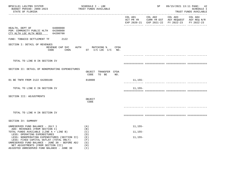| BPSC1L01 LAS/PBS SYSTEM<br>BUDGET PERIOD: 2009-2023<br>STATE OF FLORIDA                                                                                                                                                                                       |                 | SCHEDULE I - LBE<br>TRUST FUNDS AVAILABLE                            |             | SP |                                                                                                                        | 09/15/2021 13:11 PAGE: 42<br>SCHEDULE I<br>TRUST FUNDS AVAILABLE |
|---------------------------------------------------------------------------------------------------------------------------------------------------------------------------------------------------------------------------------------------------------------|-----------------|----------------------------------------------------------------------|-------------|----|------------------------------------------------------------------------------------------------------------------------|------------------------------------------------------------------|
|                                                                                                                                                                                                                                                               |                 |                                                                      |             |    | COL A01 COL A02 COL A03 COL A04<br>ACT PR YR CURR YR EST AGY REQUEST AGY REQ N/R<br>EXP 2020-21 EXP 2021-22 FY 2022-23 | FY 2022-23                                                       |
| HEALTH, DEPT OF 64000000<br>PGM: COMMUNITY PUBLIC HLTH 64200000<br>CTY HLTH LOC HLTH NEED                                                                                                                                                                     | 64200700        |                                                                      |             |    |                                                                                                                        |                                                                  |
| FUND: TOBACCO SETTLEMENT TF                                                                                                                                                                                                                                   | 2122            |                                                                      |             |    |                                                                                                                        |                                                                  |
| SECTION I: DETAIL OF REVENUES                                                                                                                                                                                                                                 | REVENUE CAP SVC | AUTH MATCHING % CFDA<br>CODE CHG <sup>&amp;</sup> ST I/C LOC I/C NO. |             |    |                                                                                                                        |                                                                  |
| TOTAL TO LINE B IN SECTION IV                                                                                                                                                                                                                                 |                 |                                                                      |             |    |                                                                                                                        |                                                                  |
| SECTION II: DETAIL OF NONOPERATING EXPENDITURES                                                                                                                                                                                                               |                 | OBJECT TRANSFER CFDA<br>CODE<br>TO BE<br>NO.                         |             |    |                                                                                                                        |                                                                  |
| 01 BE TNFR FROM 2122 64200100                                                                                                                                                                                                                                 |                 | 810000                                                               | 11,155–     |    |                                                                                                                        |                                                                  |
| TOTAL TO LINE E IN SECTION IV                                                                                                                                                                                                                                 |                 |                                                                      | $11, 155 -$ |    |                                                                                                                        |                                                                  |
| SECTION III: ADJUSTMENTS                                                                                                                                                                                                                                      |                 | OBJECT<br>CODE                                                       |             |    |                                                                                                                        |                                                                  |
| TOTAL TO LINE H IN SECTION IV                                                                                                                                                                                                                                 |                 |                                                                      |             |    |                                                                                                                        |                                                                  |
| SECTION IV: SUMMARY                                                                                                                                                                                                                                           |                 |                                                                      |             |    |                                                                                                                        |                                                                  |
| UNRESERVED FUND BALANCE - JULY 1                                                                                                                                                                                                                              |                 | (A)                                                                  | $11, 155 -$ |    |                                                                                                                        |                                                                  |
| ADD: REVENUES (FROM SECTION I)<br>TOTAL FUNDS AVAILABLE (LINE A + LINE B)                                                                                                                                                                                     |                 | (B)<br>(C)                                                           | 11,155-     |    |                                                                                                                        |                                                                  |
| LESS: OPERATING EXPENDITURES<br>LESS: NONOPERATING EXPENDITURES (SECTION II)<br>LESS: FIXED CAPITAL OUTLAY (TOTAL ONLY)<br>UNRESERVED FUND BALANCE - JUNE 30 - BEFORE ADJ<br>NET ADJUSTMENTS (FROM SECTION III)<br>ADJUSTED UNRESERVED FUND BALANCE - JUNE 30 |                 | (D)<br>( E )<br>(F)<br>(G)<br>(H)<br>(I)                             | $11, 155 -$ |    |                                                                                                                        |                                                                  |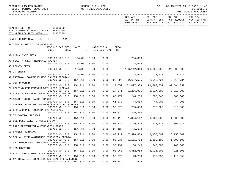| SCHEDULE I - LBE<br>BPSC1L01 LAS/PBS SYSTEM<br>BUDGET PERIOD: 2009-2023<br>TRUST FUNDS AVAILABLE<br>STATE OF FLORIDA |         |      |                              |             |                      | SP                                  | -----------                                                                                          | 09/15/2021 13:11 PAGE: 43<br>SCHEDULE I<br>TRUST FUNDS AVAILABLE |
|----------------------------------------------------------------------------------------------------------------------|---------|------|------------------------------|-------------|----------------------|-------------------------------------|------------------------------------------------------------------------------------------------------|------------------------------------------------------------------|
|                                                                                                                      |         |      |                              |             | COL A01<br>ACT PR YR |                                     | COL A02 COL A03 COL A04<br>CURR YR EST AGY REQUEST AGY REQ N/R<br>EXP 2020-21 EXP 2021-22 FY 2022-23 | FY 2022-23                                                       |
| HEALTH, DEPT OF 64000000<br>PGM: COMMUNITY PUBLIC HLTH 64200000<br>64200700<br>CTY HLTH LOC HLTH NEED                |         |      |                              |             |                      |                                     |                                                                                                      |                                                                  |
| FUND: COUNTY HEALTH DEPT TF<br>2141                                                                                  |         |      |                              |             |                      |                                     |                                                                                                      |                                                                  |
| SECTION I: DETAIL OF REVENUES                                                                                        |         |      |                              |             |                      |                                     |                                                                                                      |                                                                  |
| REVENUE CAP SVC<br>CODE<br>CHG <sup>8</sup>                                                                          | AUTH    |      | MATCHING %<br>ST I/C LOC I/C | CFDA<br>NO. |                      |                                     |                                                                                                      |                                                                  |
| AB CHD CLINIC FEES                                                                                                   |         |      |                              |             |                      |                                     |                                                                                                      |                                                                  |
| 000100 YES 0.0<br>AC HEALTHY START MEDICAID WAIVER                                                                   | 154.06  | 0.00 | 0.00                         |             | 734,803              |                                     |                                                                                                      |                                                                  |
| 000109 NO 0.0<br>A3 COUNTY FEES                                                                                      | 154.06  | 0.00 | 0.00                         |             | 44,515               |                                     |                                                                                                      |                                                                  |
| 000121 NO 0.0<br>A5 INTEREST                                                                                         | 154.06  | 0.00 | 0.00                         |             |                      |                                     |                                                                                                      |                                                                  |
| 000500 NO 0.0<br>A9 NATIONAL COMPREHENSIVE CANCER PROGRAM                                                            | 154.02  | 0.00 | 0.00                         |             |                      | 3,912 3,912 3,912                   |                                                                                                      |                                                                  |
| 000700 NO 0.0<br>CJ WIC PROGRAM                                                                                      | 154.011 | 0.00 | 0.00                         | 93.898      |                      | 2,697,595 2,618,734 2,618,734       |                                                                                                      |                                                                  |
| 000700 NO 0.0                                                                                                        | 154.011 | 0.00 | 0.00                         | 10.557      | 82,497,383           | 91,283,852                          | 97,584,352                                                                                           |                                                                  |
| CK HOUSING FOR PERSONS WITH AIDS (HOPWA)<br>000700 NO 0.0                                                            | 154.011 | 0.00 | 0.00                         | 14.241      |                      | 1,286,991 2,917,809 2,917,809       |                                                                                                      |                                                                  |
| CL COASTAL BEACH WATER QUALITY MONITORING<br>000700 NO 0.0                                                           | 154.011 | 0.00 | 0.00                         | 66.472      |                      | 248,285 305,340 305,340             |                                                                                                      |                                                                  |
| CM STATE INDOOR RADON GRANTS<br>000700 NO 0.0                                                                        | 154.011 | 0.00 | 0.00                         | 66.032      |                      | 44,689 44,900 44,900                |                                                                                                      |                                                                  |
| CN STATEWIDE ASTHMA PROGRAM/ENVIRON HLTH TRACK<br>000700 NO 0.0                                                      | 154.011 | 0.00 | 0.00                         | 93.070      |                      | 265,488 315,000 315,000             |                                                                                                      |                                                                  |
| CO HPP AND PHEP COOPERATIVE AGREEMENT<br>000700 NO 0.0                                                               | 154.011 | 0.00 | 0.00                         |             | 93.074 496,238       |                                     |                                                                                                      |                                                                  |
| CR TB CONTROL PROJECT<br>000700 NO 0.0                                                                               | 154.011 | 0.00 | 0.00                         | 93.116      |                      | 1,824,147    1,900,036    1,900,036 |                                                                                                      |                                                                  |
| CS OVERDOSE DATA TO ACTION GRANT                                                                                     |         | 0.00 |                              | 93.136      |                      |                                     |                                                                                                      |                                                                  |
| 000700 NO 0.0<br>CT RAPE PREVENTION & EDUCATION GRANT                                                                | 154.011 |      | 0.00                         |             |                      | 2,719,426 138,828 369,617           |                                                                                                      |                                                                  |
| 000700 NO 0.0<br>CU FAMILY PLANNING                                                                                  | 154.011 | 0.00 | 0.00                         | 93.136      | 25,654               |                                     |                                                                                                      |                                                                  |
| 000700 NO 0.0<br>CV SEXUAL RISK AVOIDANCE EDUCATION PROGRAM                                                          | 154.011 | 0.00 | 0.00                         | 93.217      | 7,596,483            | 8,156,602                           | 8,156,602                                                                                            |                                                                  |
| 000700 NO 0.0<br>C2 CHILDHOOD LEAD POISONING PREVENTION                                                              | 154.011 | 0.00 | 0.00                         | 93.235      | 1,151,752            | 1,892,190                           | 1,892,190                                                                                            |                                                                  |
| 000700 NO 0.0<br>C3 IMMUNIZATION                                                                                     | 154.011 | 0.00 | 0.00                         | 93.197      | 134,245              | 240,000                             | 240,000                                                                                              |                                                                  |
| 000700 NO<br>0.0<br>C4 ADULT VIRAL HEPATITIS PREVENTION                                                              | 154.011 | 0.00 | 0.00                         | 93.268      | 3,852,958            | 4,925,000                           | 4,925,000                                                                                            |                                                                  |
| 000700 NO 0.0                                                                                                        | 154.011 | 0.00 | 0.00                         | 93.270      | 123,289              | 115,858                             | 115,858                                                                                              |                                                                  |
| C6 NATIONAL BIOTERRORISM HOSPITAL PREPAREDNESS<br>000700 NO 0.0                                                      | 154.011 | 0.00 | 0.00                         | 93.889      | 976                  |                                     |                                                                                                      |                                                                  |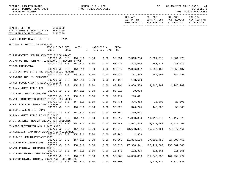| SCHEDULE I - LBE<br>BPSC1L01 LAS/PBS SYSTEM<br>TRUST FUNDS AVAILABLE<br>BUDGET PERIOD: 2009-2023<br>STATE OF FLORIDA |         |      |                              |             |                      | SP                                  | 09/15/2021 13:11 PAGE:                                                                       | 44<br>SCHEDULE I<br>TRUST FUNDS AVAILABLE |
|----------------------------------------------------------------------------------------------------------------------|---------|------|------------------------------|-------------|----------------------|-------------------------------------|----------------------------------------------------------------------------------------------|-------------------------------------------|
|                                                                                                                      |         |      |                              |             | COL A01<br>ACT PR YR | COL A02                             | COL A03 COL A04<br>CURR YR EST AGY REQUEST AGY REQ N/R<br>EXP 2020-21 EXP 2021-22 FY 2022-23 | FY 2022-23                                |
| 64000000<br>HEALTH, DEPT OF<br>PGM: COMMUNITY PUBLIC HLTH 64200000<br>CTY HLTH LOC HLTH NEED<br>64200700             |         |      |                              |             |                      |                                     |                                                                                              |                                           |
| FUND: COUNTY HEALTH DEPT TF 2141                                                                                     |         |      |                              |             |                      |                                     |                                                                                              |                                           |
| SECTION I: DETAIL OF REVENUES                                                                                        |         |      |                              |             |                      |                                     |                                                                                              |                                           |
| REVENUE CAP SVC<br>CODE<br>CHG <sup>8</sup>                                                                          | AUTH    |      | MATCHING %<br>ST I/C LOC I/C | CFDA<br>NO. |                      |                                     |                                                                                              |                                           |
| C7 PREVENTIVE HEALTH SERVICES BLOCK GRANT<br>000700 NO 0.0                                                           | 154.011 | 0.00 | 0.00                         | 93.991      |                      | 2, 313, 234 2, 601, 973 2, 601, 973 |                                                                                              |                                           |
| DA IMPROV THE HLTH OF FLORIDIANS - PREVENT & MGT<br>000700 NO 0.0                                                    | 154.011 | 0.00 | 0.00                         | 93.426      |                      | 294,504 448,677 448,677             |                                                                                              |                                           |
| DT STD PREVENTION                                                                                                    |         |      |                              |             |                      |                                     |                                                                                              |                                           |
| 000700 NO 0.0<br>DU INNOVATIVE STATE AND LOCAL PUBLIC HEALTH                                                         | 154.011 | 0.00 | 0.00                         | 93.977      |                      | 2,856,882 6,650,137 6,650,137       |                                                                                              |                                           |
| 000700 NO 0.0                                                                                                        | 154.011 | 0.00 | 0.00                         | 93.435      |                      | 131,936 145,598 145,598             |                                                                                              |                                           |
| DV ENDING THE HIV EPIDEMIC<br>000700 NO 0.0                                                                          | 154.011 | 0.00 | 0.00                         | 93.118      | 198,618              |                                     |                                                                                              |                                           |
| DW MCH BLOCK GRANT SPECIAL PROJECTS                                                                                  |         |      |                              |             |                      |                                     |                                                                                              |                                           |
| 000700 NO 0.0<br>D1 RYAN WHITE TITLE III                                                                             | 154.011 | 0.00 | 0.00                         | 93.994      | 3,666,538            | 4,245,962 4,245,962                 |                                                                                              |                                           |
| 000700 NO 0.0                                                                                                        | 154.011 | 0.00 | 0.00                         | 93.918      | 39,984               |                                     |                                                                                              |                                           |
| D2 COVID - HEALTH CENTERS<br>000700 NO 0.0                                                                           | 154.011 | 0.00 | 0.00                         | 93.224      | 216,491              |                                     |                                                                                              |                                           |
| DB WELL-INTEGRATED SCREEN & EVAL FOR WOMEN                                                                           |         |      |                              |             |                      |                                     |                                                                                              |                                           |
| 000700 NO 0.0<br>DF EPI LAB CAP INFECTIOUS DISEASE                                                                   | 154.011 | 0.00 | 0.00                         | 93.436      |                      | 375,384 28,000 28,000               |                                                                                              |                                           |
| 000700 NO 0.0                                                                                                        | 154.011 | 0.00 | 0.00                         | 93.323      |                      | 376,225 445,000                     | 56,000                                                                                       |                                           |
| DG HURRICANE CRISIS COAG<br>000700 NO 0.0                                                                            | 154.011 | 0.00 | 0.00                         | 93.354      | 869,647              |                                     |                                                                                              |                                           |
| DK RYAN WHITE TITLE II CARE GRANT                                                                                    |         |      |                              |             |                      |                                     |                                                                                              |                                           |
| 000700 NO 0.0<br>DN INTEGRATED PROGRAM ENDING HIV EPIDEMIC                                                           | 154.011 | 0.00 | 0.00                         | 93.917      | 21,093,884           |                                     |                                                                                              |                                           |
| 000700 NO 0.0                                                                                                        | 154.011 | 0.00 | 0.00                         | 93.940      | 2,971,469            | 2,971,468 2,971,468                 |                                                                                              |                                           |
| DO AIDS PREVENTION AND SURVEILANCE<br>000700 NO 0.0 154.011                                                          |         | 0.00 | 0.00                         | 93.940      |                      | 13,698,321  16,877,461  16,877,461  |                                                                                              |                                           |
| DQ MORBIDITY AND RISK BEHAVIOR SURVEILLANCE                                                                          |         |      |                              |             |                      |                                     |                                                                                              |                                           |
| 000700 NO 0.0<br>11 PUBLIC HEALTH PREPAREDNESS                                                                       | 154.011 | 0.00 | 0.00                         | 93.944      | 2,369                |                                     |                                                                                              |                                           |
| 000700 NO 0.0                                                                                                        | 154.011 | 0.00 | 0.00                         | 93.069      | 11,884,110           | 17,308,458                          | 17,308,458                                                                                   |                                           |
| 12 COVID-ELC INFECTIOUS DISEASES<br>000700 NO<br>0.0                                                                 | 154.011 | 0.00 | 0.00                         | 93.323      | 77,900,541           | 166,411,362                         | 136,387,880                                                                                  |                                           |
| 1W WIC REGIONAL INFRASTRUCTURE                                                                                       |         |      |                              |             |                      |                                     |                                                                                              |                                           |
| 000700 NO 0.0<br>1Z COVID-IMMUNIZATION PROGRAM                                                                       | 154.011 | 0.00 | 0.00                         | 10.578      | 132,815              | 215,865                             | 215,865                                                                                      |                                           |
| 000700 NO 0.0                                                                                                        | 154.011 | 0.00 | 0.00                         | 93.268      | 24,008,806           | 111,540,735                         | 164,959,222                                                                                  |                                           |
| 2G COVID-STATE, TRIBAL, LOCAL AND TERRITORIAL<br>000700 NO 0.0                                                       | 154.011 | 0.00 | 0.00                         | 93.391      |                      | 9,113,374                           | 8,019,343                                                                                    |                                           |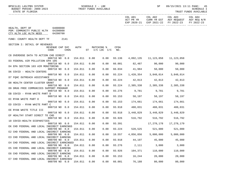| BPSC1L01 LAS/PBS SYSTEM<br>BUDGET PERIOD: 2009-2023<br>STATE OF FLORIDA                               |         | SCHEDULE I - LBE<br>TRUST FUNDS AVAILABLE |                              |             |                                | SP                            | 09/15/2021 13:11 PAGE:<br>45<br>SCHEDULE I<br>TRUST FUNDS AVAILABLE                                          |            |
|-------------------------------------------------------------------------------------------------------|---------|-------------------------------------------|------------------------------|-------------|--------------------------------|-------------------------------|--------------------------------------------------------------------------------------------------------------|------------|
|                                                                                                       |         |                                           |                              |             | ACT PR YR                      |                               | COL A01 COL A02 COL A03 COL A04<br>CURR YR EST AGY REQUEST AGY REQ N/R<br>EXP 2020-21 EXP 2021-22 FY 2022-23 | FY 2022-23 |
| HEALTH, DEPT OF 64000000<br>PGM: COMMUNITY PUBLIC HLTH 64200000<br>CTY HLTH LOC HLTH NEED<br>64200700 |         |                                           |                              |             |                                |                               |                                                                                                              |            |
| FUND: COUNTY HEALTH DEPT TF 2141                                                                      |         |                                           |                              |             |                                |                               |                                                                                                              |            |
| SECTION I: DETAIL OF REVENUES                                                                         |         |                                           |                              |             |                                |                               |                                                                                                              |            |
| REVENUE CAP SVC<br>CHG <sup>8</sup><br>CODE                                                           | AUTH    |                                           | MATCHING %<br>ST I/C LOC I/C | CFDA<br>NO. |                                |                               |                                                                                                              |            |
| C8 OVERDOSE DATA TO ACTION CHD DIRECT<br>000710 NO 0.0                                                | 154.011 | 0.00                                      | 0.00                         |             | 93.136  4,892,135  11,123,058  |                               | 11,123,058                                                                                                   |            |
| D3 FEDERAL AIR POLLUTION EPA 105                                                                      |         |                                           |                              |             |                                |                               |                                                                                                              |            |
| 000710 NO 0.0<br>D4 EPA SECTION 103 AIR MONITORING                                                    | 154.011 | 0.00                                      | 0.00                         |             | 66.001 82,487 90,000 90,000    |                               |                                                                                                              |            |
| 000710 NO 0.0<br>D6 COVID - HEALTH CENTERS                                                            | 154.011 | 0.00                                      | 0.00                         |             | 66.034 41,984 50,000           |                               | 50,000                                                                                                       |            |
| 000710 NO 0.0                                                                                         | 154.011 | 0.00                                      | 0.00                         | 93.224      |                                | 1,420,354 3,848,014 3,848,014 |                                                                                                              |            |
| D7 FQHC OUTREACH ASSISTANCE<br>000710 NO 0.0                                                          | 154.011 | 0.00                                      | 0.00                         | 93.224      |                                | 42,813 42,813                 | 42,813                                                                                                       |            |
| D8 HEALTH CENTER CLUSTER GRANT                                                                        |         |                                           |                              |             |                                |                               |                                                                                                              |            |
| 000710 NO 0.0                                                                                         | 154.011 | 0.00                                      | 0.00                         | 93.224      |                                | 2,385,338 2,385,338 2,385,338 |                                                                                                              |            |
| D9 DRUG FREE COMMUNIIES SUPPORT PROGRAM<br>000710 NO 0.0                                              | 154.011 | 0.00                                      | 0.00                         | 93.276      |                                | 9,781 9,781 9,781             |                                                                                                              |            |
| EB COVID - RYAN WHITE PART D                                                                          |         |                                           |                              |             |                                |                               |                                                                                                              |            |
| 000710 NO 0.0<br>EC RYAN WHITE PART D                                                                 | 154.011 | 0.00                                      | 0.00                         | 93.153      |                                | 58,197 58,197 58,197          |                                                                                                              |            |
| 000710 NO 0.0                                                                                         | 154.011 | 0.00                                      | 0.00                         | 93.153      |                                | 174,661 174,661 174,661       |                                                                                                              |            |
| ED COVID - RYAN WHITE PART C                                                                          |         |                                           |                              |             |                                |                               |                                                                                                              |            |
| 000710 NO 0.0<br>EE RYAN WHITE TITLE III                                                              | 154.011 | 0.00                                      | 0.00                         | 93.918      |                                | 488,031 488,031 488,031       |                                                                                                              |            |
| 000710 NO 0.0                                                                                         | 154.011 | 0.00                                      | 0.00                         | 93.918      |                                | 3,448,829 3,448,829 3,448,829 |                                                                                                              |            |
| EF HEALTHY START DIRECT TO CHD                                                                        |         |                                           |                              |             |                                |                               |                                                                                                              |            |
| 000710 NO 0.0<br>10 COVID-HEALTH DISPARITIES                                                          | 154.011 | 0.00                                      | 0.00                         |             | 93.926 516,792 516,792 516,792 |                               |                                                                                                              |            |
| 000710 NO 0.0                                                                                         | 154.011 | 0.00                                      | 0.00                         | 93.391      |                                | 17,278,178                    | 17,278,179                                                                                                   |            |
| EK CHD FEDERAL AND LOCAL INDIRECT EARNINGS                                                            |         |                                           |                              |             |                                |                               |                                                                                                              |            |
| 000799 NO 0.0 154.011<br>E2 CHD FEDERAL AND LOCAL INDIRECT EARNING                                    |         | 0.00                                      | 0.00                         |             | 93.224 520,525 521,000         |                               | 521,000                                                                                                      |            |
| 000799 NO 0.0                                                                                         | 154.011 | 0.00                                      | 0.00                         | 10.557      | 4,856,856                      | 5,000,000                     | 5,000,000                                                                                                    |            |
| E3 CHD FEDERAL AND LOCAL INDIRECT EARNING                                                             |         |                                           |                              |             |                                |                               |                                                                                                              |            |
| 000799 NO 0.0<br>E4 CHD FEDERAL AND LOCAL INDIRECT EARNINGED                                          | 154.011 | 0.00                                      | 0.00                         | 93.918      | 44,197                         | 45,000                        | 45,000                                                                                                       |            |
| 000799 NO 0.0                                                                                         | 154.011 | 0.00                                      | 0.00                         | 93.276      | 2,111                          | 3,000                         | 3,000                                                                                                        |            |
| E5 CHD FEDERAL AND LOCAL INDIRECT EARNING                                                             |         |                                           |                              |             |                                |                               |                                                                                                              |            |
| 000799 NO 0.0<br>E6 CHD FEDERAL AND LOCAL INDIRECT EARNING                                            | 154.011 | 0.00                                      | 0.00                         | 93.926      | 104,371                        | 110,000                       | 110,000                                                                                                      |            |
| 000799 NO 0.0                                                                                         | 154.011 | 0.00                                      | 0.00                         | 93.153      | 16,244                         | 20,000                        | 20,000                                                                                                       |            |
| E7 CHD FEDERAL AND LOCAL INDIRECT EARNINGV                                                            |         |                                           |                              |             |                                |                               |                                                                                                              |            |
| 000799 NO 0.0                                                                                         | 154.011 | 0.00                                      | 0.00                         | 66.001      | 76,188                         | 80,000                        | 80,000                                                                                                       |            |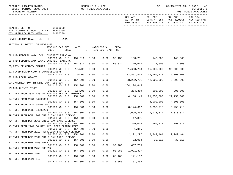| BPSC1L01 LAS/PBS SYSTEM<br>BUDGET PERIOD: 2009-2023<br>STATE OF FLORIDA                      | TRUST FUNDS AVAILABLE               | SCHEDULE I - LBE |      |                              |             |                                     | SP         | 09/15/2021 13:11 PAGE:                                                           | 46<br>SCHEDULE I<br>TRUST FUNDS AVAILABLE |
|----------------------------------------------------------------------------------------------|-------------------------------------|------------------|------|------------------------------|-------------|-------------------------------------|------------|----------------------------------------------------------------------------------|-------------------------------------------|
|                                                                                              |                                     |                  |      |                              |             | COL A01<br>ACT PR YR<br>EXP 2020-21 | COL A02    | COL A03 COL A04<br>CURR YR EST AGY REQUEST AGY REQ N/R<br>EXP 2021-22 FY 2022-23 | FY 2022-23                                |
| 64000000<br>HEALTH, DEPT OF<br>PGM: COMMUNITY PUBLIC HLTH 64200000<br>CTY HLTH LOC HLTH NEED | 64200700                            |                  |      |                              |             |                                     |            |                                                                                  |                                           |
| FUND: COUNTY HEALTH DEPT TF                                                                  | 2141                                |                  |      |                              |             |                                     |            |                                                                                  |                                           |
| SECTION I: DETAIL OF REVENUES                                                                |                                     |                  |      |                              |             |                                     |            |                                                                                  |                                           |
| CODE                                                                                         | REVENUE CAP SVC<br>CHG <sup>8</sup> | AUTH             |      | MATCHING %<br>ST I/C LOC I/C | CFDA<br>NO. |                                     |            |                                                                                  |                                           |
| E8 CHD FEDERAL AND LOCAL INDIRECT EARNING                                                    | 000799 NO 0.0                       | 154.011          | 0.00 | 0.00                         |             | 93.136 138,701 140,000 140,000      |            |                                                                                  |                                           |
| E9 CHD FEDERAL AND LOCAL INDIRECT EARNING                                                    | 000799 NO 0.0                       | 154.011          | 0.00 | 0.00                         |             | 66.034 10,643                       | 11,000     | 11,000                                                                           |                                           |
| EQ CITY OR COUNTY GRANTS                                                                     |                                     |                  |      |                              |             |                                     |            |                                                                                  |                                           |
| E1 COVID-BOARD COUNTY COMMISSIONERS                                                          | 000810 NO 0.0                       | 154.05           | 0.00 | 0.00                         |             | 81,653,708                          | 95,000,000 | 98,000,000                                                                       |                                           |
| GN CHD LOCAL GRANTS                                                                          | 000810 NO 0.0                       | 154.05           | 0.00 | 0.00                         |             | 32,897,823                          | 35,796,728 | 15,000,000                                                                       |                                           |
|                                                                                              | 001110 NO 0.0                       | 154.001          | 0.00 | 0.00                         |             | 38,232,731                          | 42,000,000 | 45,000,000                                                                       |                                           |
| GO IMMUNIZATION IN KIND CONTRIBUTION                                                         | 001110 NO 0.0                       | 154.001          | 0.00 | 0.00                         |             | 284,104,645                         |            |                                                                                  |                                           |
| HM CHD CLINIC FINES                                                                          |                                     |                  |      |                              |             |                                     |            |                                                                                  |                                           |
| H1 TNFR FROM 2021 180110 ADMINISTRATIVE INDIRECT                                             | 001200 NO 0.0                       | 154.06           | 0.00 | 0.00                         |             | 204,369                             | 205,000    | 205,000                                                                          |                                           |
|                                                                                              | 001500 NO 0.0                       | 154.001          | 0.00 | 0.00                         |             | 4,188,145                           | 21,750,000 | 21,750,000                                                                       |                                           |
| H4 TNFR FROM 2261 64200800                                                                   | 001500 NO 0.0                       | 154.001          | 0.00 | 0.00                         |             |                                     | 4,000,000  | 4,000,000                                                                        |                                           |
| H6 TNFR FROM 2122 64200100                                                                   |                                     |                  |      |                              |             |                                     |            |                                                                                  |                                           |
| H7 TNFR FROM 2339 64200200                                                                   | 001500 NO 0.0                       | 154.001          | 0.00 | 0.00                         |             | 8,144,617                           | 6,253,718  | 6,253,718                                                                        |                                           |
|                                                                                              | 001500 NO 0.0                       | 154.001          | 0.00 | 0.00                         |             | 1,096,264                           | 1,018,374  | 1,018,374                                                                        |                                           |
| J9 TNFR FROM DCF 1000 CHILD DAY CARE LICENSE                                                 | 001500 NO 0.0                       | 154.001          | 0.00 | 0.00                         |             | 17,851                              |            |                                                                                  |                                           |
| KW TNFR FROM DCF 2261 CHILD DAY CARE LICENSE                                                 |                                     |                  |      | 0.00                         |             |                                     |            |                                                                                  |                                           |
| K3 TNFR FROM 2141 COUNTY HLTH DEPT CLINIC FEES                                               | 001500 NO 0.0                       | 154.001          | 0.00 |                              |             | 216,044 190,817 190,817             |            |                                                                                  |                                           |
| KX TNFR FROM DEP 2212 PETROLEUM STORAGE CLEANUP                                              | 001500 NO 0.0 154.001               |                  | 0.00 | 0.00                         |             | 1,815                               |            |                                                                                  |                                           |
|                                                                                              | 001500 NO 0.0                       | 154.001          | 0.00 | 0.00                         |             | 2,121,297                           | 2,242,464  | 2,242,464                                                                        |                                           |
| KY TNFR FROM DCF 2639 CHILD DAY CARE LICENSE                                                 | 001500 NO 0.0                       | 154.001          | 0.00 | 0.00                         |             | 32,018                              | 32,018     | 32,018                                                                           |                                           |
| J1 TNFR FROM DEM 2750 IRMA                                                                   |                                     |                  |      |                              |             |                                     |            |                                                                                  |                                           |
|                                                                                              | 001510 NO 0.0                       | 154.001          | 0.00 | 0.00                         | 93.283      | 487,765                             |            |                                                                                  |                                           |
| J4 TNFR FROM DEM 2750 DORIAN                                                                 | 001510 NO 0.0                       | 154.001          | 0.00 | 0.00                         | 93.283      | 1,991,897                           |            |                                                                                  |                                           |
| J5 TNFR FROM DEP 2261                                                                        |                                     |                  |      |                              |             |                                     |            |                                                                                  |                                           |
| K8 TNFR FROM 2021 WIC                                                                        | 001510 NO 0.0                       | 154.001          | 0.00 | 0.00                         | 66.460      | 121,167                             |            |                                                                                  |                                           |
|                                                                                              | 001510 NO 0.0                       | 154.001          | 0.00 | 0.00                         | 10.555      | 61,855                              |            |                                                                                  |                                           |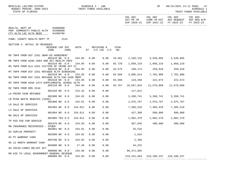| BPSC1L01 LAS/PBS SYSTEM<br>BUDGET PERIOD: 2009-2023<br>STATE OF FLORIDA          |                         |                  |         |      | SCHEDULE I - LBE<br>TRUST FUNDS AVAILABLE |        |                                     | SP                            |                                                              | 09/15/2021 13:11 PAGE: 47<br>SCHEDULE I<br>TRUST FUNDS AVAILABLE |
|----------------------------------------------------------------------------------|-------------------------|------------------|---------|------|-------------------------------------------|--------|-------------------------------------|-------------------------------|--------------------------------------------------------------|------------------------------------------------------------------|
|                                                                                  |                         |                  |         |      |                                           |        | COL A01<br>ACT PR YR<br>EXP 2020-21 | COL A02<br>EXP 2021-22        | COL A03<br>CURR YR EST AGY REQUEST AGY REQ N/R<br>FY 2022-23 | COL A04<br>FY 2022-23                                            |
| HEALTH, DEPT OF<br>PGM: COMMUNITY PUBLIC HLTH 64200000<br>CTY HLTH LOC HLTH NEED | 64000000<br>64200700    |                  |         |      |                                           |        |                                     |                               |                                                              |                                                                  |
| FUND: COUNTY HEALTH DEPT TF                                                      |                         | 2141             |         |      |                                           |        |                                     |                               |                                                              |                                                                  |
| SECTION I: DETAIL OF REVENUES                                                    | REVENUE CAP SVC<br>CODE | CHG <sup>8</sup> | AUTH    |      | MATCHING %<br>ST I/C LOC I/C NO.          | CFDA   |                                     |                               |                                                              |                                                                  |
| M5 TNFR FROM DCF 2261 SNAP-ED AGREEMENT                                          |                         |                  |         |      |                                           |        |                                     |                               |                                                              |                                                                  |
| MR TNFR FROM ACHA 2003 ARR ACT HEALTH INFO                                       | 001510 NO 0.0           |                  | 154.05  | 0.00 | 0.00                                      | 10.561 |                                     | 2, 103, 132 3, 549, 895       | 3,549,895                                                    |                                                                  |
| MS TNFR FROM DLA 2261 VICTIMS OF CRIME ACT FL                                    | 001510 NO 0.0           |                  | 154.05  | 0.00 | 0.00                                      | 93.729 | 1,050,219                           | 1,050,219                     | 1,050,219                                                    |                                                                  |
| MT TNFR FROM DCF 2261 REFUGEE HLTH SCREENING                                     | 001510 NO 0.0           |                  | 154.05  | 0.00 | 0.00                                      | 16.575 | 160,174                             | 259,618                       | 259,618                                                      |                                                                  |
|                                                                                  | 001510 NO 0.0           |                  | 154.05  | 0.00 | 0.00                                      | 93.566 |                                     | 3,805,514 7,782,900 7,782,900 |                                                              |                                                                  |
| MU TNFR FROM DCF 2261 REFUGEE HLTH CHD CASE MGMT                                 | 001510 NO               | 0.0              | 154.05  | 0.00 | 0.00                                      | 93.566 | 119,450                             | 222,673 222,673               |                                                              |                                                                  |
| MV TNFR FROM ACHA 2474 SUPPLEMENTAL SCHOOL HLTH                                  | 001510 NO 0.0           |                  | 154.05  | 0.00 | 0.00                                      | 93.767 | 10,567,043                          | 11,579,899                    | 11,579,899                                                   |                                                                  |
| MZ TNFR FROM DMS 2510                                                            | 001520 NO 0.0           |                  | 215.32  | 0.00 | 0.00                                      |        | 117,012                             |                               |                                                              |                                                                  |
| LA PRIOR YEAR REFUNDS                                                            |                         |                  |         |      |                                           |        |                                     |                               |                                                              |                                                                  |
| LB RYAN WHITE REBATES (AIDS)                                                     | 001800 NO 0.0           |                  | 154.02  | 0.00 | 0.00                                      |        | 3,260,741                           | 3,260,741                     | 3,260,741                                                    |                                                                  |
| LR SALE OF SERVICES                                                              | 001800 NO 0.0           |                  | 154.01  | 0.00 | 0.00                                      |        | 2,975,767                           | 2,975,767                     | 2,975,767                                                    |                                                                  |
| L3 SALE OF SERVICES                                                              | 001903 NO 0.0           |                  | 154.011 | 0.00 | 0.00                                      |        | 7,305,510                           | 7,305,510                     | 7,305,510                                                    |                                                                  |
| MA SALE OF SERVICES                                                              | 001904 NO 0.0           |                  | 154.011 | 0.00 | 0.00                                      |        | 427,380                             | 500,000                       | 500,000                                                      |                                                                  |
|                                                                                  | 001905 YES 0.0          |                  | 154.011 | 0.00 | 0.00                                      |        | 1,802,379                           | 1,802,379                     | 1,802,379                                                    |                                                                  |
| TP FED FEE FOR SERVICE                                                           | 001970 NO 0.0           |                  | 154.03  | 0.00 | 0.00                                      |        | 367,845                             | 400,000                       | 400,000                                                      |                                                                  |
| MN INSURANCE RECOVERIES - OTHER                                                  | 002801 NO 0.0           |                  | 154.01  | 0.00 | 0.00                                      |        | 35,516                              |                               |                                                              |                                                                  |
| 02 SUPLUS PROPERTY                                                               | 002900 NO 0.0           |                  | 154.02  | 0.00 | 0.00                                      |        | 1,615                               |                               |                                                              |                                                                  |
| 04 PY WARRANT CANX                                                               |                         |                  |         |      |                                           |        |                                     |                               |                                                              |                                                                  |
| 05 12 MONTH WARRANT CANX                                                         | 003700 NO 0.0           |                  | 154.02  | 0.00 | 0.00                                      |        | 2,356                               |                               |                                                              |                                                                  |
| AH COVID-CARES RELIEF ACT                                                        | 003800 NO 0.0           |                  | 17.26   | 0.00 | 0.00                                      |        | 44,222                              |                               |                                                              |                                                                  |
| MO AID TO LOCAL GOVERNMENT GENERAL REVENUE                                       | 006000 NO               | 0.0              | 154.06  | 0.00 | 0.00                                      |        | 90, 371, 965                        |                               |                                                              |                                                                  |
|                                                                                  | 006000 NO 0.0           |                  | 154.05  | 0.00 | 0.00                                      |        | 219,241,664                         | 218,180,237                   | 218,180,237                                                  |                                                                  |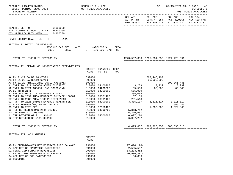| BPSC1L01 LAS/PBS SYSTEM<br>BUDGET PERIOD: 2009-2023<br>STATE OF FLORIDA                                                                                                                                                                                                                                                                                                                                                                                                                                                                                                                                  | SCHEDULE I - LBE<br>TRUST FUNDS AVAILABLE                                                                                                                                                                                                  |                                                                                                                                                    | SP                        |                                                                                                  | 09/15/2021 13:11 PAGE: 48<br><b>SCHEDULE I</b><br>TRUST FUNDS AVAILABLE |
|----------------------------------------------------------------------------------------------------------------------------------------------------------------------------------------------------------------------------------------------------------------------------------------------------------------------------------------------------------------------------------------------------------------------------------------------------------------------------------------------------------------------------------------------------------------------------------------------------------|--------------------------------------------------------------------------------------------------------------------------------------------------------------------------------------------------------------------------------------------|----------------------------------------------------------------------------------------------------------------------------------------------------|---------------------------|--------------------------------------------------------------------------------------------------|-------------------------------------------------------------------------|
|                                                                                                                                                                                                                                                                                                                                                                                                                                                                                                                                                                                                          |                                                                                                                                                                                                                                            | COL A01<br>ACT PR YR CURR YR EST AGY REQUEST AGY REQ N/R<br>EXP 2020-21 EXP 2021-22 FY 2022-23                                                     |                           | COL A02 COL A03                                                                                  | COL A04<br>FY 2022-23                                                   |
| HEALTH, DEPT OF 64000000<br>PGM: COMMUNITY PUBLIC HLTH 64200000<br>CTY HLTH LOC HLTH NEED<br>64200700                                                                                                                                                                                                                                                                                                                                                                                                                                                                                                    |                                                                                                                                                                                                                                            |                                                                                                                                                    |                           |                                                                                                  |                                                                         |
| FUND: COUNTY HEALTH DEPT TF<br>2141                                                                                                                                                                                                                                                                                                                                                                                                                                                                                                                                                                      |                                                                                                                                                                                                                                            |                                                                                                                                                    |                           |                                                                                                  |                                                                         |
| SECTION I: DETAIL OF REVENUES<br>REVENUE CAP SVC<br>CHG <sup>8</sup><br>CODE                                                                                                                                                                                                                                                                                                                                                                                                                                                                                                                             | <b>AUTH</b><br>MATCHING %<br>CFDA<br>ST I/C LOC I/C NO.                                                                                                                                                                                    |                                                                                                                                                    |                           |                                                                                                  |                                                                         |
| TOTAL TO LINE B IN SECTION IV                                                                                                                                                                                                                                                                                                                                                                                                                                                                                                                                                                            |                                                                                                                                                                                                                                            | 1273, 557, 380 1205, 781, 855 1224, 428, 391                                                                                                       |                           |                                                                                                  |                                                                         |
| SECTION II: DETAIL OF NONOPERATING EXPENDITURES                                                                                                                                                                                                                                                                                                                                                                                                                                                                                                                                                          | TRANSFER CFDA<br>OBJECT<br>CODE<br>TO BE<br>NO.                                                                                                                                                                                            |                                                                                                                                                    |                           |                                                                                                  |                                                                         |
| AA FY 21-22 BA B0118 COVID<br>AB FY 21-22 BA B0119 COVID<br>AC FY 21-22 ANTICIPATED COVID AMENDMENT<br>A1 TNFR TO 2021 185080 ADMIN INDIRECT<br>A2 TNFR TO 2021 185080 LEAD POISONING<br>BA BE TNFR 2141<br>RT REFUNDS OF STATE REVENUES 220020<br>TF TNFR TO 2339 AHCA MEDICAID BUYBACK 180001<br>TR TNFR TO 2339 AHCA 180001 SETTLEMENT<br>02 TNFR TO 2021 185084 ENVIRON HEALTH FEE<br>03 8.5% RESERVE/REQ'RD BY 154 F.S.<br>08 TNFR TO 2526 DEP<br>09 TRF BETWEEN CHD'S 2141 310405<br>10 TRF FROM 2141 003105<br>11 TRF BETWEEN GF 2141 310400<br>210000<br>210000<br>12 TFR BETWEEN GF 2141 003100 | 899000<br>899000<br>899000<br>64100200<br>810000<br>64200200<br>810000<br>64200800<br>810000<br>860000<br>68501400<br>810000<br>810000<br>68501400<br>810000<br>64200200<br>999000<br>37350400<br>810000<br>64200700<br>64200700<br>810000 | 3, 239 3, 239 3, 239<br>65,500<br>555,000<br>255,069<br>$67,166$<br>231,518<br>3,315,117<br>5, 313, 712<br>5,310,637-<br>6,007,270<br>$6,007,297-$ | 263,446,197<br>96,096,000 | 309,366,445<br>$65,500$ $65,500$<br>3, 315, 117 3, 315, 117<br>74,556,449<br>1,000,000 1,529,866 |                                                                         |
| TOTAL TO LINE E IN SECTION IV                                                                                                                                                                                                                                                                                                                                                                                                                                                                                                                                                                            |                                                                                                                                                                                                                                            | 4,495,657 363,926,053 388,836,616                                                                                                                  |                           |                                                                                                  |                                                                         |
| SECTION III: ADJUSTMENTS                                                                                                                                                                                                                                                                                                                                                                                                                                                                                                                                                                                 | OBJECT<br>CODE                                                                                                                                                                                                                             |                                                                                                                                                    |                           |                                                                                                  |                                                                         |
| AD PY ENCUMBRANCES NOT RESERVED FUND BALANCE<br>AJ A/P NOT CF-OPERATING CATEGORIES<br>01 CERTIFIED FORWARD REVERSIONS<br>02 PY FCO NOT RESERVED FUND BALANCE<br>04 A/P NOT CF-FCO CATEGORIES<br>05 ROUNDING                                                                                                                                                                                                                                                                                                                                                                                              | 991000<br>991000<br>991000<br>991000<br>991000<br>991000                                                                                                                                                                                   | $17,494,170-$<br>2,555,507<br>13, 233, 862<br>$20,980,881-$<br>56,886<br>9                                                                         |                           |                                                                                                  |                                                                         |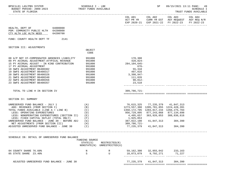| BPSC1L01 LAS/PBS SYSTEM<br>BUDGET PERIOD: 2009-2023 TRUST FUNDS AVAILABLE<br>STATE OF FLORIDA                                                                                                                                                                                                                                                                                  | SCHEDULE I - LBE                                                                                 |                                              |                                                                                                                                                                                                      | SP                                                                                                      |                                                                                                                                   | 09/15/2021 13:11 PAGE: 49<br><b>SCHEDULE I</b><br>TRUST FUNDS AVAILABLE |
|--------------------------------------------------------------------------------------------------------------------------------------------------------------------------------------------------------------------------------------------------------------------------------------------------------------------------------------------------------------------------------|--------------------------------------------------------------------------------------------------|----------------------------------------------|------------------------------------------------------------------------------------------------------------------------------------------------------------------------------------------------------|---------------------------------------------------------------------------------------------------------|-----------------------------------------------------------------------------------------------------------------------------------|-------------------------------------------------------------------------|
|                                                                                                                                                                                                                                                                                                                                                                                |                                                                                                  |                                              |                                                                                                                                                                                                      |                                                                                                         | COL A01 COL A02 COL A03 COL A04<br>ACT PR YR CURR YR EST AGY REQUEST AGY REQ N/R<br>EXP 2020-21 EXP 2021-22 FY 2022-23 FY 2022-23 |                                                                         |
| HEALTH, DEPT OF 64000000<br>PGM: COMMUNITY PUBLIC HLTH 64200000<br>CTY HLTH LOC HLTH NEED<br>64200700                                                                                                                                                                                                                                                                          |                                                                                                  |                                              |                                                                                                                                                                                                      |                                                                                                         |                                                                                                                                   |                                                                         |
| FUND: COUNTY HEALTH DEPT TF 2141                                                                                                                                                                                                                                                                                                                                               |                                                                                                  |                                              |                                                                                                                                                                                                      |                                                                                                         |                                                                                                                                   |                                                                         |
| SECTION III: ADJUSTMENTS                                                                                                                                                                                                                                                                                                                                                       |                                                                                                  |                                              |                                                                                                                                                                                                      |                                                                                                         |                                                                                                                                   |                                                                         |
|                                                                                                                                                                                                                                                                                                                                                                                | OBJECT<br>CODE                                                                                   |                                              |                                                                                                                                                                                                      |                                                                                                         |                                                                                                                                   |                                                                         |
| 08 A/P NOT CF-COMPENSATED ABSENCES LIABILITY<br>09 PY ACCRUAL ADJUSTMENT-ATYPICAL REVENUE<br>15 PY ACCRUAL ADJUST - IN KIND CONTRIBUTION<br>17 PY ACCRUAL ADJUSTMENT<br>18 SWFS ADJUSTMENT B6400302<br>19 SWFS ADJUSTMENT B6400317<br>20 SWFS ADJUSTMENT B6400326<br>21 SWFS ADJUSTMENT B6400340<br>22 SWFS ADJUSTMENT B6400356<br>23 SWFS ADJUSTMENT B6400357                 | 991000<br>991000<br>991000<br>991000<br>991000<br>991000<br>991000<br>991000<br>991000<br>991000 |                                              | 178,308<br>428,824-<br>284,104,645-<br>$676-$<br>55,310<br>497,016<br>$3,398,947-$<br>111,026<br>90,012-<br>23,510                                                                                   |                                                                                                         |                                                                                                                                   |                                                                         |
| TOTAL TO LINE H IN SECTION IV                                                                                                                                                                                                                                                                                                                                                  |                                                                                                  |                                              | 309,786,721-                                                                                                                                                                                         |                                                                                                         |                                                                                                                                   |                                                                         |
| SECTION IV: SUMMARY                                                                                                                                                                                                                                                                                                                                                            |                                                                                                  |                                              |                                                                                                                                                                                                      |                                                                                                         |                                                                                                                                   |                                                                         |
| UNRESERVED FUND BALANCE - JULY 1<br>ADD: REVENUES (FROM SECTION I)<br>TOTAL FUNDS AVAILABLE (LINE A + LINE B)<br>LESS: OPERATING EXPENDITURES<br>LESS: NONOPERATING EXPENDITURES (SECTION II)<br>LESS: FIXED CAPITAL OUTLAY (TOTAL ONLY)<br>UNRESERVED FUND BALANCE - JUNE 30 - BEFORE ADJ<br>NET ADJUSTMENTS (FROM SECTION III)<br>ADJUSTED UNRESERVED FUND BALANCE - JUNE 30 | (A)<br>(B)<br>(C)<br>(D)<br>(E)<br>(F)<br>(G)<br>(H)<br>$(\lrcorner)$                            |                                              | 1273,557,380 1205,781,855 1224,428,391<br>1350, 172, 705 1283, 017, 234 1266, 275, 704<br>956,729,895 877,243,868 877,134,698<br>4,495,657<br>1,925,053<br>387,022,100<br>309,786,721-<br>77,235,379 | 76,615,325 77,235,379 41,847,313<br>363,926,053 388,836,616<br>41,847,313 304,390<br>41,847,313 304,390 |                                                                                                                                   |                                                                         |
| SCHEDULE IB: DETAIL OF UNRESERVED FUND BALANCE                                                                                                                                                                                                                                                                                                                                 | FUNDING SOURCE<br>STATE(S)                                                                       | RESTRICTED(R)<br>NONSTATE(N) UNRESTRICTED(U) |                                                                                                                                                                                                      |                                                                                                         |                                                                                                                                   |                                                                         |
| 04 COUNTY SHARE 76.60%<br>05 STATE SHARE 23.40%                                                                                                                                                                                                                                                                                                                                | N<br>S                                                                                           | R<br>U                                       |                                                                                                                                                                                                      | 59, 162, 300 32, 055, 042 233, 163<br>18,073,079 9,792,271                                              | 71,227                                                                                                                            |                                                                         |
| ADJUSTED UNRESERVED FUND BALANCE - JUNE 30                                                                                                                                                                                                                                                                                                                                     |                                                                                                  |                                              | 77,235,379                                                                                                                                                                                           | 41,847,313                                                                                              | 304,390                                                                                                                           |                                                                         |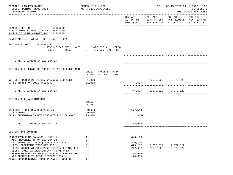| BPSC1L01 LAS/PBS SYSTEM<br>BUDGET PERIOD: 2009-2023<br>STATE OF FLORIDA                                       | SCHEDULE I - LBE<br>TRUST FUNDS AVAILABLE         |                      | SP                      |                                                                                                | 09/15/2021 13:11 PAGE: 50<br>SCHEDULE I<br>TRUST FUNDS AVAILABLE |
|---------------------------------------------------------------------------------------------------------------|---------------------------------------------------|----------------------|-------------------------|------------------------------------------------------------------------------------------------|------------------------------------------------------------------|
|                                                                                                               |                                                   |                      | COL A01 COL A02 COL A03 | ACT PR YR CURR YR EST AGY REQUEST AGY REQ N/R<br>EXP 2020-21 EXP 2021-22 FY 2022-23 FY 2022-23 | COL A04                                                          |
| HEALTH, DEPT OF 64000000<br>PGM: COMMUNITY PUBLIC HLTH 64200000<br>SW PUBLIC HLTH SUPPORT SVC 64200800        |                                                   |                      |                         |                                                                                                |                                                                  |
| FUND: ADMINISTRATIVE TRUST FUND<br>2021                                                                       |                                                   |                      |                         |                                                                                                |                                                                  |
| SECTION I: DETAIL OF REVENUES<br>REVENUE CAP SVC<br>CODE<br>$CHG\$                                            | AUTH MATCHING %<br>CFDA<br>ST $I/C$ LOC $I/C$ NO. |                      |                         |                                                                                                |                                                                  |
| TOTAL TO LINE B IN SECTION IV                                                                                 |                                                   |                      |                         |                                                                                                |                                                                  |
| SECTION II: DETAIL OF NONOPERATING EXPENDITURES                                                               | OBJECT TRANSFER CFDA<br>CODE TO BE<br>NO.         |                      |                         |                                                                                                |                                                                  |
| 02 TNFR FROM 2021 310405 64100200 (003105)<br>03 BE TNFR FROM 2021 64100200                                   | 810000<br>810000                                  | 747,637–             |                         | $2,372,522-2,372,522-$                                                                         |                                                                  |
| TOTAL TO LINE E IN SECTION IV                                                                                 |                                                   |                      |                         | $747,637 - 2,372,522 - 2,372,522 -$                                                            |                                                                  |
| SECTION III: ADJUSTMENTS                                                                                      |                                                   |                      |                         |                                                                                                |                                                                  |
|                                                                                                               | OBJECT<br>CODE                                    |                      |                         |                                                                                                |                                                                  |
| 01 CERTIFIED FORWARD REVERSION                                                                                | 991000                                            | 177,548              |                         |                                                                                                |                                                                  |
| 02 ROUNDING<br>08 PY ENCUMBRANCES NOT RESERVED FUND BALANCE                                                   | 991000<br>991000                                  | 1<br>$2,914-$        |                         |                                                                                                |                                                                  |
| TOTAL TO LINE H IN SECTION IV                                                                                 |                                                   | 174,635              |                         |                                                                                                |                                                                  |
| SECTION IV: SUMMARY                                                                                           |                                                   |                      |                         |                                                                                                |                                                                  |
| UNRESERVED FUND BALANCE - JULY 1<br>ADD: REVENUES (FROM SECTION I)<br>TOTAL FUNDS AVAILABLE (LINE A + LINE B) | (A)<br>(B)<br>(C)                                 | 449,110-<br>449,110- |                         |                                                                                                |                                                                  |
| LESS: OPERATING EXPENDITURES                                                                                  | (D)                                               | 473,162              | 2,372,522               | 2,372,522                                                                                      |                                                                  |
| LESS: NONOPERATING EXPENDITURES (SECTION II)<br>LESS: FIXED CAPITAL OUTLAY (TOTAL ONLY)                       | (E)<br>(F)                                        | 747,637–             | $2,372,522-$            | $2,372,522-$                                                                                   |                                                                  |
| UNRESERVED FUND BALANCE - JUNE 30 - BEFORE ADJ                                                                | (G)                                               | $174,635-$           |                         |                                                                                                |                                                                  |
| NET ADJUSTMENTS (FROM SECTION III)<br>ADJUSTED UNRESERVED FUND BALANCE - JUNE 30                              | (H)<br>(I)                                        | 174,635              |                         |                                                                                                |                                                                  |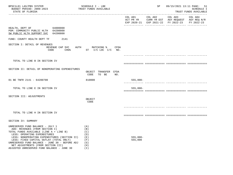| BPSC1L01 LAS/PBS SYSTEM<br>BUDGET PERIOD: 2009-2023<br>STATE OF FLORIDA                                                                                                                                                                                                                                                                                                        | SCHEDULE I - LBE<br>TRUST FUNDS AVAILABLE                     |                       | SP |                                                                                                                        | 09/15/2021 13:11 PAGE: 51<br><b>SCHEDULE I</b><br>TRUST FUNDS AVAILABLE |
|--------------------------------------------------------------------------------------------------------------------------------------------------------------------------------------------------------------------------------------------------------------------------------------------------------------------------------------------------------------------------------|---------------------------------------------------------------|-----------------------|----|------------------------------------------------------------------------------------------------------------------------|-------------------------------------------------------------------------|
|                                                                                                                                                                                                                                                                                                                                                                                |                                                               |                       |    | COL A01 COL A02 COL A03 COL A04<br>ACT PR YR CURR YR EST AGY REQUEST AGY REQ N/R<br>EXP 2020-21 EXP 2021-22 FY 2022-23 | FY 2022-23                                                              |
| HEALTH, DEPT OF 64000000<br>PGM: COMMUNITY PUBLIC HLTH 64200000<br>SW PUBLIC HLTH SUPPORT SVC 64200800                                                                                                                                                                                                                                                                         |                                                               |                       |    |                                                                                                                        |                                                                         |
| FUND: COUNTY HEALTH DEPT TF<br>2141                                                                                                                                                                                                                                                                                                                                            |                                                               |                       |    |                                                                                                                        |                                                                         |
| SECTION I: DETAIL OF REVENUES<br>REVENUE CAP SVC<br>CODE                                                                                                                                                                                                                                                                                                                       | AUTH MATCHING % CFDA<br>CHG% ST I/C LOC I/C NO.               |                       |    |                                                                                                                        |                                                                         |
|                                                                                                                                                                                                                                                                                                                                                                                |                                                               |                       |    |                                                                                                                        |                                                                         |
| TOTAL TO LINE B IN SECTION IV                                                                                                                                                                                                                                                                                                                                                  |                                                               |                       |    |                                                                                                                        |                                                                         |
| SECTION II: DETAIL OF NONOPERATING EXPENDITURES                                                                                                                                                                                                                                                                                                                                | OBJECT TRANSFER CFDA<br>CODE<br>TO BE<br>NO.                  |                       |    |                                                                                                                        |                                                                         |
| 01 BE TNFR 2141 - 64200700                                                                                                                                                                                                                                                                                                                                                     | 810000                                                        | $555,000-$            |    |                                                                                                                        |                                                                         |
| TOTAL TO LINE E IN SECTION IV                                                                                                                                                                                                                                                                                                                                                  |                                                               | $555,000-$            |    |                                                                                                                        |                                                                         |
| SECTION III: ADJUSTMENTS                                                                                                                                                                                                                                                                                                                                                       | OBJECT<br>CODE                                                |                       |    |                                                                                                                        |                                                                         |
|                                                                                                                                                                                                                                                                                                                                                                                |                                                               |                       |    |                                                                                                                        |                                                                         |
| TOTAL TO LINE H IN SECTION IV                                                                                                                                                                                                                                                                                                                                                  |                                                               |                       |    |                                                                                                                        |                                                                         |
| SECTION IV: SUMMARY                                                                                                                                                                                                                                                                                                                                                            |                                                               |                       |    |                                                                                                                        |                                                                         |
| UNRESERVED FUND BALANCE - JULY 1<br>ADD: REVENUES (FROM SECTION I)<br>TOTAL FUNDS AVAILABLE (LINE A + LINE B)<br>LESS: OPERATING EXPENDITURES<br>LESS: NONOPERATING EXPENDITURES (SECTION II)<br>LESS: FIXED CAPITAL OUTLAY (TOTAL ONLY)<br>UNRESERVED FUND BALANCE - JUNE 30 - BEFORE ADJ<br>NET ADJUSTMENTS (FROM SECTION III)<br>ADJUSTED UNRESERVED FUND BALANCE - JUNE 30 | (A)<br>(B)<br>(C)<br>(D)<br>( E )<br>(F)<br>(G)<br>(H)<br>(T) | $555,000-$<br>555,000 |    |                                                                                                                        |                                                                         |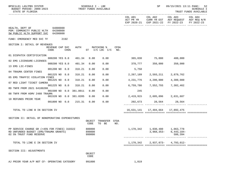| BPSC1L01 LAS/PBS SYSTEM<br>BUDGET PERIOD: 2009-2023<br>STATE OF FLORIDA                                            |                         |             | SCHEDULE I - LBE       | TRUST FUNDS AVAILABLE      |                                   |             | SP                            | 09/15/2021 13:11 PAGE: 52<br>SCHEDULE I<br>TRUST FUNDS AVAILABLE                    |                                                                                                |                       |
|--------------------------------------------------------------------------------------------------------------------|-------------------------|-------------|------------------------|----------------------------|-----------------------------------|-------------|-------------------------------|-------------------------------------------------------------------------------------|------------------------------------------------------------------------------------------------|-----------------------|
|                                                                                                                    |                         |             |                        |                            |                                   |             | COL A01                       | COL A02                                                                             | COL A03<br>ACT PR YR CURR YR EST AGY REQUEST AGY REQ N/R<br>EXP 2020-21 EXP 2021-22 FY 2022-23 | COL A04<br>FY 2022-23 |
| 64000000<br>HEALTH, DEPT OF<br>PGM: COMMUNITY PUBLIC HLTH 64200000<br>SW PUBLIC HLTH SUPPORT SVC 64200800          |                         |             |                        |                            |                                   |             |                               |                                                                                     |                                                                                                |                       |
| FUND: EMERGENCY MED SVC TF                                                                                         | 2192                    |             |                        |                            |                                   |             |                               |                                                                                     |                                                                                                |                       |
| SECTION I: DETAIL OF REVENUES                                                                                      | REVENUE CAP SVC<br>CODE | <b>CHG%</b> |                        |                            | AUTH MATCHING %<br>ST I/C LOC I/C | CFDA<br>NO. |                               |                                                                                     |                                                                                                |                       |
| 01 DISPATCH CERTIFICATION                                                                                          |                         |             |                        |                            |                                   |             |                               |                                                                                     |                                                                                                |                       |
| 02 EMS LICENSURE-LICENSES                                                                                          | 000200 YES 8.0          |             | 401.34                 | 0.00                       | 0.00                              |             | 365,030                       | 75,000                                                                              | 400,000                                                                                        |                       |
| 13 EMS LIC-FINES                                                                                                   | 000200 YES 8.0          |             | 401.34                 | 0.00                       | 0.00                              |             | 378,777                       | 350,000                                                                             | 350,000                                                                                        |                       |
| 04 TRAUMA CENTER FINES                                                                                             | 001200 NO 8.0           |             | 318.21                 | 0.00                       | 0.00                              |             | 5,750                         |                                                                                     |                                                                                                |                       |
|                                                                                                                    | 001225 NO 8.0           |             | 318.21                 | 0.00                       | 0.00                              |             | 2,267,189                     | 2,593,211                                                                           | 2,879,762                                                                                      |                       |
| 05 EMS TRAFFIC VIOLATION FINES                                                                                     | 001225 NO 8.0           |             | 318.21                 | 0.00                       | 0.00                              |             | 4,231,776                     | 4,200,000                                                                           | 4,300,000                                                                                      |                       |
| 07 RED LIGHT TICKET CAMERA                                                                                         | 001225 NO 8.0           |             | 318.21                 | 0.00                       | 0.00                              |             | 6,759,786                     | 7,552,793                                                                           | 7,302,462                                                                                      |                       |
| RD TNFR FROM 2021 64100200                                                                                         |                         |             |                        |                            |                                   |             |                               |                                                                                     |                                                                                                |                       |
| 08 TNFR FROM HSMV 2488 TRAUMA                                                                                      |                         |             | 001500 NO 0.0 381.0011 | 0.00                       | 0.00                              |             | 245                           |                                                                                     |                                                                                                |                       |
| 10 REFUNDS PRIOR YEAR                                                                                              |                         |             | 001520 NO 0.0 381.0205 | 0.00                       | 0.00                              |             | 2,419,915 2,605,096 2,631,687 |                                                                                     |                                                                                                |                       |
|                                                                                                                    |                         |             | 001800 NO 0.0 215.31   | 0.00                       | 0.00                              |             |                               | 202,673 28,564 28,564                                                               |                                                                                                |                       |
| TOTAL TO LINE B IN SECTION IV                                                                                      |                         |             |                        |                            |                                   |             |                               | 16,631,141   17,404,664   17,892,475                                                |                                                                                                |                       |
| SECTION II: DETAIL OF NONOPERATING EXPENDITURES                                                                    |                         |             |                        | OBJECT<br>CODE             | TRANSFER CFDA<br>TO BE            | NO.         |                               |                                                                                     |                                                                                                |                       |
| PP SERVICE CHARGE GR (<45% FOR FINES) 310322<br>RD UNFUNDED BUDGET (EMS/TRAUMA GRANTS)<br>02 5% TRUST FUND RESERVE |                         |             |                        | 880800<br>899000<br>999000 |                                   |             |                               | 1,170,342 1,030,480 1,063,778<br>$3,968,353-$<br>______________ ___________________ | $6,443,184-$<br>586,394                                                                        |                       |
| TOTAL TO LINE E IN SECTION IV                                                                                      |                         |             |                        |                            |                                   |             |                               |                                                                                     | 1, 170, 342 2, 937, 873 - 4, 793, 012 -                                                        |                       |
| SECTION III: ADJUSTMENTS                                                                                           |                         |             |                        | OBJECT<br>CODE             |                                   |             |                               |                                                                                     |                                                                                                |                       |
| AJ PRIOR YEAR A/P NOT CF- OPERATING CATEGORY                                                                       |                         |             |                        | 991000                     |                                   |             | 1,019                         |                                                                                     |                                                                                                |                       |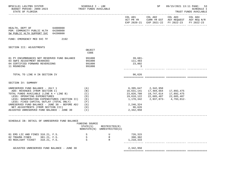| BPSC1L01 LAS/PBS SYSTEM<br>BUDGET PERIOD: 2009-2023<br>STATE OF FLORIDA                                                                                                                                                                                                                                                                                                            | SCHEDULE I - LBE<br>TRUST FUNDS AVAILABLE            |                                              |                                                                                         | SP                                                                                     | 09/15/2021 13:11 PAGE:<br>53<br>SCHEDULE I<br>TRUST FUNDS AVAILABLE |            |  |
|------------------------------------------------------------------------------------------------------------------------------------------------------------------------------------------------------------------------------------------------------------------------------------------------------------------------------------------------------------------------------------|------------------------------------------------------|----------------------------------------------|-----------------------------------------------------------------------------------------|----------------------------------------------------------------------------------------|---------------------------------------------------------------------|------------|--|
|                                                                                                                                                                                                                                                                                                                                                                                    |                                                      |                                              |                                                                                         |                                                                                        | EXP 2020-21 EXP 2021-22 FY 2022-23                                  | FY 2022-23 |  |
| HEALTH, DEPT OF 64000000<br>PGM: COMMUNITY PUBLIC HLTH 64200000<br>SW PUBLIC HLTH SUPPORT SVC<br>64200800                                                                                                                                                                                                                                                                          |                                                      |                                              |                                                                                         |                                                                                        |                                                                     |            |  |
| 2192<br>FUND: EMERGENCY MED SVC TF                                                                                                                                                                                                                                                                                                                                                 |                                                      |                                              |                                                                                         |                                                                                        |                                                                     |            |  |
| SECTION III: ADJUSTMENTS                                                                                                                                                                                                                                                                                                                                                           | OBJECT<br>CODE                                       |                                              |                                                                                         |                                                                                        |                                                                     |            |  |
| 01 PY ENCUMBRANCES NOT RESERVED FUND BALANCE<br>03 SWFS ADJUSTMENT B6400303<br>04 CERTIFIED FORWARD REVERSIONS<br>11 ROUNDING                                                                                                                                                                                                                                                      | 991000<br>991000<br>991000<br>991000                 |                                              | 39,681-<br>111,483<br>23,802<br>3                                                       |                                                                                        |                                                                     |            |  |
| TOTAL TO LINE H IN SECTION IV                                                                                                                                                                                                                                                                                                                                                      |                                                      |                                              | 96,626                                                                                  |                                                                                        |                                                                     |            |  |
| SECTION IV: SUMMARY                                                                                                                                                                                                                                                                                                                                                                |                                                      |                                              |                                                                                         |                                                                                        |                                                                     |            |  |
| UNRESERVED FUND BALANCE - JULY 1<br>ADD: REVENUES (FROM SECTION I)<br>TOTAL FUNDS AVAILABLE (LINE A + LINE B)<br>LESS: OPERATING EXPENDITURES<br>LESS: NONOPERATING EXPENDITURES (SECTION II)<br>LESS: FIXED CAPITAL OUTLAY (TOTAL ONLY)<br>UNRESERVED FUND BALANCE - JUNE 30 - BEFORE ADJ<br>NET ADJUSTMENTS (FROM SECTION III)<br>ADJUSTED UNRESERVED FUND BALANCE - JUNE 30 (I) | (A)<br>(B)<br>(C)<br>(D)<br>(E)<br>(F)<br>(G)<br>(H) |                                              | 16,631,141<br>23,026,788<br>19,610,122<br>1,170,342<br>2,246,324<br>96,626<br>2,342,950 | 6,395,647 2,342,950<br>17,404,664<br>19,747,614<br>22,685,487 22,685,487<br>2,937,873- | 17,892,475<br>17,892,475<br>4,793,012-                              |            |  |
| SCHEDULE IB: DETAIL OF UNRESERVED FUND BALANCE                                                                                                                                                                                                                                                                                                                                     |                                                      |                                              |                                                                                         |                                                                                        |                                                                     |            |  |
|                                                                                                                                                                                                                                                                                                                                                                                    | FUNDING SOURCE<br>STATE(S)                           | RESTRICTED(R)<br>NONSTATE(N) UNRESTRICTED(U) |                                                                                         |                                                                                        |                                                                     |            |  |
| 01 EMS LIC AND FINES 318.21, F.S.<br>02 TRAUMA FINES<br>381.21, F.S.<br>318.21, F.S.<br>03 REDLIGHT TICKET                                                                                                                                                                                                                                                                         | S<br>S<br>S                                          | U<br>$\mathbb R$<br>R                        | 726,315<br>398,302<br>1,218,333                                                         |                                                                                        |                                                                     |            |  |
| ADJUSTED UNRESERVED FUND BALANCE - JUNE 30                                                                                                                                                                                                                                                                                                                                         |                                                      |                                              | 2,342,950                                                                               |                                                                                        |                                                                     |            |  |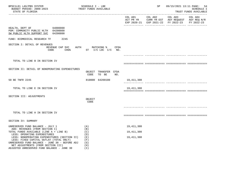| BPSC1L01 LAS/PBS SYSTEM<br>BUDGET PERIOD: 2009-2023<br>STATE OF FLORIDA                                                                                                                                                                                       | SCHEDULE I - LBE<br>TRUST FUNDS AVAILABLE                       |                 | SP | 09/15/2021 13:11 PAGE: 54                                                                              | SCHEDULE I<br>TRUST FUNDS AVAILABLE |
|---------------------------------------------------------------------------------------------------------------------------------------------------------------------------------------------------------------------------------------------------------------|-----------------------------------------------------------------|-----------------|----|--------------------------------------------------------------------------------------------------------|-------------------------------------|
|                                                                                                                                                                                                                                                               |                                                                 | COL A01 COL A02 |    | COL A03 COL A04<br>ACT PR YR CURR YR EST AGY REQUEST AGY REQ N/R<br>EXP 2020-21 EXP 2021-22 FY 2022-23 | FY 2022-23                          |
| 64000000<br>HEALTH, DEPT OF<br>PGM: COMMUNITY PUBLIC HLTH 64200000<br>SW PUBLIC HLTH SUPPORT SVC 64200800                                                                                                                                                     |                                                                 |                 |    |                                                                                                        |                                     |
| FUND: BIOMEDICAL RESEARCH TF 2245                                                                                                                                                                                                                             |                                                                 |                 |    |                                                                                                        |                                     |
| SECTION I: DETAIL OF REVENUES<br>REVENUE CAP SVC<br>CODE                                                                                                                                                                                                      | AUTH MATCHING % CFDA<br>CHG <sup>&amp;</sup> ST I/C LOC I/C NO. |                 |    |                                                                                                        |                                     |
| TOTAL TO LINE B IN SECTION IV                                                                                                                                                                                                                                 |                                                                 |                 |    |                                                                                                        |                                     |
| SECTION II: DETAIL OF NONOPERATING EXPENDITURES                                                                                                                                                                                                               | OBJECT TRANSFER CFDA<br>CODE<br>TO BE<br>NO.                    |                 |    |                                                                                                        |                                     |
| 50 BE TNFR 2245                                                                                                                                                                                                                                               | 810000 64200100                                                 | 19,411,308      |    |                                                                                                        |                                     |
| TOTAL TO LINE E IN SECTION IV                                                                                                                                                                                                                                 |                                                                 | 19,411,308      |    |                                                                                                        |                                     |
| SECTION III: ADJUSTMENTS                                                                                                                                                                                                                                      | OBJECT<br>CODE                                                  |                 |    |                                                                                                        |                                     |
| TOTAL TO LINE H IN SECTION IV                                                                                                                                                                                                                                 |                                                                 |                 |    |                                                                                                        |                                     |
| SECTION IV: SUMMARY                                                                                                                                                                                                                                           |                                                                 |                 |    |                                                                                                        |                                     |
| UNRESERVED FUND BALANCE - JULY 1                                                                                                                                                                                                                              | (A)                                                             | 19, 411, 308    |    |                                                                                                        |                                     |
| ADD: REVENUES (FROM SECTION I)<br>TOTAL FUNDS AVAILABLE (LINE A + LINE B)                                                                                                                                                                                     | (B)<br>(C)                                                      | 19, 411, 308    |    |                                                                                                        |                                     |
| LESS: OPERATING EXPENDITURES<br>LESS: NONOPERATING EXPENDITURES (SECTION II)<br>LESS: FIXED CAPITAL OUTLAY (TOTAL ONLY)<br>UNRESERVED FUND BALANCE - JUNE 30 - BEFORE ADJ<br>NET ADJUSTMENTS (FROM SECTION III)<br>ADJUSTED UNRESERVED FUND BALANCE - JUNE 30 | (D)<br>( E )<br>(F)<br>(G)<br>(H)<br>(T)                        | 19, 411, 308    |    |                                                                                                        |                                     |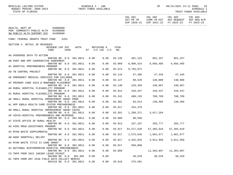| BPSC1L01 LAS/PBS SYSTEM<br>BUDGET PERIOD: 2009-2023<br>TRUST FUNDS AVAILABLE<br>STATE OF FLORIDA          | SCHEDULE I - LBE |      |                              |             |                                   | SP                                     | 09/15/2021 13:11 PAGE:<br>-55<br>SCHEDULE I<br>TRUST FUNDS AVAILABLE                                   |            |  |
|-----------------------------------------------------------------------------------------------------------|------------------|------|------------------------------|-------------|-----------------------------------|----------------------------------------|--------------------------------------------------------------------------------------------------------|------------|--|
|                                                                                                           |                  |      |                              |             | COL A01                           | COL A02                                | COL A03 COL A04<br>ACT PR YR CURR YR EST AGY REQUEST AGY REQ N/R<br>EXP 2020-21 EXP 2021-22 FY 2022-23 | FY 2022-23 |  |
| HEALTH, DEPT OF 64000000<br>PGM: COMMUNITY PUBLIC HLTH 64200000<br>SW PUBLIC HLTH SUPPORT SVC<br>64200800 |                  |      |                              |             |                                   |                                        |                                                                                                        |            |  |
| FUND: FEDERAL GRANTS TRUST FUND<br>2261                                                                   |                  |      |                              |             |                                   |                                        |                                                                                                        |            |  |
| SECTION I: DETAIL OF REVENUES<br>REVENUE CAP SVC<br>CHG <sup>8</sup><br>CODE                              | AUTH             |      | MATCHING %<br>ST I/C LOC I/C | CFDA<br>NO. |                                   |                                        |                                                                                                        |            |  |
|                                                                                                           |                  |      |                              |             |                                   |                                        |                                                                                                        |            |  |
| AA OVERDOSE DATA TO ACTION<br>000700 NO 0.0 381.0011 0.00                                                 |                  |      | 0.00                         |             | 93.136  401,125  861,257  861,257 |                                        |                                                                                                        |            |  |
| AB PHEP AND HPP COOPERATIVE AGREEMENT<br>000700 NO 0.0 381.0011                                           |                  | 0.00 | 0.00                         | 93.069      |                                   | 8,909,524 9,056,405                    | 9,056,405                                                                                              |            |  |
| AC HOSPITAL PREPAREDNESS PROGRAM<br>000700 NO 0.0 381.0011                                                |                  | 0.00 | 0.00                         | 93.074      | 9,793,072                         |                                        |                                                                                                        |            |  |
| AD TB CONTROL PROJECT<br>000700 NO 0.0 381.0011                                                           |                  | 0.00 | 0.00                         | 93.116      |                                   | 47,486 47,345 47,345                   |                                                                                                        |            |  |
| AE EMERGENCY MEDICAL SERVICES FOR CHILDREN<br>000700 NO 0.0 381.0011                                      |                  | 0.00 | 0.00                         | 93.127      | 90,526                            | 130,000                                | 130,000                                                                                                |            |  |
| AF PRIMARY CARE SVCS & MANPOWER PLACEMENT<br>000700 NO 0.0 381.0011                                       |                  | 0.00 | 0.00                         | 93.130      |                                   | 229,459 230,867                        | 230,867                                                                                                |            |  |
| AH RURAL HOSPITAL FLEXABILITY PROGRAM<br>000700 NO 0.0 381.0011                                           |                  | 0.00 | 0.00                         | 93.912      | 410,447                           | 410,447                                | 410,447                                                                                                |            |  |
| AI RURAL HOSPITAL FLEXABILITY PROGRAM<br>000700 NO 0.0 381.0011                                           |                  | 0.00 | 0.00                         | 93.241      | 488,135                           | 708,789                                | 708,789                                                                                                |            |  |
| AK SMALL RURAL HOSPITAL IMPROVEMENT GRANT PRGM<br>000700 NO 0.0 381.0011                                  |                  | 0.00 | 0.00                         | 93.301      | 83,514                            | 130,405                                | 130,405                                                                                                |            |  |
| AL HPP EBOLA HEALTH CARE SYSTEM PREPAREDNESS                                                              |                  |      |                              | 93.817      |                                   |                                        |                                                                                                        |            |  |
| 000700 NO 0.0 381.0011<br>AN SMALL RURAL HOSPITAL IMPROVEMENT GRANT COVID                                 |                  | 0.00 | 0.00                         |             | 254,478                           |                                        |                                                                                                        |            |  |
| 000700 NO 0.0 381.0011<br>AP COVID-HOSPITAL PREPAREDNESS AND RESPONSE                                     |                  | 0.00 | 0.00                         | 93.301      |                                   | 1,268,371 3,617,264                    |                                                                                                        |            |  |
| 000700 NO 0.0 381.0011<br>AT STATE OFFICE OF RURAL HEALTH                                                 |                  | 0.00 | 0.00                         | 93.889      | 90,599                            |                                        |                                                                                                        |            |  |
| 000700 NO 0.0 381.0011<br>AU AIDS DRUG ASSISTANCE PROGRAM                                                 |                  | 0.00 | 0.00                         |             | 93.913 167,107 203,777 203,777    |                                        |                                                                                                        |            |  |
| 000700 NO 0.0 381.0011<br>AV RYAN WHITE SUPPLEMENTAL                                                      |                  | 0.00 | 0.00                         | 93.917      |                                   | 54, 217, 528 57, 365, 019 57, 365, 019 |                                                                                                        |            |  |
| 000700 NO 0.0 381.0011<br>AW ADAP SHORTFALL RELIEF                                                        |                  | 0.00 | 0.00                         | 93.917      | 1,575,645                         | 1,061,677                              | 1,061,677                                                                                              |            |  |
| 000700 NO 0.0 381.0011<br>AX RYAN WHITE TITLE II CARE GRANT                                               |                  | 0.00 | 0.00                         | 93.917      | 4,342,834                         | 3,011,950                              | 3,011,950                                                                                              |            |  |
| 000700 NO 0.0 381.0011<br>A2 NATIONAL BIOTERRORISM HOSPITAL PREPAREDNESS                                  |                  | 0.00 | 0.00                         | 93.917      | 950,808                           |                                        |                                                                                                        |            |  |
| 000700 NO 0.0 381.0011<br>C5 TNFR FROM 2021 180205 LEAVE PAYOUT                                           |                  | 0.00 | 0.00                         | 93.889      |                                   | 11,364,897                             | 11,364,897                                                                                             |            |  |
| 001500 NO 0.0                                                                                             | 381.001          | 0.00 | 0.00                         |             | 30,529                            | 30,529                                 | 30,529                                                                                                 |            |  |
| B1 TNFR FROM DOT 2540 FIELD DATA COLLECT NEMSIS<br>001510 NO 0.0 381.0011                                 |                  | 0.00 | 0.00                         | 20.616      | 375,581                           |                                        |                                                                                                        |            |  |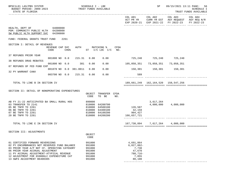| BPSC1L01 LAS/PBS SYSTEM<br>BUDGET PERIOD: 2009-2023<br>STATE OF FLORIDA                                                                                                                                                                                                                       |                         |                  | SCHEDULE I - LBE | TRUST FUNDS AVAILABLE                                              |                                                                 | SP   | 09/15/2021 13:11 PAGE: 56<br>SCHEDULE I<br>TRUST FUNDS AVAILABLE                |                                         |                                                              |                       |
|-----------------------------------------------------------------------------------------------------------------------------------------------------------------------------------------------------------------------------------------------------------------------------------------------|-------------------------|------------------|------------------|--------------------------------------------------------------------|-----------------------------------------------------------------|------|---------------------------------------------------------------------------------|-----------------------------------------|--------------------------------------------------------------|-----------------------|
|                                                                                                                                                                                                                                                                                               |                         |                  |                  |                                                                    |                                                                 |      | COL A01<br>ACT PR YR                                                            | COL A02<br>EXP 2020-21 EXP 2021-22      | COL A03<br>CURR YR EST AGY REQUEST AGY REQ N/R<br>FY 2022-23 | COL A04<br>FY 2022-23 |
| HEALTH, DEPT OF<br>PGM: COMMUNITY PUBLIC HLTH 64200000<br>SW PUBLIC HLTH SUPPORT SVC                                                                                                                                                                                                          | 64000000<br>64200800    |                  |                  |                                                                    |                                                                 |      |                                                                                 |                                         |                                                              |                       |
| FUND: FEDERAL GRANTS TRUST FUND                                                                                                                                                                                                                                                               |                         | 2261             |                  |                                                                    |                                                                 |      |                                                                                 |                                         |                                                              |                       |
| SECTION I: DETAIL OF REVENUES                                                                                                                                                                                                                                                                 | REVENUE CAP SVC<br>CODE | CHG <sup>8</sup> | AUTH             |                                                                    | MATCHING %<br>ST I/C LOC I/C NO.                                | CFDA |                                                                                 |                                         |                                                              |                       |
| 37 REFUNDS PRIOR YEAR                                                                                                                                                                                                                                                                         |                         |                  |                  |                                                                    |                                                                 |      |                                                                                 | 725,240 725,240 725,240                 |                                                              |                       |
| 38 REFUNDS DRUG REBATES                                                                                                                                                                                                                                                                       | 001800 NO 0.0           |                  | 215.31           | 0.00                                                               | 0.00                                                            |      |                                                                                 |                                         |                                                              |                       |
| 87 REFUNDS OF FED FUND EXP                                                                                                                                                                                                                                                                    | 001800 NO 0.0           |                  | 381              | 0.00                                                               | 0.00                                                            |      | 105,058,351                                                                     |                                         |                                                              |                       |
| 32 PY WARRANT CANX                                                                                                                                                                                                                                                                            | 001870 NO 0.0 381.0011  |                  |                  | 0.00                                                               | 0.00                                                            |      |                                                                                 | 150,301 150,301 150,301                 |                                                              |                       |
|                                                                                                                                                                                                                                                                                               | 003700 NO 0.0 215.31    |                  |                  | 0.00                                                               | 0.00                                                            |      | 589                                                                             |                                         |                                                              |                       |
| TOTAL TO LINE B IN SECTION IV                                                                                                                                                                                                                                                                 |                         |                  |                  |                                                                    |                                                                 |      |                                                                                 | 189,661,249   162,164,520   158,547,256 |                                                              |                       |
| SECTION II: DETAIL OF NONOPERATING EXPENDITURES                                                                                                                                                                                                                                               |                         |                  |                  | OBJECT<br>CODE                                                     | TRANSFER CFDA<br>TO BE                                          | NO.  |                                                                                 |                                         |                                                              |                       |
| AB FY 21-22 ANTICIPATED BA SMALL RURAL HOS<br>03 TRANSFER TO 2141<br>05 BE TNFR TO 2261<br>06 BE TNFR TO 2261<br>07 BE TNFR TO 2261<br>20 BE TNFR TO 2261                                                                                                                                     |                         |                  |                  | 899000<br>810000<br>810000<br>810000<br>810000                     | 64200700<br>64500100<br>64400100<br>64100200<br>810000 64200200 |      | 126,587<br>42,159<br>904,427<br>166, 657, 721                                   | 3,617,264                               | 4,000,000 4,000,000                                          |                       |
| TOTAL TO LINE E IN SECTION IV                                                                                                                                                                                                                                                                 |                         |                  |                  |                                                                    |                                                                 |      | 167,730,894                                                                     | 7,617,264                               | 4,000,000                                                    |                       |
| SECTION III: ADJUSTMENTS                                                                                                                                                                                                                                                                      |                         |                  |                  | OBJECT<br>CODE                                                     |                                                                 |      |                                                                                 |                                         |                                                              |                       |
| 01 CERTIFIED FORWARD REVERSIONS<br>02 PY ENCUMBRANCES NOT RESERVED FUND BALANCE<br>03 PRIOR YEAR A/P NOT CF- OPERATING CATEGORY<br>06 PRIOR YEAR ACCRUAL ADJUSTMENT<br>11 PY ACCRUAL ADJUSTMENT-ATYPICAL REVENUE<br>12 ADJUSTMENT FOR 65900GLC EXPENDITURE CAT<br>13 SWFS ADJUSTMENT B6400305 |                         |                  |                  | 991000<br>991000<br>991000<br>991000<br>991000<br>991000<br>991000 |                                                                 |      | 4,691,864<br>$6,027,062-$<br>7,738<br>47,670<br>$780, 716 -$<br>7,055<br>80,108 |                                         |                                                              |                       |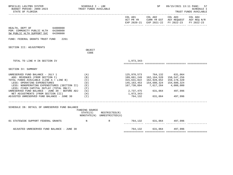| BPSC1L01 LAS/PBS SYSTEM<br>BUDGET PERIOD: 2009-2023<br>STATE OF FLORIDA                                                                                                                                                                                                                                                                                                                                                                     | SCHEDULE I - LBE<br>TRUST FUNDS AVAILABLE   |                                                            |                                      | SP                                                                                                                                                                                                                    | 09/15/2021 13:11 PAGE: 57                                                                                 | <b>SCHEDULE I</b><br>TRUST FUNDS AVAILABLE |
|---------------------------------------------------------------------------------------------------------------------------------------------------------------------------------------------------------------------------------------------------------------------------------------------------------------------------------------------------------------------------------------------------------------------------------------------|---------------------------------------------|------------------------------------------------------------|--------------------------------------|-----------------------------------------------------------------------------------------------------------------------------------------------------------------------------------------------------------------------|-----------------------------------------------------------------------------------------------------------|--------------------------------------------|
|                                                                                                                                                                                                                                                                                                                                                                                                                                             |                                             |                                                            | COL A01                              | COL A02                                                                                                                                                                                                               | COL A03<br>ACT PR YR CURR YR EST AGY REQUEST AGY REQ N/R<br>EXP 2020-21 EXP 2021-22 FY 2022-23 FY 2022-23 | COL A04                                    |
| HEALTH, DEPT OF 64000000<br>PGM: COMMUNITY PUBLIC HLTH 64200000<br>SW PUBLIC HLTH SUPPORT SVC 64200800                                                                                                                                                                                                                                                                                                                                      |                                             |                                                            |                                      |                                                                                                                                                                                                                       |                                                                                                           |                                            |
| FUND: FEDERAL GRANTS TRUST FUND<br>2261                                                                                                                                                                                                                                                                                                                                                                                                     |                                             |                                                            |                                      |                                                                                                                                                                                                                       |                                                                                                           |                                            |
| SECTION III: ADJUSTMENTS                                                                                                                                                                                                                                                                                                                                                                                                                    | OBJECT<br>CODE                              |                                                            |                                      |                                                                                                                                                                                                                       |                                                                                                           |                                            |
| TOTAL TO LINE H IN SECTION IV                                                                                                                                                                                                                                                                                                                                                                                                               |                                             |                                                            | 1,973,343-                           |                                                                                                                                                                                                                       |                                                                                                           |                                            |
| SECTION IV: SUMMARY                                                                                                                                                                                                                                                                                                                                                                                                                         |                                             |                                                            |                                      |                                                                                                                                                                                                                       |                                                                                                           |                                            |
| UNRESERVED FUND BALANCE - JULY 1<br>ADD: REVENUES (FROM SECTION I)<br>TOTAL FUNDS AVAILABLE (LINE A + LINE B)<br>LESS: OPERATING EXPENDITURES<br>LESS: NONOPERATING EXPENDITURES (SECTION II) (E)<br>LESS: FIXED CAPITAL OUTLAY (TOTAL ONLY)<br>UNRESERVED FUND BALANCE - JUNE 30 - BEFORE ADJ (G)<br>NET ADJUSTMENTS (FROM SECTION III) (H)<br>DJUSTED UNRESERVED FUND BALANCE - JUNE 30 (I)<br>ADJUSTED UNRESERVED FUND BALANCE - JUNE 30 | (A)<br>(B)<br>(C)<br>(D)<br>(F)<br>$(\top)$ |                                                            | 315,631,822<br>1,973,343-<br>764,132 | 125,970,573 764,132 631,064<br>189,661,249  162,164,520  158,547,256<br>162,928,652<br>145, 163, 453  154, 680, 324  154, 680, 324<br>167,730,894 7,617,264 4,000,000<br>2,737,475 631,064 497,996<br>631,064 497,996 | 159,178,320                                                                                               |                                            |
| SCHEDULE IB: DETAIL OF UNRESERVED FUND BALANCE                                                                                                                                                                                                                                                                                                                                                                                              | FUNDING SOURCE                              | $STATE(S)$ RESTRICTED $(R)$<br>NONSTATE(N) UNRESTRICTED(U) |                                      |                                                                                                                                                                                                                       |                                                                                                           |                                            |
| 01 STATEWIDE SUPPORT FEDERAL GRANTS N                                                                                                                                                                                                                                                                                                                                                                                                       |                                             | R                                                          |                                      | 764,132 631,064 497,996<br>.________ _______________ ________                                                                                                                                                         |                                                                                                           |                                            |
| ADJUSTED UNRESERVED FUND BALANCE - JUNE 30                                                                                                                                                                                                                                                                                                                                                                                                  |                                             |                                                            |                                      | 764,132 631,064 497,996                                                                                                                                                                                               |                                                                                                           |                                            |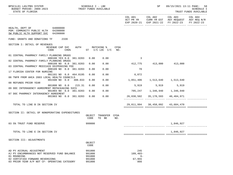| BPSC1L01 LAS/PBS SYSTEM<br>BUDGET PERIOD: 2009-2023 TRUST FUNDS AVAILABLE<br>STATE OF FLORIDA          | SCHEDULE I - LBE           |                                       |      |                           |                                  | SP 09/15/2021 13:11 PAGE: 58                                                                           | SCHEDULE I<br>TRUST FUNDS AVAILABLE |
|--------------------------------------------------------------------------------------------------------|----------------------------|---------------------------------------|------|---------------------------|----------------------------------|--------------------------------------------------------------------------------------------------------|-------------------------------------|
|                                                                                                        |                            |                                       |      | COL A01                   |                                  | COL A02 COL A03<br>ACT PR YR CURR YR EST AGY REQUEST AGY REQ N/R<br>EXP 2020-21 EXP 2021-22 FY 2022-23 | COL A04<br>FY 2022-23               |
| HEALTH, DEPT OF 64000000<br>PGM: COMMUNITY PUBLIC HLTH 64200000<br>SW PUBLIC HLTH SUPPORT SVC 64200800 |                            |                                       |      |                           |                                  |                                                                                                        |                                     |
| FUND: GRANTS AND DONATIONS TF<br>2339                                                                  |                            |                                       |      |                           |                                  |                                                                                                        |                                     |
| SECTION I: DETAIL OF REVENUES<br>REVENUE CAP SVC<br>CHG%<br>CODE                                       |                            | AUTH MATCHING %<br>ST I/C LOC I/C NO. | CFDA |                           |                                  |                                                                                                        |                                     |
| 01 CENTRAL PHARMACY FAMILY PLANNING DRUGS<br>000100 YES 0.0 381.0203 0.00                              |                            | 0.00                                  |      | 3                         |                                  |                                                                                                        |                                     |
| 02 CENTRAL PHARMACY FAMILY PLANNING DRUGS<br>000109 NO 0.0 381.0203                                    | 0.00                       | 0.00                                  |      |                           | 412,775 413,000 413,000          |                                                                                                        |                                     |
| 03 CENTRAL PHARMACY MEDICAID DSIPENSING FEE<br>000109 NO 0.0 381.0203                                  | 0.00                       | 0.00                                  |      | 70                        |                                  |                                                                                                        |                                     |
| 17 FLORIDA CENTER FOR NURSING<br>001101 NO 0.0 464.0195                                                | 0.00                       | 0.00                                  |      | 6,072                     |                                  |                                                                                                        |                                     |
| 06 TNFR FROM AHCA 2003 LOCAL HEALTH COUNCILS<br>001500 NO 0.0 408.033                                  | 0.00                       | 0.00                                  |      | 1,051,406                 | 1,513,640 1,513,640              |                                                                                                        |                                     |
| 08 REFUNDS PRIOR YEAR<br>001800 NO 0.0 215.31                                                          | 0.00                       | 0.00                                  |      |                           | 5,919 5,919                      | 5,919                                                                                                  |                                     |
| 09 DOC INTERAGENCY AGREEMENT REPACKAGING SVCS                                                          |                            |                                       |      |                           |                                  |                                                                                                        |                                     |
| 001903 NO 0.0 381.0203<br>07 DOC PHARMACY INTERAGENCY AGREEMENT                                        | 0.00                       | 0.00                                  |      |                           |                                  |                                                                                                        |                                     |
| 001903 NO 0.0 381.0203                                                                                 | 0.00                       | 0.00                                  |      |                           | 26,830,502 35,178,593 40,404,971 |                                                                                                        |                                     |
| TOTAL TO LINE B IN SECTION IV                                                                          |                            |                                       |      |                           | 29,011,994 38,458,092 43,684,470 |                                                                                                        |                                     |
| SECTION II: DETAIL OF NONOPERATING EXPENDITURES                                                        | OBJECT<br>CODE             | TRANSFER CFDA<br>TO BE                | NO.  |                           |                                  |                                                                                                        |                                     |
| 03 5% TRUST FUND RESERVE                                                                               | 999000                     |                                       |      |                           |                                  | 1,846,927                                                                                              |                                     |
| TOTAL TO LINE E IN SECTION IV                                                                          |                            |                                       |      |                           |                                  | 1,846,927                                                                                              |                                     |
| SECTION III: ADJUSTMENTS                                                                               | OBJECT<br>CODE             |                                       |      |                           |                                  |                                                                                                        |                                     |
| AD PY ACCRUAL ADJUSTMENT<br>AJ PY ENCUMBRANCES NOT RESERVED FUND BALANCE<br>01 ROUNDING                | 991000<br>991000<br>991000 |                                       |      | 245<br>$109,403-$<br>$6-$ |                                  |                                                                                                        |                                     |
| 02 CERTIFIED FORWARD REVERSIONS<br>03 PRIOR YEAR A/P NOT CF- OPERATING CATEGORY                        | 991000<br>991000           |                                       |      | 67,955<br>866             |                                  |                                                                                                        |                                     |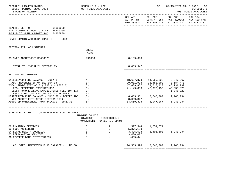| BPSC1L01 LAS/PBS SYSTEM<br>BUDGET PERIOD: 2009-2023<br>STATE OF FLORIDA                                                                                                                                                                                                                                                                                                                         | SCHEDULE I - LBE<br>TRUST FUNDS AVAILABLE                                                                             |                                              |                                                                                 | SP                                                                      | ---------------------                                                                                                                                    | 09/15/2021 13:11 PAGE: 59<br><b>SCHEDULE I</b><br>TRUST FUNDS AVAILABLE |
|-------------------------------------------------------------------------------------------------------------------------------------------------------------------------------------------------------------------------------------------------------------------------------------------------------------------------------------------------------------------------------------------------|-----------------------------------------------------------------------------------------------------------------------|----------------------------------------------|---------------------------------------------------------------------------------|-------------------------------------------------------------------------|----------------------------------------------------------------------------------------------------------------------------------------------------------|-------------------------------------------------------------------------|
|                                                                                                                                                                                                                                                                                                                                                                                                 |                                                                                                                       |                                              | COL A01                                                                         | COL A02<br>-------------- --------------                                | COL A03<br>ACT PR YR $\,$ CURR YR EST $\,$ AGY REQUEST $\,$ AGY REQ $\,$ N/R $\,$<br>EXP 2020-21 EXP 2021-22 FY 2022-23<br><u>. Le de de de de de de</u> | COL A04<br>FY 2022-23                                                   |
| HEALTH, DEPT OF 64000000<br>PGM: COMMUNITY PUBLIC HLTH 64200000<br>SW PUBLIC HLTH SUPPORT SVC 64200800                                                                                                                                                                                                                                                                                          |                                                                                                                       |                                              |                                                                                 |                                                                         |                                                                                                                                                          |                                                                         |
| FUND: GRANTS AND DONATIONS TF 2339                                                                                                                                                                                                                                                                                                                                                              |                                                                                                                       |                                              |                                                                                 |                                                                         |                                                                                                                                                          |                                                                         |
| SECTION III: ADJUSTMENTS                                                                                                                                                                                                                                                                                                                                                                        | OBJECT<br>CODE                                                                                                        |                                              |                                                                                 |                                                                         |                                                                                                                                                          |                                                                         |
| 05 SWFS ADJUSTMENT B6400325                                                                                                                                                                                                                                                                                                                                                                     | 991000                                                                                                                |                                              | 8,109,690                                                                       |                                                                         |                                                                                                                                                          |                                                                         |
| TOTAL TO LINE H IN SECTION IV                                                                                                                                                                                                                                                                                                                                                                   |                                                                                                                       |                                              | 8,069,347                                                                       |                                                                         |                                                                                                                                                          |                                                                         |
| SECTION IV: SUMMARY                                                                                                                                                                                                                                                                                                                                                                             |                                                                                                                       |                                              |                                                                                 |                                                                         |                                                                                                                                                          |                                                                         |
| UNRESERVED FUND BALANCE - JULY 1<br>ADD: REVENUES (FROM SECTION I)<br>TOTAL FUNDS AVAILABLE (LINE A + LINE B)<br>LESS: OPERATING EXPENDITURES<br>LESS: NONOPERATING EXPENDITURES (SECTION II)<br>LESS: FIXED CAPITAL OUTLAY (TOTAL ONLY)<br>UNRESERVED FUND BALANCE - JUNE 30 - BEFORE ADJ $(G)$<br>(H)<br>NET ADJUSTMENTS (FROM SECTION III)<br>ADJUSTED UNRESERVED FUND BALANCE - JUNE 30 (I) | (A)<br>(B)<br>(C)<br>(D)<br>(E)<br>(F)                                                                                |                                              | 18,627,873<br>29,011,994<br>47,639,867<br>41,149,886<br>8,069,347<br>14,559,328 | 38,458,092<br>53,017,420<br>47,970,153<br>6,489,981 5,047,267 1,248,934 | 14,559,328 5,047,267<br>43,684,470<br>48,731,737<br>45,635,876<br>1,846,927<br>5,047,267 1,248,934                                                       |                                                                         |
| SCHEDULE IB: DETAIL OF UNRESERVED FUND BALANCE                                                                                                                                                                                                                                                                                                                                                  | FUNDING SOURCE<br>STATE(S)                                                                                            | RESTRICTED(R)<br>NONSTATE(N) UNRESTRICTED(U) |                                                                                 |                                                                         |                                                                                                                                                          |                                                                         |
| 02 PHARMACY SERVICES<br>03 FDOC AGREEMENT<br>04 LOCAL HEALTH COUNCILS<br>05 REPACKAGING SERVICES<br>06 REVERSE DRUG DISTRIBUTION                                                                                                                                                                                                                                                                | $\begin{array}{ccccc} & S & & & R \\ & S & & & U \\ & S & & & U \\ & S & & & U \\ & S & & & U \\ & & & & \end{array}$ |                                              | 597,544 1,551,674<br>5,371,123<br>3,495,593 3,495,593<br>3,430,027<br>1,665,041 | 3,495,593 1,248,934                                                     |                                                                                                                                                          |                                                                         |
| ADJUSTED UNRESERVED FUND BALANCE - JUNE 30                                                                                                                                                                                                                                                                                                                                                      |                                                                                                                       |                                              | 14,559,328                                                                      |                                                                         | 5,047,267 1,248,934                                                                                                                                      |                                                                         |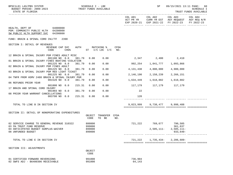| BPSC1L01 LAS/PBS SYSTEM<br>TRUST FUNDS AVAILABLE<br>BUDGET PERIOD: 2009-2023<br>STATE OF FLORIDA             | SCHEDULE I - LBE |                                      |      |                      | SP                      |                                                                                      | 09/15/2021 13:11 PAGE: 60<br>SCHEDULE I<br>TRUST FUNDS AVAILABLE |
|--------------------------------------------------------------------------------------------------------------|------------------|--------------------------------------|------|----------------------|-------------------------|--------------------------------------------------------------------------------------|------------------------------------------------------------------|
|                                                                                                              |                  |                                      |      | COL A01<br>ACT PR YR | COL A02                 | COL A03<br>CURR YR EST AGY REQUEST AGY REQ N/R<br>EXP 2020-21 EXP 2021-22 FY 2022-23 | COL A04<br>FY 2022-23                                            |
| 64000000<br>HEALTH, DEPT OF<br>PGM: COMMUNITY PUBLIC HLTH 64200000<br>SW PUBLIC HLTH SUPPORT SVC<br>64200800 |                  |                                      |      |                      |                         |                                                                                      |                                                                  |
| FUND: BRAIN & SPINAL CORD INJ/TF<br>2390                                                                     |                  |                                      |      |                      |                         |                                                                                      |                                                                  |
| SECTION I: DETAIL OF REVENUES                                                                                |                  |                                      |      |                      |                         |                                                                                      |                                                                  |
| AUTH<br>REVENUE CAP SVC<br>CHG <sup>8</sup><br>CODE                                                          |                  | MATCHING %<br>ST $I/C$ LOC $I/C$ NO. | CFDA |                      |                         |                                                                                      |                                                                  |
| 12 BRAIN & SPINAL INJURY PGM FINES ADULT MISC<br>001100 NO 8.0<br>381.79                                     | 0.00             | 0.00                                 |      | 2,347 2,400 2,410    |                         |                                                                                      |                                                                  |
| 01 BRAIN & SPINAL INJURY FINES BOATING VIOLATION<br>001225 NO 8.0<br>381.79                                  | 0.00             | 0.00                                 |      | 992,254              |                         | 1,041,777 1,093,866                                                                  |                                                                  |
| 02 BRAIN & SPINAL INJURY PGM FINES ADULT<br>001225 NO 8.0<br>381.79                                          | 0.00             | 0.00                                 |      | 4,131,438            | 4,800,000               | 4,900,000                                                                            |                                                                  |
| 03 BRAIN & SPINAL INJURY PGM RED LIGHT TICKET<br>001225 NO 8.0<br>381.79                                     | 0.00             | 0.00                                 |      | 2,146,190            | 2,158,239               | 2,266,151                                                                            |                                                                  |
| 04 TNFR FROM HSMV 2488 BRAIN & SPINAL INJURY PGM                                                             |                  |                                      |      |                      |                         |                                                                                      |                                                                  |
| 001520 NO 0.0<br>381.79<br>06 REFUNDS PRIOR YEAR                                                             | 0.00             | 0.00                                 |      | 1,634,449            | 1,618,882               | 1,618,882                                                                            |                                                                  |
| 001800 NO 0.0<br>215.31                                                                                      | 0.00             | 0.00                                 |      |                      | 117,179 117,179 117,179 |                                                                                      |                                                                  |
| 17 BRAIN AND SPINAL CORD INJURY<br>001903 NO 0.0<br>381.79                                                   | 0.00             | 0.00                                 |      | 22                   |                         |                                                                                      |                                                                  |
| 08 PRIOR YEAR WARRANT CANCELLATIONS<br>003700 NO 0.0<br>215.31                                               | 0.00             | 0.00                                 |      | 120                  |                         |                                                                                      |                                                                  |
|                                                                                                              |                  |                                      |      |                      |                         |                                                                                      |                                                                  |
| TOTAL TO LINE B IN SECTION IV                                                                                |                  |                                      |      | 9,023,999            |                         | 9,738,477 9,998,488                                                                  |                                                                  |
| SECTION II: DETAIL OF NONOPERATING EXPENDITURES                                                              |                  |                                      |      |                      |                         |                                                                                      |                                                                  |
|                                                                                                              | OBJECT<br>CODE   | TRANSFER CFDA<br>TO BE               | NO.  |                      |                         |                                                                                      |                                                                  |
| 02 SERVICE CHARGE TO GENERAL REVENUE 310322<br>03 5% TRUST FUND RESERVE                                      | 880800<br>999000 |                                      |      |                      | 721,222 769,677 790,505 | 361,637                                                                              |                                                                  |
| 04 ANTICIPATED BUDGET SURPLUS-WAIVER<br>08 UNFUNDED BUDGET                                                   | 899000<br>899000 |                                      |      |                      | $2,505,111-$            | $2,505,111-$<br>933,640-                                                             |                                                                  |
| TOTAL TO LINE E IN SECTION IV                                                                                |                  |                                      |      | 721,222              |                         | 1,735,434-2,286,609-                                                                 |                                                                  |
| SECTION III: ADJUSTMENTS                                                                                     |                  |                                      |      |                      |                         |                                                                                      |                                                                  |
|                                                                                                              | OBJECT<br>CODE   |                                      |      |                      |                         |                                                                                      |                                                                  |
| 01 CERTIFIED FORWARD REVERSIONS<br>02 SWFS ADJ - B6400306 RECEIVABLE                                         | 991000<br>991000 |                                      |      | 736,904<br>64,143    |                         |                                                                                      |                                                                  |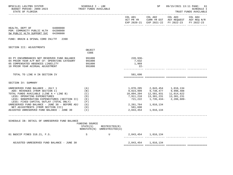| BPSC1L01 LAS/PBS SYSTEM<br>BUDGET PERIOD: 2009-2023<br>STATE OF FLORIDA                                                                                                                                                                                                                                                                                                        | SCHEDULE I - LBE<br>TRUST FUNDS AVAILABLE                        |                                              |                                                                                                   | SP<br>-----------------------                                                                                                | 09/15/2021 13:11 PAGE: 61<br>___________________________                                       | <b>SCHEDULE I</b><br>TRUST FUNDS AVAILABLE |
|--------------------------------------------------------------------------------------------------------------------------------------------------------------------------------------------------------------------------------------------------------------------------------------------------------------------------------------------------------------------------------|------------------------------------------------------------------|----------------------------------------------|---------------------------------------------------------------------------------------------------|------------------------------------------------------------------------------------------------------------------------------|------------------------------------------------------------------------------------------------|--------------------------------------------|
|                                                                                                                                                                                                                                                                                                                                                                                |                                                                  |                                              | COL A01                                                                                           | COL A02                                                                                                                      | COL A03<br>ACT PR YR CURR YR EST AGY REQUEST AGY REQ N/R<br>EXP 2020-21 EXP 2021-22 FY 2022-23 | COL A04<br>FY 2022-23                      |
| HEALTH, DEPT OF 64000000<br>PGM: COMMUNITY PUBLIC HLTH 64200000<br>SW PUBLIC HLTH SUPPORT SVC<br>64200800                                                                                                                                                                                                                                                                      |                                                                  |                                              |                                                                                                   |                                                                                                                              |                                                                                                |                                            |
| FUND: BRAIN & SPINAL CORD INJ/TF 2390                                                                                                                                                                                                                                                                                                                                          |                                                                  |                                              |                                                                                                   |                                                                                                                              |                                                                                                |                                            |
| SECTION III: ADJUSTMENTS                                                                                                                                                                                                                                                                                                                                                       | OBJECT<br>CODE                                                   |                                              |                                                                                                   |                                                                                                                              |                                                                                                |                                            |
| 03 PY ENCUMBRANCES NOT RESERVED FUND BALANCE<br>04 PRIOR YEAR A/P NOT CF- OPERATING CATEGORY<br>05 COMPENSATED ABSENCES LIABILITY<br>10 PRIOR YEAR ACCRUAL ADJUSTMENT                                                                                                                                                                                                          | 991000<br>991000<br>991000<br>991000                             |                                              | 228,936-<br>7,632<br>1,969<br>$22 -$                                                              |                                                                                                                              |                                                                                                |                                            |
| TOTAL TO LINE H IN SECTION IV                                                                                                                                                                                                                                                                                                                                                  |                                                                  |                                              | 581,690                                                                                           |                                                                                                                              |                                                                                                |                                            |
| SECTION IV: SUMMARY                                                                                                                                                                                                                                                                                                                                                            |                                                                  |                                              |                                                                                                   |                                                                                                                              |                                                                                                |                                            |
| UNRESERVED FUND BALANCE - JULY 1<br>ADD: REVENUES (FROM SECTION I)<br>TOTAL FUNDS AVAILABLE (LINE A + LINE B)<br>LESS: OPERATING EXPENDITURES<br>LESS: NONOPERATING EXPENDITURES (SECTION II)<br>LESS: FIXED CAPITAL OUTLAY (TOTAL ONLY)<br>UNRESERVED FUND BALANCE - JUNE 30 - BEFORE ADJ<br>NET ADJUSTMENTS (FROM SECTION III)<br>ADJUSTED UNRESERVED FUND BALANCE - JUNE 30 | (A)<br>(B)<br>(C)<br>(D)<br>(E)<br>(F)<br>(G)<br>(H)<br>$(\top)$ |                                              | 1,870,205<br>9,023,999<br>10,894,204<br>7,911,218<br>721,222<br>2,261,764<br>581,690<br>2,843,454 | 2,843,454        1,016,134<br>9,738,477        9,998,488<br>12,581,931<br>13,301,231<br>1,735,434-<br>1,016,134<br>1,016,134 | 11,014,622<br>13,301,231<br>2,286,609-                                                         |                                            |
| SCHEDULE IB: DETAIL OF UNRESERVED FUND BALANCE                                                                                                                                                                                                                                                                                                                                 | FUNDING SOURCE                                                   |                                              |                                                                                                   |                                                                                                                              |                                                                                                |                                            |
|                                                                                                                                                                                                                                                                                                                                                                                | STATE(S)                                                         | RESTRICTED(R)<br>NONSTATE(N) UNRESTRICTED(U) |                                                                                                   |                                                                                                                              |                                                                                                |                                            |
| 01 B&SCIP FINES 318.21, F.S.                                                                                                                                                                                                                                                                                                                                                   | S                                                                | U                                            |                                                                                                   | 2,843,454 1,016,134                                                                                                          |                                                                                                |                                            |
| ADJUSTED UNRESERVED FUND BALANCE - JUNE 30                                                                                                                                                                                                                                                                                                                                     |                                                                  |                                              |                                                                                                   | 2,843,454 1,016,134                                                                                                          |                                                                                                |                                            |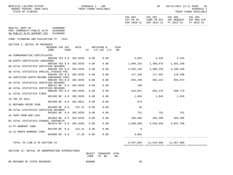| BPSC1L01 LAS/PBS SYSTEM<br>BUDGET PERIOD: 2009-2023<br>STATE OF FLORIDA                       | ------------------------ |             |        | SCHEDULE I - LBE | TRUST FUNDS AVAILABLE             |             |                         | SP                                  |                                                                                                                   | 09/15/2021 13:11 PAGE: 62<br>SCHEDULE I<br>TRUST FUNDS AVAILABLE |
|-----------------------------------------------------------------------------------------------|--------------------------|-------------|--------|------------------|-----------------------------------|-------------|-------------------------|-------------------------------------|-------------------------------------------------------------------------------------------------------------------|------------------------------------------------------------------|
|                                                                                               |                          |             |        |                  |                                   |             |                         | COL A01 COL A02                     | COL A03 COL A04<br>ACT PR YR CURR YR EST AGY REQUEST AGY REQ N/R<br>EXP 2020-21 EXP 2021-22 FY 2022-23 FY 2022-23 |                                                                  |
| HEALTH, DEPT OF 64000000<br>PGM: COMMUNITY PUBLIC HLTH 64200000<br>SW PUBLIC HLTH SUPPORT SVC | 64200800                 |             |        |                  |                                   |             |                         |                                     |                                                                                                                   |                                                                  |
| FUND: PLANNING AND EVALUATION TF 2531                                                         |                          |             |        |                  |                                   |             |                         |                                     |                                                                                                                   |                                                                  |
| SECTION I: DETAIL OF REVENUES                                                                 | REVENUE CAP SVC<br>CODE  | <b>CHG%</b> |        |                  | AUTH MATCHING %<br>ST I/C LOC I/C | CFDA<br>NO. |                         |                                     |                                                                                                                   |                                                                  |
| AA COMMEMORATIVE CERTIFICATES                                                                 | 000100 YES 8.0 382.0255  |             |        | 0.00             | 0.00                              |             |                         | $4,025$ $4,425$ $4,525$             |                                                                                                                   |                                                                  |
| AB BIRTH CERTIFICATE SURCHARGE                                                                |                          |             |        |                  |                                   |             |                         |                                     |                                                                                                                   |                                                                  |
| AD VITAL STATISTICS CERTIFIED RECORDS                                                         | 000100 YES 8.0 382.0255  |             |        | 0.00             | 0.00                              |             |                         |                                     |                                                                                                                   |                                                                  |
|                                                                                               | 000100 YES 8.0 382.0255  |             |        | 0.00             | 0.00                              |             |                         | 4,591,135 4,998,239 5,186,440       |                                                                                                                   |                                                                  |
| AE VITAL STATISTICS SPECIAL STUDIES FEE                                                       | 000100 YES 8.0 382.0255  |             |        | 0.00             | 0.00                              |             |                         | 117,106 117,691 118,280             |                                                                                                                   |                                                                  |
| AG CERTIFIED BIRTH RECORD SURCHARGE FEES                                                      |                          |             |        |                  |                                   |             |                         |                                     |                                                                                                                   |                                                                  |
| AH VITAL STATISTICS CERTIFIED RECORDS                                                         | 000100 YES 8.0 382.0255  |             |        | 0.00             | 0.00                              |             | 833,439 983,242 994,074 |                                     |                                                                                                                   |                                                                  |
|                                                                                               | 000121 NO 8.0 382.0255   |             |        | 0.00             | 0.00                              |             | 160                     |                                     |                                                                                                                   |                                                                  |
| AK VITAL STATISTICS CERTIFIED RECORDS                                                         | 000200 YES 8.0 382.0255  |             |        | 0.00             | 0.00                              |             | 616,667 691,278 698,779 |                                     |                                                                                                                   |                                                                  |
| AL VITAL STATISTICS FINES                                                                     |                          |             |        |                  |                                   |             |                         |                                     |                                                                                                                   |                                                                  |
| 18 TRF FR 2021                                                                                | 001200 NO 8.0 382.0255   |             |        | 0.00             | 0.00                              |             |                         | 1,845 1,845 1,845                   |                                                                                                                   |                                                                  |
|                                                                                               | 001500 NO 0.0 381.0011   |             |        | 0.00             | 0.00                              |             | 674                     |                                     |                                                                                                                   |                                                                  |
| 12 REFUNDS PRIOR YEAR                                                                         |                          |             |        |                  |                                   |             |                         |                                     |                                                                                                                   |                                                                  |
| AM VITAL STATISTICS CERTIFIED RECORDS                                                         | 001800 NO 0.0            |             | 215.31 | 0.00             | 0.00                              |             | 45                      |                                     |                                                                                                                   |                                                                  |
|                                                                                               | 001903 NO 0.0 382.0255   |             |        | 0.00             | 0.00                              |             | 751                     |                                     | 751 751                                                                                                           |                                                                  |
| AX TNFR FROM DOR 2261                                                                         | 001903 NO 0.0 382.0255   |             |        | 0.00             | 0.00                              |             |                         | 268,886 303,399 303,399             |                                                                                                                   |                                                                  |
| BI VITAL STATISTICS FEDERAL CONTRACTS                                                         |                          |             |        |                  |                                   |             |                         |                                     |                                                                                                                   |                                                                  |
| 14 PY WARRANT CANX                                                                            | 001970 NO 0.0 382.0255   |             |        | 0.00             | 0.00                              |             | 2,060,099               |                                     | 3,035,040 3,097,708                                                                                               |                                                                  |
|                                                                                               | 003700 NO 0.0 215.31     |             |        | 0.00             | 0.00                              |             | 9                       |                                     |                                                                                                                   |                                                                  |
| 15 12 MONTH WARRANT CANX                                                                      | 003800 NO 0.0 17.26      |             |        | 0.00             | 0.00                              |             | 3,001                   |                                     |                                                                                                                   |                                                                  |
|                                                                                               |                          |             |        |                  |                                   |             |                         |                                     |                                                                                                                   |                                                                  |
| TOTAL TO LINE B IN SECTION IV                                                                 |                          |             |        |                  |                                   |             |                         | 9,597,004   11,534,989   11,907,000 |                                                                                                                   |                                                                  |
| SECTION II: DETAIL OF NONODERATING EXPENDITURES                                               |                          |             |        |                  |                                   |             |                         |                                     |                                                                                                                   |                                                                  |

SECTION II: DETAIL OF NONOPERATING EXPENDITURES

 OBJECT TRANSFER CFDA CODE TO BE NO.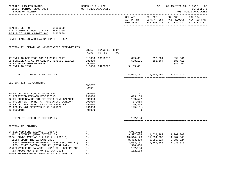| BPSC1L01 LAS/PBS SYSTEM<br>BUDGET PERIOD: 2009-2023<br>STATE OF FLORIDA                                                                                                                                                                                                                                                                                                        | SCHEDULE I - LBE<br>TRUST FUNDS AVAILABLE                          |                                                                                                      | SP                                                 |                                                                                                                           | 09/15/2021 13:11 PAGE: 63<br><b>SCHEDULE I</b><br>TRUST FUNDS AVAILABLE |
|--------------------------------------------------------------------------------------------------------------------------------------------------------------------------------------------------------------------------------------------------------------------------------------------------------------------------------------------------------------------------------|--------------------------------------------------------------------|------------------------------------------------------------------------------------------------------|----------------------------------------------------|---------------------------------------------------------------------------------------------------------------------------|-------------------------------------------------------------------------|
|                                                                                                                                                                                                                                                                                                                                                                                |                                                                    |                                                                                                      |                                                    | COL A01 COL A02 COL A03<br>ACT PR YR CURR YR EST AGY REQUEST AGY REQ N/R<br>EXP 2020-21 EXP 2021-22 FY 2022-23 FY 2022-23 | COL A04                                                                 |
| HEALTH, DEPT OF 64000000<br>PGM: COMMUNITY PUBLIC HLTH 64200000<br>SW PUBLIC HLTH SUPPORT SVC 64200800                                                                                                                                                                                                                                                                         |                                                                    |                                                                                                      |                                                    |                                                                                                                           |                                                                         |
| FUND: PLANNING AND EVALUATION TF 2531                                                                                                                                                                                                                                                                                                                                          |                                                                    |                                                                                                      |                                                    |                                                                                                                           |                                                                         |
| SECTION II: DETAIL OF NONOPERATING EXPENDITURES                                                                                                                                                                                                                                                                                                                                | OBJECT TRANSFER CFDA<br>CODE<br>TO BE<br>NO.                       |                                                                                                      |                                                    |                                                                                                                           |                                                                         |
| RT TNFR TO DCF 2083 181169 BIRTH CERT<br>05 SERVICE CHARGE TO GENERAL REVENUE 310322 880800<br>06 5% TRUST FUND RESERVE<br>09 TNFR TO 2531                                                                                                                                                                                                                                     | 810000<br>60910310<br>999000<br>810000 64200200                    | 3, 155, 481                                                                                          |                                                    | 899,001 899,001 899,001<br>598,191 655,664 680,411<br>347,264                                                             |                                                                         |
|                                                                                                                                                                                                                                                                                                                                                                                |                                                                    |                                                                                                      |                                                    |                                                                                                                           |                                                                         |
| TOTAL TO LINE E IN SECTION IV                                                                                                                                                                                                                                                                                                                                                  |                                                                    |                                                                                                      |                                                    | 4,652,731 1,554,665 1,926,676                                                                                             |                                                                         |
| SECTION III: ADJUSTMENTS                                                                                                                                                                                                                                                                                                                                                       | OBJECT                                                             |                                                                                                      |                                                    |                                                                                                                           |                                                                         |
|                                                                                                                                                                                                                                                                                                                                                                                | CODE                                                               |                                                                                                      |                                                    |                                                                                                                           |                                                                         |
| AD PRIOR YEAR ACCRUAL ADJUSTMENT<br>01 CERTIFIED FORWARD REVERSIONS<br>02 PY ENCUMBRANCE NOT RESERVED FUND BALANCE<br>03 PRIOR YEAR AP NOT CF- OPERATING CATEGORY<br>05 PRIOR YEAR AP NOT CF- COMP ABSENCES<br>09 FCO PY NOT RESERVED FUND BALANCE<br>12 ROUNDING                                                                                                              | 991000<br>991000<br>991000<br>991000<br>991000<br>991000<br>991000 | 41<br>413,169<br>159,527-<br>17,655<br>25,864<br>195,101-<br>3                                       |                                                    |                                                                                                                           |                                                                         |
| TOTAL TO LINE H IN SECTION IV                                                                                                                                                                                                                                                                                                                                                  |                                                                    | 102,104                                                                                              |                                                    |                                                                                                                           |                                                                         |
| SECTION IV: SUMMARY                                                                                                                                                                                                                                                                                                                                                            |                                                                    |                                                                                                      |                                                    |                                                                                                                           |                                                                         |
| UNRESERVED FUND BALANCE - JULY 1<br>ADD: REVENUES (FROM SECTION I)<br>TOTAL FUNDS AVAILABLE (LINE A + LINE B)<br>LESS: OPERATING EXPENDITURES<br>LESS: NONOPERATING EXPENDITURES (SECTION II)<br>LESS: FIXED CAPITAL OUTLAY (TOTAL ONLY)<br>UNRESERVED FUND BALANCE - JUNE 30 - BEFORE ADJ<br>NET ADJUSTMENTS (FROM SECTION III)<br>ADJUSTED UNRESERVED FUND BALANCE - JUNE 30 | (A)<br>(B)<br>(C)<br>(D)<br>(E)<br>(F)<br>(G)<br>(H)<br>(I)        | 3,917,122<br>9,597,004<br>13,514,126<br>8,453,499<br>4,652,731<br>510,000<br>$102, 104 -$<br>102,104 | 11,534,989<br>11,534,989<br>9,980,324<br>1,554,665 | 11,907,000<br>11,907,000<br>9,980,324<br>1,926,676                                                                        |                                                                         |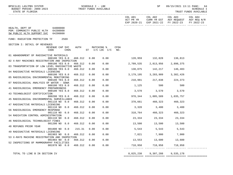| BPSC1L01 LAS/PBS SYSTEM<br>BUDGET PERIOD: 2009-2023<br>STATE OF FLORIDA<br><u> de de de de de de de de de de .</u> |                                  |      |         | SCHEDULE I - LBE | TRUST FUNDS AVAILABLE        |                    |                            | SP                                  |                                                                                      | 09/15/2021 13:11 PAGE: 64<br><b>SCHEDULE I</b><br>TRUST FUNDS AVAILABLE |
|--------------------------------------------------------------------------------------------------------------------|----------------------------------|------|---------|------------------|------------------------------|--------------------|----------------------------|-------------------------------------|--------------------------------------------------------------------------------------|-------------------------------------------------------------------------|
|                                                                                                                    |                                  |      |         |                  |                              |                    | ACT PR YR                  | COL A01 COL A02                     | COL A03<br>CURR YR EST AGY REQUEST AGY REQ N/R<br>EXP 2020-21 EXP 2021-22 FY 2022-23 | COL A04<br>FY 2022-23                                                   |
| HEALTH, DEPT OF<br>PGM: COMMUNITY PUBLIC HLTH<br>SW PUBLIC HLTH SUPPORT SVC                                        | 64000000<br>64200000<br>64200800 |      |         |                  |                              |                    |                            |                                     |                                                                                      |                                                                         |
| FUND: RADIATION PROTECTION TF                                                                                      |                                  | 2569 |         |                  |                              |                    |                            |                                     |                                                                                      |                                                                         |
| SECTION I: DETAIL OF REVENUES                                                                                      | REVENUE CAP SVC<br>CODE          | CHG% | AUTH    |                  | MATCHING %<br>ST I/C LOC I/C | <b>CFDA</b><br>NO. |                            |                                     |                                                                                      |                                                                         |
| 01 ABANDONMENT OF RADIOACTIVE MATERIALS                                                                            | 000100 YES 8.0                   |      | 468.312 | 0.00             | 0.00                         |                    |                            | 128,959 132,828 136,813             |                                                                                      |                                                                         |
| 02 X-RAY MACHINES REGISTRATION AND INSPECTION                                                                      |                                  |      |         |                  |                              |                    |                            |                                     |                                                                                      |                                                                         |
|                                                                                                                    | 000100 YES 8.0                   |      | 468.312 | 0.00             | 0.00                         |                    | 2,709,535                  |                                     | 2,813,956 2,898,375                                                                  |                                                                         |
| 03 TRANSPORTATION OF LOW LEVEL RADIOACTIVE WASTE                                                                   | 000100 YES 8.0                   |      | 468.312 | 0.00             | 0.00                         |                    |                            | 138,075 142,217 146,483             |                                                                                      |                                                                         |
| 04 RADIOACTIVE MATERIALS LICENSING                                                                                 |                                  |      |         |                  |                              |                    |                            |                                     |                                                                                      |                                                                         |
|                                                                                                                    | 000100 YES 8.0                   |      | 468.312 | 0.00             | 0.00                         |                    |                            | 3, 179, 195 3, 283, 909 3, 382, 426 |                                                                                      |                                                                         |
| 05 RADIOLOGICAL ENVIRONMENTAL MONITORING                                                                           |                                  |      |         |                  |                              |                    |                            |                                     |                                                                                      |                                                                         |
| 07 RADIOLOGICAL ANALYSIS OF WATER - SDWA                                                                           | 000100 YES 8.0                   |      | 468.312 | 0.00             | 0.00                         |                    | 210,981 217,838 224,373    |                                     |                                                                                      |                                                                         |
|                                                                                                                    | 000100 YES 8.0                   |      | 468.312 | 0.00             | 0.00                         |                    | 1,125                      | 500                                 | 500                                                                                  |                                                                         |
| 41 RADIOLOGICAL EMERGENCY PREPAREDNESS                                                                             |                                  |      |         |                  |                              |                    |                            |                                     |                                                                                      |                                                                         |
|                                                                                                                    | 000100 YES 8.0                   |      | 468.312 | 0.00             | 0.00                         |                    | 3,570                      | 3,570                               | 3,570                                                                                |                                                                         |
| 43 TECHNOLOGIST CERTIFICATION                                                                                      |                                  |      |         |                  |                              |                    |                            |                                     |                                                                                      |                                                                         |
| 45 RADIOLOGICAL ENVIRONMENTAL SURVEILLANCE                                                                         | 000200 YES 8.0                   |      | 468.312 | 0.00             | 0.00                         |                    | 978,344                    |                                     | 1,005,589 1,035,757                                                                  |                                                                         |
|                                                                                                                    | 001110 NO 0.0                    |      | 468.312 | 0.00             | 0.00                         |                    |                            | 370,661 460,323 460,323             |                                                                                      |                                                                         |
| 47 RADIOACTIVE MATERIALS LICENSING                                                                                 |                                  |      |         |                  |                              |                    |                            |                                     |                                                                                      |                                                                         |
|                                                                                                                    | 001110 NO 0.0                    |      | 468.312 | 0.00             | 0.00                         |                    |                            | 3,320 3,400 3,400                   |                                                                                      |                                                                         |
| 56 RADIOLOGICAL EMERGENCY RESPONSE                                                                                 |                                  |      |         |                  |                              |                    |                            |                                     |                                                                                      |                                                                         |
| 54 RADIATION CONTROL ADMINISTRATION                                                                                | 001110 NO 0.0                    |      | 468.312 | 0.00             | 0.00                         |                    |                            | 318,764 460,323 460,323             |                                                                                      |                                                                         |
|                                                                                                                    | 001110 NO 0.0                    |      | 468.312 | 0.00             | 0.00                         |                    |                            | 23, 334 23, 334 23, 334             |                                                                                      |                                                                         |
| 46 RADIOLOGICAL TECHNOLOGIST FINES                                                                                 |                                  |      |         |                  |                              |                    |                            |                                     |                                                                                      |                                                                         |
|                                                                                                                    | 001200 NO 8.0                    |      | 468.312 | 0.00             | 0.00                         |                    |                            | 13,500 13,500 13,500                |                                                                                      |                                                                         |
| 48 REFUNDS PRIOR YEAR                                                                                              |                                  |      |         |                  |                              |                    |                            |                                     |                                                                                      |                                                                         |
| 49 RADIOACTIVE MATERIALS LICENSING                                                                                 | 001800 NO                        | 0.0  | 215.31  | 0.00             | 0.00                         |                    |                            | 5,543 5,543 5,543                   |                                                                                      |                                                                         |
|                                                                                                                    | 001903 NO 0.0                    |      | 468.312 | 0.00             | 0.00                         |                    | $7,821$ $7,900$ $7,900$    |                                     |                                                                                      |                                                                         |
| 53 X-RAYS MACHINE REGISTRATION AND INSPECTION                                                                      |                                  |      |         |                  |                              |                    |                            |                                     |                                                                                      |                                                                         |
|                                                                                                                    | 001903 NO 0.0                    |      | 468.312 | 0.00             | 0.00                         |                    | $13,553$ $13,600$ $13,600$ |                                     |                                                                                      |                                                                         |
| 52 INSPECTIONS OF MAMMOGRAPHY FACILITIES                                                                           | 001970 NO 0.0                    |      | 468.312 | 0.00             | 0.00                         |                    |                            | 718,958 718,958 718,958             |                                                                                      |                                                                         |
|                                                                                                                    |                                  |      |         |                  |                              |                    |                            |                                     |                                                                                      |                                                                         |

TOTAL TO LINE B IN SECTION IV 8,825,238 9,307,288 9,535,178

============= ============= ============= =============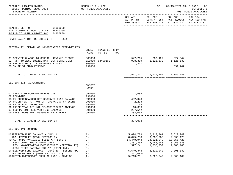| BPSC1L01 LAS/PBS SYSTEM<br>BUDGET PERIOD: 2009-2023<br>STATE OF FLORIDA                                                                                                                       | SCHEDULE I - LBE<br>TRUST FUNDS AVAILABLE    |                                                                | SP                                                               |                                                                                                                           | 09/15/2021 13:11 PAGE: 65<br><b>SCHEDULE I</b><br>TRUST FUNDS AVAILABLE |
|-----------------------------------------------------------------------------------------------------------------------------------------------------------------------------------------------|----------------------------------------------|----------------------------------------------------------------|------------------------------------------------------------------|---------------------------------------------------------------------------------------------------------------------------|-------------------------------------------------------------------------|
|                                                                                                                                                                                               |                                              |                                                                |                                                                  | COL A01 COL A02 COL A03<br>ACT PR YR CURR YR EST AGY REQUEST AGY REQ N/R<br>EXP 2020-21 EXP 2021-22 FY 2022-23 FY 2022-23 | COL A04                                                                 |
| HEALTH, DEPT OF 64000000<br>PGM: COMMUNITY PUBLIC HLTH 64200000<br>SW PUBLIC HLTH SUPPORT SVC 64200800                                                                                        |                                              |                                                                |                                                                  |                                                                                                                           |                                                                         |
| FUND: RADIATION PROTECTION TF 2569                                                                                                                                                            |                                              |                                                                |                                                                  |                                                                                                                           |                                                                         |
| SECTION II: DETAIL OF NONOPERATING EXPENDITURES                                                                                                                                               | OBJECT TRANSFER CFDA<br>CODE<br>TO BE<br>NO. |                                                                |                                                                  |                                                                                                                           |                                                                         |
| 01 SERVICE CHARGE TO GENERAL REVENUE 310322<br>02 TNFR TO 2352 180251 RAD TECH CERTIFICAT<br>05 REFUNDS OF STATE REVENUES 220020                                                              | 880800<br>810000 64400100<br>860000          | 1,217                                                          |                                                                  |                                                                                                                           |                                                                         |
| 08 5% TRUST FUND RESERVE                                                                                                                                                                      | 999000                                       |                                                                |                                                                  | 331,207                                                                                                                   |                                                                         |
| TOTAL TO LINE E IN SECTION IV                                                                                                                                                                 |                                              |                                                                | 1,527,241 1,735,759                                              | 2,085,183                                                                                                                 |                                                                         |
| SECTION III: ADJUSTMENTS                                                                                                                                                                      |                                              |                                                                |                                                                  |                                                                                                                           |                                                                         |
|                                                                                                                                                                                               | OBJECT<br>CODE                               |                                                                |                                                                  |                                                                                                                           |                                                                         |
| 01 CERTIFIED FORWARD REVERSIONS<br>02 ROUNDING                                                                                                                                                | 991000<br>991000                             | 27,686<br>$\sim$ $\sim$ 1                                      |                                                                  |                                                                                                                           |                                                                         |
| 03 PY ENCUMBRANCES NOT RESERVED FUND BALANCE<br>04 PRIOR YEAR A/P NOT CF- OPERATING CATEGORY                                                                                                  | 991000<br>991000                             | $462,028-$<br>2,238                                            |                                                                  |                                                                                                                           |                                                                         |
| 05 PY ACCRUAL ADJUSTMENT<br>06 PRIOR YEAR A/P NOT CF-COMPENSATED ABSENCE                                                                                                                      | 991000<br>991000                             | 194<br>10,306                                                  |                                                                  |                                                                                                                           |                                                                         |
| 07 FCO PY NOT RESERVED FUND BALANCE<br>09 SWFS ADJUSTMENT B6400344 RECEIVABLE                                                                                                                 | 991000<br>991000                             | 237,542-<br>332,062                                            |                                                                  |                                                                                                                           |                                                                         |
| TOTAL TO LINE H IN SECTION IV                                                                                                                                                                 |                                              | $327,083-$                                                     |                                                                  |                                                                                                                           |                                                                         |
|                                                                                                                                                                                               |                                              |                                                                |                                                                  |                                                                                                                           |                                                                         |
| SECTION IV: SUMMARY                                                                                                                                                                           |                                              |                                                                |                                                                  |                                                                                                                           |                                                                         |
| UNRESERVED FUND BALANCE - JULY 1<br>ADD: REVENUES (FROM SECTION I)<br>TOTAL FUNDS AVAILABLE (LINE A + LINE B)<br>LESS: OPERATING EXPENDITURES<br>LESS: NONOPERATING EXPENDITURES (SECTION II) | (A)<br>(B)<br>(C)<br>(D)<br>(E)              | 5,624,706<br>8,825,238<br>14,449,944<br>7,381,859<br>1,527,241 | 5, 213, 761<br>9,307,288<br>14,521,049<br>8,965,048<br>1,735,759 | 3,820,242<br>9,535,178<br>13,355,420<br>8,965,048<br>2,085,183                                                            |                                                                         |
| LESS: FIXED CAPITAL OUTLAY (TOTAL ONLY)<br>UNRESERVED FUND BALANCE - JUNE 30 - BEFORE ADJ<br>NET ADJUSTMENTS (FROM SECTION III)                                                               | (F)<br>(G)<br>(H)                            | 5,540,844<br>$327,083-$                                        | 3,820,242                                                        | 2,305,189                                                                                                                 |                                                                         |
| ADJUSTED UNRESERVED FUND BALANCE - JUNE 30                                                                                                                                                    | $(\top)$                                     | 5, 213, 761                                                    | 3,820,242                                                        | 2,305,189                                                                                                                 |                                                                         |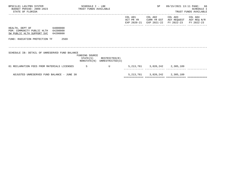| BPSC1L01 LAS/PBS SYSTEM<br>BUDGET PERIOD: 2009-2023<br>STATE OF FLORIDA                                   | TRUST FUNDS AVAILABLE | SCHEDULE I - LBE |                                                            |                      | SP                                  | 09/15/2021 13:11 PAGE: 66                                                | <b>SCHEDULE I</b><br>TRUST FUNDS AVAILABLE |
|-----------------------------------------------------------------------------------------------------------|-----------------------|------------------|------------------------------------------------------------|----------------------|-------------------------------------|--------------------------------------------------------------------------|--------------------------------------------|
|                                                                                                           |                       |                  |                                                            | COL A01<br>ACT PR YR | COL A02<br>CURR YR EST              | COL A03<br>AGY REQUEST AGY REQ N/R<br>EXP 2020-21 EXP 2021-22 FY 2022-23 | COL A04<br>FY 2022-23                      |
| HEALTH, DEPT OF<br>64000000<br>PGM: COMMUNITY PUBLIC HLTH 64200000<br>SW PUBLIC HLTH SUPPORT SVC 64200800 |                       |                  |                                                            |                      |                                     |                                                                          |                                            |
| FUND: RADIATION PROTECTION TF                                                                             | 2569                  |                  |                                                            |                      |                                     |                                                                          |                                            |
| SCHEDULE IB: DETAIL OF UNRESERVED FUND BALANCE                                                            |                       | FUNDING SOURCE   | $STATE(S)$ RESTRICTED $(R)$<br>NONSTATE(N) UNRESTRICTED(U) |                      |                                     |                                                                          |                                            |
| 01 RECLAMATION FEES FROM MATERIALS LICENSES                                                               |                       | $\mathbf S$      | $\mathbf{U}$                                               |                      |                                     | 5, 213, 761 3, 820, 242 2, 305, 189                                      |                                            |
| ADJUSTED UNRESERVED FUND BALANCE - JUNE 30                                                                |                       |                  |                                                            |                      | 5, 213, 761 3, 820, 242 2, 305, 189 |                                                                          |                                            |

============= ============= ============= =============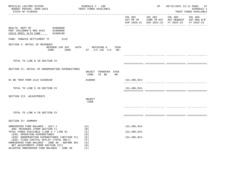| BPSC1L01 LAS/PBS SYSTEM<br>BUDGET PERIOD: 2009-2023<br>STATE OF FLORIDA                                                                                                                                                       | SCHEDULE I - LBE<br>TRUST FUNDS AVAILABLE         |              | SP              |                                                                                                        | 09/15/2021 13:11 PAGE: 67<br><b>SCHEDULE I</b><br>TRUST FUNDS AVAILABLE |
|-------------------------------------------------------------------------------------------------------------------------------------------------------------------------------------------------------------------------------|---------------------------------------------------|--------------|-----------------|--------------------------------------------------------------------------------------------------------|-------------------------------------------------------------------------|
|                                                                                                                                                                                                                               |                                                   |              | COL A01 COL A02 | COL A03 COL A04<br>ACT PR YR CURR YR EST AGY REQUEST AGY REQ N/R<br>EXP 2020-21 EXP 2021-22 FY 2022-23 | FY 2022-23                                                              |
| HEALTH, DEPT OF 64000000<br>PGM: CHILDREN'S MED SVCS 64300000<br>CHILD SPECL HLTH CARE<br>64300100                                                                                                                            |                                                   |              |                 |                                                                                                        |                                                                         |
| FUND: TOBACCO SETTLEMENT TF<br>2122                                                                                                                                                                                           |                                                   |              |                 |                                                                                                        |                                                                         |
| SECTION I: DETAIL OF REVENUES<br>REVENUE CAP SVC<br>CODE                                                                                                                                                                      | AUTH MATCHING % CFDA<br>CHG% $ST$ I/C LOC I/C NO. |              |                 |                                                                                                        |                                                                         |
| TOTAL TO LINE B IN SECTION IV                                                                                                                                                                                                 |                                                   |              |                 |                                                                                                        |                                                                         |
| SECTION II: DETAIL OF NONOPERATING EXPENDITURES                                                                                                                                                                               | OBJECT TRANSFER CFDA<br>CODE<br>TO BE<br>NO.      |              |                 |                                                                                                        |                                                                         |
| 01 BE TNFR FROM 2122 64200100                                                                                                                                                                                                 | 810000                                            | 131,486,924- |                 |                                                                                                        |                                                                         |
| TOTAL TO LINE E IN SECTION IV                                                                                                                                                                                                 |                                                   | 131,486,924- |                 |                                                                                                        |                                                                         |
| SECTION III: ADJUSTMENTS                                                                                                                                                                                                      | OBJECT<br>CODE                                    |              |                 |                                                                                                        |                                                                         |
| TOTAL TO LINE H IN SECTION IV                                                                                                                                                                                                 |                                                   |              |                 |                                                                                                        |                                                                         |
| SECTION IV: SUMMARY                                                                                                                                                                                                           |                                                   |              |                 |                                                                                                        |                                                                         |
| UNRESERVED FUND BALANCE - JULY 1                                                                                                                                                                                              | (A)                                               | 131,486,924- |                 |                                                                                                        |                                                                         |
| ADD: REVENUES (FROM SECTION I)<br>TOTAL FUNDS AVAILABLE (LINE A + LINE B)<br>LESS: OPERATING EXPENDITURES                                                                                                                     | (B)<br>(C)<br>(D)                                 | 131,486,924- |                 |                                                                                                        |                                                                         |
| LESS: NONOPERATING EXPENDITURES (SECTION II)<br>LESS: FIXED CAPITAL OUTLAY (TOTAL ONLY)<br>UNRESERVED FUND BALANCE - JUNE 30 - BEFORE ADJ<br>NET ADJUSTMENTS (FROM SECTION III)<br>ADJUSTED UNRESERVED FUND BALANCE - JUNE 30 | ( E )<br>(F)<br>(G)<br>(H)<br>(T)                 | 131,486,924- |                 |                                                                                                        |                                                                         |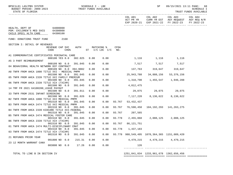| BPSC1L01 LAS/PBS SYSTEM<br>BUDGET PERIOD: 2009-2023 TRUST FUNDS AVAILABLE<br>STATE OF FLORIDA |                        |      |             |      | SCHEDULE I - LBE       |        |                  | SP                                           | 09/15/2021 13:11 PAGE: 68<br><b>SCHEDULE I</b><br>TRUST FUNDS AVAILABLE                        |
|-----------------------------------------------------------------------------------------------|------------------------|------|-------------|------|------------------------|--------|------------------|----------------------------------------------|------------------------------------------------------------------------------------------------|
|                                                                                               |                        |      |             |      |                        |        |                  | COL A01 COL A02 COL A03 COL A04              | ACT PR YR CURR YR EST AGY REQUEST AGY REQ N/R<br>EXP 2020-21 EXP 2021-22 FY 2022-23 FY 2022-23 |
| HEALTH, DEPT OF 64000000                                                                      |                        |      |             |      |                        |        |                  |                                              |                                                                                                |
| PGM: CHILDREN'S MED SVCS 64300000                                                             |                        |      |             |      |                        |        |                  |                                              |                                                                                                |
| CHILD SPECL HLTH CARE 64300100                                                                |                        |      |             |      |                        |        |                  |                                              |                                                                                                |
| FUND: DONATIONS TRUST FUND 2168                                                               |                        |      |             |      |                        |        |                  |                                              |                                                                                                |
| SECTION I: DETAIL OF REVENUES                                                                 |                        |      |             |      |                        |        |                  |                                              |                                                                                                |
|                                                                                               | REVENUE CAP SVC        |      | <b>AUTH</b> |      | MATCHING %             | CFDA   |                  |                                              |                                                                                                |
|                                                                                               | CODE                   | CHG% |             |      | $ST$ $I/C$ $LOC$ $I/C$ | NO.    |                  |                                              |                                                                                                |
| A1 COMMEMORATIVE CERTIFICATES PERINATAL CARE                                                  |                        |      |             |      |                        |        |                  |                                              |                                                                                                |
|                                                                                               | 000100 YES 8.0 382.025 |      |             | 0.00 | 0.00                   |        |                  | 1,116 1,116 1,116                            |                                                                                                |
| A5 3 PART REIMBURSEMENT                                                                       |                        |      |             |      |                        |        |                  |                                              |                                                                                                |
| 04 BEHAVIORAL HEALTH NETWORK DCF CONTRACT                                                     | 000109 NO 0.0          |      | 391.045     | 0.00 | 0.00                   |        |                  | 7,517 7,517 7,517                            |                                                                                                |
|                                                                                               | 000109 NO 0.0 394.9082 |      |             | 0.00 | 0.00                   |        |                  | 137,763 319,647 319,647                      |                                                                                                |
| A8 TNFR FROM AHCA 1000 TITLE XXI - MEDICAL PMPM                                               |                        |      |             |      |                        |        |                  |                                              |                                                                                                |
| 05 TNFR FROM AHCA 2339 TITLE XXI FAMILY PREMIUM                                               | 001500 NO 0.0          |      | 391.045     | 0.00 | 0.00                   |        | 25, 943, 788     | 34,888,156 53,376,156                        |                                                                                                |
|                                                                                               | 001500 NO 0.0          |      | 391.045     | 0.00 | 0.00                   |        | 1,318,790        | 1,455,547 1,946,288                          |                                                                                                |
| 06 TNFR FROM AHCA 2339 TITLE XIX (TXIXM)                                                      |                        |      |             |      |                        |        |                  |                                              |                                                                                                |
|                                                                                               | 001500 NO 0.0          |      | 391.045     | 0.00 | 0.00                   |        | 4,012,475        |                                              |                                                                                                |
| 14 TRF FR 2021 64100200 LEAVE PAYOUT                                                          | 001500 NO 0.0          |      | 391.011     | 0.00 | 0.00                   |        |                  | $29,075$ $29,075$ $29,075$ $29,075$          |                                                                                                |
| 33 TNFR FROM 2531 INFANT SCREENING                                                            |                        |      |             |      |                        |        |                  |                                              |                                                                                                |
|                                                                                               | 001500 NO 0.0          |      | 391.026     | 0.00 | 0.00                   |        |                  | 7,117,220 8,136,622 8,136,622                |                                                                                                |
| B2 TNFR FROM AHCA 1000 TITLE XXI MEDICAL PMPM                                                 |                        |      |             |      |                        |        |                  |                                              |                                                                                                |
| B3 TNFR FROM AHCA 2474 TITLE XXI MEDICAL PMPM                                                 | 001510 NO 0.0          |      | 391.045     | 0.00 | 0.00                   | 93.767 | 53,432,437       |                                              |                                                                                                |
|                                                                                               | 001510 NO 0.0          |      | 391.045     | 0.00 | 0.00                   | 93.767 | 76,590,450       | 104, 192, 293 141, 263, 275                  |                                                                                                |
| B4 TNFR FROM AHCA 2339 KIDCARE TITLE XXI-FEDERAL                                              |                        |      |             |      |                        |        |                  |                                              |                                                                                                |
|                                                                                               | 001510 NO 0.0          |      | 391.045     | 0.00 | 0.00                   |        | 93.767 207,565   |                                              |                                                                                                |
| B5 TNFR FROM AHCA 2474 MEDICAL FOSTER CARE                                                    | 001510 NO 0.0          |      | 391.045     | 0.00 | 0.00                   | 93.778 |                  | 2,455,068 2,088,125 2,088,125                |                                                                                                |
| B6 TNFR FROM AHCA 2339 TITLE XIX (TXIXM)                                                      |                        |      |             |      |                        |        |                  |                                              |                                                                                                |
|                                                                                               | 001510 NO 0.0          |      | 391.045     | 0.00 | 0.00                   | 93.767 | 86,121,751       |                                              |                                                                                                |
| 01 TNFR FROM AHCA 2474 MULTI-DISCIPLINARY CMAT                                                |                        |      |             |      |                        |        |                  |                                              |                                                                                                |
|                                                                                               | 001510 NO 0.0          |      | 391.045     | 0.00 | 0.00                   |        | 93.778 1,437,183 |                                              |                                                                                                |
| 03 TNFR FROM AHCA 2474 TITLE XIX (TXIXM)                                                      | 001510 NO 0.0          |      | 391.045     | 0.00 | 0.00                   |        |                  | 93.778 988,549,495 1078,364,365 1151,009,420 |                                                                                                |
| 21 REFUNDS PRIOR YEAR                                                                         |                        |      |             |      |                        |        |                  |                                              |                                                                                                |
|                                                                                               | 001800 NO 0.0          |      | 215.31      | 0.00 | 0.00                   |        |                  | $4,479,215$ $4,479,215$ $4,479,215$          |                                                                                                |
| 23 12 MONTH WARRANT CANX                                                                      | 003800 NO 0.0          |      | 17.26       | 0.00 | 0.00                   |        | 126              |                                              |                                                                                                |
|                                                                                               |                        |      |             |      |                        |        |                  |                                              |                                                                                                |
|                                                                                               |                        |      |             |      |                        |        |                  |                                              |                                                                                                |

 TOTAL TO LINE B IN SECTION IV 1251,841,034 1233,961,678 1362,656,456 ============= ============= ============= =============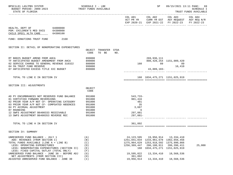| BPSC1L01 LAS/PBS SYSTEM<br>BUDGET PERIOD: 2009-2023<br>STATE OF FLORIDA                                                                                                                                                                                                                                                                                                        | SCHEDULE I - LBE<br>TRUST FUNDS AVAILABLE                                    |                                                                                                            | SP and the set of the set of the set of the set of the set of the set of the set of the set of the set of the set of the set of the set of the set of the set of the set of the set of the set of the set of the set of the se |                                                                                                                        | 09/15/2021 13:11 PAGE: 69<br>SCHEDULE I<br>TRUST FUNDS AVAILABLE |
|--------------------------------------------------------------------------------------------------------------------------------------------------------------------------------------------------------------------------------------------------------------------------------------------------------------------------------------------------------------------------------|------------------------------------------------------------------------------|------------------------------------------------------------------------------------------------------------|--------------------------------------------------------------------------------------------------------------------------------------------------------------------------------------------------------------------------------|------------------------------------------------------------------------------------------------------------------------|------------------------------------------------------------------|
|                                                                                                                                                                                                                                                                                                                                                                                |                                                                              |                                                                                                            |                                                                                                                                                                                                                                | COL A01 COL A02 COL A03<br>ACT PR YR CURR YR EST AGY REQUEST AGY REQ N/R<br>EXP 2020-21 EXP 2021-22 FY 2022-23         | COL A04<br>FY 2022-23                                            |
| HEALTH, DEPT OF 64000000<br>PGM: CHILDREN'S MED SVCS 64300000<br>CHILD SPECL HLTH CARE<br>64300100                                                                                                                                                                                                                                                                             |                                                                              |                                                                                                            |                                                                                                                                                                                                                                |                                                                                                                        |                                                                  |
| FUND: DONATIONS TRUST FUND<br>2168                                                                                                                                                                                                                                                                                                                                             |                                                                              |                                                                                                            |                                                                                                                                                                                                                                |                                                                                                                        |                                                                  |
| SECTION II: DETAIL OF NONOPERATING EXPENDITURES                                                                                                                                                                                                                                                                                                                                | OBJECT TRANSFER CFDA<br>CODE<br>TO BE<br>NO.                                 |                                                                                                            |                                                                                                                                                                                                                                |                                                                                                                        |                                                                  |
| RT B0025 BUDGET AMEND FROM AHCA<br>TF ANTICIPATED BUDGET AMENDMENT FROM AHCA<br>02 SERVICE CHARGE TO GENERAL REVENUE 310322<br>04 5% TRUST FUND RESERVE<br>07 ANTICIPATED EXCESS TITLE XXI BUDGET                                                                                                                                                                              | 899000<br>899000<br>880800<br>999000<br>899000                               |                                                                                                            | 269,936,111<br>160 89 89<br>43,889,183-                                                                                                                                                                                        | 808, 428, 254 1151, 009, 420<br>16,410                                                                                 |                                                                  |
| TOTAL TO LINE E IN SECTION IV                                                                                                                                                                                                                                                                                                                                                  |                                                                              |                                                                                                            | 160 1034, 475, 271 1151, 025, 919                                                                                                                                                                                              |                                                                                                                        |                                                                  |
| SECTION III: ADJUSTMENTS                                                                                                                                                                                                                                                                                                                                                       | OBJECT<br>CODE                                                               |                                                                                                            |                                                                                                                                                                                                                                |                                                                                                                        |                                                                  |
| AD PY ENCUMBRANCES NOT RESERVED FUND BALANCE<br>01 CERTIFIED FORWARD REVERSIONS<br>02 PRIOR YEAR A/P NOT CF- OPERATING CATEGORY<br>03 PRIOR YEAR A/P NOT CF- COMPSATED ABSENCES<br>04 PY ACCRUAL ADJUSTMENT<br>07 ROUNDING<br>12 SWFS ADJUSTMENT B6400333 RECEIVABLE<br>13 SWFS ADJUSTMENT B6400353 REVERSE REC                                                                | 991000<br>991000<br>991000<br>991000<br>991000<br>991000<br>991000<br>991000 | $543,733-$<br>901,416<br>481<br>35<br>3,687<br>6<br>297,081<br>297,081-                                    |                                                                                                                                                                                                                                |                                                                                                                        |                                                                  |
| TOTAL TO LINE H IN SECTION IV                                                                                                                                                                                                                                                                                                                                                  |                                                                              | 361,892                                                                                                    |                                                                                                                                                                                                                                |                                                                                                                        |                                                                  |
| SECTION IV: SUMMARY                                                                                                                                                                                                                                                                                                                                                            |                                                                              |                                                                                                            |                                                                                                                                                                                                                                |                                                                                                                        |                                                                  |
| UNRESERVED FUND BALANCE - JULY 1<br>ADD: REVENUES (FROM SECTION I)<br>TOTAL FUNDS AVAILABLE (LINE A + LINE B)<br>LESS: OPERATING EXPENDITURES<br>LESS: NONOPERATING EXPENDITURES (SECTION II)<br>LESS: FIXED CAPITAL OUTLAY (TOTAL ONLY)<br>UNRESERVED FUND BALANCE - JUNE 30 - BEFORE ADJ<br>NET ADJUSTMENTS (FROM SECTION III)<br>ADJUSTED UNRESERVED FUND BALANCE - JUNE 30 | (A)<br>(B)<br>(C)<br>(D)<br>(E)<br>(F)<br>(G)<br>(H)<br>(I)                  | 24, 123, 595<br>1251,841,034<br>1275,964,629<br>1256,369,447<br>160<br>19,595,022<br>361,892<br>19,956,914 | 19,956,914<br>1233,961,678<br>1253,918,592<br>206,108,911<br>13,334,410<br>13,334,410                                                                                                                                          | 13,334,410<br>1362,656,456<br>1375,990,866<br>206,396,411<br>1034, 475, 271 1151, 025, 919<br>18,568,536<br>18,568,536 | 25,000                                                           |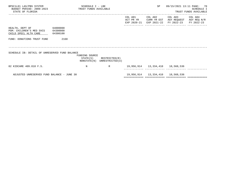| BPSC1L01 LAS/PBS SYSTEM<br>BUDGET PERIOD: 2009-2023 TRUST FUNDS AVAILABLE<br>STATE OF FLORIDA |          | SCHEDULE I - LBE |                                                            |                                     | SP                                   | 09/15/2021 13:11 PAGE: 70                                                           | SCHEDULE I<br>TRUST FUNDS AVAILABLE |
|-----------------------------------------------------------------------------------------------|----------|------------------|------------------------------------------------------------|-------------------------------------|--------------------------------------|-------------------------------------------------------------------------------------|-------------------------------------|
|                                                                                               |          |                  |                                                            | COL A01<br>ACT PR YR<br>EXP 2020-21 | COL A02                              | COL A03<br>CURR YR EST AGY REQUEST AGY REQ N/R<br>EXP 2021-22 FY 2022-23 FY 2022-23 | COL A04                             |
| HEALTH, DEPT OF<br>64000000<br>PGM: CHILDREN'S MED SVCS 64300000<br>CHILD SPECL HLTH CARE     | 64300100 |                  |                                                            |                                     |                                      |                                                                                     |                                     |
| FUND: DONATIONS TRUST FUND                                                                    | 2168     |                  |                                                            |                                     |                                      |                                                                                     |                                     |
| SCHEDULE IB: DETAIL OF UNRESERVED FUND BALANCE                                                |          | FUNDING SOURCE   | $STATE(S)$ RESTRICTED $(R)$<br>NONSTATE(N) UNRESTRICTED(U) |                                     |                                      |                                                                                     |                                     |
| 02 KIDCARE 409.818 F.S.                                                                       |          | $_{\rm N}$       | R                                                          |                                     | 19,956,914   13,334,410   18,568,536 |                                                                                     |                                     |
| ADJUSTED UNRESERVED FUND BALANCE - JUNE 30                                                    |          |                  |                                                            |                                     | 19,956,914   13,334,410   18,568,536 |                                                                                     |                                     |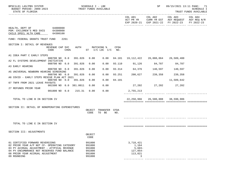| BPSC1L01 LAS/PBS SYSTEM<br>BUDGET PERIOD: 2009-2023<br>STATE OF FLORIDA                                                                                                                                                          |                         |                  |         | SCHEDULE I - LBE                                         | TRUST FUNDS AVAILABLE            |             |                                                              | SP                               |                                                                                      | 09/15/2021 13:11 PAGE: 71<br>SCHEDULE I<br>TRUST FUNDS AVAILABLE |
|----------------------------------------------------------------------------------------------------------------------------------------------------------------------------------------------------------------------------------|-------------------------|------------------|---------|----------------------------------------------------------|----------------------------------|-------------|--------------------------------------------------------------|----------------------------------|--------------------------------------------------------------------------------------|------------------------------------------------------------------|
|                                                                                                                                                                                                                                  |                         |                  |         |                                                          |                                  |             | COL A01<br>ACT PR YR                                         | COL A02                          | COL A03<br>CURR YR EST AGY REQUEST AGY REQ N/R<br>EXP 2020-21 EXP 2021-22 FY 2022-23 | COL A04<br>FY 2022-23                                            |
| HEALTH, DEPT OF 64000000<br>PGM: CHILDREN'S MED SVCS 64300000<br>CHILD SPECL HLTH CARE                                                                                                                                           | 64300100                |                  |         |                                                          |                                  |             |                                                              |                                  |                                                                                      |                                                                  |
| FUND: FEDERAL GRANTS TRUST FUND                                                                                                                                                                                                  |                         | 2261             |         |                                                          |                                  |             |                                                              |                                  |                                                                                      |                                                                  |
| SECTION I: DETAIL OF REVENUES                                                                                                                                                                                                    | REVENUE CAP SVC<br>CODE | CHG <sup>8</sup> | AUTH    |                                                          | MATCHING %<br>ST I/C LOC I/C NO. | <b>CFDA</b> |                                                              |                                  |                                                                                      |                                                                  |
| A1 IDEA PART C EARLY STEPS                                                                                                                                                                                                       |                         |                  |         |                                                          |                                  |             |                                                              |                                  |                                                                                      |                                                                  |
| A2 FL SYSTEMS DEVELOPMENT INITIATIVE                                                                                                                                                                                             | 000700 NO 0.0           |                  | 391.026 | 0.00                                                     |                                  |             | $0.00$ 84.181 19,112,422 26,088,064 26,589,400               |                                  |                                                                                      |                                                                  |
| A3 EARLY HEARING                                                                                                                                                                                                                 | 000700 NO 0.0 391.026   |                  |         | 0.00                                                     | 0.00                             |             | 93.110 91,126 84,787 84,787                                  |                                  |                                                                                      |                                                                  |
| A5 UNIVERSAL NEWBORN HEARING SCREENING                                                                                                                                                                                           | 000700 NO 0.0           |                  | 391.026 | 0.00                                                     | 0.00                             |             | 93.314 64,376                                                | 140,597                          | 140,597                                                                              |                                                                  |
|                                                                                                                                                                                                                                  | 000700 NO 0.0           |                  | 391.026 | 0.00                                                     | 0.00                             | 93.251      | 200,627                                                      | 239,358                          | 239,358                                                                              |                                                                  |
| A6 COVID - EARLY STEPS RESCUE PLAN ACT 2021                                                                                                                                                                                      | 000700 NO 0.0           |                  | 391.026 | 0.00                                                     | 0.00                             | 84.181      |                                                              |                                  | 11,509,642                                                                           |                                                                  |
| 07 TNFR FROM 2021 LEAVE PAYOUTS                                                                                                                                                                                                  | 001500 NO 0.0 381.0011  |                  |         | 0.00                                                     | 0.00                             |             |                                                              | 27,202 27,202 27,202             |                                                                                      |                                                                  |
| 27 REFUNDS PRIOR YEAR                                                                                                                                                                                                            | 001800 NO 0.0 215.31    |                  |         | 0.00                                                     | 0.00                             |             | 2,755,213                                                    |                                  |                                                                                      |                                                                  |
| TOTAL TO LINE B IN SECTION IV                                                                                                                                                                                                    |                         |                  |         |                                                          |                                  |             |                                                              | 22,250,966 26,580,008 38,590,986 |                                                                                      |                                                                  |
| SECTION II: DETAIL OF NONOPERATING EXPENDITURES                                                                                                                                                                                  |                         |                  |         |                                                          |                                  |             |                                                              |                                  |                                                                                      |                                                                  |
|                                                                                                                                                                                                                                  |                         |                  |         | CODE                                                     | OBJECT TRANSFER CFDA<br>TO BE    | NO.         |                                                              |                                  |                                                                                      |                                                                  |
|                                                                                                                                                                                                                                  |                         |                  |         |                                                          |                                  |             |                                                              |                                  |                                                                                      |                                                                  |
| TOTAL TO LINE E IN SECTION IV                                                                                                                                                                                                    |                         |                  |         |                                                          |                                  |             |                                                              |                                  |                                                                                      |                                                                  |
| SECTION III: ADJUSTMENTS                                                                                                                                                                                                         |                         |                  |         | OBJECT                                                   |                                  |             |                                                              |                                  |                                                                                      |                                                                  |
|                                                                                                                                                                                                                                  |                         |                  |         | CODE                                                     |                                  |             |                                                              |                                  |                                                                                      |                                                                  |
| 01 CERTIFIED FORWARD REVERSIONS<br>02 PRIOR YEAR A/P NOT CF- OPERATING CATEGORY<br>03 PY ACCRUAL ADJUSTMENT - ATYPICAL REVENUE<br>04 PY ENCUMBRANCE NOT RESERVED FUND BALANCE<br>08 PRIOR YEAR ACCRUAL ADJUSTMENT<br>09 ROUNDING |                         |                  |         | 991000<br>991000<br>991000<br>991000<br>991000<br>991000 |                                  |             | 3,718,421<br>1,164<br>$5,603-$<br>$127,054-$<br>113,821<br>3 |                                  |                                                                                      |                                                                  |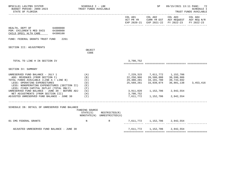| BPSC1L01 LAS/PBS SYSTEM<br>BUDGET PERIOD: 2009-2023<br>STATE OF FLORIDA                                                                                                                                                                  | SCHEDULE I - LBE<br>TRUST FUNDS AVAILABLE |                                              |                                                     | SP                                                            |                                                                                                        | 09/15/2021 13:11 PAGE: 72<br><b>SCHEDULE I</b><br>TRUST FUNDS AVAILABLE |
|------------------------------------------------------------------------------------------------------------------------------------------------------------------------------------------------------------------------------------------|-------------------------------------------|----------------------------------------------|-----------------------------------------------------|---------------------------------------------------------------|--------------------------------------------------------------------------------------------------------|-------------------------------------------------------------------------|
|                                                                                                                                                                                                                                          |                                           |                                              | COL A01                                             |                                                               | COL A02 COL A03<br>ACT PR YR CURR YR EST AGY REQUEST AGY REQ N/R<br>EXP 2020-21 EXP 2021-22 FY 2022-23 | COL A04<br>FY 2022-23                                                   |
| 64000000<br>HEALTH, DEPT OF<br>PGM: CHILDREN'S MED SVCS 64300000<br>CHILD SPECL HLTH CARE<br>64300100                                                                                                                                    |                                           |                                              |                                                     |                                                               |                                                                                                        |                                                                         |
| FUND: FEDERAL GRANTS TRUST FUND<br>2261                                                                                                                                                                                                  |                                           |                                              |                                                     |                                                               |                                                                                                        |                                                                         |
| SECTION III: ADJUSTMENTS                                                                                                                                                                                                                 | OBJECT<br>CODE                            |                                              |                                                     |                                                               |                                                                                                        |                                                                         |
| TOTAL TO LINE H IN SECTION IV                                                                                                                                                                                                            |                                           |                                              | 3,700,752                                           |                                                               |                                                                                                        |                                                                         |
| SECTION IV: SUMMARY                                                                                                                                                                                                                      |                                           |                                              |                                                     |                                                               |                                                                                                        |                                                                         |
| UNRESERVED FUND BALANCE - JULY 1<br>ADD: REVENUES (FROM SECTION I)<br>TOTAL FUNDS AVAILABLE (LINE A + LINE B)<br>LESS: OPERATING EXPENDITURES<br>LESS: NONOPERATING EXPENDITURES (SECTION II)<br>LESS: FIXED CAPITAL OUTLAY (TOTAL ONLY) | (A)<br>(B)<br>(C)<br>(D)<br>( E )<br>(F)  |                                              | 7,229,315<br>22,250,966<br>29,480,281<br>25,569,261 | 7,611,772 1,152,706<br>26,580,008<br>34,191,780<br>33,039,074 | 38,590,986<br>39,743,692<br>36,801,138                                                                 | 3, 453, 416                                                             |
| UNRESERVED FUND BALANCE - JUNE 30 - BEFORE ADJ<br>NET ADJUSTMENTS (FROM SECTION III)<br>ADJUSTED UNRESERVED FUND BALANCE - JUNE 30                                                                                                       | (G)<br>(H)<br>(1)                         |                                              | 3,911,020<br>3,700,752<br>7,611,772                 | 1, 152, 706 2, 942, 554<br>1,152,706                          | 2,942,554                                                                                              |                                                                         |
| SCHEDULE IB: DETAIL OF UNRESERVED FUND BALANCE                                                                                                                                                                                           | FUNDING SOURCE<br>STATE(S)                | RESTRICTED(R)<br>NONSTATE(N) UNRESTRICTED(U) |                                                     |                                                               |                                                                                                        |                                                                         |
| 01 CMS FEDERAL GRANTS                                                                                                                                                                                                                    | $\mathbf N$                               | R                                            |                                                     |                                                               | 7,611,772 1,152,706 2,942,554                                                                          |                                                                         |
| ADJUSTED UNRESERVED FUND BALANCE - JUNE 30                                                                                                                                                                                               |                                           |                                              |                                                     | 7,611,772 1,152,706 2,942,554                                 |                                                                                                        |                                                                         |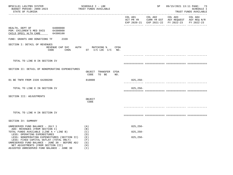| BPSC1L01 LAS/PBS SYSTEM<br>BUDGET PERIOD: 2009-2023<br>STATE OF FLORIDA<br>. <u>_ _ _ _ _ _ _ _ _ _ _ _ _ _ _ _</u> _ _ _ _                                                                                                                                   | SCHEDULE I - LBE<br>TRUST FUNDS AVAILABLE        |              | SP                                 | __________________________                                                                     | 09/15/2021 13:11 PAGE: 73<br>SCHEDULE I<br>TRUST FUNDS AVAILABLE |
|---------------------------------------------------------------------------------------------------------------------------------------------------------------------------------------------------------------------------------------------------------------|--------------------------------------------------|--------------|------------------------------------|------------------------------------------------------------------------------------------------|------------------------------------------------------------------|
|                                                                                                                                                                                                                                                               |                                                  |              | COL A01 COL A02                    | COL A03<br>ACT PR YR CURR YR EST AGY REQUEST AGY REQ N/R<br>EXP 2020-21 EXP 2021-22 FY 2022-23 | COL A04<br>FY 2022-23                                            |
| HEALTH, DEPT OF<br>64000000<br>PGM: CHILDREN'S MED SVCS 64300000<br>CHILD SPECL HLTH CARE<br>64300100                                                                                                                                                         |                                                  |              |                                    |                                                                                                |                                                                  |
| FUND: GRANTS AND DONATIONS TF<br>2339                                                                                                                                                                                                                         |                                                  |              |                                    |                                                                                                |                                                                  |
| SECTION I: DETAIL OF REVENUES<br>REVENUE CAP SVC<br>CHG <sup>8</sup><br>CODE                                                                                                                                                                                  | CFDA<br>AUTH<br>MATCHING %<br>ST I/C LOC I/C NO. |              |                                    |                                                                                                |                                                                  |
|                                                                                                                                                                                                                                                               |                                                  |              |                                    |                                                                                                |                                                                  |
| TOTAL TO LINE B IN SECTION IV                                                                                                                                                                                                                                 |                                                  |              |                                    |                                                                                                |                                                                  |
| SECTION II: DETAIL OF NONOPERATING EXPENDITURES                                                                                                                                                                                                               | OBJECT TRANSFER CFDA<br>TO BE<br>CODE<br>NO.     |              |                                    |                                                                                                |                                                                  |
| 01 BE TNFR FROM 2339 64200200                                                                                                                                                                                                                                 | 810000                                           | 825,250-     | __________ ______________ ________ |                                                                                                |                                                                  |
| TOTAL TO LINE E IN SECTION IV                                                                                                                                                                                                                                 |                                                  | $825, 250 -$ |                                    |                                                                                                |                                                                  |
| SECTION III: ADJUSTMENTS                                                                                                                                                                                                                                      | OBJECT<br>CODE                                   |              |                                    |                                                                                                |                                                                  |
|                                                                                                                                                                                                                                                               |                                                  |              |                                    |                                                                                                |                                                                  |
| TOTAL TO LINE H IN SECTION IV                                                                                                                                                                                                                                 |                                                  |              |                                    |                                                                                                |                                                                  |
| SECTION IV: SUMMARY                                                                                                                                                                                                                                           |                                                  |              |                                    |                                                                                                |                                                                  |
| UNRESERVED FUND BALANCE - JULY 1                                                                                                                                                                                                                              | (A)                                              | $825, 250 -$ |                                    |                                                                                                |                                                                  |
| ADD: REVENUES (FROM SECTION I)<br>TOTAL FUNDS AVAILABLE (LINE A + LINE B)                                                                                                                                                                                     | (B)<br>(C)                                       | $825, 250 -$ |                                    |                                                                                                |                                                                  |
| LESS: OPERATING EXPENDITURES<br>LESS: NONOPERATING EXPENDITURES (SECTION II)<br>LESS: FIXED CAPITAL OUTLAY (TOTAL ONLY)<br>UNRESERVED FUND BALANCE - JUNE 30 - BEFORE ADJ<br>NET ADJUSTMENTS (FROM SECTION III)<br>ADJUSTED UNRESERVED FUND BALANCE - JUNE 30 | (D)<br>( E )<br>(F)<br>(G)<br>(H)<br>(T)         | $825, 250 -$ |                                    |                                                                                                |                                                                  |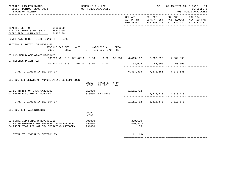| -----------------------------------<br>COL A03<br>COL A02<br>COL A01<br>COL A04<br>ACT PR YR CURR YR EST AGY REQUEST AGY REQ N/R<br>EXP 2020-21 EXP 2021-22 FY 2022-23<br>FY 2022-23<br>64000000<br>HEALTH, DEPT OF<br>PGM: CHILDREN'S MED SVCS 64300000<br>CHILD SPECL HLTH CARE<br>64300100<br>FUND: MAT/CH HLTH BLOCK GRANT TF<br>2475<br>SECTION I: DETAIL OF REVENUES<br>REVENUE CAP SVC<br>AUTH MATCHING %<br>CFDA<br>ST I/C LOC I/C NO.<br>CHG <sup>8</sup><br>CODE<br>05 CMS MCH BLOCK GRANT PROGRAMS<br>000700 NO 0.0 381.0011 0.00 0.00 93.994 6,419,117 7,309,890 7,309,890<br>07 REFUNDS PRIOR YEAR<br>001800 NO 0.0 215.31 0.00<br>0.00<br>68,696 68,696 68,696<br>6,487,813 7,378,586 7,378,586<br>TOTAL TO LINE B IN SECTION IV<br>SECTION II: DETAIL OF NONOPERATING EXPENDITURES<br>OBJECT TRANSFER CFDA<br>CODE<br>TO BE<br>NO.<br>01 BE TNFR FROM 2475 64200100<br>810000<br>1,151,702-<br>$2,813,178-2,813,178-$<br>03 RESERVE AUTHORITY FOR CHD<br>810000 64200700<br>TOTAL TO LINE E IN SECTION IV<br>1, 151, 702 - 2, 813, 178 - 2, 813, 178 -<br>SECTION III: ADJUSTMENTS<br>OBJECT<br>CODE<br>379,670<br>02 CERTIFIED FORWARD REVERSIONS<br>991000<br>$490,821 -$<br>03 PY ENCUMBRANCE NOT RESERVED FUND BALANCE<br>991000<br>04 PRIOR YEAR A/P NOT CF- OPERATING CATEGORY<br>991000<br>35<br>$111, 116 -$<br>TOTAL TO LINE H IN SECTION IV | BPSC1L01 LAS/PBS SYSTEM<br>BUDGET PERIOD: 2009-2023<br>STATE OF FLORIDA |  | SCHEDULE I - LBE | TRUST FUNDS AVAILABLE |  | SP | 09/15/2021 13:11 PAGE: 74<br>SCHEDULE I<br>TRUST FUNDS AVAILABLE |  |
|----------------------------------------------------------------------------------------------------------------------------------------------------------------------------------------------------------------------------------------------------------------------------------------------------------------------------------------------------------------------------------------------------------------------------------------------------------------------------------------------------------------------------------------------------------------------------------------------------------------------------------------------------------------------------------------------------------------------------------------------------------------------------------------------------------------------------------------------------------------------------------------------------------------------------------------------------------------------------------------------------------------------------------------------------------------------------------------------------------------------------------------------------------------------------------------------------------------------------------------------------------------------------------------------------------------------------------------------------------------------|-------------------------------------------------------------------------|--|------------------|-----------------------|--|----|------------------------------------------------------------------|--|
|                                                                                                                                                                                                                                                                                                                                                                                                                                                                                                                                                                                                                                                                                                                                                                                                                                                                                                                                                                                                                                                                                                                                                                                                                                                                                                                                                                      |                                                                         |  |                  |                       |  |    |                                                                  |  |
|                                                                                                                                                                                                                                                                                                                                                                                                                                                                                                                                                                                                                                                                                                                                                                                                                                                                                                                                                                                                                                                                                                                                                                                                                                                                                                                                                                      |                                                                         |  |                  |                       |  |    |                                                                  |  |
|                                                                                                                                                                                                                                                                                                                                                                                                                                                                                                                                                                                                                                                                                                                                                                                                                                                                                                                                                                                                                                                                                                                                                                                                                                                                                                                                                                      |                                                                         |  |                  |                       |  |    |                                                                  |  |
|                                                                                                                                                                                                                                                                                                                                                                                                                                                                                                                                                                                                                                                                                                                                                                                                                                                                                                                                                                                                                                                                                                                                                                                                                                                                                                                                                                      |                                                                         |  |                  |                       |  |    |                                                                  |  |
|                                                                                                                                                                                                                                                                                                                                                                                                                                                                                                                                                                                                                                                                                                                                                                                                                                                                                                                                                                                                                                                                                                                                                                                                                                                                                                                                                                      |                                                                         |  |                  |                       |  |    |                                                                  |  |
|                                                                                                                                                                                                                                                                                                                                                                                                                                                                                                                                                                                                                                                                                                                                                                                                                                                                                                                                                                                                                                                                                                                                                                                                                                                                                                                                                                      |                                                                         |  |                  |                       |  |    |                                                                  |  |
|                                                                                                                                                                                                                                                                                                                                                                                                                                                                                                                                                                                                                                                                                                                                                                                                                                                                                                                                                                                                                                                                                                                                                                                                                                                                                                                                                                      |                                                                         |  |                  |                       |  |    |                                                                  |  |
|                                                                                                                                                                                                                                                                                                                                                                                                                                                                                                                                                                                                                                                                                                                                                                                                                                                                                                                                                                                                                                                                                                                                                                                                                                                                                                                                                                      |                                                                         |  |                  |                       |  |    |                                                                  |  |
|                                                                                                                                                                                                                                                                                                                                                                                                                                                                                                                                                                                                                                                                                                                                                                                                                                                                                                                                                                                                                                                                                                                                                                                                                                                                                                                                                                      |                                                                         |  |                  |                       |  |    |                                                                  |  |
|                                                                                                                                                                                                                                                                                                                                                                                                                                                                                                                                                                                                                                                                                                                                                                                                                                                                                                                                                                                                                                                                                                                                                                                                                                                                                                                                                                      |                                                                         |  |                  |                       |  |    |                                                                  |  |
|                                                                                                                                                                                                                                                                                                                                                                                                                                                                                                                                                                                                                                                                                                                                                                                                                                                                                                                                                                                                                                                                                                                                                                                                                                                                                                                                                                      |                                                                         |  |                  |                       |  |    |                                                                  |  |
|                                                                                                                                                                                                                                                                                                                                                                                                                                                                                                                                                                                                                                                                                                                                                                                                                                                                                                                                                                                                                                                                                                                                                                                                                                                                                                                                                                      |                                                                         |  |                  |                       |  |    |                                                                  |  |
|                                                                                                                                                                                                                                                                                                                                                                                                                                                                                                                                                                                                                                                                                                                                                                                                                                                                                                                                                                                                                                                                                                                                                                                                                                                                                                                                                                      |                                                                         |  |                  |                       |  |    |                                                                  |  |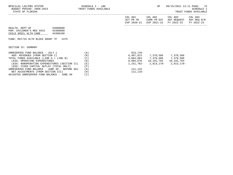| BPSC1L01 LAS/PBS SYSTEM<br>BUDGET PERIOD: 2009-2023<br>STATE OF FLORIDA                                       |                                  | SCHEDULE I - LBE<br>TRUST FUNDS AVAILABLE |                                     | SP.                                   | 09/15/2021 13:11 PAGE:                | -75<br>SCHEDULE I<br>TRUST FUNDS AVAILABLE |
|---------------------------------------------------------------------------------------------------------------|----------------------------------|-------------------------------------------|-------------------------------------|---------------------------------------|---------------------------------------|--------------------------------------------|
|                                                                                                               |                                  |                                           | COL A01<br>ACT PR YR<br>EXP 2020-21 | COL A02<br>CURR YR EST<br>EXP 2021-22 | COL A03<br>AGY REQUEST<br>FY 2022-23  | COL A04<br>AGY REQ N/R<br>FY 2022-23       |
| HEALTH, DEPT OF<br>PGM: CHILDREN'S MED SVCS<br>CHILD SPECL HLTH CARE<br>FUND: MAT/CH HLTH BLOCK GRANT TF 2475 | 64000000<br>64300000<br>64300100 |                                           |                                     |                                       |                                       |                                            |
| SECTION IV: SUMMARY                                                                                           |                                  |                                           |                                     |                                       |                                       |                                            |
| UNRESERVED FUND BALANCE - JULY 1                                                                              |                                  | (A)                                       | 623,729-                            |                                       |                                       |                                            |
| ADD: REVENUES (FROM SECTION I)                                                                                |                                  | (B)                                       |                                     | 6,487,813 7,378,586 7,378,586         |                                       |                                            |
| TOTAL FUNDS AVAILABLE (LINE A + LINE B)                                                                       |                                  | (C)                                       |                                     | 5,864,084 7,378,586 7,378,586         |                                       |                                            |
| LESS: OPERATING EXPENDITURES                                                                                  |                                  | (D)                                       |                                     | 6,904,670    10,191,764    10,191,764 |                                       |                                            |
| LESS: NONOPERATING EXPENDITURES (SECTION II)                                                                  |                                  | (E)                                       |                                     |                                       | $1,151,702 - 2,813,178 - 2,813,178 -$ |                                            |

LESS: FIXED CAPITAL OUTLAY (TOTAL ONLY) (F)<br>NRESERVED FUND BALANCE - JUNE 30 - BEFORE ADJ (G)

NET ADJUSTMENTS (FROM SECTION III) (H)<br>DJUSTED UNRESERVED FUND BALANCE - JUNE 30 (I)

ADJUSTED UNRESERVED FUND BALANCE - JUNE 30 (I)

UNRESERVED FUND BALANCE - JUNE 30 - BEFORE ADJ (G) 111,116<br>NET ADJUSTMENTS (FROM SECTION III) (H) (H) 115,116-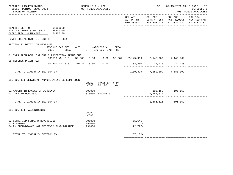| BPSC1L01 LAS/PBS SYSTEM<br>BUDGET PERIOD: 2009-2023<br>STATE OF FLORIDA                         |                                                                                                                         | SCHEDULE I - LBE<br>TRUST FUNDS AVAILABLE                       |                 | SP                            | 09/15/2021 13:11 PAGE: 76<br><b>SCHEDULE I</b><br>TRUST FUNDS AVAILABLE                        |                       |  |
|-------------------------------------------------------------------------------------------------|-------------------------------------------------------------------------------------------------------------------------|-----------------------------------------------------------------|-----------------|-------------------------------|------------------------------------------------------------------------------------------------|-----------------------|--|
|                                                                                                 |                                                                                                                         |                                                                 |                 | COL A01 COL A02               | COL A03<br>ACT PR YR CURR YR EST AGY REQUEST AGY REQ N/R<br>EXP 2020-21 EXP 2021-22 FY 2022-23 | COL A04<br>FY 2022-23 |  |
| HEALTH, DEPT OF 64000000<br>PGM: CHILDREN'S MED SVCS 64300000<br>CHILD SPECL HLTH CARE 64300100 |                                                                                                                         |                                                                 |                 |                               |                                                                                                |                       |  |
| FUND: SOCIAL SVCS BLK GRT TF 2639                                                               |                                                                                                                         |                                                                 |                 |                               |                                                                                                |                       |  |
| SECTION I: DETAIL OF REVENUES                                                                   | REVENUE CAP SVC<br>CODE                                                                                                 | AUTH MATCHING % CFDA<br>CHG <sup>&amp;</sup> ST I/C LOC I/C NO. |                 |                               |                                                                                                |                       |  |
|                                                                                                 | 01 TNFR FROM DCF 2639 CHILD PROTECTION TEAMS-CMS<br>001510 NO 0.0 39.303 0.00 0.00 93.667 7,145,969 7,145,969 7,145,969 |                                                                 |                 |                               |                                                                                                |                       |  |
| 05 REFUNDS PRIOR YEAR                                                                           | 001800 NO 0.0 215.31 0.00                                                                                               | 0.00                                                            |                 | 34,430 34,430 34,430          |                                                                                                |                       |  |
| TOTAL TO LINE B IN SECTION IV                                                                   |                                                                                                                         |                                                                 |                 | 7,180,399 7,180,399 7,180,399 |                                                                                                |                       |  |
| SECTION II: DETAIL OF NONOPERATING EXPENDITURES                                                 |                                                                                                                         | OBJECT TRANSFER CFDA<br>CODE<br>TO BE                           | NO.             |                               |                                                                                                |                       |  |
| 01 AMOUNT IN EXCESS OF AGREEMENT<br>03 TNFR TO DCF 2639                                         |                                                                                                                         | 899000<br>810000 60910310                                       |                 | 1,762,674                     | 196, 159 - 196, 159 -                                                                          |                       |  |
| TOTAL TO LINE E IN SECTION IV                                                                   |                                                                                                                         |                                                                 |                 |                               | 1,566,515 196,159-                                                                             |                       |  |
| SECTION III: ADJUSTMENTS                                                                        |                                                                                                                         | OBJECT<br>CODE                                                  |                 |                               |                                                                                                |                       |  |
| 02 CERTIFIED FORWARD REVERSIONS<br>03 ROUNDING                                                  |                                                                                                                         | 991000<br>991000                                                | 15,646<br>$1 -$ |                               |                                                                                                |                       |  |
| 04 PY ENCUMBRANCE NOT RESERVED FUND BALANCE                                                     |                                                                                                                         | 991000                                                          | 172,777-        |                               |                                                                                                |                       |  |
| TOTAL TO LINE H IN SECTION IV                                                                   |                                                                                                                         |                                                                 | 157,132-        |                               |                                                                                                |                       |  |

============= ============= ============= =============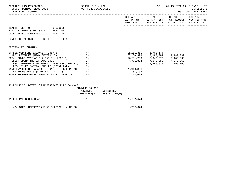| BPSC1L01 LAS/PBS SYSTEM<br>BUDGET PERIOD: 2009-2023 TRUST FUNDS AVAILABLE<br>STATE OF FLORIDA                                                                                                                                                                                                                                                                                                  | SCHEDULE I - LBE                       |                                                            |                                    | SP                      | 09/15/2021 13:11 PAGE: 77<br>TRUST FUNDS AVAILABLE                                                                                | <b>SCHEDULE I</b> |
|------------------------------------------------------------------------------------------------------------------------------------------------------------------------------------------------------------------------------------------------------------------------------------------------------------------------------------------------------------------------------------------------|----------------------------------------|------------------------------------------------------------|------------------------------------|-------------------------|-----------------------------------------------------------------------------------------------------------------------------------|-------------------|
|                                                                                                                                                                                                                                                                                                                                                                                                |                                        |                                                            |                                    |                         | COL A01 COL A02 COL A03 COL A04<br>ACT PR YR CURR YR EST AGY REQUEST AGY REQ N/R<br>EXP 2020-21 EXP 2021-22 FY 2022-23 FY 2022-23 |                   |
| HEALTH, DEPT OF 64000000<br>PGM: CHILDREN'S MED SVCS 64300000<br>CHILD SPECL HLTH CARE 64300100                                                                                                                                                                                                                                                                                                |                                        |                                                            |                                    |                         |                                                                                                                                   |                   |
| FUND: SOCIAL SVCS BLK GRT TF 2639                                                                                                                                                                                                                                                                                                                                                              |                                        |                                                            |                                    |                         |                                                                                                                                   |                   |
| SECTION IV: SUMMARY                                                                                                                                                                                                                                                                                                                                                                            |                                        |                                                            |                                    |                         |                                                                                                                                   |                   |
| UNRESERVED FUND BALANCE - JULY 1<br>ADD: REVENUES (FROM SECTION I)<br>TOTAL FUNDS AVAILABLE (LINE A + LINE B)<br>LESS: OPERATING EXPENDITURES<br>LESS: NONOPERATING EXPENDITURES (SECTION II) (E)<br>LESS: FIXED CAPITAL OUTLAY (TOTAL ONLY)<br>UNRESERVED FUND BALANCE - JUNE 30 - BEFORE ADJ $(G)$<br>NET ADJUSTMENTS (FROM SECTION III)<br>ADJUSTED UNRESERVED FUND BALANCE - JUNE 30 $(1)$ | (A)<br>(B)<br>(C)<br>(D)<br>(F)<br>(H) |                                                            | 1,919,806<br>157,132-<br>1,762,674 | 2, 111, 301 1, 762, 674 | 7,180,399<br>9,291,700<br>7,371,894<br>7,376,558<br>7,376,558<br>7,376,558<br>1,566,515<br>196,159-                               |                   |
| SCHEDULE IB: DETAIL OF UNRESERVED FUND BALANCE                                                                                                                                                                                                                                                                                                                                                 | FUNDING SOURCE                         | $STATE(S)$ RESTRICTED $(R)$<br>NONSTATE(N) UNRESTRICTED(U) |                                    |                         |                                                                                                                                   |                   |
| 01 FEDERAL BLOCK GRANT                                                                                                                                                                                                                                                                                                                                                                         | $\mathbf N$                            | R                                                          | 1,762,674                          |                         |                                                                                                                                   |                   |
| ADJUSTED UNRESERVED FUND BALANCE - JUNE 30                                                                                                                                                                                                                                                                                                                                                     |                                        |                                                            | 1,762,674                          |                         |                                                                                                                                   |                   |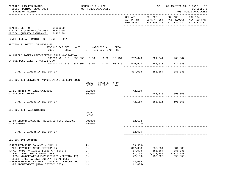| BPSC1L01 LAS/PBS SYSTEM<br>BUDGET PERIOD: 2009-2023<br>STATE OF FLORIDA                                                                                                                                                                  |                            | SCHEDULE I - LBE                       | TRUST FUNDS AVAILABLE         |      |                                                            | SP                                          | 09/15/2021 13:11 PAGE: 78                                                                      | SCHEDULE I<br>TRUST FUNDS AVAILABLE |
|------------------------------------------------------------------------------------------------------------------------------------------------------------------------------------------------------------------------------------------|----------------------------|----------------------------------------|-------------------------------|------|------------------------------------------------------------|---------------------------------------------|------------------------------------------------------------------------------------------------|-------------------------------------|
|                                                                                                                                                                                                                                          |                            |                                        |                               |      | COL A01                                                    | COL A02 COL A03                             | ACT PR YR CURR YR EST AGY REQUEST AGY REQ N/R<br>EXP 2020-21 EXP 2021-22 FY 2022-23 FY 2022-23 | COL A04                             |
| HEALTH, DEPT OF 64000000<br>PGM: HLTH CARE PRAC/ACCESS 64400000<br>MEDICAL QUALITY ASSURANCE 64400100                                                                                                                                    |                            |                                        |                               |      |                                                            |                                             |                                                                                                |                                     |
| FUND: FEDERAL GRANTS TRUST FUND<br>2261                                                                                                                                                                                                  |                            |                                        |                               |      |                                                            |                                             |                                                                                                |                                     |
| SECTION I: DETAIL OF REVENUES<br>REVENUE CAP SVC                                                                                                                                                                                         |                            |                                        | AUTH MATCHING %               | CFDA |                                                            |                                             |                                                                                                |                                     |
| CODE                                                                                                                                                                                                                                     | CHG $%$ ST I/C LOC I/C NO. |                                        |                               |      |                                                            |                                             |                                                                                                |                                     |
| AA HAROLD ROGERS PRESCRIPTION DRUG MONITORING<br>000700 NO 0.0 893.055 0.00 0.00 16.754 267,040 321,241 268,807                                                                                                                          |                            |                                        |                               |      |                                                            |                                             |                                                                                                |                                     |
| 04 OVERDOSE DATA TO ACTION GRANT<br>000700 NO 0.0 381.001 0.00 0.00 93.136 549,993 562,613                                                                                                                                               |                            |                                        |                               |      |                                                            |                                             | 112,523                                                                                        |                                     |
| TOTAL TO LINE B IN SECTION IV                                                                                                                                                                                                            |                            |                                        |                               |      |                                                            | 817,033 883,854 381,330                     |                                                                                                |                                     |
| SECTION II: DETAIL OF NONOPERATING EXPENDITURES                                                                                                                                                                                          |                            | CODE                                   | OBJECT TRANSFER CFDA<br>TO BE | NO.  |                                                            |                                             |                                                                                                |                                     |
| 01 BE TNFR FROM 2261 64200800<br>02 UNFUNDED BUDGET                                                                                                                                                                                      |                            | 810000<br>899000                       |                               |      | 42,159-                                                    |                                             | $188,326 - 690,850 -$                                                                          |                                     |
| TOTAL TO LINE E IN SECTION IV                                                                                                                                                                                                            |                            |                                        |                               |      |                                                            |                                             | $42,159-188,326-690,850-$                                                                      |                                     |
| SECTION III: ADJUSTMENTS                                                                                                                                                                                                                 |                            |                                        |                               |      |                                                            |                                             |                                                                                                |                                     |
|                                                                                                                                                                                                                                          |                            | OBJECT<br>CODE                         |                               |      |                                                            |                                             |                                                                                                |                                     |
| 02 PY ENCUMBRANCES NOT RESERVED FUND BALANCE<br>03 ROUNDING                                                                                                                                                                              |                            | 991000<br>991000                       |                               |      | $12,633-$<br>$2 -$                                         |                                             |                                                                                                |                                     |
| TOTAL TO LINE H IN SECTION IV                                                                                                                                                                                                            |                            |                                        |                               |      | $12,635-$                                                  |                                             |                                                                                                |                                     |
| SECTION IV: SUMMARY                                                                                                                                                                                                                      |                            |                                        |                               |      |                                                            |                                             |                                                                                                |                                     |
| UNRESERVED FUND BALANCE - JULY 1<br>ADD: REVENUES (FROM SECTION I)<br>TOTAL FUNDS AVAILABLE (LINE A + LINE B)<br>LESS: OPERATING EXPENDITURES<br>LESS: NONOPERATING EXPENDITURES (SECTION II)<br>LESS: FIXED CAPITAL OUTLAY (TOTAL ONLY) |                            | (A)<br>(B)<br>(C)<br>(D)<br>(E)<br>(F) |                               |      | $109, 359 -$<br>817,033<br>707,674<br>737,198<br>$42,159-$ | 883,854<br>883,854<br>1,072,180<br>188,326- | 381,330<br>381,330<br>1,072,180<br>$690, 850 -$                                                |                                     |
| UNRESERVED FUND BALANCE - JUNE 30 - BEFORE ADJ<br>NET ADJUSTMENTS (FROM SECTION III)                                                                                                                                                     |                            | (G)<br>(H)                             |                               |      | 12,635<br>$12,635-$                                        |                                             |                                                                                                |                                     |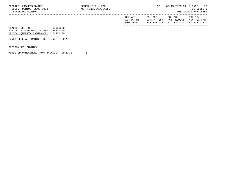| BPSC1L01 LAS/PBS SYSTEM<br>BUDGET PERIOD: 2009-2023<br>STATE OF FLORIDA    |                                  | SCHEDULE I - LBE<br>TRUST FUNDS AVAILABLE |                                     | SP                                    |                                      | 09/15/2021 13:11 PAGE: 79<br>SCHEDULE I<br>TRUST FUNDS AVAILABLE |
|----------------------------------------------------------------------------|----------------------------------|-------------------------------------------|-------------------------------------|---------------------------------------|--------------------------------------|------------------------------------------------------------------|
|                                                                            |                                  |                                           | COL A01<br>ACT PR YR<br>EXP 2020-21 | COL A02<br>CURR YR EST<br>EXP 2021-22 | COL A03<br>AGY REOUEST<br>FY 2022-23 | COL A04<br>AGY REO N/R<br>FY 2022-23                             |
| HEALTH, DEPT OF<br>PGM: HLTH CARE PRAC/ACCESS<br>MEDICAL OUALITY ASSURANCE | 64000000<br>64400000<br>64400100 |                                           |                                     |                                       |                                      |                                                                  |
| FUND: FEDERAL GRANTS TRUST FUND                                            | 2261                             |                                           |                                     |                                       |                                      |                                                                  |

SECTION IV: SUMMARY

ADJUSTED UNRESERVED FUND BALANCE - JUNE 30 (I)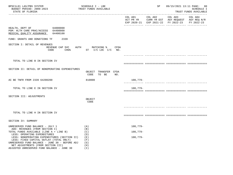| BPSC1L01 LAS/PBS SYSTEM<br>BUDGET PERIOD: 2009-2023<br>STATE OF FLORIDA                                                                                                                                                                                       | SCHEDULE I - LBE<br>TRUST FUNDS AVAILABLE                          |            | SP |                                                                                                                        | 09/15/2021 13:11 PAGE: 80<br>SCHEDULE I<br>TRUST FUNDS AVAILABLE |
|---------------------------------------------------------------------------------------------------------------------------------------------------------------------------------------------------------------------------------------------------------------|--------------------------------------------------------------------|------------|----|------------------------------------------------------------------------------------------------------------------------|------------------------------------------------------------------|
|                                                                                                                                                                                                                                                               |                                                                    |            |    | COL A01 COL A02 COL A03 COL A04<br>ACT PR YR CURR YR EST AGY REQUEST AGY REQ N/R<br>EXP 2020-21 EXP 2021-22 FY 2022-23 | FY 2022-23                                                       |
| 64000000<br>HEALTH, DEPT OF<br>PGM: HLTH CARE PRAC/ACCESS 64400000<br>MEDICAL QUALITY ASSURANCE<br>64400100                                                                                                                                                   |                                                                    |            |    |                                                                                                                        |                                                                  |
| FUND: GRANTS AND DONATIONS TF<br>2339                                                                                                                                                                                                                         |                                                                    |            |    |                                                                                                                        |                                                                  |
| SECTION I: DETAIL OF REVENUES<br>REVENUE CAP SVC<br>CODE                                                                                                                                                                                                      | AUTH<br>MATCHING % CFDA<br>CHG <sup>&amp;</sup> ST I/C LOC I/C NO. |            |    |                                                                                                                        |                                                                  |
| TOTAL TO LINE B IN SECTION IV                                                                                                                                                                                                                                 |                                                                    |            |    |                                                                                                                        |                                                                  |
|                                                                                                                                                                                                                                                               |                                                                    |            |    |                                                                                                                        |                                                                  |
| SECTION II: DETAIL OF NONOPERATING EXPENDITURES                                                                                                                                                                                                               | OBJECT TRANSFER CFDA<br>CODE<br>TO BE<br>NO.                       |            |    |                                                                                                                        |                                                                  |
| AC BE TNFR FROM 2339 64200200                                                                                                                                                                                                                                 | 810000                                                             | 108,779-   |    |                                                                                                                        |                                                                  |
| TOTAL TO LINE E IN SECTION IV                                                                                                                                                                                                                                 |                                                                    | $108,779-$ |    |                                                                                                                        |                                                                  |
| SECTION III: ADJUSTMENTS                                                                                                                                                                                                                                      | OBJECT<br>CODE                                                     |            |    |                                                                                                                        |                                                                  |
|                                                                                                                                                                                                                                                               |                                                                    |            |    |                                                                                                                        |                                                                  |
| TOTAL TO LINE H IN SECTION IV                                                                                                                                                                                                                                 |                                                                    |            |    |                                                                                                                        |                                                                  |
| SECTION IV: SUMMARY                                                                                                                                                                                                                                           |                                                                    |            |    |                                                                                                                        |                                                                  |
| UNRESERVED FUND BALANCE - JULY 1                                                                                                                                                                                                                              | (A)                                                                | $108,779-$ |    |                                                                                                                        |                                                                  |
| ADD: REVENUES (FROM SECTION I)<br>TOTAL FUNDS AVAILABLE (LINE A + LINE B)                                                                                                                                                                                     | (B)<br>(C)                                                         | $108,779-$ |    |                                                                                                                        |                                                                  |
| LESS: OPERATING EXPENDITURES<br>LESS: NONOPERATING EXPENDITURES (SECTION II)<br>LESS: FIXED CAPITAL OUTLAY (TOTAL ONLY)<br>UNRESERVED FUND BALANCE - JUNE 30 - BEFORE ADJ<br>NET ADJUSTMENTS (FROM SECTION III)<br>ADJUSTED UNRESERVED FUND BALANCE - JUNE 30 | (D)<br>(E)<br>(F)<br>(G)<br>(H)<br>(T)                             | $108,779-$ |    |                                                                                                                        |                                                                  |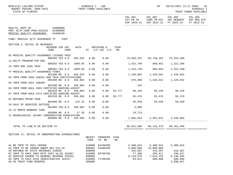| BPSC1L01 LAS/PBS SYSTEM<br>BUDGET PERIOD: 2009-2023<br>STATE OF FLORIDA                                              | SCHEDULE I - LBE |                            | TRUST FUNDS AVAILABLE            |             |                             | SP<br>------------------------------------ | 09/15/2021 13:11 PAGE: 81<br>SCHEDULE I<br>TRUST FUNDS AVAILABLE<br>. _ _ _ _ _ _ _ _ _ _ _ _ _ _    |            |
|----------------------------------------------------------------------------------------------------------------------|------------------|----------------------------|----------------------------------|-------------|-----------------------------|--------------------------------------------|------------------------------------------------------------------------------------------------------|------------|
|                                                                                                                      |                  |                            |                                  |             | COL A01<br>ACT PR YR        |                                            | COL A02 COL A03 COL A04<br>CURR YR EST AGY REQUEST AGY REQ N/R<br>EXP 2020-21 EXP 2021-22 FY 2022-23 | FY 2022-23 |
| 64000000<br>HEALTH, DEPT OF<br>PGM: HLTH CARE PRAC/ACCESS 64400000<br>MEDICAL QUALITY ASSURANCE<br>64400100          |                  |                            |                                  |             |                             |                                            |                                                                                                      |            |
| FUND: MEDICAL QLTY ASSURANCE TF<br>2352                                                                              |                  |                            |                                  |             |                             |                                            |                                                                                                      |            |
| SECTION I: DETAIL OF REVENUES<br>REVENUE CAP SVC<br>CODE<br>CHG <sup>8</sup>                                         | AUTH             |                            | MATCHING %<br>ST I/C LOC I/C NO. | CFDA        |                             |                                            |                                                                                                      |            |
| 02 MEDICAL QUALITY ASSURANCE LICENSE FEES<br>000202 YES 8.0                                                          | 456.025          | 0.00                       | 0.00                             |             | 76,563,322 93,748,283       |                                            | 75,325,490                                                                                           |            |
| 14 NSLTF PROGRAM FEE-DOE<br>000202 YES 0.0                                                                           | 1009.66          | 0.00                       | 0.00                             |             |                             | 1,415,740 960,952                          | 1,322,208                                                                                            |            |
| 15 TNFR DOE 2505 TR94<br>000202 YES 0.0                                                                              | 1009.66          | 0.00                       | 0.00                             |             |                             |                                            | $1,415,740-960,952-1,322,208-$                                                                       |            |
| YY MEDICAL QUALITY ASSURANCE FINES<br>001200 NO 8.0                                                                  | 456.025          | 0.00                       | 0.00                             |             | 1,159,082                   | 1,429,561                                  | 1,429,561                                                                                            |            |
| 03 TNFR FROM 2569 180251 RAD TECH CERTIFICATIONS                                                                     |                  |                            |                                  |             |                             |                                            |                                                                                                      |            |
| 001500 NO 0.0<br>04 TNFR FROM 2021 180205                                                                            | 456.004          | 0.00                       | 0.00                             |             | 978, 309                    | 1,126,632                                  | 1,126,632                                                                                            |            |
| 001500 NO 0.0<br>05 TNFR FROM AHCA 2003 CERTIFIED NURSING ASSIST                                                     | 456.004          | 0.00                       | 0.00                             |             | 332                         |                                            |                                                                                                      |            |
| 001510 NO 0.0<br>07 TNFR FROM AHCA 2474 CERTIFIED NURSING ASSIST                                                     | 456.004          | 0.00                       | 0.00                             |             | 93.777 80,156 80,156 80,156 |                                            |                                                                                                      |            |
| 001510 NO 0.0 456.004                                                                                                |                  | 0.00                       | 0.00                             |             | 93.777 92,476 92,476 92,476 |                                            |                                                                                                      |            |
| 01 REFUNDS PRIOR YEAR<br>001800 NO 0.0 215.31                                                                        |                  | 0.00                       | 0.00                             |             |                             | 59,550 59,550 59,550                       |                                                                                                      |            |
| 10 SALE OF SERVICES OUTSIDE<br>001905 YES 8.0                                                                        | 456.004          | 0.00                       | 0.00                             |             | 3,906                       |                                            |                                                                                                      |            |
| 16 12 MONTH WARRANT CANX<br>003800 NO 0.0                                                                            | 17.26            | 0.00                       | 0.00                             |             | 19,713                      |                                            |                                                                                                      |            |
| 12 NEUROLOGICAL INJURY COMPENSATION ASSOCIATION<br>005000 NO 0.0 456.004                                             |                  | 0.00                       | 0.00                             |             |                             |                                            | 1,955,844 2,581,812 2,348,084                                                                        |            |
|                                                                                                                      |                  |                            |                                  |             |                             |                                            |                                                                                                      |            |
| TOTAL TO LINE B IN SECTION IV                                                                                        |                  |                            |                                  |             |                             | 80, 912, 690 99, 118, 470 80, 461, 949     |                                                                                                      |            |
| SECTION II: DETAIL OF NONOPERATING EXPENDITURES                                                                      |                  |                            |                                  |             |                             |                                            |                                                                                                      |            |
|                                                                                                                      |                  | OBJECT<br>CODE             | TRANSFER<br>TO BE                | CFDA<br>NO. |                             |                                            |                                                                                                      |            |
| A1 BE TNFR TO 2021 185080<br>A2 TNFR TO GR 180056 SWEEP SEC 215.32                                                   |                  | 810000<br>990002           | 64100200<br>64400100             |             | 5,488,624<br>5,000,000      | 5,488,624<br>15,000,000                    | 5,488,624                                                                                            |            |
| CH REFUNDS OF STATE REVENUES 220020<br>P2 TNFR TO AHCA 2003 HCTF COST ALLOC 181067                                   |                  | 860000<br>810000           | 68700700                         |             | 442,507<br>77,489           | 442,507<br>296,917                         | 442,507<br>296,917                                                                                   |            |
| 02 SERVICE CHARGE TO GENERAL REVENUE 310322<br>04 TNFR TO FDLE 2510 INVESTIGATIVE 181317<br>06 5% TRUST FUND RESERVE |                  | 880800<br>810000<br>999000 | 71700100                         |             | 6,119,976<br>84,912         | 7,614,228<br>500,000                       | 6,140,404<br>500,000<br>3,390,647                                                                    |            |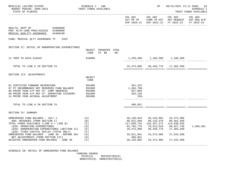| BPSC1L01 LAS/PBS SYSTEM<br>BUDGET PERIOD: 2009-2023<br>STATE OF FLORIDA                                                                                                                                                                  | SCHEDULE I - LBE<br>TRUST FUNDS AVAILABLE                                  |                                                       | SP                                                                                          | 09/15/2021 13:11 PAGE: 82<br><b>SCHEDULE I</b><br>TRUST FUNDS AVAILABLE                                |                       |  |
|------------------------------------------------------------------------------------------------------------------------------------------------------------------------------------------------------------------------------------------|----------------------------------------------------------------------------|-------------------------------------------------------|---------------------------------------------------------------------------------------------|--------------------------------------------------------------------------------------------------------|-----------------------|--|
|                                                                                                                                                                                                                                          |                                                                            | COL A01                                               |                                                                                             | COL A02 COL A03<br>ACT PR YR CURR YR EST AGY REQUEST AGY REQ N/R<br>EXP 2020-21 EXP 2021-22 FY 2022-23 | COL A04<br>FY 2022-23 |  |
| 64000000<br>HEALTH, DEPT OF<br>PGM: HLTH CARE PRAC/ACCESS 64400000<br>MEDICAL QUALITY ASSURANCE<br>64400100                                                                                                                              |                                                                            |                                                       |                                                                                             |                                                                                                        |                       |  |
| FUND: MEDICAL OLTY ASSURANCE TF<br>2352                                                                                                                                                                                                  |                                                                            |                                                       |                                                                                             |                                                                                                        |                       |  |
| SECTION II: DETAIL OF NONOPERATING EXPENDITURES                                                                                                                                                                                          | OBJECT TRANSFER CFDA<br>CODE<br>TO BE<br>NO.                               |                                                       |                                                                                             |                                                                                                        |                       |  |
| 11 TNFR TO NICA-310345                                                                                                                                                                                                                   | 810000                                                                     |                                                       | 1,259,500 1,106,500 1,106,500                                                               |                                                                                                        |                       |  |
| TOTAL TO LINE E IN SECTION IV                                                                                                                                                                                                            |                                                                            |                                                       | 18,473,008 30,448,776 17,365,599                                                            |                                                                                                        |                       |  |
| SECTION III: ADJUSTMENTS                                                                                                                                                                                                                 | OBJECT<br>CODE                                                             |                                                       |                                                                                             |                                                                                                        |                       |  |
| 01 CERTIFIED FORWARD REVERSIONS<br>07 PY ENCUMBRANCE NOT RESERVED FUND BALANCE<br>08 PRIOR YEAR A/P NOT CF- COMP ABSENCES<br>09 PRIOR YEAR A/P NOT CF- OPERATING CATEGORY<br>14 PRIOR YEAR ACCRUAL ADJUSTMENT                            | 991000<br>991000<br>991000<br>991000<br>991000                             | 491,523<br>1,384,796–<br>937,056<br>363,226<br>- 158- |                                                                                             |                                                                                                        |                       |  |
| TOTAL TO LINE H IN SECTION IV                                                                                                                                                                                                            |                                                                            | 406,851                                               |                                                                                             |                                                                                                        |                       |  |
| SECTION IV: SUMMARY                                                                                                                                                                                                                      |                                                                            |                                                       |                                                                                             |                                                                                                        |                       |  |
| UNRESERVED FUND BALANCE - JULY 1<br>ADD: REVENUES (FROM SECTION I)<br>TOTAL FUNDS AVAILABLE (LINE A + LINE B)<br>LESS: OPERATING EXPENDITURES<br>LESS: NONOPERATING EXPENDITURES (SECTION II)<br>LESS: FIXED CAPITAL OUTLAY (TOTAL ONLY) | (A)<br>(B)<br>(C)<br>(D)<br>(E)<br>(F)                                     | 80,912,690<br>117,050,734<br>62,765,775<br>18,473,008 | 36, 138, 044 36, 218, 802 34, 374, 986<br>99,118,470 80,461,949<br>70,513,510<br>30,448,776 | 135, 337, 272 114, 836, 935<br>69,927,746<br>17,365,599                                                | 1,960,381             |  |
| UNRESERVED FUND BALANCE - JUNE 30 - BEFORE ADJ<br>NET ADJUSTMENTS (FROM SECTION III)<br>ADJUSTED UNRESERVED FUND BALANCE - JUNE 30                                                                                                       | (G)<br>(H)<br>$(\lrcorner)$                                                | 35,811,951<br>406,851<br>36,218,802                   | 34,374,986                                                                                  | 27,543,590<br>34,374,986 27,543,590                                                                    |                       |  |
| SCHEDULE IB: DETAIL OF UNRESERVED FUND BALANCE                                                                                                                                                                                           | FUNDING SOURCE<br>STATE(S)<br>RESTRICTED(R)<br>NONSTATE(N) UNRESTRICTED(U) |                                                       |                                                                                             |                                                                                                        |                       |  |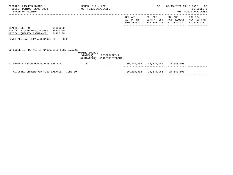| BPSC1L01 LAS/PBS SYSTEM<br>BUDGET PERIOD: 2009-2023 TRUST FUNDS AVAILABLE<br>STATE OF FLORIDA         | SCHEDULE I - LBE |                                                            | SP                                     | 09/15/2021 13:11 PAGE: 83                                                                                                         | SCHEDULE I<br>TRUST FUNDS AVAILABLE |
|-------------------------------------------------------------------------------------------------------|------------------|------------------------------------------------------------|----------------------------------------|-----------------------------------------------------------------------------------------------------------------------------------|-------------------------------------|
|                                                                                                       |                  |                                                            |                                        | COL A01 COL A02 COL A03 COL A04<br>ACT PR YR CURR YR EST AGY REQUEST AGY REQ N/R<br>EXP 2020-21 EXP 2021-22 FY 2022-23 FY 2022-23 |                                     |
| HEALTH, DEPT OF 64000000<br>PGM: HLTH CARE PRAC/ACCESS 64400000<br>MEDICAL OUALITY ASSURANCE 64400100 |                  |                                                            |                                        |                                                                                                                                   |                                     |
| FUND: MEDICAL QLTY ASSURANCE TF 2352                                                                  |                  |                                                            |                                        |                                                                                                                                   |                                     |
| SCHEDULE IB: DETAIL OF UNRESERVED FUND BALANCE                                                        | FUNDING SOURCE   | $STATE(S)$ RESTRICTED $(R)$<br>NONSTATE(N) UNRESTRICTED(U) |                                        |                                                                                                                                   |                                     |
| 01 MEDICAL ASSURANCE BOARDS 456 F.S.                                                                  | S                | U                                                          | 36, 218, 802 34, 374, 986 27, 543, 590 |                                                                                                                                   |                                     |
| ADJUSTED UNRESERVED FUND BALANCE - JUNE 30                                                            |                  |                                                            | 36,218,802 34,374,986 27,543,590       |                                                                                                                                   |                                     |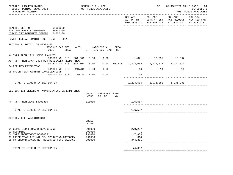| COL A03<br>COL A01 COL A02<br>COL A04<br>ACT PR YR CURR YR EST AGY REQUEST AGY REQ N/R<br>EXP 2020-21 EXP 2021-22 FY 2022-23<br>64000000<br>HEALTH, DEPT OF<br>PGM: DISABILITY DETERMIN 64500000<br>DISABILITY BENEFITS DETERM 64500100<br>FUND: FEDERAL GRANTS TRUST FUND<br>2261<br>SECTION I: DETAIL OF REVENUES<br>REVENUE CAP SVC<br>AUTH MATCHING %<br>CFDA<br>CHG <sup>8</sup><br>CODE<br>$ST$ $I/C$ $LOC$ $I/C$ $NO$ .<br>A4 TNFR FROM 2021 LEAVE PAYOUTS<br>0.00<br>1,821 10,597 10,597<br>001500 NO 0.0<br>381.001<br>0.00<br>AC TNFR FROM AHCA 2474 DDD MEDICALLY NEEDY PROG<br>93.778  1,222,666  1,924,677  1,924,677<br>001510 NO 0.0<br>0.00<br>0.00<br>381.001<br>04 REFUNDS PRIOR YEAR<br>001800 NO 0.0<br>0.00<br>0.00<br>14<br>14<br>215.31<br>14<br>05 PRIOR YEAR WARRANT CANCELLATIONS<br>003700 NO 0.0<br>215.31<br>0.00<br>0.00<br>14<br>TOTAL TO LINE B IN SECTION IV<br>1, 224, 515 1, 935, 288 1, 935, 288<br>SECTION II: DETAIL OF NONOPERATING EXPENDITURES<br>OBJECT TRANSFER CFDA<br>CODE<br>TO BE<br>NO.<br>PP TNFR FROM 2261 64200800<br>810000<br>126,587-<br>----------- ------------- -------<br>$126,587-$<br>TOTAL TO LINE E IN SECTION IV<br>SECTION III: ADJUSTMENTS<br>OBJECT<br>CODE<br>991000<br>270,257<br>01 CERTIFIED FORWARD REVERSIONS<br>03 ROUNDING<br>991000<br>1<br>147,836<br>04 SWFS ADJUSTMENT B6400351<br>991000<br>314<br>07 PRIOR YEAR A/P NOT CF- OPERATING CATEGORY<br>991000<br>08 PY ENCUMBRANCES NOT RESERVED FUND BALANCE<br>991000<br>344,311- | BPSC1L01 LAS/PBS SYSTEM<br>BUDGET PERIOD: 2009-2023<br>STATE OF FLORIDA | ___________________________________ |  | SCHEDULE I - LBE | TRUST FUNDS AVAILABLE |  | SP | 09/15/2021 13:11 PAGE: 84<br>SCHEDULE I<br>TRUST FUNDS AVAILABLE |
|----------------------------------------------------------------------------------------------------------------------------------------------------------------------------------------------------------------------------------------------------------------------------------------------------------------------------------------------------------------------------------------------------------------------------------------------------------------------------------------------------------------------------------------------------------------------------------------------------------------------------------------------------------------------------------------------------------------------------------------------------------------------------------------------------------------------------------------------------------------------------------------------------------------------------------------------------------------------------------------------------------------------------------------------------------------------------------------------------------------------------------------------------------------------------------------------------------------------------------------------------------------------------------------------------------------------------------------------------------------------------------------------------------------------------------------------------------------------------------------------------------------|-------------------------------------------------------------------------|-------------------------------------|--|------------------|-----------------------|--|----|------------------------------------------------------------------|
|                                                                                                                                                                                                                                                                                                                                                                                                                                                                                                                                                                                                                                                                                                                                                                                                                                                                                                                                                                                                                                                                                                                                                                                                                                                                                                                                                                                                                                                                                                                |                                                                         |                                     |  |                  |                       |  |    | FY 2022-23                                                       |
|                                                                                                                                                                                                                                                                                                                                                                                                                                                                                                                                                                                                                                                                                                                                                                                                                                                                                                                                                                                                                                                                                                                                                                                                                                                                                                                                                                                                                                                                                                                |                                                                         |                                     |  |                  |                       |  |    |                                                                  |
|                                                                                                                                                                                                                                                                                                                                                                                                                                                                                                                                                                                                                                                                                                                                                                                                                                                                                                                                                                                                                                                                                                                                                                                                                                                                                                                                                                                                                                                                                                                |                                                                         |                                     |  |                  |                       |  |    |                                                                  |
|                                                                                                                                                                                                                                                                                                                                                                                                                                                                                                                                                                                                                                                                                                                                                                                                                                                                                                                                                                                                                                                                                                                                                                                                                                                                                                                                                                                                                                                                                                                |                                                                         |                                     |  |                  |                       |  |    |                                                                  |
|                                                                                                                                                                                                                                                                                                                                                                                                                                                                                                                                                                                                                                                                                                                                                                                                                                                                                                                                                                                                                                                                                                                                                                                                                                                                                                                                                                                                                                                                                                                |                                                                         |                                     |  |                  |                       |  |    |                                                                  |
|                                                                                                                                                                                                                                                                                                                                                                                                                                                                                                                                                                                                                                                                                                                                                                                                                                                                                                                                                                                                                                                                                                                                                                                                                                                                                                                                                                                                                                                                                                                |                                                                         |                                     |  |                  |                       |  |    |                                                                  |
|                                                                                                                                                                                                                                                                                                                                                                                                                                                                                                                                                                                                                                                                                                                                                                                                                                                                                                                                                                                                                                                                                                                                                                                                                                                                                                                                                                                                                                                                                                                |                                                                         |                                     |  |                  |                       |  |    |                                                                  |
|                                                                                                                                                                                                                                                                                                                                                                                                                                                                                                                                                                                                                                                                                                                                                                                                                                                                                                                                                                                                                                                                                                                                                                                                                                                                                                                                                                                                                                                                                                                |                                                                         |                                     |  |                  |                       |  |    |                                                                  |
|                                                                                                                                                                                                                                                                                                                                                                                                                                                                                                                                                                                                                                                                                                                                                                                                                                                                                                                                                                                                                                                                                                                                                                                                                                                                                                                                                                                                                                                                                                                |                                                                         |                                     |  |                  |                       |  |    |                                                                  |
|                                                                                                                                                                                                                                                                                                                                                                                                                                                                                                                                                                                                                                                                                                                                                                                                                                                                                                                                                                                                                                                                                                                                                                                                                                                                                                                                                                                                                                                                                                                |                                                                         |                                     |  |                  |                       |  |    |                                                                  |
|                                                                                                                                                                                                                                                                                                                                                                                                                                                                                                                                                                                                                                                                                                                                                                                                                                                                                                                                                                                                                                                                                                                                                                                                                                                                                                                                                                                                                                                                                                                |                                                                         |                                     |  |                  |                       |  |    |                                                                  |
|                                                                                                                                                                                                                                                                                                                                                                                                                                                                                                                                                                                                                                                                                                                                                                                                                                                                                                                                                                                                                                                                                                                                                                                                                                                                                                                                                                                                                                                                                                                |                                                                         |                                     |  |                  |                       |  |    |                                                                  |
|                                                                                                                                                                                                                                                                                                                                                                                                                                                                                                                                                                                                                                                                                                                                                                                                                                                                                                                                                                                                                                                                                                                                                                                                                                                                                                                                                                                                                                                                                                                |                                                                         |                                     |  |                  |                       |  |    |                                                                  |
|                                                                                                                                                                                                                                                                                                                                                                                                                                                                                                                                                                                                                                                                                                                                                                                                                                                                                                                                                                                                                                                                                                                                                                                                                                                                                                                                                                                                                                                                                                                |                                                                         |                                     |  |                  |                       |  |    |                                                                  |
|                                                                                                                                                                                                                                                                                                                                                                                                                                                                                                                                                                                                                                                                                                                                                                                                                                                                                                                                                                                                                                                                                                                                                                                                                                                                                                                                                                                                                                                                                                                |                                                                         |                                     |  |                  |                       |  |    |                                                                  |
|                                                                                                                                                                                                                                                                                                                                                                                                                                                                                                                                                                                                                                                                                                                                                                                                                                                                                                                                                                                                                                                                                                                                                                                                                                                                                                                                                                                                                                                                                                                |                                                                         |                                     |  |                  |                       |  |    |                                                                  |
|                                                                                                                                                                                                                                                                                                                                                                                                                                                                                                                                                                                                                                                                                                                                                                                                                                                                                                                                                                                                                                                                                                                                                                                                                                                                                                                                                                                                                                                                                                                |                                                                         |                                     |  |                  |                       |  |    |                                                                  |
| 74,097<br>TOTAL TO LINE H IN SECTION IV                                                                                                                                                                                                                                                                                                                                                                                                                                                                                                                                                                                                                                                                                                                                                                                                                                                                                                                                                                                                                                                                                                                                                                                                                                                                                                                                                                                                                                                                        |                                                                         |                                     |  |                  |                       |  |    |                                                                  |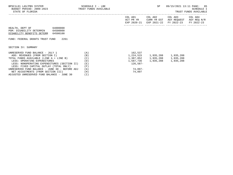| BPSC1L01 LAS/PBS SYSTEM<br>BUDGET PERIOD: 2009-2023 TRUST FUNDS AVAILABLE<br>STATE OF FLORIDA                                                                                                                                                   | SCHEDULE I - LBE                | SP                                  | 09/15/2021 13:11 PAGE: 85<br>SCHEDULE I<br>TRUST FUNDS AVAILABLE |                                                                |                                      |
|-------------------------------------------------------------------------------------------------------------------------------------------------------------------------------------------------------------------------------------------------|---------------------------------|-------------------------------------|------------------------------------------------------------------|----------------------------------------------------------------|--------------------------------------|
|                                                                                                                                                                                                                                                 |                                 | COL A01<br>ACT PR YR<br>EXP 2020-21 | COL A02<br>CURR YR EST                                           | COL A03<br>AGY REOUEST<br>EXP 2021-22 FY 2022-23               | COL A04<br>AGY REQ N/R<br>FY 2022-23 |
| HEALTH, DEPT OF<br>64000000<br>PGM: DISABILITY DETERMIN 64500000<br>DISABILITY BENEFITS DETERM<br>64500100<br>2261<br>FUND: FEDERAL GRANTS TRUST FUND                                                                                           |                                 |                                     |                                                                  |                                                                |                                      |
| SECTION IV: SUMMARY                                                                                                                                                                                                                             |                                 |                                     |                                                                  |                                                                |                                      |
| (A)<br>UNRESERVED FUND BALANCE - JULY 1<br>ADD: REVENUES (FROM SECTION I)<br>TOTAL FUNDS AVAILABLE (LINE A + LINE B)<br>LESS: OPERATING EXPENDITURES<br>LESS: NONOPERATING EXPENDITURES (SECTION II)<br>LESS: FIXED CAPITAL OUTLAY (TOTAL ONLY) | (B)<br>(C)<br>(D)<br>(E)<br>(F) | 162,537<br>126,587-                 | 1,587,736 1,935,288 1,935,288                                    | 1,224,515 1,935,288 1,935,288<br>1,387,052 1,935,288 1,935,288 |                                      |
| UNRESERVED FUND BALANCE - JUNE 30 - BEFORE ADJ                                                                                                                                                                                                  | (G)                             | 74,097-                             |                                                                  |                                                                |                                      |

NET ADJUSTMENTS (FROM SECTION III) (H) 74,097

ADJUSTED UNRESERVED FUND BALANCE - JUNE 30 (I)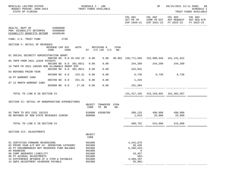| BPSC1L01 LAS/PBS SYSTEM<br>BUDGET PERIOD: 2009-2023<br>STATE OF FLORIDA                                                                                                                                                                                                                        |                                         |        | SCHEDULE I - LBE                                                             | TRUST FUNDS AVAILABLE     |      |                                                                                        | SP                                        |                                                                                                                           | 09/15/2021 13:11 PAGE: 86<br>SCHEDULE I<br>TRUST FUNDS AVAILABLE |
|------------------------------------------------------------------------------------------------------------------------------------------------------------------------------------------------------------------------------------------------------------------------------------------------|-----------------------------------------|--------|------------------------------------------------------------------------------|---------------------------|------|----------------------------------------------------------------------------------------|-------------------------------------------|---------------------------------------------------------------------------------------------------------------------------|------------------------------------------------------------------|
|                                                                                                                                                                                                                                                                                                |                                         |        |                                                                              |                           |      |                                                                                        |                                           | COL A01 COL A02 COL A03<br>ACT PR YR CURR YR EST AGY REQUEST AGY REQ N/R<br>EXP 2020-21 EXP 2021-22 FY 2022-23 FY 2022-23 | COL A04                                                          |
| HEALTH, DEPT OF 64000000<br>PGM: DISABILITY DETERMIN 64500000<br>DISABILITY BENEFITS DETERM 64500100                                                                                                                                                                                           |                                         |        |                                                                              |                           |      |                                                                                        |                                           |                                                                                                                           |                                                                  |
| FUND: U.S. TRUST FUND 2738                                                                                                                                                                                                                                                                     |                                         |        |                                                                              |                           |      |                                                                                        |                                           |                                                                                                                           |                                                                  |
| SECTION I: DETAIL OF REVENUES                                                                                                                                                                                                                                                                  | REVENUE CAP SVC AUTH MATCHING %<br>CODE |        |                                                                              | CHG% $ST$ I/C LOC I/C NO. | CFDA |                                                                                        |                                           |                                                                                                                           |                                                                  |
| 01 SOCIAL SECURITY ADMINISTRATION GRANT                                                                                                                                                                                                                                                        | 000700 NO 0.0 20.435 19 0.00            |        |                                                                              |                           |      | $0.00$ $96.001$ $130,771,650$ $152,908,946$ $161,131,622$                              |                                           |                                                                                                                           |                                                                  |
| 05 TNFR FROM 2021 LEAVE PAYOUTS                                                                                                                                                                                                                                                                | 001500 NO 0.0 381.0011                  |        | 0.00                                                                         | 0.00                      |      | 244,209 244,209 244,209                                                                |                                           |                                                                                                                           |                                                                  |
| 16 TNFR FR 2021 180205 NON ALLOWABLE GRANT EXP                                                                                                                                                                                                                                                 | 001500 NO 0.0 381.0011                  |        | 0.00                                                                         | 0.00                      |      | 242,031                                                                                |                                           |                                                                                                                           |                                                                  |
| 03 REFUNDS PRIOR YEAR                                                                                                                                                                                                                                                                          | 001800 NO 0.0 215.31                    |        | 0.00                                                                         | 0.00                      |      | 6,736 6,736                                                                            |                                           | 6,736                                                                                                                     |                                                                  |
| 10 PY WARRANT CANX                                                                                                                                                                                                                                                                             | 003700 NO 0.0                           | 251.31 | 0.00                                                                         | 0.00                      |      | 1,226                                                                                  |                                           |                                                                                                                           |                                                                  |
| 07 12 MONTH WARRANT CANX                                                                                                                                                                                                                                                                       | 003800 NO 0.0 17.26                     |        | 0.00                                                                         | 0.00                      |      | 151,304                                                                                |                                           |                                                                                                                           |                                                                  |
| TOTAL TO LINE B IN SECTION IV                                                                                                                                                                                                                                                                  |                                         |        |                                                                              |                           |      |                                                                                        | 131, 417, 156 153, 159, 891 161, 382, 567 |                                                                                                                           |                                                                  |
| SECTION II: DETAIL OF NONOPERATING EXPENDITURES                                                                                                                                                                                                                                                |                                         |        | OBJECT<br>CODE                                                               | TRANSFER CFDA<br>TO BE    | NO.  |                                                                                        |                                           |                                                                                                                           |                                                                  |
| 02 TNFR TO DFS 2261 181315<br>06 REFUNDS OF NON STATE REVENUES 220030                                                                                                                                                                                                                          |                                         |        | 860000                                                                       | 810000 43500700           |      |                                                                                        |                                           |                                                                                                                           |                                                                  |
| TOTAL TO LINE E IN SECTION IV                                                                                                                                                                                                                                                                  |                                         |        |                                                                              |                           |      |                                                                                        | 400,752 515,000 515,000                   |                                                                                                                           |                                                                  |
| SECTION III: ADJUSTMENTS                                                                                                                                                                                                                                                                       |                                         |        | OBJECT<br>CODE                                                               |                           |      |                                                                                        |                                           |                                                                                                                           |                                                                  |
| 01 CERTIFIED FORWARD REVERSIONS<br>02 PRIOR YEAR A/P NOT CF- OPERATING CATEGORY<br>04 PY ENCUMBRANCES NOT RESERVED FUND BALANCE<br>05 ROUNDING<br>06 COMP ABSENSES LIABILITY<br>08 PY ACCRUAL ADJUSTMENTS<br>12 DIFFERENCE BETWEEN CF A ITEM & PAYABLES<br>14 SWFS ADJUSTMENT #6400308 PAYABLE |                                         |        | 991000<br>991000<br>991000<br>991000<br>991000<br>991000<br>991000<br>991000 |                           |      | 4,242,679<br>30,436<br>$5,260,533-$<br>9<br>18,457<br>$562-$<br>4,468,197<br>$35,902-$ |                                           |                                                                                                                           |                                                                  |